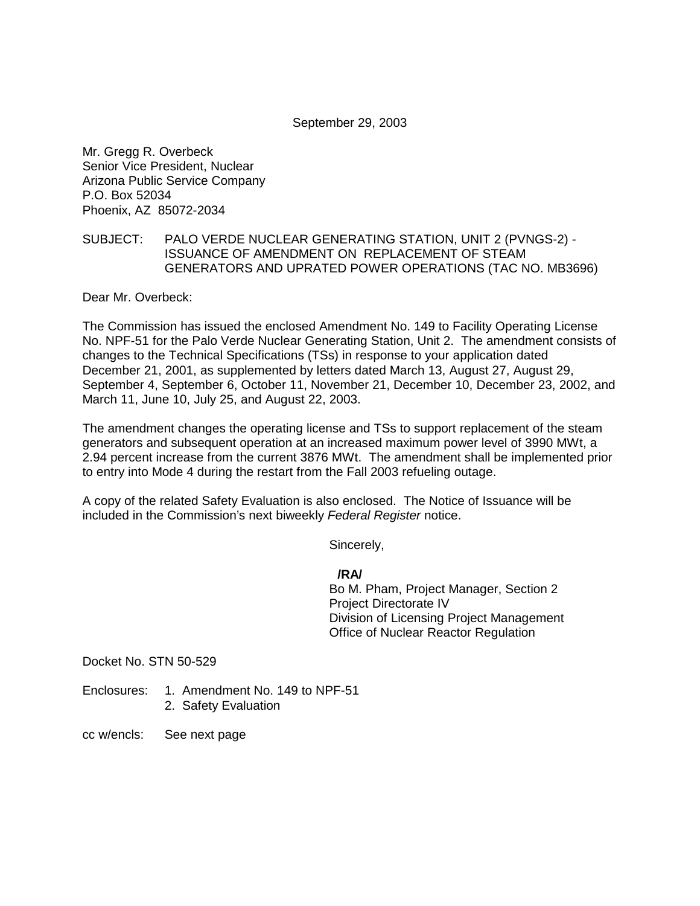#### September 29, 2003

Mr. Gregg R. Overbeck Senior Vice President, Nuclear Arizona Public Service Company P.O. Box 52034 Phoenix, AZ 85072-2034

#### SUBJECT: PALO VERDE NUCLEAR GENERATING STATION, UNIT 2 (PVNGS-2) - ISSUANCE OF AMENDMENT ON REPLACEMENT OF STEAM GENERATORS AND UPRATED POWER OPERATIONS (TAC NO. MB3696)

Dear Mr. Overbeck:

The Commission has issued the enclosed Amendment No. 149 to Facility Operating License No. NPF-51 for the Palo Verde Nuclear Generating Station, Unit 2. The amendment consists of changes to the Technical Specifications (TSs) in response to your application dated December 21, 2001, as supplemented by letters dated March 13, August 27, August 29, September 4, September 6, October 11, November 21, December 10, December 23, 2002, and March 11, June 10, July 25, and August 22, 2003.

The amendment changes the operating license and TSs to support replacement of the steam generators and subsequent operation at an increased maximum power level of 3990 MWt, a 2.94 percent increase from the current 3876 MWt. The amendment shall be implemented prior to entry into Mode 4 during the restart from the Fall 2003 refueling outage.

A copy of the related Safety Evaluation is also enclosed. The Notice of Issuance will be included in the Commission's next biweekly Federal Register notice.

Sincerely,

## **/RA/**

Bo M. Pham, Project Manager, Section 2 Project Directorate IV Division of Licensing Project Management Office of Nuclear Reactor Regulation

Docket No. STN 50-529

Enclosures: 1. Amendment No. 149 to NPF-51

2. Safety Evaluation

cc w/encls: See next page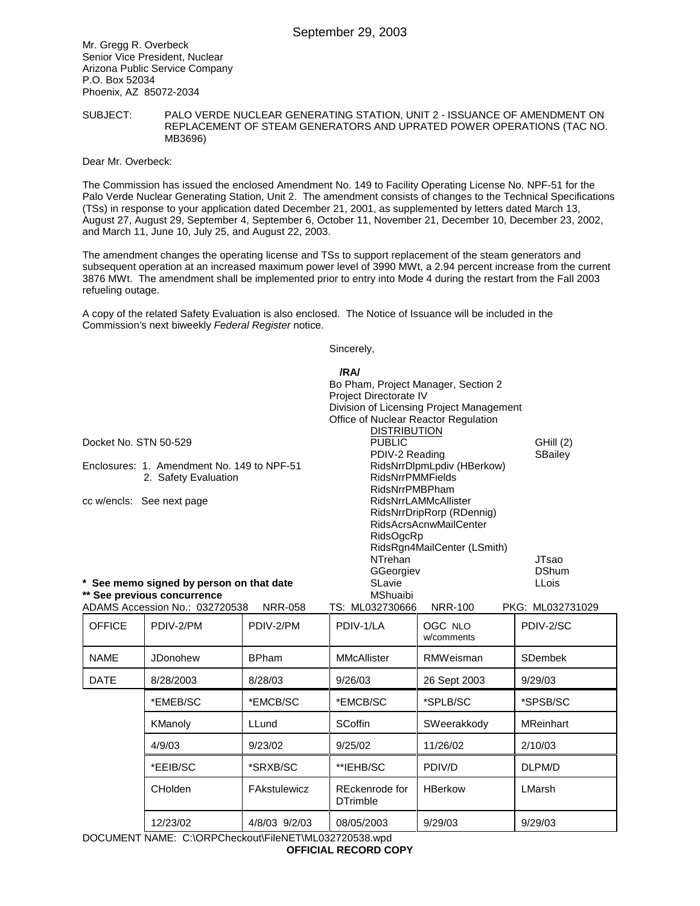Mr. Gregg R. Overbeck Senior Vice President, Nuclear Arizona Public Service Company P.O. Box 52034 Phoenix, AZ 85072-2034

#### SUBJECT: PALO VERDE NUCLEAR GENERATING STATION, UNIT 2 - ISSUANCE OF AMENDMENT ON REPLACEMENT OF STEAM GENERATORS AND UPRATED POWER OPERATIONS (TAC NO. MB3696)

#### Dear Mr. Overbeck:

The Commission has issued the enclosed Amendment No. 149 to Facility Operating License No. NPF-51 for the Palo Verde Nuclear Generating Station, Unit 2. The amendment consists of changes to the Technical Specifications (TSs) in response to your application dated December 21, 2001, as supplemented by letters dated March 13, August 27, August 29, September 4, September 6, October 11, November 21, December 10, December 23, 2002, and March 11, June 10, July 25, and August 22, 2003.

The amendment changes the operating license and TSs to support replacement of the steam generators and subsequent operation at an increased maximum power level of 3990 MWt, a 2.94 percent increase from the current 3876 MWt. The amendment shall be implemented prior to entry into Mode 4 during the restart from the Fall 2003 refueling outage.

A copy of the related Safety Evaluation is also enclosed. The Notice of Issuance will be included in the Commission's next biweekly Federal Register notice.

Sincerely,

| Docket No. STN 50-529                                              |                                                               |                | /RA/<br>Bo Pham, Project Manager, Section 2<br>Project Directorate IV<br>Office of Nuclear Reactor Regulation<br><b>DISTRIBUTION</b><br><b>PUBLIC</b>                       | Division of Licensing Project Management | GHill (2)        |
|--------------------------------------------------------------------|---------------------------------------------------------------|----------------|-----------------------------------------------------------------------------------------------------------------------------------------------------------------------------|------------------------------------------|------------------|
| Enclosures: 1. Amendment No. 149 to NPF-51<br>2. Safety Evaluation |                                                               |                | PDIV-2 Reading<br>RidsNrrDlpmLpdiv (HBerkow)<br><b>RidsNrrPMMFields</b><br>RidsNrrPMBPham                                                                                   | SBailey                                  |                  |
|                                                                    | cc w/encls: See next page                                     |                | <b>RidsNrrLAMMcAllister</b><br>RidsNrrDripRorp (RDennig)<br><b>RidsAcrsAcnwMailCenter</b><br><b>RidsOgcRp</b><br>RidsRgn4MailCenter (LSmith)<br><b>NTrehan</b><br>GGeorgiev | <b>JTsao</b><br><b>DShum</b>             |                  |
|                                                                    | * See memo signed by person on that date                      |                | SLavie                                                                                                                                                                      | <b>LLois</b>                             |                  |
|                                                                    | ** See previous concurrence<br>ADAMS Accession No.: 032720538 | <b>NRR-058</b> | <b>MShuaibi</b><br>TS: ML032730666                                                                                                                                          | <b>NRR-100</b>                           | PKG: ML032731029 |
| <b>OFFICE</b>                                                      | PDIV-2/PM                                                     | PDIV-2/PM      | PDIV-1/LA                                                                                                                                                                   | OGC NLO<br>w/comments                    | PDIV-2/SC        |
| <b>NAME</b>                                                        | JDonohew                                                      | <b>BPham</b>   | <b>MMcAllister</b>                                                                                                                                                          | <b>RMWeisman</b>                         | <b>SDembek</b>   |
| <b>DATE</b>                                                        | 8/28/2003                                                     | 8/28/03        | 9/26/03                                                                                                                                                                     | 26 Sept 2003                             | 9/29/03          |
|                                                                    | *EMEB/SC                                                      | *EMCB/SC       | *EMCB/SC                                                                                                                                                                    | *SPLB/SC                                 | *SPSB/SC         |
|                                                                    | KManoly                                                       | LLund          | <b>SCoffin</b>                                                                                                                                                              | SWeerakkody                              | <b>MReinhart</b> |
|                                                                    | 4/9/03                                                        | 9/23/02        | 9/25/02                                                                                                                                                                     | 11/26/02                                 | 2/10/03          |
|                                                                    | *EEIB/SC                                                      | *SRXB/SC       | **IEHB/SC                                                                                                                                                                   | PDIV/D                                   | DLPM/D           |
|                                                                    | CHolden                                                       | FAkstulewicz   | REckenrode for<br><b>DTrimble</b>                                                                                                                                           | <b>HBerkow</b>                           | LMarsh           |
|                                                                    | 12/23/02                                                      | 4/8/03 9/2/03  | 08/05/2003                                                                                                                                                                  | 9/29/03                                  | 9/29/03          |

DOCUMENT NAME: C:\ORPCheckout\FileNET\ML032720538.wpd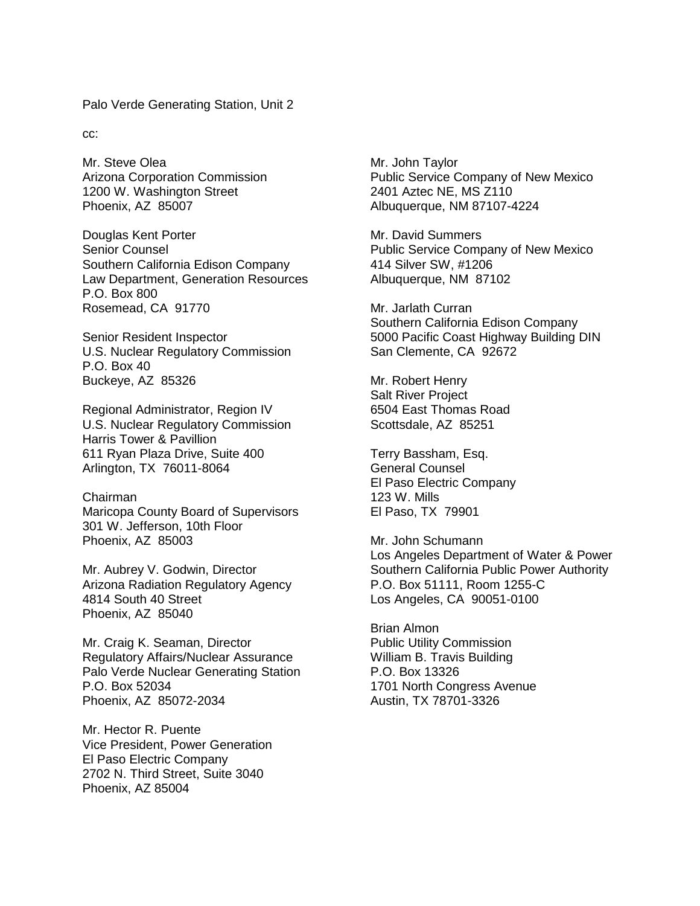Palo Verde Generating Station, Unit 2

cc:

Mr. Steve Olea Arizona Corporation Commission 1200 W. Washington Street Phoenix, AZ 85007

Douglas Kent Porter Senior Counsel Southern California Edison Company Law Department, Generation Resources P.O. Box 800 Rosemead, CA 91770

Senior Resident Inspector U.S. Nuclear Regulatory Commission P.O. Box 40 Buckeye, AZ 85326

Regional Administrator, Region IV U.S. Nuclear Regulatory Commission Harris Tower & Pavillion 611 Ryan Plaza Drive, Suite 400 Arlington, TX 76011-8064

Chairman Maricopa County Board of Supervisors 301 W. Jefferson, 10th Floor Phoenix, AZ 85003

Mr. Aubrey V. Godwin, Director Arizona Radiation Regulatory Agency 4814 South 40 Street Phoenix, AZ 85040

Mr. Craig K. Seaman, Director Regulatory Affairs/Nuclear Assurance Palo Verde Nuclear Generating Station P.O. Box 52034 Phoenix, AZ 85072-2034

Mr. Hector R. Puente Vice President, Power Generation El Paso Electric Company 2702 N. Third Street, Suite 3040 Phoenix, AZ 85004

Mr. John Taylor Public Service Company of New Mexico 2401 Aztec NE, MS Z110 Albuquerque, NM 87107-4224

Mr. David Summers Public Service Company of New Mexico 414 Silver SW, #1206 Albuquerque, NM 87102

Mr. Jarlath Curran Southern California Edison Company 5000 Pacific Coast Highway Building DIN San Clemente, CA 92672

Mr. Robert Henry Salt River Project 6504 East Thomas Road Scottsdale, AZ 85251

Terry Bassham, Esq. General Counsel El Paso Electric Company 123 W. Mills El Paso, TX 79901

Mr. John Schumann Los Angeles Department of Water & Power Southern California Public Power Authority P.O. Box 51111, Room 1255-C Los Angeles, CA 90051-0100

Brian Almon Public Utility Commission William B. Travis Building P.O. Box 13326 1701 North Congress Avenue Austin, TX 78701-3326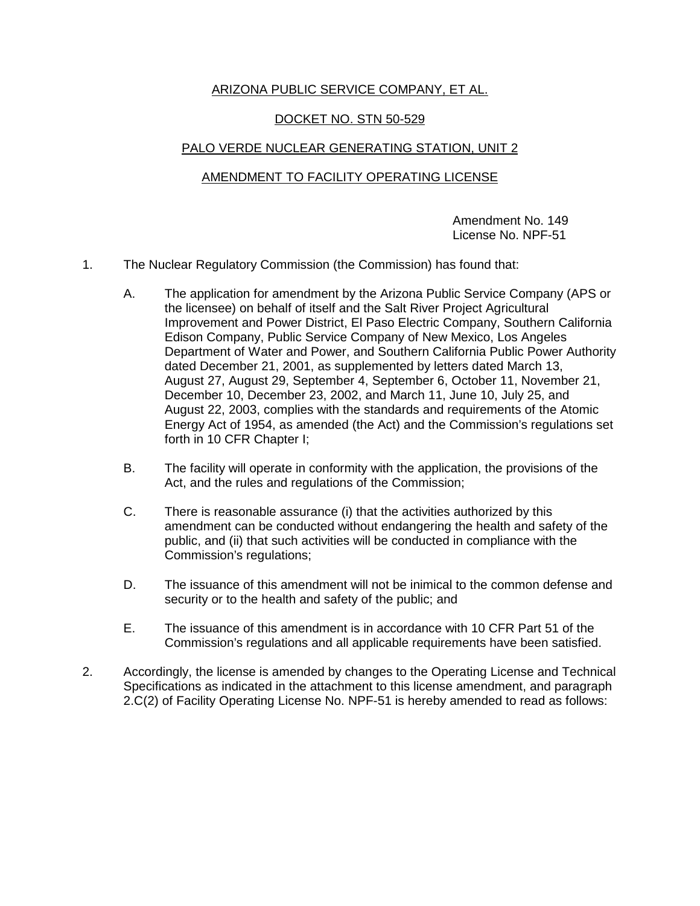## ARIZONA PUBLIC SERVICE COMPANY, ET AL.

## DOCKET NO. STN 50-529

## PALO VERDE NUCLEAR GENERATING STATION, UNIT 2

## AMENDMENT TO FACILITY OPERATING LICENSE

Amendment No. 149 License No. NPF-51

- 1. The Nuclear Regulatory Commission (the Commission) has found that:
	- A. The application for amendment by the Arizona Public Service Company (APS or the licensee) on behalf of itself and the Salt River Project Agricultural Improvement and Power District, El Paso Electric Company, Southern California Edison Company, Public Service Company of New Mexico, Los Angeles Department of Water and Power, and Southern California Public Power Authority dated December 21, 2001, as supplemented by letters dated March 13, August 27, August 29, September 4, September 6, October 11, November 21, December 10, December 23, 2002, and March 11, June 10, July 25, and August 22, 2003, complies with the standards and requirements of the Atomic Energy Act of 1954, as amended (the Act) and the Commission's regulations set forth in 10 CFR Chapter I;
	- B. The facility will operate in conformity with the application, the provisions of the Act, and the rules and regulations of the Commission;
	- C. There is reasonable assurance (i) that the activities authorized by this amendment can be conducted without endangering the health and safety of the public, and (ii) that such activities will be conducted in compliance with the Commission's regulations;
	- D. The issuance of this amendment will not be inimical to the common defense and security or to the health and safety of the public; and
	- E. The issuance of this amendment is in accordance with 10 CFR Part 51 of the Commission's regulations and all applicable requirements have been satisfied.
- 2. Accordingly, the license is amended by changes to the Operating License and Technical Specifications as indicated in the attachment to this license amendment, and paragraph 2.C(2) of Facility Operating License No. NPF-51 is hereby amended to read as follows: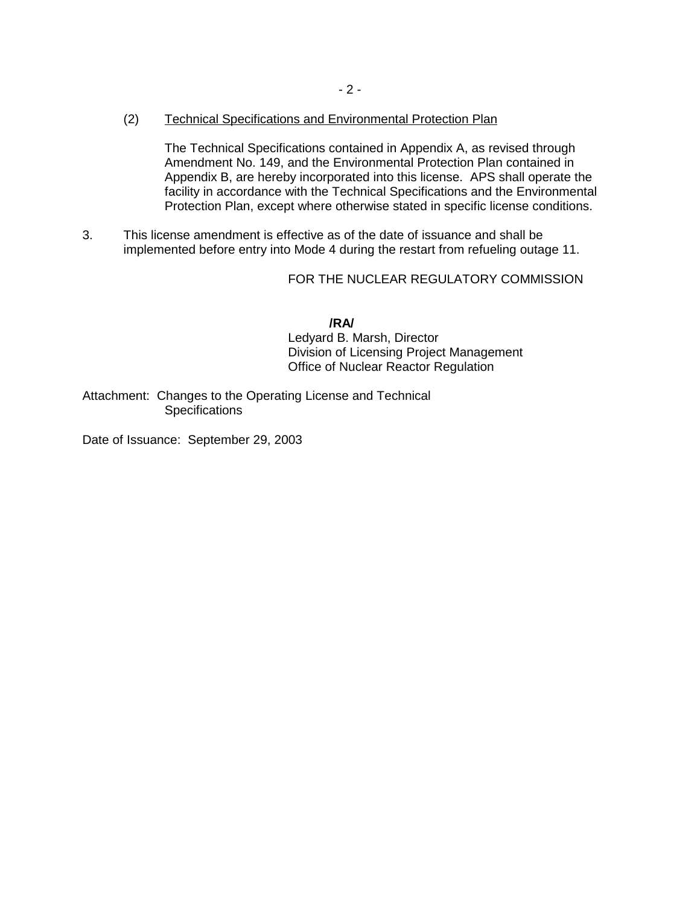(2) Technical Specifications and Environmental Protection Plan

The Technical Specifications contained in Appendix A, as revised through Amendment No. 149, and the Environmental Protection Plan contained in Appendix B, are hereby incorporated into this license. APS shall operate the facility in accordance with the Technical Specifications and the Environmental Protection Plan, except where otherwise stated in specific license conditions.

3. This license amendment is effective as of the date of issuance and shall be implemented before entry into Mode 4 during the restart from refueling outage 11.

FOR THE NUCLEAR REGULATORY COMMISSION

**/RA/** Ledyard B. Marsh, Director Division of Licensing Project Management Office of Nuclear Reactor Regulation

Attachment: Changes to the Operating License and Technical **Specifications** 

Date of Issuance: September 29, 2003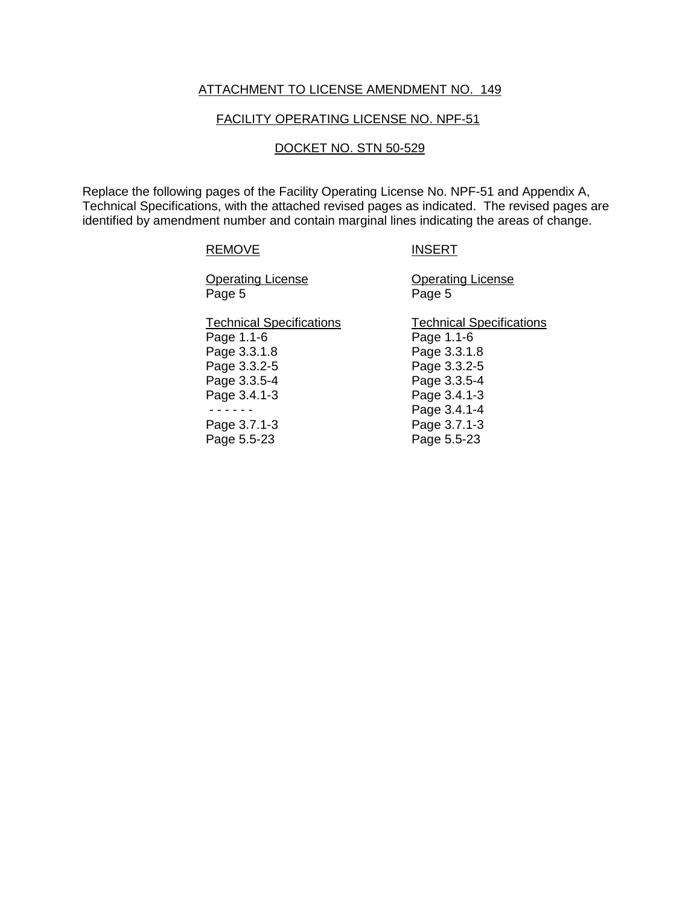## ATTACHMENT TO LICENSE AMENDMENT NO. 149

#### FACILITY OPERATING LICENSE NO. NPF-51

#### DOCKET NO. STN 50-529

Replace the following pages of the Facility Operating License No. NPF-51 and Appendix A, Technical Specifications, with the attached revised pages as indicated. The revised pages are identified by amendment number and contain marginal lines indicating the areas of change.

#### REMOVE INSERT

Page 5 Page 5

**Operating License Change Operating License** 

Technical Specifications Technical Specifications Page 1.1-6 Page 1.1-6 Page 3.3.1.8 Page 3.3.1.8 Page 3.3.2-5 Page 3.3.2-5 Page 3.3.5-4 Page 3.3.5-4 Page 3.4.1-3 Page 3.4.1-3 - - - - - - Page 3.4.1-4 Page 3.7.1-3 Page 3.7.1-3

Page 5.5-23 Page 5.5-23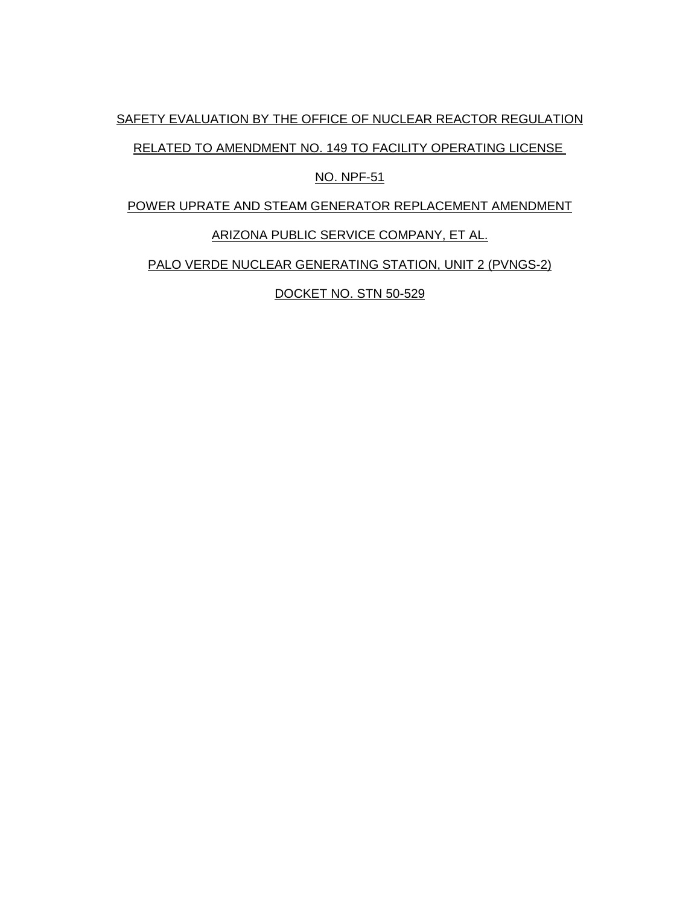SAFETY EVALUATION BY THE OFFICE OF NUCLEAR REACTOR REGULATION

RELATED TO AMENDMENT NO. 149 TO FACILITY OPERATING LICENSE

## NO. NPF-51

POWER UPRATE AND STEAM GENERATOR REPLACEMENT AMENDMENT

# ARIZONA PUBLIC SERVICE COMPANY, ET AL.

PALO VERDE NUCLEAR GENERATING STATION, UNIT 2 (PVNGS-2)

DOCKET NO. STN 50-529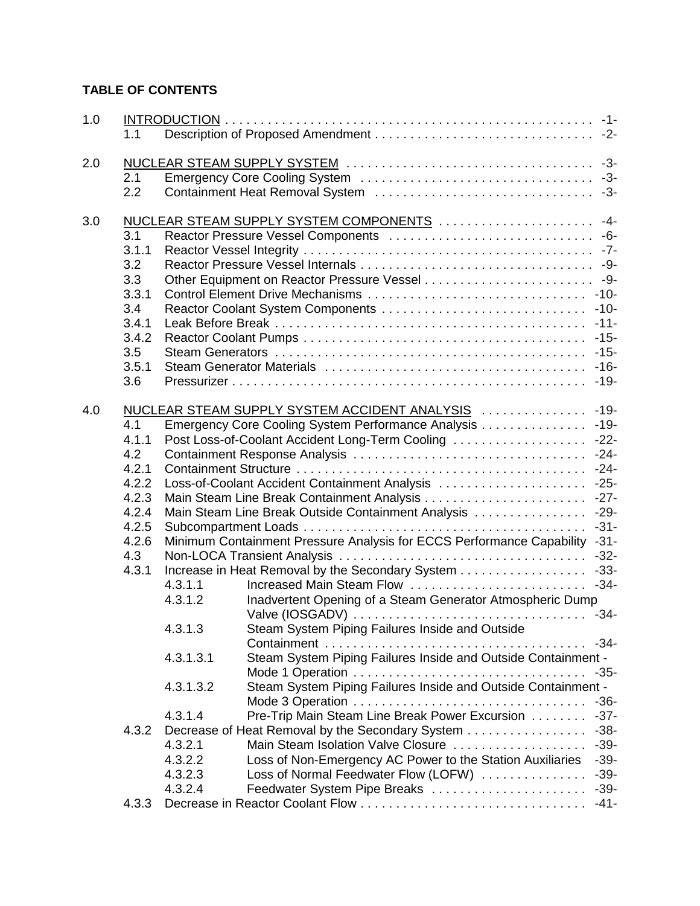# **TABLE OF CONTENTS**

| 1.0 | 1.1   |                                             |                                                                            |        |  |  |  |
|-----|-------|---------------------------------------------|----------------------------------------------------------------------------|--------|--|--|--|
| 2.0 |       |                                             |                                                                            |        |  |  |  |
|     | 2.1   |                                             |                                                                            |        |  |  |  |
|     | 2.2   |                                             |                                                                            |        |  |  |  |
| 3.0 |       |                                             | NUCLEAR STEAM SUPPLY SYSTEM COMPONENTS  -4-                                |        |  |  |  |
|     | 3.1   |                                             |                                                                            |        |  |  |  |
|     | 3.1.1 |                                             |                                                                            |        |  |  |  |
|     | 3.2   |                                             |                                                                            |        |  |  |  |
|     | 3.3   |                                             |                                                                            |        |  |  |  |
|     | 3.3.1 |                                             |                                                                            | $-10-$ |  |  |  |
|     | 3.4   | Reactor Coolant System Components<br>$-10-$ |                                                                            |        |  |  |  |
|     | 3.4.1 |                                             |                                                                            | $-11-$ |  |  |  |
|     | 3.4.2 |                                             |                                                                            | $-15-$ |  |  |  |
|     | 3.5   |                                             |                                                                            | $-15-$ |  |  |  |
|     | 3.5.1 |                                             |                                                                            | $-16-$ |  |  |  |
|     | 3.6   |                                             |                                                                            | $-19-$ |  |  |  |
| 4.0 |       |                                             | NUCLEAR STEAM SUPPLY SYSTEM ACCIDENT ANALYSIS                              | $-19-$ |  |  |  |
|     | 4.1   |                                             | Emergency Core Cooling System Performance Analysis                         | $-19-$ |  |  |  |
|     | 4.1.1 |                                             | Post Loss-of-Coolant Accident Long-Term Cooling                            | $-22-$ |  |  |  |
|     | 4.2   |                                             |                                                                            |        |  |  |  |
|     | 4.2.1 |                                             |                                                                            |        |  |  |  |
|     | 4.2.2 |                                             |                                                                            |        |  |  |  |
|     | 4.2.3 |                                             |                                                                            | $-27-$ |  |  |  |
|     | 4.2.4 |                                             | Main Steam Line Break Outside Containment Analysis                         | $-29-$ |  |  |  |
|     | 4.2.5 |                                             |                                                                            | $-31-$ |  |  |  |
|     | 4.2.6 |                                             | Minimum Containment Pressure Analysis for ECCS Performance Capability -31- |        |  |  |  |
|     | 4.3   |                                             |                                                                            | $-32-$ |  |  |  |
|     | 4.3.1 |                                             | Increase in Heat Removal by the Secondary System 33-                       |        |  |  |  |
|     |       | 4.3.1.1                                     | Increased Main Steam Flow                                                  | $-34-$ |  |  |  |
|     |       | 4.3.1.2                                     | Inadvertent Opening of a Steam Generator Atmospheric Dump                  |        |  |  |  |
|     |       |                                             |                                                                            | $-34-$ |  |  |  |
|     |       | 4.3.1.3                                     | Steam System Piping Failures Inside and Outside                            |        |  |  |  |
|     |       |                                             |                                                                            |        |  |  |  |
|     |       | 4.3.1.3.1                                   | Steam System Piping Failures Inside and Outside Containment -              |        |  |  |  |
|     |       |                                             | Mode 1 Operation                                                           | $-35-$ |  |  |  |
|     |       | 4.3.1.3.2                                   | Steam System Piping Failures Inside and Outside Containment -              |        |  |  |  |
|     |       |                                             |                                                                            | $-36-$ |  |  |  |
|     |       | 4.3.1.4                                     | Pre-Trip Main Steam Line Break Power Excursion                             | $-37-$ |  |  |  |
|     | 4.3.2 |                                             | Decrease of Heat Removal by the Secondary System                           | $-38-$ |  |  |  |
|     |       | 4.3.2.1                                     | Main Steam Isolation Valve Closure                                         | $-39-$ |  |  |  |
|     |       | 4.3.2.2                                     | Loss of Non-Emergency AC Power to the Station Auxiliaries                  | $-39-$ |  |  |  |
|     |       | 4.3.2.3                                     | Loss of Normal Feedwater Flow (LOFW)                                       | $-39-$ |  |  |  |
|     |       | 4.3.2.4                                     |                                                                            |        |  |  |  |
|     | 4.3.3 |                                             |                                                                            | $-41-$ |  |  |  |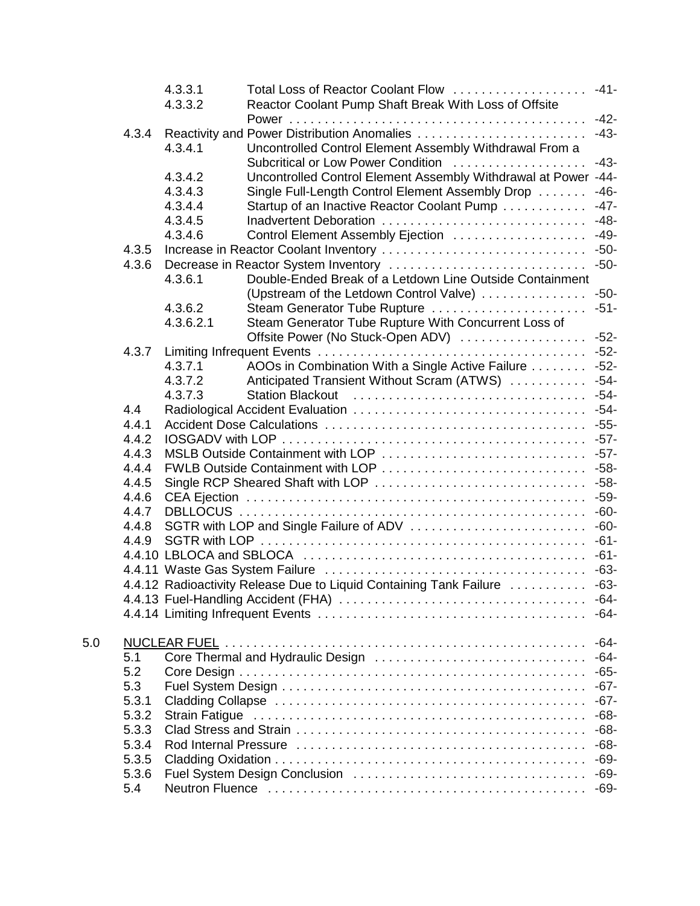|     |       | 4.3.3.1   | Total Loss of Reactor Coolant Flow                                       | $-41-$ |
|-----|-------|-----------|--------------------------------------------------------------------------|--------|
|     |       | 4.3.3.2   | Reactor Coolant Pump Shaft Break With Loss of Offsite                    |        |
|     |       |           |                                                                          | $-42-$ |
|     | 4.3.4 |           |                                                                          | $-43-$ |
|     |       | 4.3.4.1   | Uncontrolled Control Element Assembly Withdrawal From a                  |        |
|     |       |           | Subcritical or Low Power Condition                                       | $-43-$ |
|     |       | 4.3.4.2   | Uncontrolled Control Element Assembly Withdrawal at Power -44-           |        |
|     |       | 4.3.4.3   | Single Full-Length Control Element Assembly Drop                         | $-46-$ |
|     |       | 4.3.4.4   | Startup of an Inactive Reactor Coolant Pump                              | $-47-$ |
|     |       | 4.3.4.5   | Inadvertent Deboration                                                   | $-48-$ |
|     |       | 4.3.4.6   | Control Element Assembly Ejection                                        | $-49-$ |
|     | 4.3.5 |           |                                                                          |        |
|     | 4.3.6 |           |                                                                          |        |
|     |       | 4.3.6.1   | Double-Ended Break of a Letdown Line Outside Containment                 |        |
|     |       |           | (Upstream of the Letdown Control Valve)                                  | $-50-$ |
|     |       | 4.3.6.2   | Steam Generator Tube Rupture                                             | $-51-$ |
|     |       | 4.3.6.2.1 | Steam Generator Tube Rupture With Concurrent Loss of                     |        |
|     |       |           | Offsite Power (No Stuck-Open ADV)                                        | $-52-$ |
|     | 4.3.7 |           |                                                                          | $-52-$ |
|     |       | 4.3.7.1   | AOOs in Combination With a Single Active Failure                         | $-52-$ |
|     |       | 4.3.7.2   | Anticipated Transient Without Scram (ATWS)                               | $-54-$ |
|     |       | 4.3.7.3   |                                                                          | $-54-$ |
|     | 4.4   |           |                                                                          | $-54-$ |
|     | 4.4.1 |           |                                                                          |        |
|     | 4.4.2 |           |                                                                          |        |
|     | 4.4.3 |           | MSLB Outside Containment with LOP                                        | $-57-$ |
|     | 4.4.4 |           |                                                                          |        |
|     | 4.4.5 |           | Single RCP Sheared Shaft with LOP                                        | $-58-$ |
|     | 4.4.6 |           |                                                                          | $-59-$ |
|     | 4.4.7 |           |                                                                          | $-60-$ |
|     | 4.4.8 |           |                                                                          | $-60-$ |
|     | 4.4.9 |           |                                                                          | $-61-$ |
|     |       |           |                                                                          | $-61-$ |
|     |       |           |                                                                          |        |
|     |       |           | 4.4.12 Radioactivity Release Due to Liquid Containing Tank Failure  -63- |        |
|     |       |           |                                                                          | -64-   |
|     |       |           |                                                                          | $-64-$ |
| 5.0 |       |           |                                                                          | $-64-$ |
|     | 5.1   |           |                                                                          | $-64-$ |
|     | 5.2   |           |                                                                          | $-65-$ |
|     | 5.3   |           |                                                                          | $-67-$ |
|     | 5.3.1 |           |                                                                          | $-67-$ |
|     | 5.3.2 |           |                                                                          | $-68-$ |
|     | 5.3.3 |           |                                                                          | $-68-$ |
|     |       |           |                                                                          | $-68-$ |
|     | 5.3.4 |           |                                                                          | $-69-$ |
|     | 5.3.5 |           |                                                                          |        |
|     | 5.3.6 |           |                                                                          |        |
|     | 5.4   |           |                                                                          |        |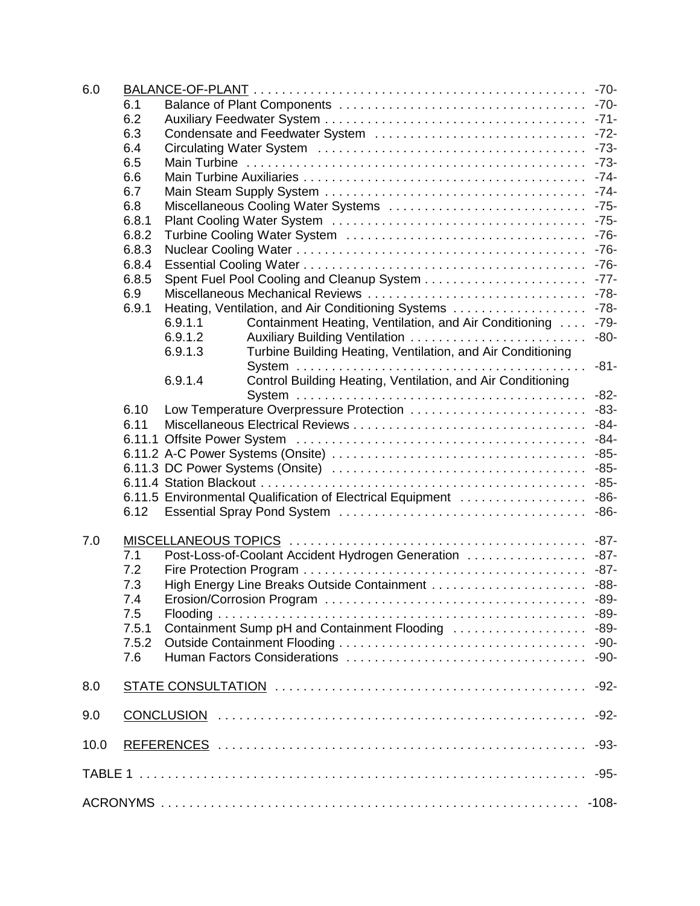| 6.0  |       |                                                                         |        |  |  |  |
|------|-------|-------------------------------------------------------------------------|--------|--|--|--|
|      | 6.1   |                                                                         |        |  |  |  |
|      | 6.2   |                                                                         |        |  |  |  |
|      | 6.3   |                                                                         |        |  |  |  |
|      | 6.4   |                                                                         |        |  |  |  |
|      | 6.5   |                                                                         |        |  |  |  |
|      | 6.6   |                                                                         |        |  |  |  |
|      | 6.7   |                                                                         |        |  |  |  |
|      | 6.8   |                                                                         |        |  |  |  |
|      | 6.8.1 |                                                                         |        |  |  |  |
|      | 6.8.2 |                                                                         |        |  |  |  |
|      | 6.8.3 |                                                                         |        |  |  |  |
|      | 6.8.4 |                                                                         |        |  |  |  |
|      | 6.8.5 |                                                                         |        |  |  |  |
|      | 6.9   |                                                                         |        |  |  |  |
|      | 6.9.1 |                                                                         |        |  |  |  |
|      |       | 6.9.1.1<br>Containment Heating, Ventilation, and Air Conditioning  -79- |        |  |  |  |
|      |       | 6.9.1.2<br>Auxiliary Building Ventilation                               | $-80-$ |  |  |  |
|      |       | 6.9.1.3<br>Turbine Building Heating, Ventilation, and Air Conditioning  |        |  |  |  |
|      |       |                                                                         | $-81-$ |  |  |  |
|      |       | Control Building Heating, Ventilation, and Air Conditioning<br>6.9.1.4  |        |  |  |  |
|      |       |                                                                         | $-82-$ |  |  |  |
|      | 6.10  | Low Temperature Overpressure Protection                                 | $-83-$ |  |  |  |
|      | 6.11  |                                                                         |        |  |  |  |
|      |       |                                                                         |        |  |  |  |
|      |       |                                                                         |        |  |  |  |
|      |       |                                                                         |        |  |  |  |
|      |       | 6.11.5 Environmental Qualification of Electrical Equipment  -86-        |        |  |  |  |
|      | 6.12  |                                                                         |        |  |  |  |
|      |       |                                                                         |        |  |  |  |
| 7.0  |       |                                                                         |        |  |  |  |
|      | 7.1   | Post-Loss-of-Coolant Accident Hydrogen Generation  -87-                 |        |  |  |  |
|      | 7.2   |                                                                         |        |  |  |  |
|      | 7.3   |                                                                         |        |  |  |  |
|      | 7.4   |                                                                         |        |  |  |  |
|      | 7.5   |                                                                         |        |  |  |  |
|      | 7.5.1 | Containment Sump pH and Containment Flooding                            | $-89-$ |  |  |  |
|      | 7.5.2 |                                                                         | $-90-$ |  |  |  |
|      | 7.6   |                                                                         | $-90-$ |  |  |  |
|      |       |                                                                         |        |  |  |  |
| 8.0  |       |                                                                         | $-92-$ |  |  |  |
| 9.0  |       |                                                                         | $-92-$ |  |  |  |
| 10.0 |       |                                                                         | $-93-$ |  |  |  |
|      |       |                                                                         | -95-   |  |  |  |
|      |       |                                                                         |        |  |  |  |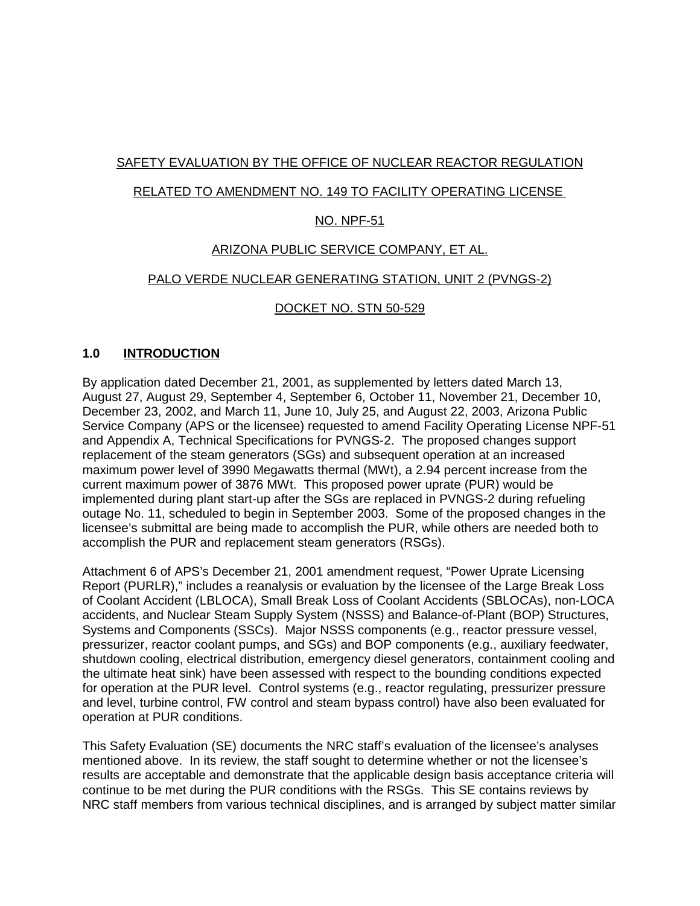## SAFETY EVALUATION BY THE OFFICE OF NUCLEAR REACTOR REGULATION

## RELATED TO AMENDMENT NO. 149 TO FACILITY OPERATING LICENSE

## NO. NPF-51

## ARIZONA PUBLIC SERVICE COMPANY, ET AL.

## PALO VERDE NUCLEAR GENERATING STATION, UNIT 2 (PVNGS-2)

## DOCKET NO. STN 50-529

## **1.0 INTRODUCTION**

By application dated December 21, 2001, as supplemented by letters dated March 13, August 27, August 29, September 4, September 6, October 11, November 21, December 10, December 23, 2002, and March 11, June 10, July 25, and August 22, 2003, Arizona Public Service Company (APS or the licensee) requested to amend Facility Operating License NPF-51 and Appendix A, Technical Specifications for PVNGS-2. The proposed changes support replacement of the steam generators (SGs) and subsequent operation at an increased maximum power level of 3990 Megawatts thermal (MWt), a 2.94 percent increase from the current maximum power of 3876 MWt. This proposed power uprate (PUR) would be implemented during plant start-up after the SGs are replaced in PVNGS-2 during refueling outage No. 11, scheduled to begin in September 2003. Some of the proposed changes in the licensee's submittal are being made to accomplish the PUR, while others are needed both to accomplish the PUR and replacement steam generators (RSGs).

Attachment 6 of APS's December 21, 2001 amendment request, "Power Uprate Licensing Report (PURLR)," includes a reanalysis or evaluation by the licensee of the Large Break Loss of Coolant Accident (LBLOCA), Small Break Loss of Coolant Accidents (SBLOCAs), non-LOCA accidents, and Nuclear Steam Supply System (NSSS) and Balance-of-Plant (BOP) Structures, Systems and Components (SSCs). Major NSSS components (e.g., reactor pressure vessel, pressurizer, reactor coolant pumps, and SGs) and BOP components (e.g., auxiliary feedwater, shutdown cooling, electrical distribution, emergency diesel generators, containment cooling and the ultimate heat sink) have been assessed with respect to the bounding conditions expected for operation at the PUR level. Control systems (e.g., reactor regulating, pressurizer pressure and level, turbine control, FW control and steam bypass control) have also been evaluated for operation at PUR conditions.

This Safety Evaluation (SE) documents the NRC staff's evaluation of the licensee's analyses mentioned above. In its review, the staff sought to determine whether or not the licensee's results are acceptable and demonstrate that the applicable design basis acceptance criteria will continue to be met during the PUR conditions with the RSGs. This SE contains reviews by NRC staff members from various technical disciplines, and is arranged by subject matter similar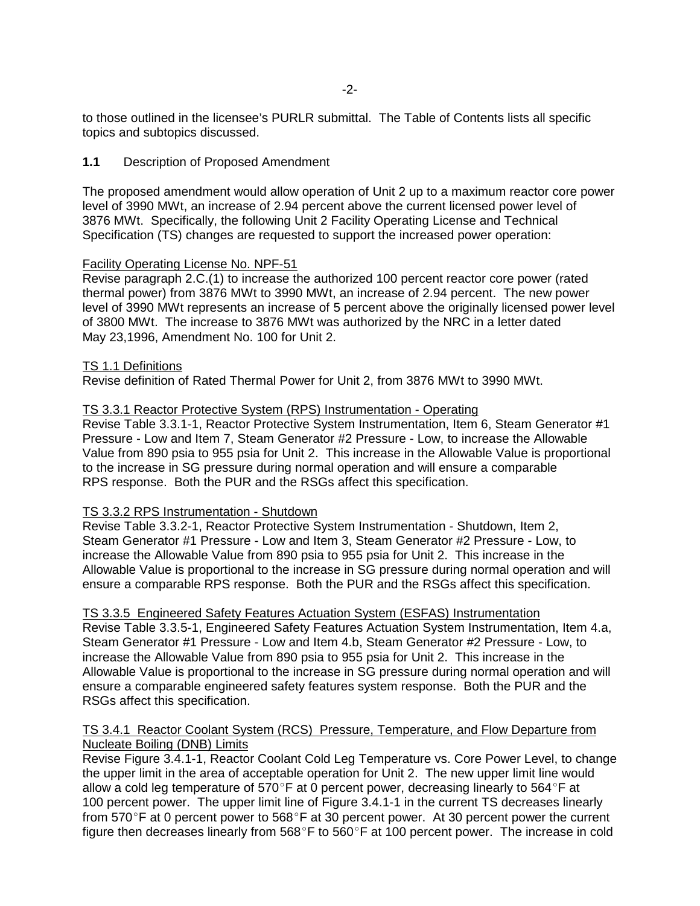to those outlined in the licensee's PURLR submittal. The Table of Contents lists all specific topics and subtopics discussed.

#### **1.1** Description of Proposed Amendment

The proposed amendment would allow operation of Unit 2 up to a maximum reactor core power level of 3990 MWt, an increase of 2.94 percent above the current licensed power level of 3876 MWt. Specifically, the following Unit 2 Facility Operating License and Technical Specification (TS) changes are requested to support the increased power operation:

#### Facility Operating License No. NPF-51

Revise paragraph 2.C.(1) to increase the authorized 100 percent reactor core power (rated thermal power) from 3876 MWt to 3990 MWt, an increase of 2.94 percent. The new power level of 3990 MWt represents an increase of 5 percent above the originally licensed power level of 3800 MWt. The increase to 3876 MWt was authorized by the NRC in a letter dated May 23,1996, Amendment No. 100 for Unit 2.

#### TS 1.1 Definitions

Revise definition of Rated Thermal Power for Unit 2, from 3876 MWt to 3990 MWt.

## TS 3.3.1 Reactor Protective System (RPS) Instrumentation - Operating

Revise Table 3.3.1-1, Reactor Protective System Instrumentation, Item 6, Steam Generator #1 Pressure - Low and Item 7, Steam Generator #2 Pressure - Low, to increase the Allowable Value from 890 psia to 955 psia for Unit 2. This increase in the Allowable Value is proportional to the increase in SG pressure during normal operation and will ensure a comparable RPS response. Both the PUR and the RSGs affect this specification.

#### TS 3.3.2 RPS Instrumentation - Shutdown

Revise Table 3.3.2-1, Reactor Protective System Instrumentation - Shutdown, Item 2, Steam Generator #1 Pressure - Low and Item 3, Steam Generator #2 Pressure - Low, to increase the Allowable Value from 890 psia to 955 psia for Unit 2. This increase in the Allowable Value is proportional to the increase in SG pressure during normal operation and will ensure a comparable RPS response. Both the PUR and the RSGs affect this specification.

#### TS 3.3.5 Engineered Safety Features Actuation System (ESFAS) Instrumentation

Revise Table 3.3.5-1, Engineered Safety Features Actuation System Instrumentation, Item 4.a, Steam Generator #1 Pressure - Low and Item 4.b, Steam Generator #2 Pressure - Low, to increase the Allowable Value from 890 psia to 955 psia for Unit 2. This increase in the Allowable Value is proportional to the increase in SG pressure during normal operation and will ensure a comparable engineered safety features system response. Both the PUR and the RSGs affect this specification.

#### TS 3.4.1 Reactor Coolant System (RCS) Pressure, Temperature, and Flow Departure from Nucleate Boiling (DNB) Limits

Revise Figure 3.4.1-1, Reactor Coolant Cold Leg Temperature vs. Core Power Level, to change the upper limit in the area of acceptable operation for Unit 2. The new upper limit line would allow a cold leg temperature of 570°F at 0 percent power, decreasing linearly to 564°F at 100 percent power. The upper limit line of Figure 3.4.1-1 in the current TS decreases linearly from 570 $\degree$ F at 0 percent power to 568 $\degree$ F at 30 percent power. At 30 percent power the current figure then decreases linearly from  $568^{\circ}$ F to  $560^{\circ}$ F at 100 percent power. The increase in cold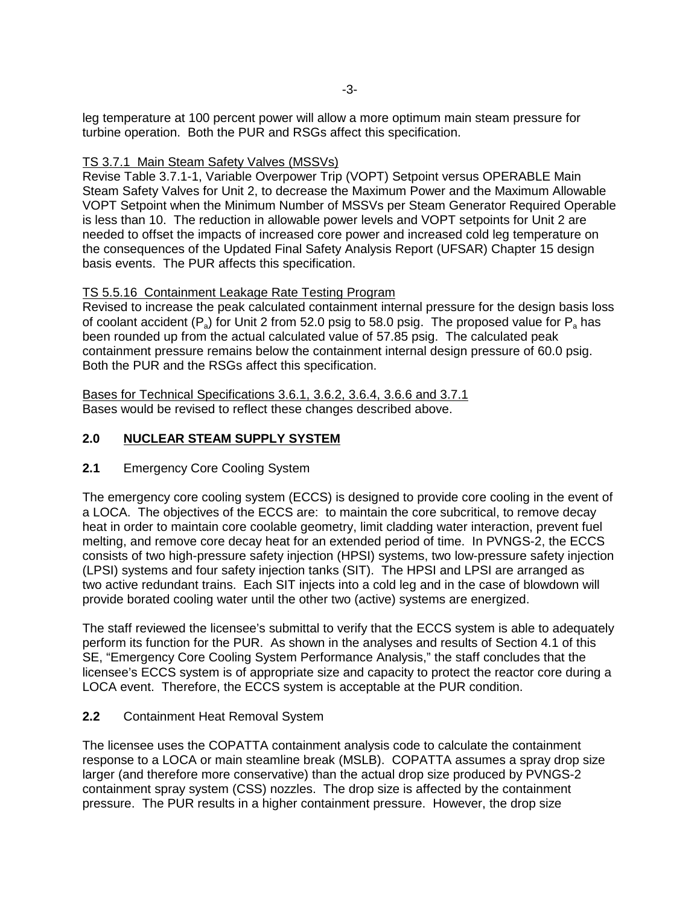leg temperature at 100 percent power will allow a more optimum main steam pressure for turbine operation. Both the PUR and RSGs affect this specification.

## TS 3.7.1 Main Steam Safety Valves (MSSVs)

Revise Table 3.7.1-1, Variable Overpower Trip (VOPT) Setpoint versus OPERABLE Main Steam Safety Valves for Unit 2, to decrease the Maximum Power and the Maximum Allowable VOPT Setpoint when the Minimum Number of MSSVs per Steam Generator Required Operable is less than 10. The reduction in allowable power levels and VOPT setpoints for Unit 2 are needed to offset the impacts of increased core power and increased cold leg temperature on the consequences of the Updated Final Safety Analysis Report (UFSAR) Chapter 15 design basis events. The PUR affects this specification.

## TS 5.5.16 Containment Leakage Rate Testing Program

Revised to increase the peak calculated containment internal pressure for the design basis loss of coolant accident  $(P_a)$  for Unit 2 from 52.0 psig to 58.0 psig. The proposed value for  $P_a$  has been rounded up from the actual calculated value of 57.85 psig. The calculated peak containment pressure remains below the containment internal design pressure of 60.0 psig. Both the PUR and the RSGs affect this specification.

Bases for Technical Specifications 3.6.1, 3.6.2, 3.6.4, 3.6.6 and 3.7.1 Bases would be revised to reflect these changes described above.

## **2.0 NUCLEAR STEAM SUPPLY SYSTEM**

#### **2.1** Emergency Core Cooling System

The emergency core cooling system (ECCS) is designed to provide core cooling in the event of a LOCA. The objectives of the ECCS are: to maintain the core subcritical, to remove decay heat in order to maintain core coolable geometry, limit cladding water interaction, prevent fuel melting, and remove core decay heat for an extended period of time. In PVNGS-2, the ECCS consists of two high-pressure safety injection (HPSI) systems, two low-pressure safety injection (LPSI) systems and four safety injection tanks (SIT). The HPSI and LPSI are arranged as two active redundant trains. Each SIT injects into a cold leg and in the case of blowdown will provide borated cooling water until the other two (active) systems are energized.

The staff reviewed the licensee's submittal to verify that the ECCS system is able to adequately perform its function for the PUR. As shown in the analyses and results of Section 4.1 of this SE, "Emergency Core Cooling System Performance Analysis," the staff concludes that the licensee's ECCS system is of appropriate size and capacity to protect the reactor core during a LOCA event. Therefore, the ECCS system is acceptable at the PUR condition.

#### **2.2** Containment Heat Removal System

The licensee uses the COPATTA containment analysis code to calculate the containment response to a LOCA or main steamline break (MSLB). COPATTA assumes a spray drop size larger (and therefore more conservative) than the actual drop size produced by PVNGS-2 containment spray system (CSS) nozzles. The drop size is affected by the containment pressure. The PUR results in a higher containment pressure. However, the drop size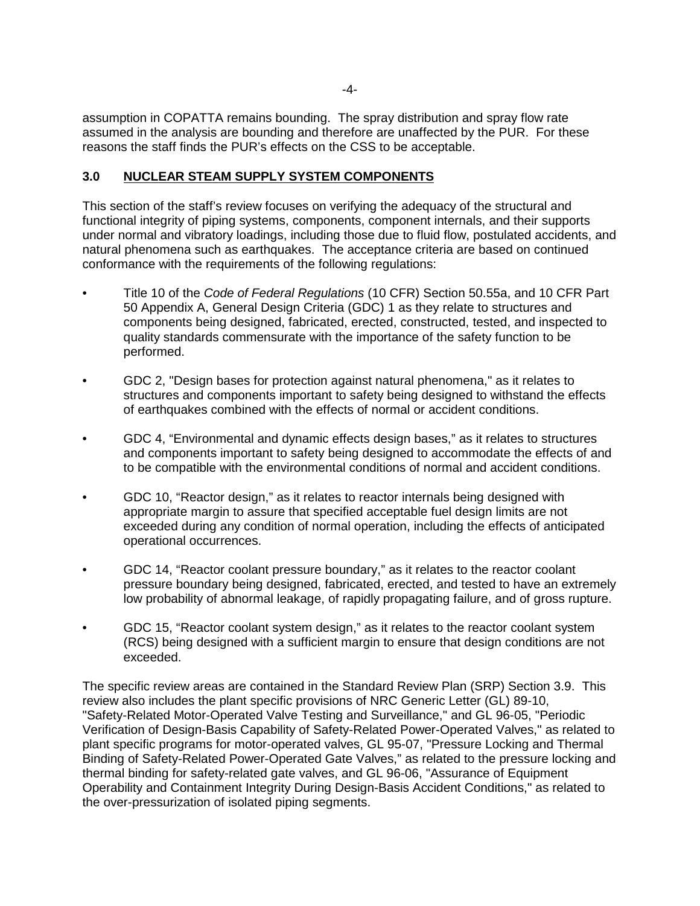assumption in COPATTA remains bounding. The spray distribution and spray flow rate assumed in the analysis are bounding and therefore are unaffected by the PUR. For these reasons the staff finds the PUR's effects on the CSS to be acceptable.

## **3.0 NUCLEAR STEAM SUPPLY SYSTEM COMPONENTS**

This section of the staff's review focuses on verifying the adequacy of the structural and functional integrity of piping systems, components, component internals, and their supports under normal and vibratory loadings, including those due to fluid flow, postulated accidents, and natural phenomena such as earthquakes. The acceptance criteria are based on continued conformance with the requirements of the following regulations:

- Title 10 of the Code of Federal Regulations (10 CFR) Section 50.55a, and 10 CFR Part 50 Appendix A, General Design Criteria (GDC) 1 as they relate to structures and components being designed, fabricated, erected, constructed, tested, and inspected to quality standards commensurate with the importance of the safety function to be performed.
- GDC 2, "Design bases for protection against natural phenomena," as it relates to structures and components important to safety being designed to withstand the effects of earthquakes combined with the effects of normal or accident conditions.
- GDC 4, "Environmental and dynamic effects design bases," as it relates to structures and components important to safety being designed to accommodate the effects of and to be compatible with the environmental conditions of normal and accident conditions.
- GDC 10, "Reactor design," as it relates to reactor internals being designed with appropriate margin to assure that specified acceptable fuel design limits are not exceeded during any condition of normal operation, including the effects of anticipated operational occurrences.
- GDC 14, "Reactor coolant pressure boundary," as it relates to the reactor coolant pressure boundary being designed, fabricated, erected, and tested to have an extremely low probability of abnormal leakage, of rapidly propagating failure, and of gross rupture.
- GDC 15, "Reactor coolant system design," as it relates to the reactor coolant system (RCS) being designed with a sufficient margin to ensure that design conditions are not exceeded.

The specific review areas are contained in the Standard Review Plan (SRP) Section 3.9. This review also includes the plant specific provisions of NRC Generic Letter (GL) 89-10, "Safety-Related Motor-Operated Valve Testing and Surveillance," and GL 96-05, "Periodic Verification of Design-Basis Capability of Safety-Related Power-Operated Valves," as related to plant specific programs for motor-operated valves, GL 95-07, "Pressure Locking and Thermal Binding of Safety-Related Power-Operated Gate Valves," as related to the pressure locking and thermal binding for safety-related gate valves, and GL 96-06, "Assurance of Equipment Operability and Containment Integrity During Design-Basis Accident Conditions," as related to the over-pressurization of isolated piping segments.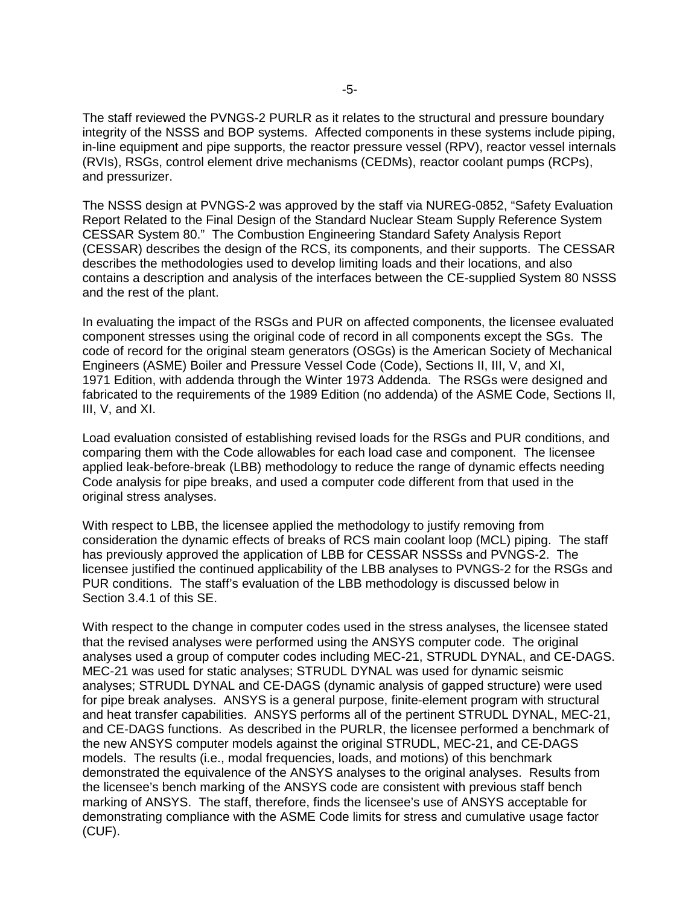The staff reviewed the PVNGS-2 PURLR as it relates to the structural and pressure boundary integrity of the NSSS and BOP systems. Affected components in these systems include piping, in-line equipment and pipe supports, the reactor pressure vessel (RPV), reactor vessel internals (RVIs), RSGs, control element drive mechanisms (CEDMs), reactor coolant pumps (RCPs), and pressurizer.

The NSSS design at PVNGS-2 was approved by the staff via NUREG-0852, "Safety Evaluation Report Related to the Final Design of the Standard Nuclear Steam Supply Reference System CESSAR System 80." The Combustion Engineering Standard Safety Analysis Report (CESSAR) describes the design of the RCS, its components, and their supports. The CESSAR describes the methodologies used to develop limiting loads and their locations, and also contains a description and analysis of the interfaces between the CE-supplied System 80 NSSS and the rest of the plant.

In evaluating the impact of the RSGs and PUR on affected components, the licensee evaluated component stresses using the original code of record in all components except the SGs. The code of record for the original steam generators (OSGs) is the American Society of Mechanical Engineers (ASME) Boiler and Pressure Vessel Code (Code), Sections II, III, V, and XI, 1971 Edition, with addenda through the Winter 1973 Addenda. The RSGs were designed and fabricated to the requirements of the 1989 Edition (no addenda) of the ASME Code, Sections II, III, V, and XI.

Load evaluation consisted of establishing revised loads for the RSGs and PUR conditions, and comparing them with the Code allowables for each load case and component. The licensee applied leak-before-break (LBB) methodology to reduce the range of dynamic effects needing Code analysis for pipe breaks, and used a computer code different from that used in the original stress analyses.

With respect to LBB, the licensee applied the methodology to justify removing from consideration the dynamic effects of breaks of RCS main coolant loop (MCL) piping. The staff has previously approved the application of LBB for CESSAR NSSSs and PVNGS-2. The licensee justified the continued applicability of the LBB analyses to PVNGS-2 for the RSGs and PUR conditions. The staff's evaluation of the LBB methodology is discussed below in Section 3.4.1 of this SE.

With respect to the change in computer codes used in the stress analyses, the licensee stated that the revised analyses were performed using the ANSYS computer code. The original analyses used a group of computer codes including MEC-21, STRUDL DYNAL, and CE-DAGS. MEC-21 was used for static analyses; STRUDL DYNAL was used for dynamic seismic analyses; STRUDL DYNAL and CE-DAGS (dynamic analysis of gapped structure) were used for pipe break analyses. ANSYS is a general purpose, finite-element program with structural and heat transfer capabilities. ANSYS performs all of the pertinent STRUDL DYNAL, MEC-21, and CE-DAGS functions. As described in the PURLR, the licensee performed a benchmark of the new ANSYS computer models against the original STRUDL, MEC-21, and CE-DAGS models. The results (i.e., modal frequencies, loads, and motions) of this benchmark demonstrated the equivalence of the ANSYS analyses to the original analyses. Results from the licensee's bench marking of the ANSYS code are consistent with previous staff bench marking of ANSYS. The staff, therefore, finds the licensee's use of ANSYS acceptable for demonstrating compliance with the ASME Code limits for stress and cumulative usage factor (CUF).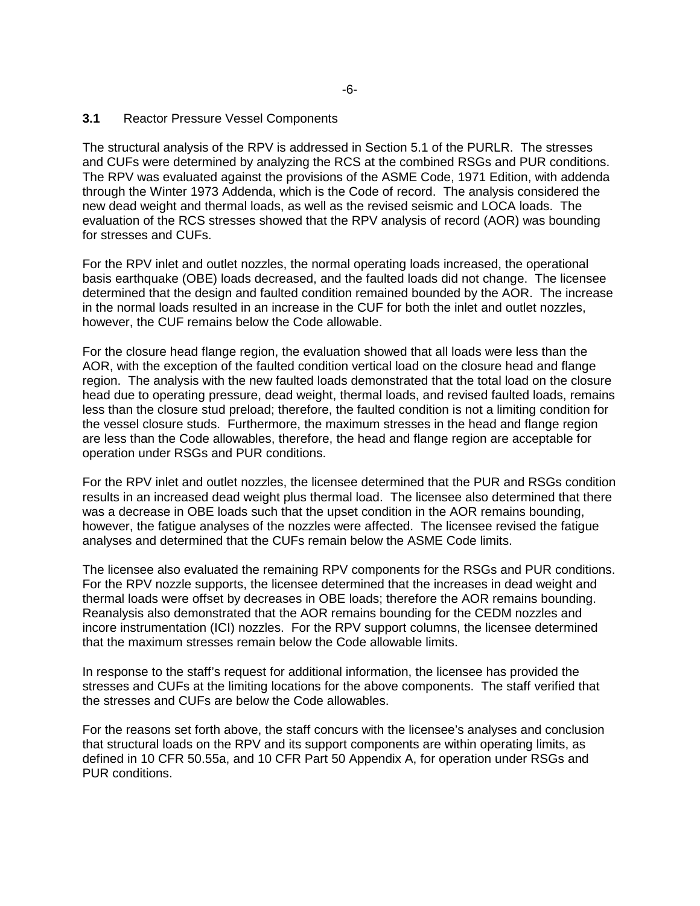#### **3.1** Reactor Pressure Vessel Components

The structural analysis of the RPV is addressed in Section 5.1 of the PURLR. The stresses and CUFs were determined by analyzing the RCS at the combined RSGs and PUR conditions. The RPV was evaluated against the provisions of the ASME Code, 1971 Edition, with addenda through the Winter 1973 Addenda, which is the Code of record. The analysis considered the new dead weight and thermal loads, as well as the revised seismic and LOCA loads. The evaluation of the RCS stresses showed that the RPV analysis of record (AOR) was bounding for stresses and CUFs.

For the RPV inlet and outlet nozzles, the normal operating loads increased, the operational basis earthquake (OBE) loads decreased, and the faulted loads did not change. The licensee determined that the design and faulted condition remained bounded by the AOR. The increase in the normal loads resulted in an increase in the CUF for both the inlet and outlet nozzles, however, the CUF remains below the Code allowable.

For the closure head flange region, the evaluation showed that all loads were less than the AOR, with the exception of the faulted condition vertical load on the closure head and flange region. The analysis with the new faulted loads demonstrated that the total load on the closure head due to operating pressure, dead weight, thermal loads, and revised faulted loads, remains less than the closure stud preload; therefore, the faulted condition is not a limiting condition for the vessel closure studs. Furthermore, the maximum stresses in the head and flange region are less than the Code allowables, therefore, the head and flange region are acceptable for operation under RSGs and PUR conditions.

For the RPV inlet and outlet nozzles, the licensee determined that the PUR and RSGs condition results in an increased dead weight plus thermal load. The licensee also determined that there was a decrease in OBE loads such that the upset condition in the AOR remains bounding, however, the fatigue analyses of the nozzles were affected. The licensee revised the fatigue analyses and determined that the CUFs remain below the ASME Code limits.

The licensee also evaluated the remaining RPV components for the RSGs and PUR conditions. For the RPV nozzle supports, the licensee determined that the increases in dead weight and thermal loads were offset by decreases in OBE loads; therefore the AOR remains bounding. Reanalysis also demonstrated that the AOR remains bounding for the CEDM nozzles and incore instrumentation (ICI) nozzles. For the RPV support columns, the licensee determined that the maximum stresses remain below the Code allowable limits.

In response to the staff's request for additional information, the licensee has provided the stresses and CUFs at the limiting locations for the above components. The staff verified that the stresses and CUFs are below the Code allowables.

For the reasons set forth above, the staff concurs with the licensee's analyses and conclusion that structural loads on the RPV and its support components are within operating limits, as defined in 10 CFR 50.55a, and 10 CFR Part 50 Appendix A, for operation under RSGs and PUR conditions.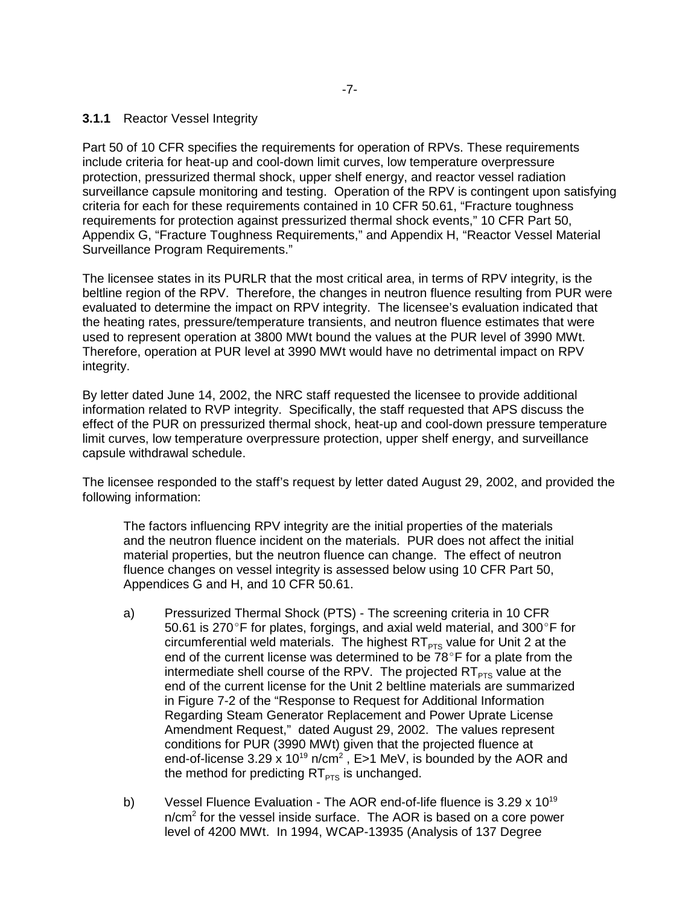#### **3.1.1** Reactor Vessel Integrity

Part 50 of 10 CFR specifies the requirements for operation of RPVs. These requirements include criteria for heat-up and cool-down limit curves, low temperature overpressure protection, pressurized thermal shock, upper shelf energy, and reactor vessel radiation surveillance capsule monitoring and testing. Operation of the RPV is contingent upon satisfying criteria for each for these requirements contained in 10 CFR 50.61, "Fracture toughness requirements for protection against pressurized thermal shock events," 10 CFR Part 50, Appendix G, "Fracture Toughness Requirements," and Appendix H, "Reactor Vessel Material Surveillance Program Requirements."

The licensee states in its PURLR that the most critical area, in terms of RPV integrity, is the beltline region of the RPV. Therefore, the changes in neutron fluence resulting from PUR were evaluated to determine the impact on RPV integrity. The licensee's evaluation indicated that the heating rates, pressure/temperature transients, and neutron fluence estimates that were used to represent operation at 3800 MWt bound the values at the PUR level of 3990 MWt. Therefore, operation at PUR level at 3990 MWt would have no detrimental impact on RPV integrity.

By letter dated June 14, 2002, the NRC staff requested the licensee to provide additional information related to RVP integrity. Specifically, the staff requested that APS discuss the effect of the PUR on pressurized thermal shock, heat-up and cool-down pressure temperature limit curves, low temperature overpressure protection, upper shelf energy, and surveillance capsule withdrawal schedule.

The licensee responded to the staff's request by letter dated August 29, 2002, and provided the following information:

The factors influencing RPV integrity are the initial properties of the materials and the neutron fluence incident on the materials. PUR does not affect the initial material properties, but the neutron fluence can change. The effect of neutron fluence changes on vessel integrity is assessed below using 10 CFR Part 50, Appendices G and H, and 10 CFR 50.61.

- a) Pressurized Thermal Shock (PTS) The screening criteria in 10 CFR 50.61 is 270 $\degree$ F for plates, forgings, and axial weld material, and 300 $\degree$ F for circumferential weld materials. The highest  $RT_{PTS}$  value for Unit 2 at the end of the current license was determined to be  $78^{\circ}$ F for a plate from the intermediate shell course of the RPV. The projected  $RT<sub>PTS</sub>$  value at the end of the current license for the Unit 2 beltline materials are summarized in Figure 7-2 of the "Response to Request for Additional Information Regarding Steam Generator Replacement and Power Uprate License Amendment Request," dated August 29, 2002. The values represent conditions for PUR (3990 MWt) given that the projected fluence at end-of-license 3.29 x 10<sup>19</sup> n/cm<sup>2</sup>, E>1 MeV, is bounded by the AOR and the method for predicting  $RT_{PTS}$  is unchanged.
- b) Vessel Fluence Evaluation The AOR end-of-life fluence is  $3.29 \times 10^{19}$ n/cm<sup>2</sup> for the vessel inside surface. The AOR is based on a core power level of 4200 MWt. In 1994, WCAP-13935 (Analysis of 137 Degree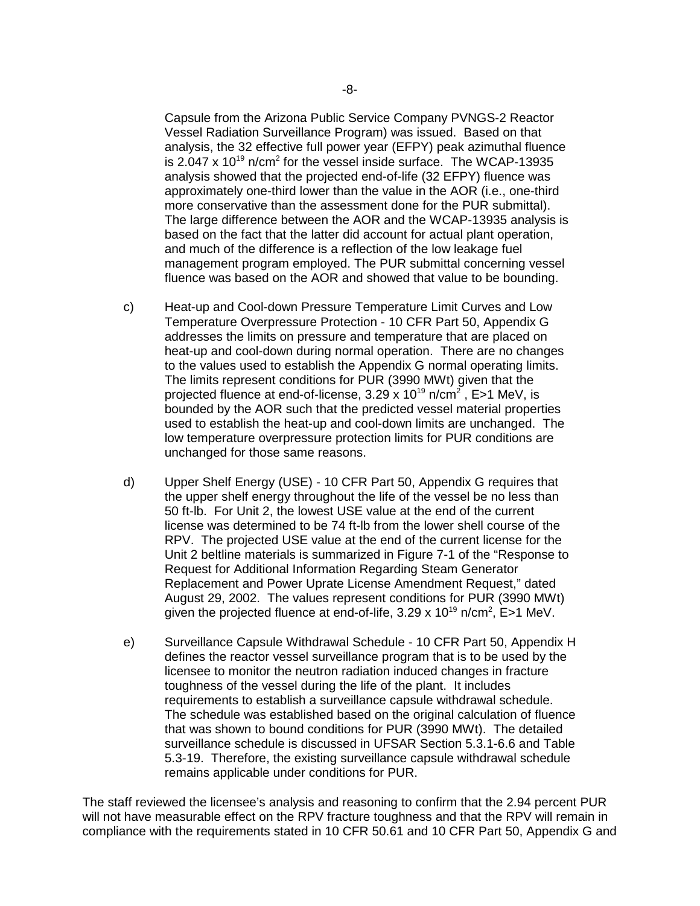Capsule from the Arizona Public Service Company PVNGS-2 Reactor Vessel Radiation Surveillance Program) was issued. Based on that analysis, the 32 effective full power year (EFPY) peak azimuthal fluence is 2.047 x 10<sup>19</sup> n/cm<sup>2</sup> for the vessel inside surface. The WCAP-13935 analysis showed that the projected end-of-life (32 EFPY) fluence was approximately one-third lower than the value in the AOR (i.e., one-third more conservative than the assessment done for the PUR submittal). The large difference between the AOR and the WCAP-13935 analysis is based on the fact that the latter did account for actual plant operation, and much of the difference is a reflection of the low leakage fuel management program employed. The PUR submittal concerning vessel fluence was based on the AOR and showed that value to be bounding.

- c) Heat-up and Cool-down Pressure Temperature Limit Curves and Low Temperature Overpressure Protection - 10 CFR Part 50, Appendix G addresses the limits on pressure and temperature that are placed on heat-up and cool-down during normal operation. There are no changes to the values used to establish the Appendix G normal operating limits. The limits represent conditions for PUR (3990 MWt) given that the projected fluence at end-of-license, 3.29 x 10<sup>19</sup> n/cm<sup>2</sup> , E>1 MeV, is bounded by the AOR such that the predicted vessel material properties used to establish the heat-up and cool-down limits are unchanged. The low temperature overpressure protection limits for PUR conditions are unchanged for those same reasons.
- d) Upper Shelf Energy (USE) 10 CFR Part 50, Appendix G requires that the upper shelf energy throughout the life of the vessel be no less than 50 ft-lb. For Unit 2, the lowest USE value at the end of the current license was determined to be 74 ft-lb from the lower shell course of the RPV. The projected USE value at the end of the current license for the Unit 2 beltline materials is summarized in Figure 7-1 of the "Response to Request for Additional Information Regarding Steam Generator Replacement and Power Uprate License Amendment Request," dated August 29, 2002. The values represent conditions for PUR (3990 MWt) given the projected fluence at end-of-life,  $3.29 \times 10^{19}$  n/cm<sup>2</sup>, E>1 MeV.
- e) Surveillance Capsule Withdrawal Schedule 10 CFR Part 50, Appendix H defines the reactor vessel surveillance program that is to be used by the licensee to monitor the neutron radiation induced changes in fracture toughness of the vessel during the life of the plant. It includes requirements to establish a surveillance capsule withdrawal schedule. The schedule was established based on the original calculation of fluence that was shown to bound conditions for PUR (3990 MWt). The detailed surveillance schedule is discussed in UFSAR Section 5.3.1-6.6 and Table 5.3-19. Therefore, the existing surveillance capsule withdrawal schedule remains applicable under conditions for PUR.

The staff reviewed the licensee's analysis and reasoning to confirm that the 2.94 percent PUR will not have measurable effect on the RPV fracture toughness and that the RPV will remain in compliance with the requirements stated in 10 CFR 50.61 and 10 CFR Part 50, Appendix G and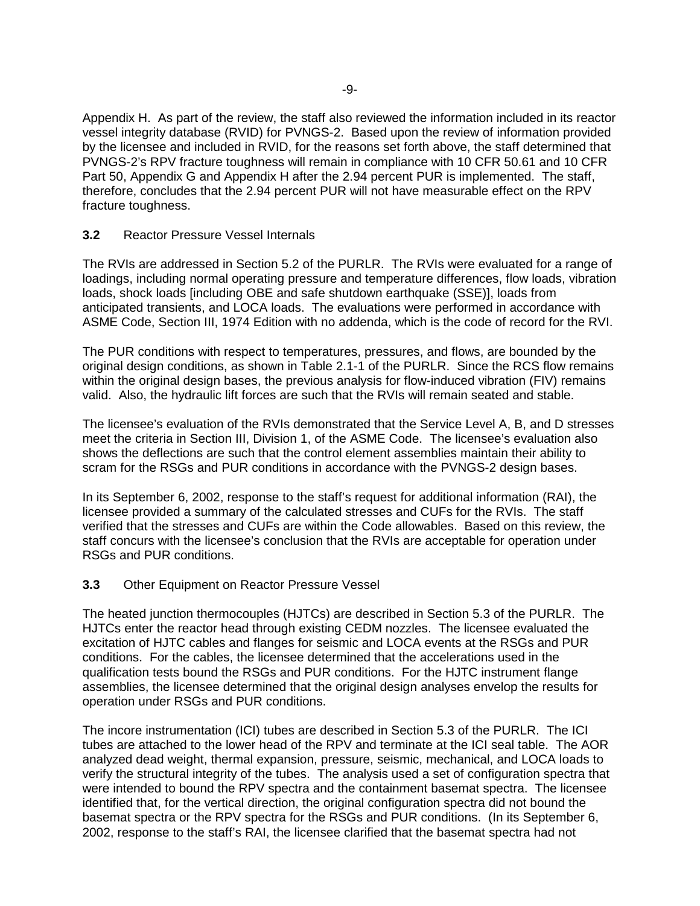Appendix H. As part of the review, the staff also reviewed the information included in its reactor vessel integrity database (RVID) for PVNGS-2. Based upon the review of information provided by the licensee and included in RVID, for the reasons set forth above, the staff determined that PVNGS-2's RPV fracture toughness will remain in compliance with 10 CFR 50.61 and 10 CFR Part 50, Appendix G and Appendix H after the 2.94 percent PUR is implemented. The staff, therefore, concludes that the 2.94 percent PUR will not have measurable effect on the RPV fracture toughness.

## **3.2** Reactor Pressure Vessel Internals

The RVIs are addressed in Section 5.2 of the PURLR. The RVIs were evaluated for a range of loadings, including normal operating pressure and temperature differences, flow loads, vibration loads, shock loads [including OBE and safe shutdown earthquake (SSE)], loads from anticipated transients, and LOCA loads. The evaluations were performed in accordance with ASME Code, Section III, 1974 Edition with no addenda, which is the code of record for the RVI.

The PUR conditions with respect to temperatures, pressures, and flows, are bounded by the original design conditions, as shown in Table 2.1-1 of the PURLR. Since the RCS flow remains within the original design bases, the previous analysis for flow-induced vibration (FIV) remains valid. Also, the hydraulic lift forces are such that the RVIs will remain seated and stable.

The licensee's evaluation of the RVIs demonstrated that the Service Level A, B, and D stresses meet the criteria in Section III, Division 1, of the ASME Code. The licensee's evaluation also shows the deflections are such that the control element assemblies maintain their ability to scram for the RSGs and PUR conditions in accordance with the PVNGS-2 design bases.

In its September 6, 2002, response to the staff's request for additional information (RAI), the licensee provided a summary of the calculated stresses and CUFs for the RVIs. The staff verified that the stresses and CUFs are within the Code allowables. Based on this review, the staff concurs with the licensee's conclusion that the RVIs are acceptable for operation under RSGs and PUR conditions.

## **3.3** Other Equipment on Reactor Pressure Vessel

The heated junction thermocouples (HJTCs) are described in Section 5.3 of the PURLR. The HJTCs enter the reactor head through existing CEDM nozzles. The licensee evaluated the excitation of HJTC cables and flanges for seismic and LOCA events at the RSGs and PUR conditions. For the cables, the licensee determined that the accelerations used in the qualification tests bound the RSGs and PUR conditions. For the HJTC instrument flange assemblies, the licensee determined that the original design analyses envelop the results for operation under RSGs and PUR conditions.

The incore instrumentation (ICI) tubes are described in Section 5.3 of the PURLR. The ICI tubes are attached to the lower head of the RPV and terminate at the ICI seal table. The AOR analyzed dead weight, thermal expansion, pressure, seismic, mechanical, and LOCA loads to verify the structural integrity of the tubes. The analysis used a set of configuration spectra that were intended to bound the RPV spectra and the containment basemat spectra. The licensee identified that, for the vertical direction, the original configuration spectra did not bound the basemat spectra or the RPV spectra for the RSGs and PUR conditions. (In its September 6, 2002, response to the staff's RAI, the licensee clarified that the basemat spectra had not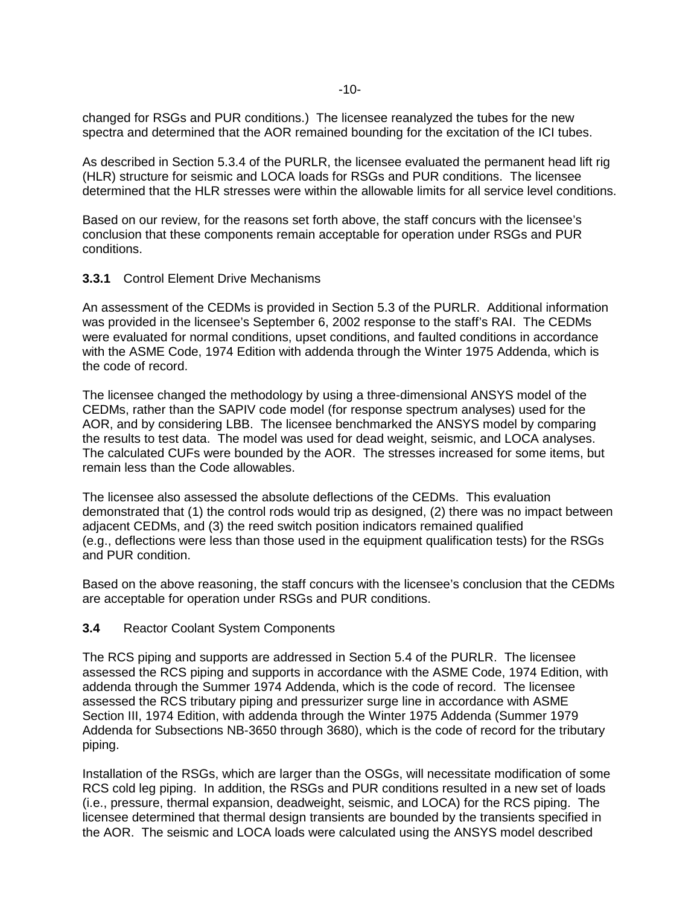changed for RSGs and PUR conditions.) The licensee reanalyzed the tubes for the new spectra and determined that the AOR remained bounding for the excitation of the ICI tubes.

As described in Section 5.3.4 of the PURLR, the licensee evaluated the permanent head lift rig (HLR) structure for seismic and LOCA loads for RSGs and PUR conditions. The licensee determined that the HLR stresses were within the allowable limits for all service level conditions.

Based on our review, for the reasons set forth above, the staff concurs with the licensee's conclusion that these components remain acceptable for operation under RSGs and PUR conditions.

#### **3.3.1** Control Element Drive Mechanisms

An assessment of the CEDMs is provided in Section 5.3 of the PURLR. Additional information was provided in the licensee's September 6, 2002 response to the staff's RAI. The CEDMs were evaluated for normal conditions, upset conditions, and faulted conditions in accordance with the ASME Code, 1974 Edition with addenda through the Winter 1975 Addenda, which is the code of record.

The licensee changed the methodology by using a three-dimensional ANSYS model of the CEDMs, rather than the SAPIV code model (for response spectrum analyses) used for the AOR, and by considering LBB. The licensee benchmarked the ANSYS model by comparing the results to test data. The model was used for dead weight, seismic, and LOCA analyses. The calculated CUFs were bounded by the AOR. The stresses increased for some items, but remain less than the Code allowables.

The licensee also assessed the absolute deflections of the CEDMs. This evaluation demonstrated that (1) the control rods would trip as designed, (2) there was no impact between adjacent CEDMs, and (3) the reed switch position indicators remained qualified (e.g., deflections were less than those used in the equipment qualification tests) for the RSGs and PUR condition.

Based on the above reasoning, the staff concurs with the licensee's conclusion that the CEDMs are acceptable for operation under RSGs and PUR conditions.

#### **3.4** Reactor Coolant System Components

The RCS piping and supports are addressed in Section 5.4 of the PURLR. The licensee assessed the RCS piping and supports in accordance with the ASME Code, 1974 Edition, with addenda through the Summer 1974 Addenda, which is the code of record. The licensee assessed the RCS tributary piping and pressurizer surge line in accordance with ASME Section III, 1974 Edition, with addenda through the Winter 1975 Addenda (Summer 1979 Addenda for Subsections NB-3650 through 3680), which is the code of record for the tributary piping.

Installation of the RSGs, which are larger than the OSGs, will necessitate modification of some RCS cold leg piping. In addition, the RSGs and PUR conditions resulted in a new set of loads (i.e., pressure, thermal expansion, deadweight, seismic, and LOCA) for the RCS piping. The licensee determined that thermal design transients are bounded by the transients specified in the AOR. The seismic and LOCA loads were calculated using the ANSYS model described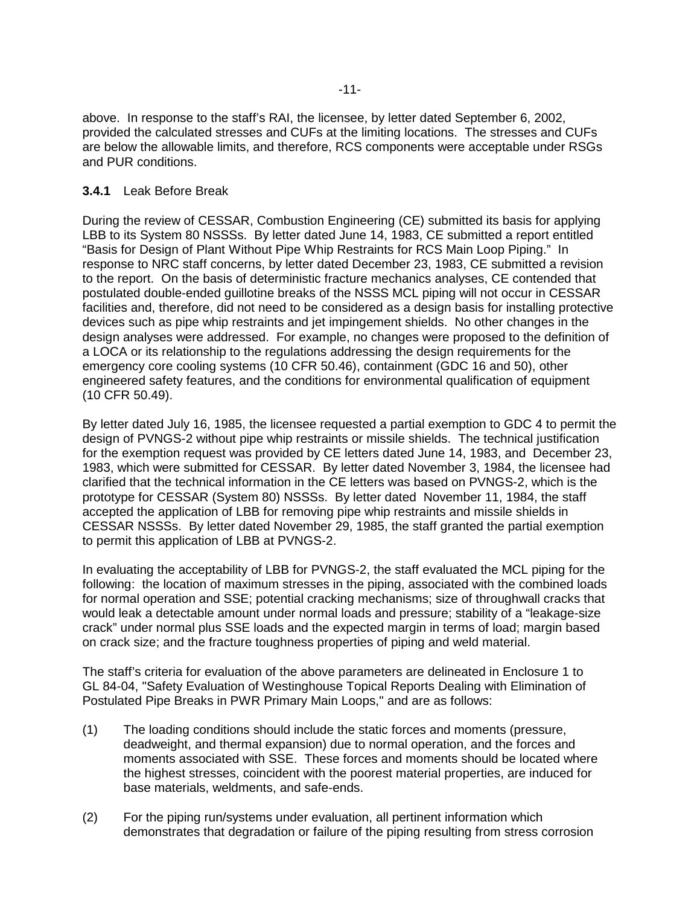above. In response to the staff's RAI, the licensee, by letter dated September 6, 2002, provided the calculated stresses and CUFs at the limiting locations. The stresses and CUFs are below the allowable limits, and therefore, RCS components were acceptable under RSGs and PUR conditions.

## **3.4.1** Leak Before Break

During the review of CESSAR, Combustion Engineering (CE) submitted its basis for applying LBB to its System 80 NSSSs. By letter dated June 14, 1983, CE submitted a report entitled "Basis for Design of Plant Without Pipe Whip Restraints for RCS Main Loop Piping." In response to NRC staff concerns, by letter dated December 23, 1983, CE submitted a revision to the report. On the basis of deterministic fracture mechanics analyses, CE contended that postulated double-ended guillotine breaks of the NSSS MCL piping will not occur in CESSAR facilities and, therefore, did not need to be considered as a design basis for installing protective devices such as pipe whip restraints and jet impingement shields. No other changes in the design analyses were addressed. For example, no changes were proposed to the definition of a LOCA or its relationship to the regulations addressing the design requirements for the emergency core cooling systems (10 CFR 50.46), containment (GDC 16 and 50), other engineered safety features, and the conditions for environmental qualification of equipment (10 CFR 50.49).

By letter dated July 16, 1985, the licensee requested a partial exemption to GDC 4 to permit the design of PVNGS-2 without pipe whip restraints or missile shields. The technical justification for the exemption request was provided by CE letters dated June 14, 1983, and December 23, 1983, which were submitted for CESSAR. By letter dated November 3, 1984, the licensee had clarified that the technical information in the CE letters was based on PVNGS-2, which is the prototype for CESSAR (System 80) NSSSs. By letter dated November 11, 1984, the staff accepted the application of LBB for removing pipe whip restraints and missile shields in CESSAR NSSSs. By letter dated November 29, 1985, the staff granted the partial exemption to permit this application of LBB at PVNGS-2.

In evaluating the acceptability of LBB for PVNGS-2, the staff evaluated the MCL piping for the following: the location of maximum stresses in the piping, associated with the combined loads for normal operation and SSE; potential cracking mechanisms; size of throughwall cracks that would leak a detectable amount under normal loads and pressure; stability of a "leakage-size crack" under normal plus SSE loads and the expected margin in terms of load; margin based on crack size; and the fracture toughness properties of piping and weld material.

The staff's criteria for evaluation of the above parameters are delineated in Enclosure 1 to GL 84-04, "Safety Evaluation of Westinghouse Topical Reports Dealing with Elimination of Postulated Pipe Breaks in PWR Primary Main Loops," and are as follows:

- (1) The loading conditions should include the static forces and moments (pressure, deadweight, and thermal expansion) due to normal operation, and the forces and moments associated with SSE. These forces and moments should be located where the highest stresses, coincident with the poorest material properties, are induced for base materials, weldments, and safe-ends.
- (2) For the piping run/systems under evaluation, all pertinent information which demonstrates that degradation or failure of the piping resulting from stress corrosion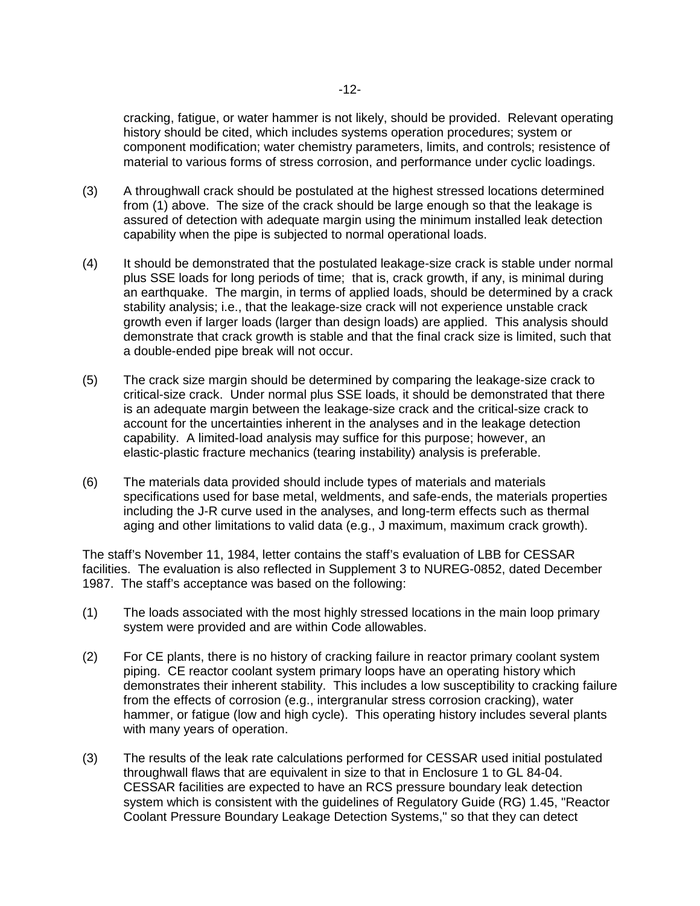cracking, fatigue, or water hammer is not likely, should be provided. Relevant operating history should be cited, which includes systems operation procedures; system or component modification; water chemistry parameters, limits, and controls; resistence of material to various forms of stress corrosion, and performance under cyclic loadings.

- (3) A throughwall crack should be postulated at the highest stressed locations determined from (1) above. The size of the crack should be large enough so that the leakage is assured of detection with adequate margin using the minimum installed leak detection capability when the pipe is subjected to normal operational loads.
- (4) It should be demonstrated that the postulated leakage-size crack is stable under normal plus SSE loads for long periods of time; that is, crack growth, if any, is minimal during an earthquake. The margin, in terms of applied loads, should be determined by a crack stability analysis; i.e., that the leakage-size crack will not experience unstable crack growth even if larger loads (larger than design loads) are applied. This analysis should demonstrate that crack growth is stable and that the final crack size is limited, such that a double-ended pipe break will not occur.
- (5) The crack size margin should be determined by comparing the leakage-size crack to critical-size crack. Under normal plus SSE loads, it should be demonstrated that there is an adequate margin between the leakage-size crack and the critical-size crack to account for the uncertainties inherent in the analyses and in the leakage detection capability. A limited-load analysis may suffice for this purpose; however, an elastic-plastic fracture mechanics (tearing instability) analysis is preferable.
- (6) The materials data provided should include types of materials and materials specifications used for base metal, weldments, and safe-ends, the materials properties including the J-R curve used in the analyses, and long-term effects such as thermal aging and other limitations to valid data (e.g., J maximum, maximum crack growth).

The staff's November 11, 1984, letter contains the staff's evaluation of LBB for CESSAR facilities. The evaluation is also reflected in Supplement 3 to NUREG-0852, dated December 1987. The staff's acceptance was based on the following:

- (1) The loads associated with the most highly stressed locations in the main loop primary system were provided and are within Code allowables.
- (2) For CE plants, there is no history of cracking failure in reactor primary coolant system piping. CE reactor coolant system primary loops have an operating history which demonstrates their inherent stability. This includes a low susceptibility to cracking failure from the effects of corrosion (e.g., intergranular stress corrosion cracking), water hammer, or fatigue (low and high cycle). This operating history includes several plants with many years of operation.
- (3) The results of the leak rate calculations performed for CESSAR used initial postulated throughwall flaws that are equivalent in size to that in Enclosure 1 to GL 84-04. CESSAR facilities are expected to have an RCS pressure boundary leak detection system which is consistent with the guidelines of Regulatory Guide (RG) 1.45, "Reactor Coolant Pressure Boundary Leakage Detection Systems," so that they can detect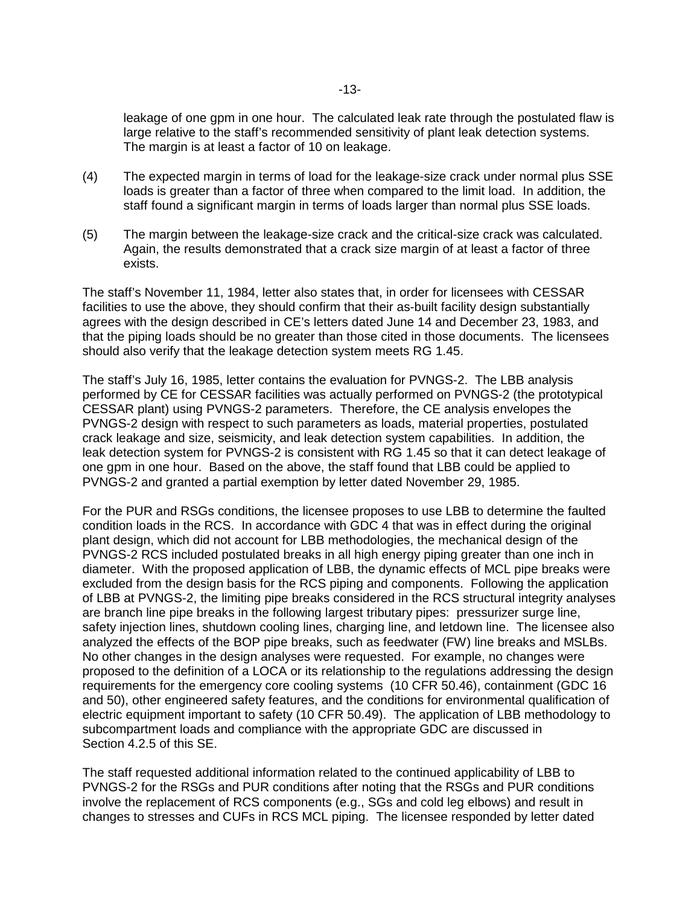leakage of one gpm in one hour. The calculated leak rate through the postulated flaw is large relative to the staff's recommended sensitivity of plant leak detection systems. The margin is at least a factor of 10 on leakage.

- (4) The expected margin in terms of load for the leakage-size crack under normal plus SSE loads is greater than a factor of three when compared to the limit load. In addition, the staff found a significant margin in terms of loads larger than normal plus SSE loads.
- (5) The margin between the leakage-size crack and the critical-size crack was calculated. Again, the results demonstrated that a crack size margin of at least a factor of three exists.

The staff's November 11, 1984, letter also states that, in order for licensees with CESSAR facilities to use the above, they should confirm that their as-built facility design substantially agrees with the design described in CE's letters dated June 14 and December 23, 1983, and that the piping loads should be no greater than those cited in those documents. The licensees should also verify that the leakage detection system meets RG 1.45.

The staff's July 16, 1985, letter contains the evaluation for PVNGS-2. The LBB analysis performed by CE for CESSAR facilities was actually performed on PVNGS-2 (the prototypical CESSAR plant) using PVNGS-2 parameters. Therefore, the CE analysis envelopes the PVNGS-2 design with respect to such parameters as loads, material properties, postulated crack leakage and size, seismicity, and leak detection system capabilities. In addition, the leak detection system for PVNGS-2 is consistent with RG 1.45 so that it can detect leakage of one gpm in one hour. Based on the above, the staff found that LBB could be applied to PVNGS-2 and granted a partial exemption by letter dated November 29, 1985.

For the PUR and RSGs conditions, the licensee proposes to use LBB to determine the faulted condition loads in the RCS. In accordance with GDC 4 that was in effect during the original plant design, which did not account for LBB methodologies, the mechanical design of the PVNGS-2 RCS included postulated breaks in all high energy piping greater than one inch in diameter. With the proposed application of LBB, the dynamic effects of MCL pipe breaks were excluded from the design basis for the RCS piping and components. Following the application of LBB at PVNGS-2, the limiting pipe breaks considered in the RCS structural integrity analyses are branch line pipe breaks in the following largest tributary pipes: pressurizer surge line, safety injection lines, shutdown cooling lines, charging line, and letdown line. The licensee also analyzed the effects of the BOP pipe breaks, such as feedwater (FW) line breaks and MSLBs. No other changes in the design analyses were requested. For example, no changes were proposed to the definition of a LOCA or its relationship to the regulations addressing the design requirements for the emergency core cooling systems (10 CFR 50.46), containment (GDC 16 and 50), other engineered safety features, and the conditions for environmental qualification of electric equipment important to safety (10 CFR 50.49). The application of LBB methodology to subcompartment loads and compliance with the appropriate GDC are discussed in Section 4.2.5 of this SE.

The staff requested additional information related to the continued applicability of LBB to PVNGS-2 for the RSGs and PUR conditions after noting that the RSGs and PUR conditions involve the replacement of RCS components (e.g., SGs and cold leg elbows) and result in changes to stresses and CUFs in RCS MCL piping. The licensee responded by letter dated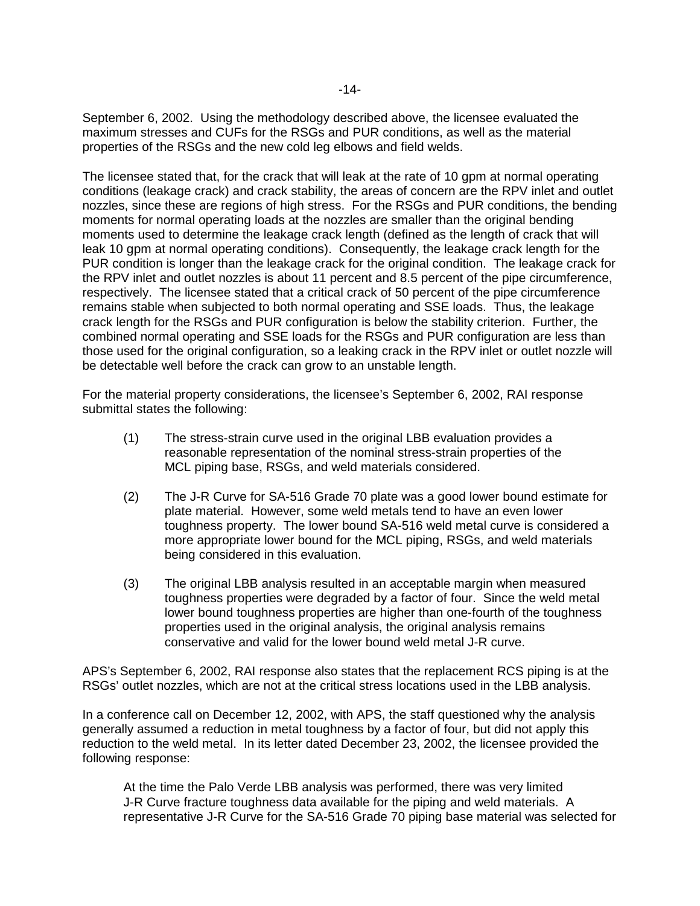September 6, 2002. Using the methodology described above, the licensee evaluated the maximum stresses and CUFs for the RSGs and PUR conditions, as well as the material properties of the RSGs and the new cold leg elbows and field welds.

The licensee stated that, for the crack that will leak at the rate of 10 gpm at normal operating conditions (leakage crack) and crack stability, the areas of concern are the RPV inlet and outlet nozzles, since these are regions of high stress. For the RSGs and PUR conditions, the bending moments for normal operating loads at the nozzles are smaller than the original bending moments used to determine the leakage crack length (defined as the length of crack that will leak 10 gpm at normal operating conditions). Consequently, the leakage crack length for the PUR condition is longer than the leakage crack for the original condition. The leakage crack for the RPV inlet and outlet nozzles is about 11 percent and 8.5 percent of the pipe circumference, respectively. The licensee stated that a critical crack of 50 percent of the pipe circumference remains stable when subjected to both normal operating and SSE loads. Thus, the leakage crack length for the RSGs and PUR configuration is below the stability criterion. Further, the combined normal operating and SSE loads for the RSGs and PUR configuration are less than those used for the original configuration, so a leaking crack in the RPV inlet or outlet nozzle will be detectable well before the crack can grow to an unstable length.

For the material property considerations, the licensee's September 6, 2002, RAI response submittal states the following:

- (1) The stress-strain curve used in the original LBB evaluation provides a reasonable representation of the nominal stress-strain properties of the MCL piping base, RSGs, and weld materials considered.
- (2) The J-R Curve for SA-516 Grade 70 plate was a good lower bound estimate for plate material. However, some weld metals tend to have an even lower toughness property. The lower bound SA-516 weld metal curve is considered a more appropriate lower bound for the MCL piping, RSGs, and weld materials being considered in this evaluation.
- (3) The original LBB analysis resulted in an acceptable margin when measured toughness properties were degraded by a factor of four. Since the weld metal lower bound toughness properties are higher than one-fourth of the toughness properties used in the original analysis, the original analysis remains conservative and valid for the lower bound weld metal J-R curve.

APS's September 6, 2002, RAI response also states that the replacement RCS piping is at the RSGs' outlet nozzles, which are not at the critical stress locations used in the LBB analysis.

In a conference call on December 12, 2002, with APS, the staff questioned why the analysis generally assumed a reduction in metal toughness by a factor of four, but did not apply this reduction to the weld metal. In its letter dated December 23, 2002, the licensee provided the following response:

At the time the Palo Verde LBB analysis was performed, there was very limited J-R Curve fracture toughness data available for the piping and weld materials. A representative J-R Curve for the SA-516 Grade 70 piping base material was selected for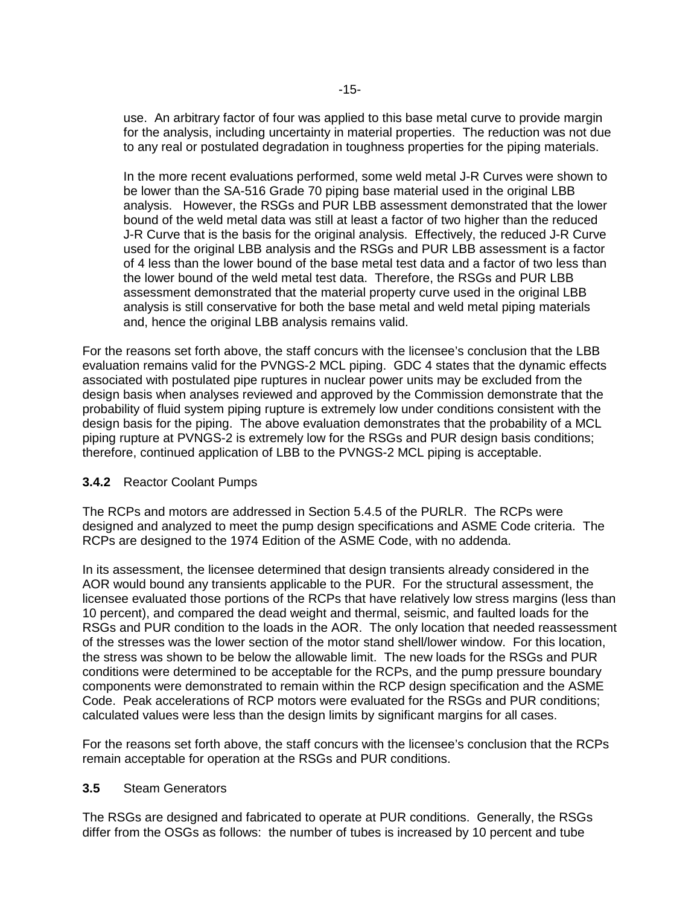use. An arbitrary factor of four was applied to this base metal curve to provide margin for the analysis, including uncertainty in material properties. The reduction was not due to any real or postulated degradation in toughness properties for the piping materials.

In the more recent evaluations performed, some weld metal J-R Curves were shown to be lower than the SA-516 Grade 70 piping base material used in the original LBB analysis. However, the RSGs and PUR LBB assessment demonstrated that the lower bound of the weld metal data was still at least a factor of two higher than the reduced J-R Curve that is the basis for the original analysis. Effectively, the reduced J-R Curve used for the original LBB analysis and the RSGs and PUR LBB assessment is a factor of 4 less than the lower bound of the base metal test data and a factor of two less than the lower bound of the weld metal test data. Therefore, the RSGs and PUR LBB assessment demonstrated that the material property curve used in the original LBB analysis is still conservative for both the base metal and weld metal piping materials and, hence the original LBB analysis remains valid.

For the reasons set forth above, the staff concurs with the licensee's conclusion that the LBB evaluation remains valid for the PVNGS-2 MCL piping. GDC 4 states that the dynamic effects associated with postulated pipe ruptures in nuclear power units may be excluded from the design basis when analyses reviewed and approved by the Commission demonstrate that the probability of fluid system piping rupture is extremely low under conditions consistent with the design basis for the piping. The above evaluation demonstrates that the probability of a MCL piping rupture at PVNGS-2 is extremely low for the RSGs and PUR design basis conditions; therefore, continued application of LBB to the PVNGS-2 MCL piping is acceptable.

#### **3.4.2** Reactor Coolant Pumps

The RCPs and motors are addressed in Section 5.4.5 of the PURLR. The RCPs were designed and analyzed to meet the pump design specifications and ASME Code criteria. The RCPs are designed to the 1974 Edition of the ASME Code, with no addenda.

In its assessment, the licensee determined that design transients already considered in the AOR would bound any transients applicable to the PUR. For the structural assessment, the licensee evaluated those portions of the RCPs that have relatively low stress margins (less than 10 percent), and compared the dead weight and thermal, seismic, and faulted loads for the RSGs and PUR condition to the loads in the AOR. The only location that needed reassessment of the stresses was the lower section of the motor stand shell/lower window. For this location, the stress was shown to be below the allowable limit. The new loads for the RSGs and PUR conditions were determined to be acceptable for the RCPs, and the pump pressure boundary components were demonstrated to remain within the RCP design specification and the ASME Code. Peak accelerations of RCP motors were evaluated for the RSGs and PUR conditions; calculated values were less than the design limits by significant margins for all cases.

For the reasons set forth above, the staff concurs with the licensee's conclusion that the RCPs remain acceptable for operation at the RSGs and PUR conditions.

#### **3.5** Steam Generators

The RSGs are designed and fabricated to operate at PUR conditions. Generally, the RSGs differ from the OSGs as follows: the number of tubes is increased by 10 percent and tube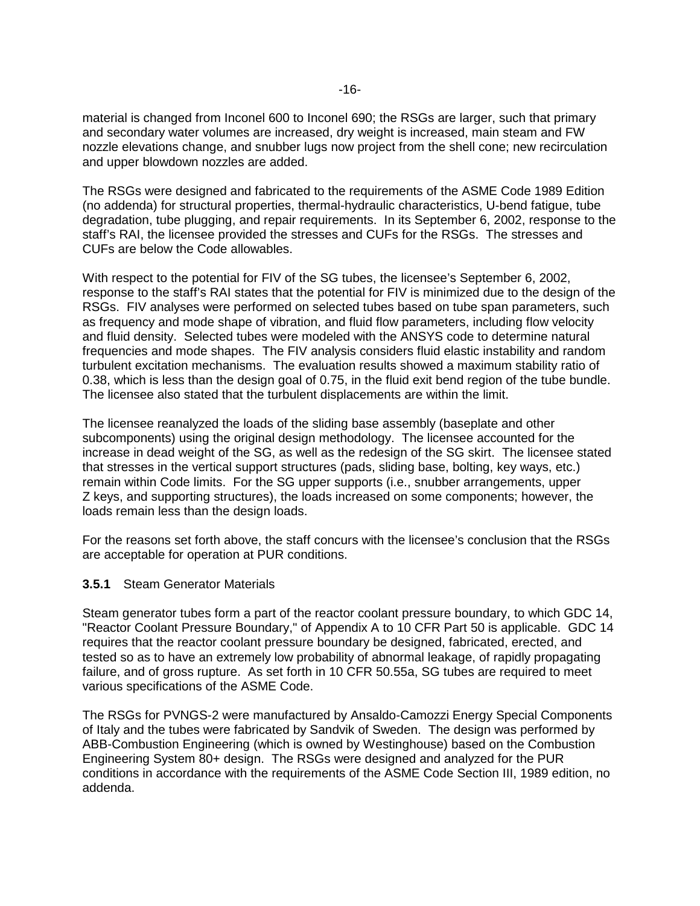material is changed from Inconel 600 to Inconel 690; the RSGs are larger, such that primary and secondary water volumes are increased, dry weight is increased, main steam and FW nozzle elevations change, and snubber lugs now project from the shell cone; new recirculation and upper blowdown nozzles are added.

The RSGs were designed and fabricated to the requirements of the ASME Code 1989 Edition (no addenda) for structural properties, thermal-hydraulic characteristics, U-bend fatigue, tube degradation, tube plugging, and repair requirements. In its September 6, 2002, response to the staff's RAI, the licensee provided the stresses and CUFs for the RSGs. The stresses and CUFs are below the Code allowables.

With respect to the potential for FIV of the SG tubes, the licensee's September 6, 2002, response to the staff's RAI states that the potential for FIV is minimized due to the design of the RSGs. FIV analyses were performed on selected tubes based on tube span parameters, such as frequency and mode shape of vibration, and fluid flow parameters, including flow velocity and fluid density. Selected tubes were modeled with the ANSYS code to determine natural frequencies and mode shapes. The FIV analysis considers fluid elastic instability and random turbulent excitation mechanisms. The evaluation results showed a maximum stability ratio of 0.38, which is less than the design goal of 0.75, in the fluid exit bend region of the tube bundle. The licensee also stated that the turbulent displacements are within the limit.

The licensee reanalyzed the loads of the sliding base assembly (baseplate and other subcomponents) using the original design methodology. The licensee accounted for the increase in dead weight of the SG, as well as the redesign of the SG skirt. The licensee stated that stresses in the vertical support structures (pads, sliding base, bolting, key ways, etc.) remain within Code limits. For the SG upper supports (i.e., snubber arrangements, upper Z keys, and supporting structures), the loads increased on some components; however, the loads remain less than the design loads.

For the reasons set forth above, the staff concurs with the licensee's conclusion that the RSGs are acceptable for operation at PUR conditions.

#### **3.5.1** Steam Generator Materials

Steam generator tubes form a part of the reactor coolant pressure boundary, to which GDC 14, "Reactor Coolant Pressure Boundary," of Appendix A to 10 CFR Part 50 is applicable. GDC 14 requires that the reactor coolant pressure boundary be designed, fabricated, erected, and tested so as to have an extremely low probability of abnormal leakage, of rapidly propagating failure, and of gross rupture. As set forth in 10 CFR 50.55a, SG tubes are required to meet various specifications of the ASME Code.

The RSGs for PVNGS-2 were manufactured by Ansaldo-Camozzi Energy Special Components of Italy and the tubes were fabricated by Sandvik of Sweden. The design was performed by ABB-Combustion Engineering (which is owned by Westinghouse) based on the Combustion Engineering System 80+ design. The RSGs were designed and analyzed for the PUR conditions in accordance with the requirements of the ASME Code Section III, 1989 edition, no addenda.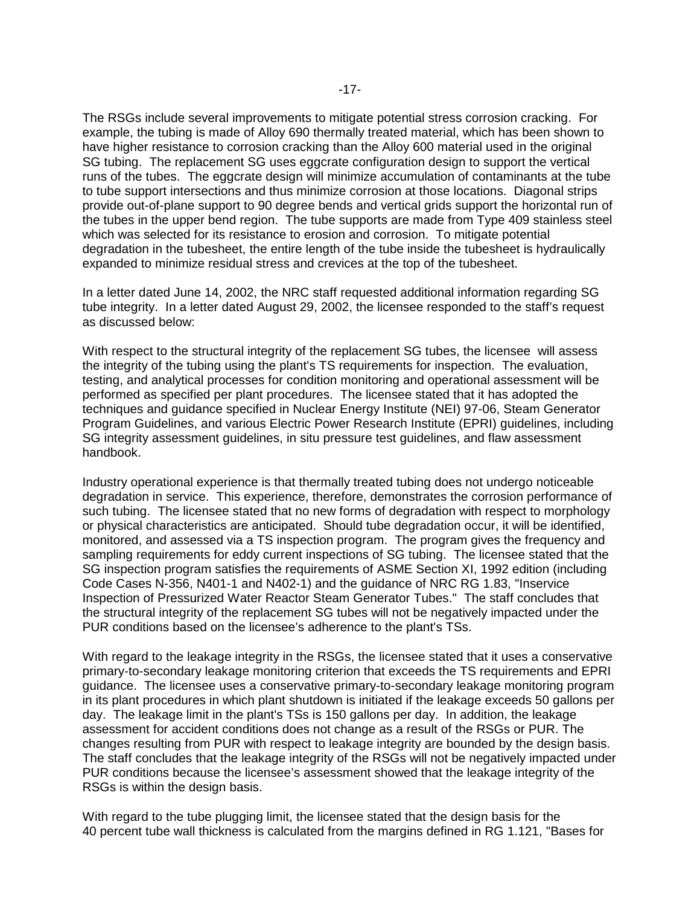The RSGs include several improvements to mitigate potential stress corrosion cracking. For example, the tubing is made of Alloy 690 thermally treated material, which has been shown to have higher resistance to corrosion cracking than the Alloy 600 material used in the original SG tubing. The replacement SG uses eggcrate configuration design to support the vertical runs of the tubes. The eggcrate design will minimize accumulation of contaminants at the tube to tube support intersections and thus minimize corrosion at those locations. Diagonal strips provide out-of-plane support to 90 degree bends and vertical grids support the horizontal run of the tubes in the upper bend region. The tube supports are made from Type 409 stainless steel which was selected for its resistance to erosion and corrosion. To mitigate potential degradation in the tubesheet, the entire length of the tube inside the tubesheet is hydraulically expanded to minimize residual stress and crevices at the top of the tubesheet.

In a letter dated June 14, 2002, the NRC staff requested additional information regarding SG tube integrity. In a letter dated August 29, 2002, the licensee responded to the staff's request as discussed below:

With respect to the structural integrity of the replacement SG tubes, the licensee will assess the integrity of the tubing using the plant's TS requirements for inspection. The evaluation, testing, and analytical processes for condition monitoring and operational assessment will be performed as specified per plant procedures. The licensee stated that it has adopted the techniques and guidance specified in Nuclear Energy Institute (NEI) 97-06, Steam Generator Program Guidelines, and various Electric Power Research Institute (EPRI) guidelines, including SG integrity assessment guidelines, in situ pressure test guidelines, and flaw assessment handbook.

Industry operational experience is that thermally treated tubing does not undergo noticeable degradation in service. This experience, therefore, demonstrates the corrosion performance of such tubing. The licensee stated that no new forms of degradation with respect to morphology or physical characteristics are anticipated. Should tube degradation occur, it will be identified, monitored, and assessed via a TS inspection program. The program gives the frequency and sampling requirements for eddy current inspections of SG tubing. The licensee stated that the SG inspection program satisfies the requirements of ASME Section XI, 1992 edition (including Code Cases N-356, N401-1 and N402-1) and the guidance of NRC RG 1.83, "Inservice Inspection of Pressurized Water Reactor Steam Generator Tubes." The staff concludes that the structural integrity of the replacement SG tubes will not be negatively impacted under the PUR conditions based on the licensee's adherence to the plant's TSs.

With regard to the leakage integrity in the RSGs, the licensee stated that it uses a conservative primary-to-secondary leakage monitoring criterion that exceeds the TS requirements and EPRI guidance. The licensee uses a conservative primary-to-secondary leakage monitoring program in its plant procedures in which plant shutdown is initiated if the leakage exceeds 50 gallons per day. The leakage limit in the plant's TSs is 150 gallons per day. In addition, the leakage assessment for accident conditions does not change as a result of the RSGs or PUR. The changes resulting from PUR with respect to leakage integrity are bounded by the design basis. The staff concludes that the leakage integrity of the RSGs will not be negatively impacted under PUR conditions because the licensee's assessment showed that the leakage integrity of the RSGs is within the design basis.

With regard to the tube plugging limit, the licensee stated that the design basis for the 40 percent tube wall thickness is calculated from the margins defined in RG 1.121, "Bases for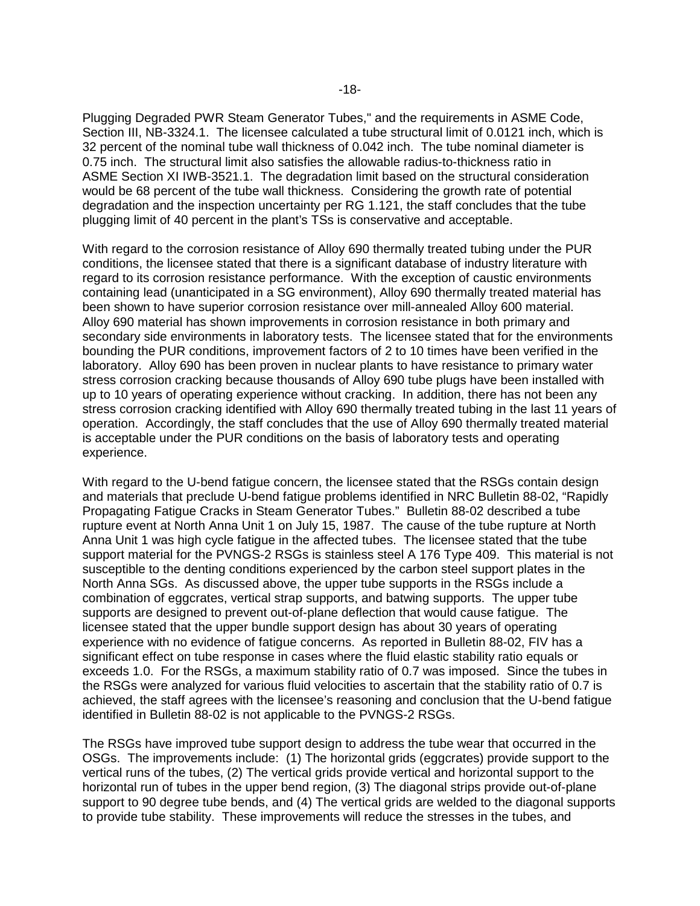Plugging Degraded PWR Steam Generator Tubes," and the requirements in ASME Code, Section III, NB-3324.1. The licensee calculated a tube structural limit of 0.0121 inch, which is 32 percent of the nominal tube wall thickness of 0.042 inch. The tube nominal diameter is 0.75 inch. The structural limit also satisfies the allowable radius-to-thickness ratio in ASME Section XI IWB-3521.1. The degradation limit based on the structural consideration would be 68 percent of the tube wall thickness. Considering the growth rate of potential degradation and the inspection uncertainty per RG 1.121, the staff concludes that the tube plugging limit of 40 percent in the plant's TSs is conservative and acceptable.

With regard to the corrosion resistance of Alloy 690 thermally treated tubing under the PUR conditions, the licensee stated that there is a significant database of industry literature with regard to its corrosion resistance performance. With the exception of caustic environments containing lead (unanticipated in a SG environment), Alloy 690 thermally treated material has been shown to have superior corrosion resistance over mill-annealed Alloy 600 material. Alloy 690 material has shown improvements in corrosion resistance in both primary and secondary side environments in laboratory tests. The licensee stated that for the environments bounding the PUR conditions, improvement factors of 2 to 10 times have been verified in the laboratory. Alloy 690 has been proven in nuclear plants to have resistance to primary water stress corrosion cracking because thousands of Alloy 690 tube plugs have been installed with up to 10 years of operating experience without cracking. In addition, there has not been any stress corrosion cracking identified with Alloy 690 thermally treated tubing in the last 11 years of operation. Accordingly, the staff concludes that the use of Alloy 690 thermally treated material is acceptable under the PUR conditions on the basis of laboratory tests and operating experience.

With regard to the U-bend fatigue concern, the licensee stated that the RSGs contain design and materials that preclude U-bend fatigue problems identified in NRC Bulletin 88-02, "Rapidly Propagating Fatigue Cracks in Steam Generator Tubes." Bulletin 88-02 described a tube rupture event at North Anna Unit 1 on July 15, 1987. The cause of the tube rupture at North Anna Unit 1 was high cycle fatigue in the affected tubes. The licensee stated that the tube support material for the PVNGS-2 RSGs is stainless steel A 176 Type 409. This material is not susceptible to the denting conditions experienced by the carbon steel support plates in the North Anna SGs. As discussed above, the upper tube supports in the RSGs include a combination of eggcrates, vertical strap supports, and batwing supports. The upper tube supports are designed to prevent out-of-plane deflection that would cause fatigue. The licensee stated that the upper bundle support design has about 30 years of operating experience with no evidence of fatigue concerns. As reported in Bulletin 88-02, FIV has a significant effect on tube response in cases where the fluid elastic stability ratio equals or exceeds 1.0. For the RSGs, a maximum stability ratio of 0.7 was imposed. Since the tubes in the RSGs were analyzed for various fluid velocities to ascertain that the stability ratio of 0.7 is achieved, the staff agrees with the licensee's reasoning and conclusion that the U-bend fatigue identified in Bulletin 88-02 is not applicable to the PVNGS-2 RSGs.

The RSGs have improved tube support design to address the tube wear that occurred in the OSGs. The improvements include: (1) The horizontal grids (eggcrates) provide support to the vertical runs of the tubes, (2) The vertical grids provide vertical and horizontal support to the horizontal run of tubes in the upper bend region, (3) The diagonal strips provide out-of-plane support to 90 degree tube bends, and (4) The vertical grids are welded to the diagonal supports to provide tube stability. These improvements will reduce the stresses in the tubes, and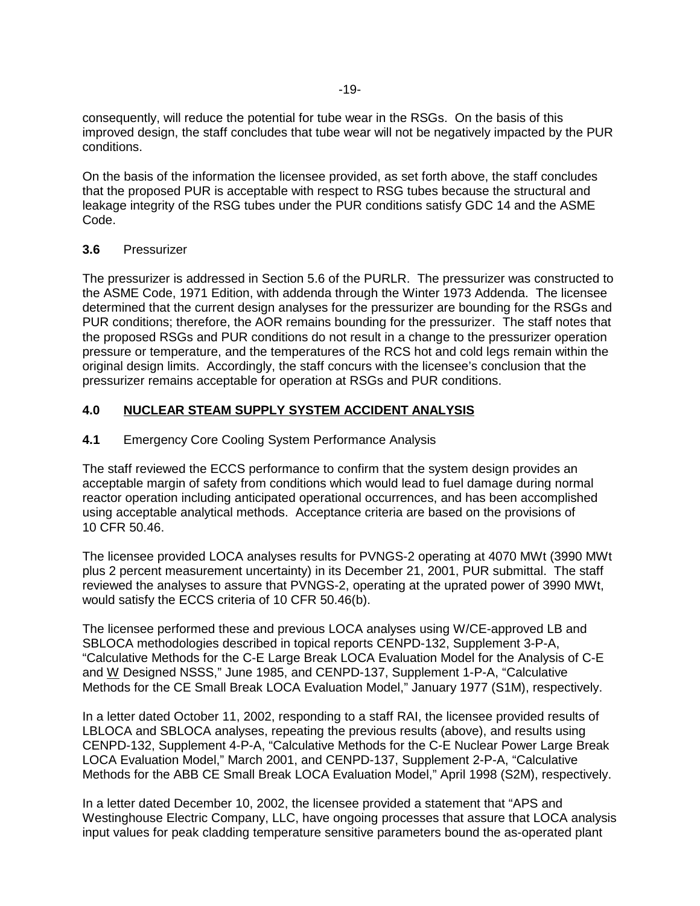consequently, will reduce the potential for tube wear in the RSGs. On the basis of this improved design, the staff concludes that tube wear will not be negatively impacted by the PUR conditions.

On the basis of the information the licensee provided, as set forth above, the staff concludes that the proposed PUR is acceptable with respect to RSG tubes because the structural and leakage integrity of the RSG tubes under the PUR conditions satisfy GDC 14 and the ASME Code.

## **3.6** Pressurizer

The pressurizer is addressed in Section 5.6 of the PURLR. The pressurizer was constructed to the ASME Code, 1971 Edition, with addenda through the Winter 1973 Addenda. The licensee determined that the current design analyses for the pressurizer are bounding for the RSGs and PUR conditions; therefore, the AOR remains bounding for the pressurizer. The staff notes that the proposed RSGs and PUR conditions do not result in a change to the pressurizer operation pressure or temperature, and the temperatures of the RCS hot and cold legs remain within the original design limits. Accordingly, the staff concurs with the licensee's conclusion that the pressurizer remains acceptable for operation at RSGs and PUR conditions.

## **4.0 NUCLEAR STEAM SUPPLY SYSTEM ACCIDENT ANALYSIS**

## **4.1** Emergency Core Cooling System Performance Analysis

The staff reviewed the ECCS performance to confirm that the system design provides an acceptable margin of safety from conditions which would lead to fuel damage during normal reactor operation including anticipated operational occurrences, and has been accomplished using acceptable analytical methods. Acceptance criteria are based on the provisions of 10 CFR 50.46.

The licensee provided LOCA analyses results for PVNGS-2 operating at 4070 MWt (3990 MWt plus 2 percent measurement uncertainty) in its December 21, 2001, PUR submittal. The staff reviewed the analyses to assure that PVNGS-2, operating at the uprated power of 3990 MWt, would satisfy the ECCS criteria of 10 CFR 50.46(b).

The licensee performed these and previous LOCA analyses using W/CE-approved LB and SBLOCA methodologies described in topical reports CENPD-132, Supplement 3-P-A, "Calculative Methods for the C-E Large Break LOCA Evaluation Model for the Analysis of C-E and W Designed NSSS," June 1985, and CENPD-137, Supplement 1-P-A, "Calculative Methods for the CE Small Break LOCA Evaluation Model," January 1977 (S1M), respectively.

In a letter dated October 11, 2002, responding to a staff RAI, the licensee provided results of LBLOCA and SBLOCA analyses, repeating the previous results (above), and results using CENPD-132, Supplement 4-P-A, "Calculative Methods for the C-E Nuclear Power Large Break LOCA Evaluation Model," March 2001, and CENPD-137, Supplement 2-P-A, "Calculative Methods for the ABB CE Small Break LOCA Evaluation Model," April 1998 (S2M), respectively.

In a letter dated December 10, 2002, the licensee provided a statement that "APS and Westinghouse Electric Company, LLC, have ongoing processes that assure that LOCA analysis input values for peak cladding temperature sensitive parameters bound the as-operated plant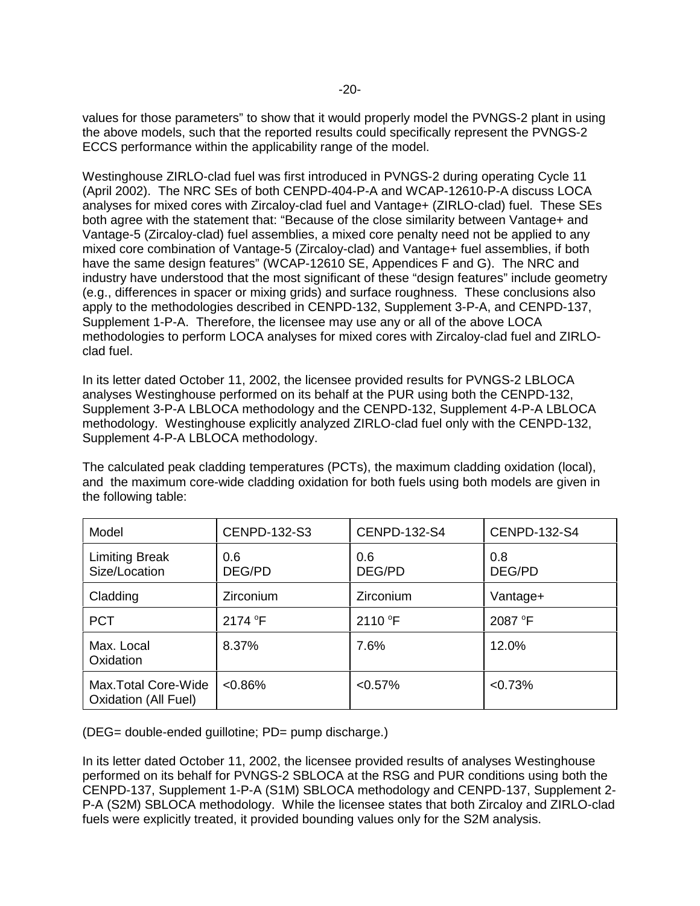values for those parameters" to show that it would properly model the PVNGS-2 plant in using the above models, such that the reported results could specifically represent the PVNGS-2 ECCS performance within the applicability range of the model.

Westinghouse ZIRLO-clad fuel was first introduced in PVNGS-2 during operating Cycle 11 (April 2002). The NRC SEs of both CENPD-404-P-A and WCAP-12610-P-A discuss LOCA analyses for mixed cores with Zircaloy-clad fuel and Vantage+ (ZIRLO-clad) fuel. These SEs both agree with the statement that: "Because of the close similarity between Vantage+ and Vantage-5 (Zircaloy-clad) fuel assemblies, a mixed core penalty need not be applied to any mixed core combination of Vantage-5 (Zircaloy-clad) and Vantage+ fuel assemblies, if both have the same design features" (WCAP-12610 SE, Appendices F and G). The NRC and industry have understood that the most significant of these "design features" include geometry (e.g., differences in spacer or mixing grids) and surface roughness. These conclusions also apply to the methodologies described in CENPD-132, Supplement 3-P-A, and CENPD-137, Supplement 1-P-A. Therefore, the licensee may use any or all of the above LOCA methodologies to perform LOCA analyses for mixed cores with Zircaloy-clad fuel and ZIRLOclad fuel.

In its letter dated October 11, 2002, the licensee provided results for PVNGS-2 LBLOCA analyses Westinghouse performed on its behalf at the PUR using both the CENPD-132, Supplement 3-P-A LBLOCA methodology and the CENPD-132, Supplement 4-P-A LBLOCA methodology. Westinghouse explicitly analyzed ZIRLO-clad fuel only with the CENPD-132, Supplement 4-P-A LBLOCA methodology.

The calculated peak cladding temperatures (PCTs), the maximum cladding oxidation (local), and the maximum core-wide cladding oxidation for both fuels using both models are given in the following table:

| Model                                               | CENPD-132-S3     | <b>CENPD-132-S4</b> | CENPD-132-S4  |
|-----------------------------------------------------|------------------|---------------------|---------------|
| <b>Limiting Break</b><br>Size/Location              | 0.6<br>DEG/PD    | 0.6<br>DEG/PD       | 0.8<br>DEG/PD |
| Cladding                                            | <b>Zirconium</b> | Zirconium           | Vantage+      |
| <b>PCT</b>                                          | 2174 °F          | 2110 °F             | 2087 °F       |
| Max. Local<br>Oxidation                             | 8.37%            | 7.6%                | 12.0%         |
| Max. Total Core-Wide<br><b>Oxidation (All Fuel)</b> | $<0.86\%$        | $< 0.57\%$          | < 0.73%       |

(DEG= double-ended guillotine; PD= pump discharge.)

In its letter dated October 11, 2002, the licensee provided results of analyses Westinghouse performed on its behalf for PVNGS-2 SBLOCA at the RSG and PUR conditions using both the CENPD-137, Supplement 1-P-A (S1M) SBLOCA methodology and CENPD-137, Supplement 2- P-A (S2M) SBLOCA methodology. While the licensee states that both Zircaloy and ZIRLO-clad fuels were explicitly treated, it provided bounding values only for the S2M analysis.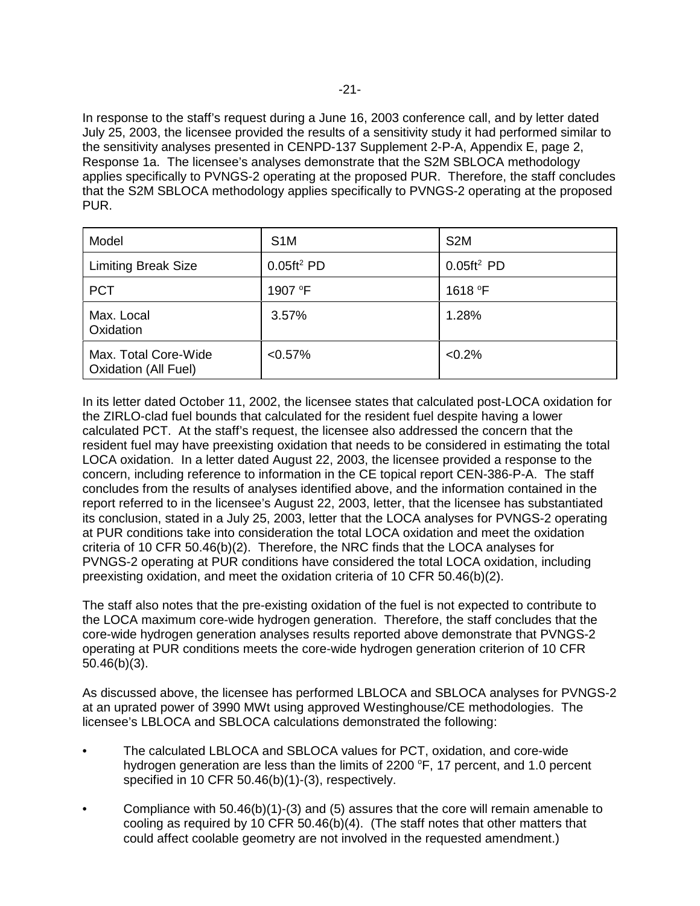In response to the staff's request during a June 16, 2003 conference call, and by letter dated July 25, 2003, the licensee provided the results of a sensitivity study it had performed similar to the sensitivity analyses presented in CENPD-137 Supplement 2-P-A, Appendix E, page 2, Response 1a. The licensee's analyses demonstrate that the S2M SBLOCA methodology applies specifically to PVNGS-2 operating at the proposed PUR. Therefore, the staff concludes that the S2M SBLOCA methodology applies specifically to PVNGS-2 operating at the proposed PUR.

| Model                                               | S <sub>1</sub> M                               | S <sub>2</sub> M |
|-----------------------------------------------------|------------------------------------------------|------------------|
| <b>Limiting Break Size</b>                          | $0.05 \text{ft}^2$ PD<br>$0.05 \text{ft}^2$ PD |                  |
| <b>PCT</b>                                          | 1907 °F                                        | 1618 °F          |
| Max. Local<br>Oxidation                             | 3.57%                                          | 1.28%            |
| Max. Total Core-Wide<br><b>Oxidation (All Fuel)</b> | $< 0.57\%$                                     | $< 0.2\%$        |

In its letter dated October 11, 2002, the licensee states that calculated post-LOCA oxidation for the ZIRLO-clad fuel bounds that calculated for the resident fuel despite having a lower calculated PCT. At the staff's request, the licensee also addressed the concern that the resident fuel may have preexisting oxidation that needs to be considered in estimating the total LOCA oxidation. In a letter dated August 22, 2003, the licensee provided a response to the concern, including reference to information in the CE topical report CEN-386-P-A. The staff concludes from the results of analyses identified above, and the information contained in the report referred to in the licensee's August 22, 2003, letter, that the licensee has substantiated its conclusion, stated in a July 25, 2003, letter that the LOCA analyses for PVNGS-2 operating at PUR conditions take into consideration the total LOCA oxidation and meet the oxidation criteria of 10 CFR 50.46(b)(2). Therefore, the NRC finds that the LOCA analyses for PVNGS-2 operating at PUR conditions have considered the total LOCA oxidation, including preexisting oxidation, and meet the oxidation criteria of 10 CFR 50.46(b)(2).

The staff also notes that the pre-existing oxidation of the fuel is not expected to contribute to the LOCA maximum core-wide hydrogen generation. Therefore, the staff concludes that the core-wide hydrogen generation analyses results reported above demonstrate that PVNGS-2 operating at PUR conditions meets the core-wide hydrogen generation criterion of 10 CFR 50.46(b)(3).

As discussed above, the licensee has performed LBLOCA and SBLOCA analyses for PVNGS-2 at an uprated power of 3990 MWt using approved Westinghouse/CE methodologies. The licensee's LBLOCA and SBLOCA calculations demonstrated the following:

- The calculated LBLOCA and SBLOCA values for PCT, oxidation, and core-wide hydrogen generation are less than the limits of 2200  $\degree$ F, 17 percent, and 1.0 percent specified in 10 CFR 50.46(b)(1)-(3), respectively.
- Compliance with 50.46(b)(1)-(3) and (5) assures that the core will remain amenable to cooling as required by 10 CFR 50.46(b)(4). (The staff notes that other matters that could affect coolable geometry are not involved in the requested amendment.)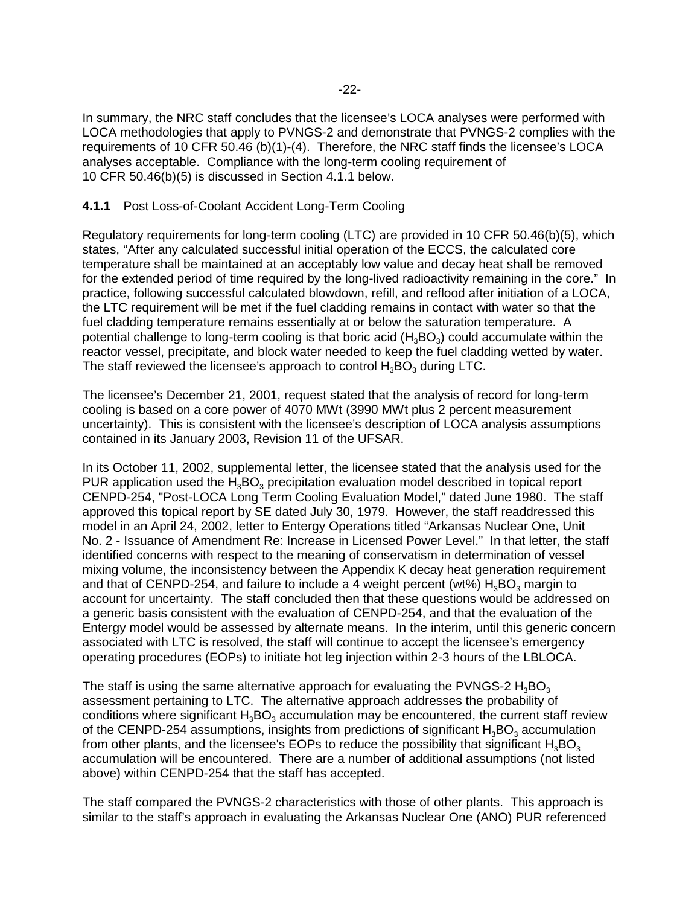In summary, the NRC staff concludes that the licensee's LOCA analyses were performed with LOCA methodologies that apply to PVNGS-2 and demonstrate that PVNGS-2 complies with the requirements of 10 CFR 50.46 (b)(1)-(4). Therefore, the NRC staff finds the licensee's LOCA analyses acceptable. Compliance with the long-term cooling requirement of 10 CFR 50.46(b)(5) is discussed in Section 4.1.1 below.

## **4.1.1** Post Loss-of-Coolant Accident Long-Term Cooling

Regulatory requirements for long-term cooling (LTC) are provided in 10 CFR 50.46(b)(5), which states, "After any calculated successful initial operation of the ECCS, the calculated core temperature shall be maintained at an acceptably low value and decay heat shall be removed for the extended period of time required by the long-lived radioactivity remaining in the core." In practice, following successful calculated blowdown, refill, and reflood after initiation of a LOCA, the LTC requirement will be met if the fuel cladding remains in contact with water so that the fuel cladding temperature remains essentially at or below the saturation temperature. A potential challenge to long-term cooling is that boric acid  $(H_3BO_3)$  could accumulate within the reactor vessel, precipitate, and block water needed to keep the fuel cladding wetted by water. The staff reviewed the licensee's approach to control  $H_3BO_3$  during LTC.

The licensee's December 21, 2001, request stated that the analysis of record for long-term cooling is based on a core power of 4070 MWt (3990 MWt plus 2 percent measurement uncertainty). This is consistent with the licensee's description of LOCA analysis assumptions contained in its January 2003, Revision 11 of the UFSAR.

In its October 11, 2002, supplemental letter, the licensee stated that the analysis used for the PUR application used the H<sub>3</sub>BO<sub>3</sub> precipitation evaluation model described in topical report CENPD-254, "Post-LOCA Long Term Cooling Evaluation Model," dated June 1980. The staff approved this topical report by SE dated July 30, 1979. However, the staff readdressed this model in an April 24, 2002, letter to Entergy Operations titled "Arkansas Nuclear One, Unit No. 2 - Issuance of Amendment Re: Increase in Licensed Power Level." In that letter, the staff identified concerns with respect to the meaning of conservatism in determination of vessel mixing volume, the inconsistency between the Appendix K decay heat generation requirement and that of CENPD-254, and failure to include a 4 weight percent (wt%)  $H_3BO_3$  margin to account for uncertainty. The staff concluded then that these questions would be addressed on a generic basis consistent with the evaluation of CENPD-254, and that the evaluation of the Entergy model would be assessed by alternate means. In the interim, until this generic concern associated with LTC is resolved, the staff will continue to accept the licensee's emergency operating procedures (EOPs) to initiate hot leg injection within 2-3 hours of the LBLOCA.

The staff is using the same alternative approach for evaluating the PVNGS-2  $H_3BO_3$ assessment pertaining to LTC. The alternative approach addresses the probability of conditions where significant  $H_3BO_3$  accumulation may be encountered, the current staff review of the CENPD-254 assumptions, insights from predictions of significant  $H_3BO_3$  accumulation from other plants, and the licensee's EOPs to reduce the possibility that significant  $H_3BO_3$ accumulation will be encountered. There are a number of additional assumptions (not listed above) within CENPD-254 that the staff has accepted.

The staff compared the PVNGS-2 characteristics with those of other plants. This approach is similar to the staff's approach in evaluating the Arkansas Nuclear One (ANO) PUR referenced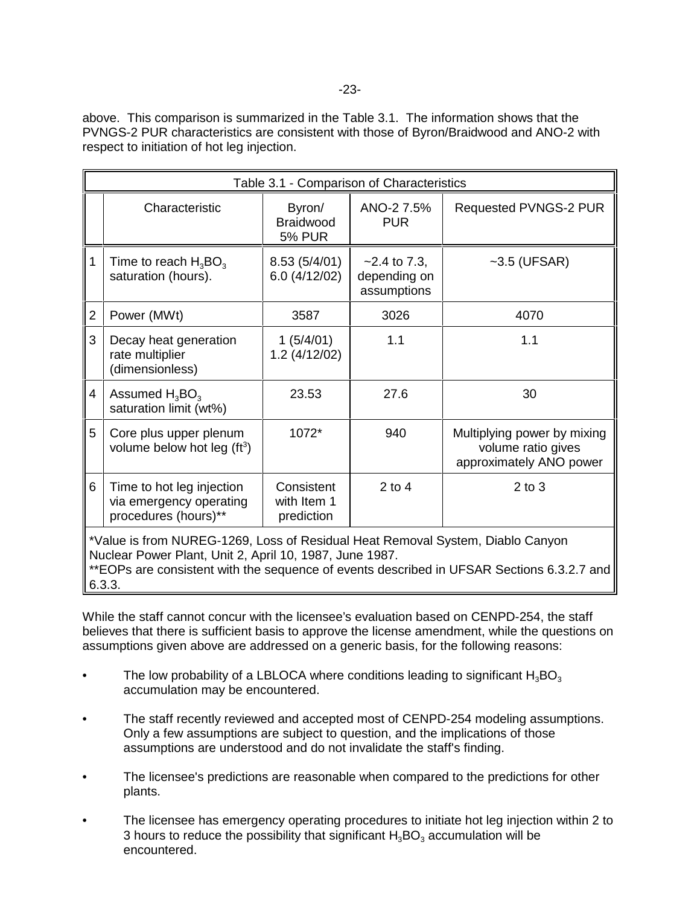above. This comparison is summarized in the Table 3.1. The information shows that the PVNGS-2 PUR characteristics are consistent with those of Byron/Braidwood and ANO-2 with respect to initiation of hot leg injection.

| Table 3.1 - Comparison of Characteristics                                                                                                                                                                                              |                                                                              |                                         |                                               |                                                                              |  |
|----------------------------------------------------------------------------------------------------------------------------------------------------------------------------------------------------------------------------------------|------------------------------------------------------------------------------|-----------------------------------------|-----------------------------------------------|------------------------------------------------------------------------------|--|
|                                                                                                                                                                                                                                        | Characteristic                                                               | Byron/<br>Braidwood<br><b>5% PUR</b>    | ANO-2 7.5%<br><b>PUR</b>                      | Requested PVNGS-2 PUR                                                        |  |
| l 1                                                                                                                                                                                                                                    | Time to reach $H_3BO_3$<br>saturation (hours).                               | 8.53(5/4/01)<br>6.0(4/12/02)            | $-2.4$ to 7.3,<br>depending on<br>assumptions | $~5.5$ (UFSAR)                                                               |  |
| $\overline{2}$                                                                                                                                                                                                                         | Power (MWt)                                                                  | 3587                                    | 3026                                          | 4070                                                                         |  |
| 3                                                                                                                                                                                                                                      | Decay heat generation<br>rate multiplier<br>(dimensionless)                  | 1(5/4/01)<br>1.2(4/12/02)               | 1.1                                           | 1.1                                                                          |  |
| $\overline{4}$                                                                                                                                                                                                                         | Assumed $H_3BO_3$<br>saturation limit (wt%)                                  | 23.53                                   | 27.6                                          | 30                                                                           |  |
| 5                                                                                                                                                                                                                                      | Core plus upper plenum<br>volume below hot leg $(ft^3)$                      | 1072*                                   | 940                                           | Multiplying power by mixing<br>volume ratio gives<br>approximately ANO power |  |
| $\,6$                                                                                                                                                                                                                                  | Time to hot leg injection<br>via emergency operating<br>procedures (hours)** | Consistent<br>with Item 1<br>prediction | $2$ to $4$                                    | $2$ to $3$                                                                   |  |
| *Value is from NUREG-1269, Loss of Residual Heat Removal System, Diablo Canyon<br>Nuclear Power Plant, Unit 2, April 10, 1987, June 1987.<br>**EQDe are consistent with the sequence of events described in HECAD Costions 6.3.3.7 and |                                                                              |                                         |                                               |                                                                              |  |

'EOPs are consistent with the sequence of events described in UFSAR Sections 6.3.2.7 and  $\parallel$ 6.3.3.

While the staff cannot concur with the licensee's evaluation based on CENPD-254, the staff believes that there is sufficient basis to approve the license amendment, while the questions on assumptions given above are addressed on a generic basis, for the following reasons:

- The low probability of a LBLOCA where conditions leading to significant  $H_3BO_3$ accumulation may be encountered.
- The staff recently reviewed and accepted most of CENPD-254 modeling assumptions. Only a few assumptions are subject to question, and the implications of those assumptions are understood and do not invalidate the staff's finding.
- The licensee's predictions are reasonable when compared to the predictions for other plants.
- The licensee has emergency operating procedures to initiate hot leg injection within 2 to 3 hours to reduce the possibility that significant  $H_3BO_3$  accumulation will be encountered.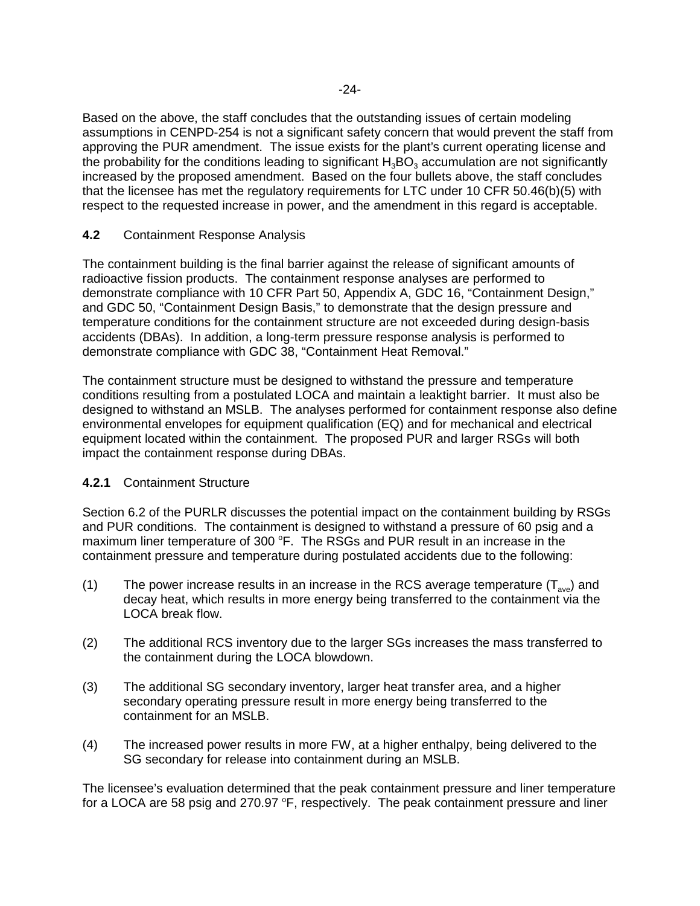Based on the above, the staff concludes that the outstanding issues of certain modeling assumptions in CENPD-254 is not a significant safety concern that would prevent the staff from approving the PUR amendment. The issue exists for the plant's current operating license and the probability for the conditions leading to significant  $H_3BO_3$  accumulation are not significantly increased by the proposed amendment. Based on the four bullets above, the staff concludes that the licensee has met the regulatory requirements for LTC under 10 CFR 50.46(b)(5) with respect to the requested increase in power, and the amendment in this regard is acceptable.

## **4.2** Containment Response Analysis

The containment building is the final barrier against the release of significant amounts of radioactive fission products. The containment response analyses are performed to demonstrate compliance with 10 CFR Part 50, Appendix A, GDC 16, "Containment Design," and GDC 50, "Containment Design Basis," to demonstrate that the design pressure and temperature conditions for the containment structure are not exceeded during design-basis accidents (DBAs). In addition, a long-term pressure response analysis is performed to demonstrate compliance with GDC 38, "Containment Heat Removal."

The containment structure must be designed to withstand the pressure and temperature conditions resulting from a postulated LOCA and maintain a leaktight barrier. It must also be designed to withstand an MSLB. The analyses performed for containment response also define environmental envelopes for equipment qualification (EQ) and for mechanical and electrical equipment located within the containment. The proposed PUR and larger RSGs will both impact the containment response during DBAs.

#### **4.2.1** Containment Structure

Section 6.2 of the PURLR discusses the potential impact on the containment building by RSGs and PUR conditions. The containment is designed to withstand a pressure of 60 psig and a maximum liner temperature of 300 °F. The RSGs and PUR result in an increase in the containment pressure and temperature during postulated accidents due to the following:

- (1) The power increase results in an increase in the RCS average temperature  $(T_{ave})$  and decay heat, which results in more energy being transferred to the containment via the LOCA break flow.
- (2) The additional RCS inventory due to the larger SGs increases the mass transferred to the containment during the LOCA blowdown.
- (3) The additional SG secondary inventory, larger heat transfer area, and a higher secondary operating pressure result in more energy being transferred to the containment for an MSLB.
- (4) The increased power results in more FW, at a higher enthalpy, being delivered to the SG secondary for release into containment during an MSLB.

The licensee's evaluation determined that the peak containment pressure and liner temperature for a LOCA are 58 psig and 270.97 °F, respectively. The peak containment pressure and liner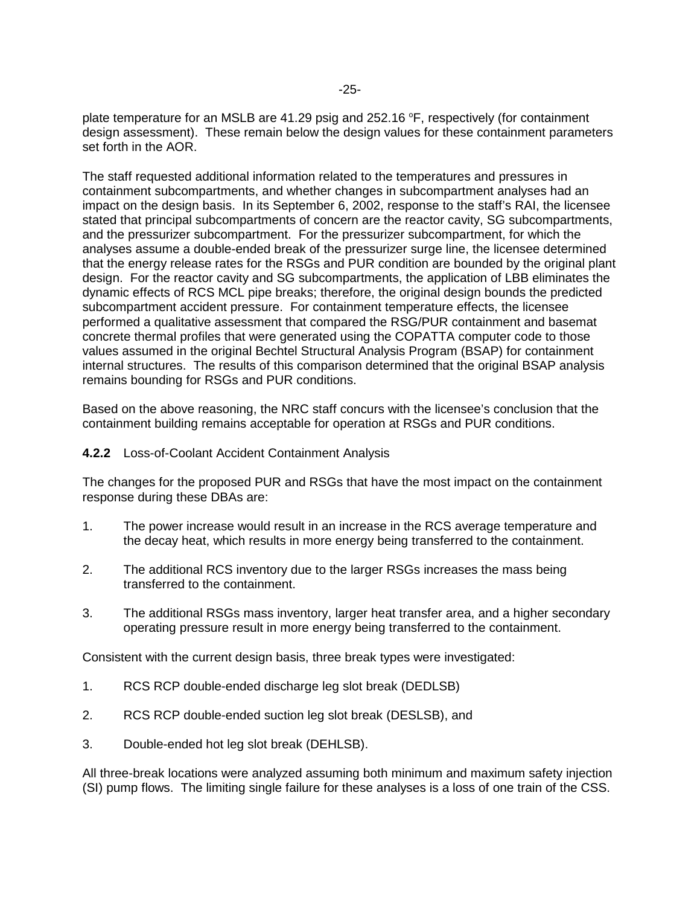plate temperature for an MSLB are 41.29 psig and 252.16 °F, respectively (for containment design assessment). These remain below the design values for these containment parameters set forth in the AOR.

The staff requested additional information related to the temperatures and pressures in containment subcompartments, and whether changes in subcompartment analyses had an impact on the design basis. In its September 6, 2002, response to the staff's RAI, the licensee stated that principal subcompartments of concern are the reactor cavity, SG subcompartments, and the pressurizer subcompartment. For the pressurizer subcompartment, for which the analyses assume a double-ended break of the pressurizer surge line, the licensee determined that the energy release rates for the RSGs and PUR condition are bounded by the original plant design. For the reactor cavity and SG subcompartments, the application of LBB eliminates the dynamic effects of RCS MCL pipe breaks; therefore, the original design bounds the predicted subcompartment accident pressure. For containment temperature effects, the licensee performed a qualitative assessment that compared the RSG/PUR containment and basemat concrete thermal profiles that were generated using the COPATTA computer code to those values assumed in the original Bechtel Structural Analysis Program (BSAP) for containment internal structures. The results of this comparison determined that the original BSAP analysis remains bounding for RSGs and PUR conditions.

Based on the above reasoning, the NRC staff concurs with the licensee's conclusion that the containment building remains acceptable for operation at RSGs and PUR conditions.

#### **4.2.2** Loss-of-Coolant Accident Containment Analysis

The changes for the proposed PUR and RSGs that have the most impact on the containment response during these DBAs are:

- 1. The power increase would result in an increase in the RCS average temperature and the decay heat, which results in more energy being transferred to the containment.
- 2. The additional RCS inventory due to the larger RSGs increases the mass being transferred to the containment.
- 3. The additional RSGs mass inventory, larger heat transfer area, and a higher secondary operating pressure result in more energy being transferred to the containment.

Consistent with the current design basis, three break types were investigated:

- 1. RCS RCP double-ended discharge leg slot break (DEDLSB)
- 2. RCS RCP double-ended suction leg slot break (DESLSB), and
- 3. Double-ended hot leg slot break (DEHLSB).

All three-break locations were analyzed assuming both minimum and maximum safety injection (SI) pump flows. The limiting single failure for these analyses is a loss of one train of the CSS.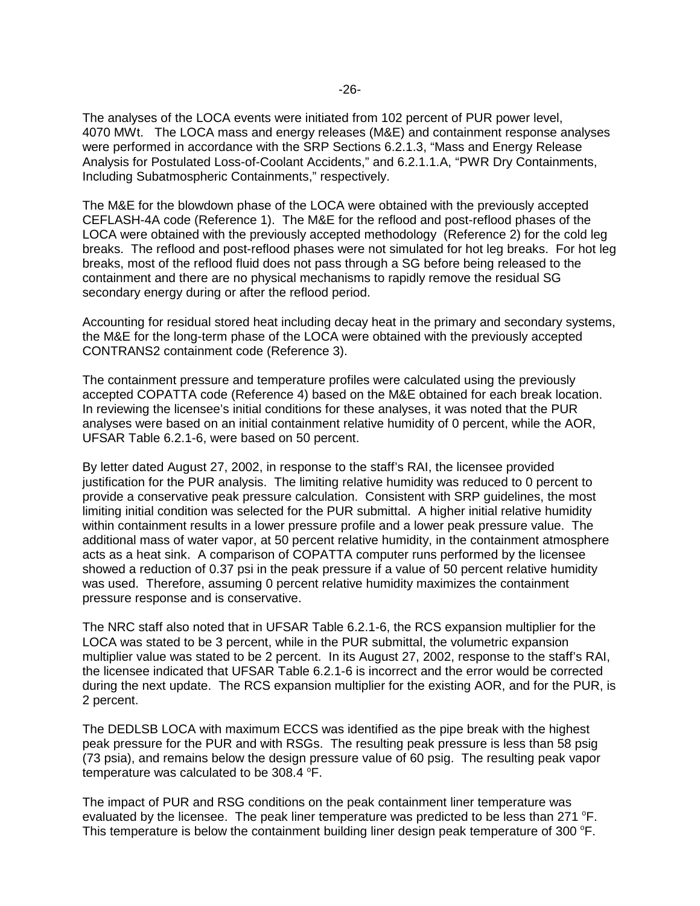The analyses of the LOCA events were initiated from 102 percent of PUR power level, 4070 MWt. The LOCA mass and energy releases (M&E) and containment response analyses were performed in accordance with the SRP Sections 6.2.1.3, "Mass and Energy Release Analysis for Postulated Loss-of-Coolant Accidents," and 6.2.1.1.A, "PWR Dry Containments, Including Subatmospheric Containments," respectively.

The M&E for the blowdown phase of the LOCA were obtained with the previously accepted CEFLASH-4A code (Reference 1). The M&E for the reflood and post-reflood phases of the LOCA were obtained with the previously accepted methodology (Reference 2) for the cold leg breaks. The reflood and post-reflood phases were not simulated for hot leg breaks. For hot leg breaks, most of the reflood fluid does not pass through a SG before being released to the containment and there are no physical mechanisms to rapidly remove the residual SG secondary energy during or after the reflood period.

Accounting for residual stored heat including decay heat in the primary and secondary systems, the M&E for the long-term phase of the LOCA were obtained with the previously accepted CONTRANS2 containment code (Reference 3).

The containment pressure and temperature profiles were calculated using the previously accepted COPATTA code (Reference 4) based on the M&E obtained for each break location. In reviewing the licensee's initial conditions for these analyses, it was noted that the PUR analyses were based on an initial containment relative humidity of 0 percent, while the AOR, UFSAR Table 6.2.1-6, were based on 50 percent.

By letter dated August 27, 2002, in response to the staff's RAI, the licensee provided justification for the PUR analysis. The limiting relative humidity was reduced to 0 percent to provide a conservative peak pressure calculation. Consistent with SRP guidelines, the most limiting initial condition was selected for the PUR submittal. A higher initial relative humidity within containment results in a lower pressure profile and a lower peak pressure value. The additional mass of water vapor, at 50 percent relative humidity, in the containment atmosphere acts as a heat sink. A comparison of COPATTA computer runs performed by the licensee showed a reduction of 0.37 psi in the peak pressure if a value of 50 percent relative humidity was used. Therefore, assuming 0 percent relative humidity maximizes the containment pressure response and is conservative.

The NRC staff also noted that in UFSAR Table 6.2.1-6, the RCS expansion multiplier for the LOCA was stated to be 3 percent, while in the PUR submittal, the volumetric expansion multiplier value was stated to be 2 percent. In its August 27, 2002, response to the staff's RAI, the licensee indicated that UFSAR Table 6.2.1-6 is incorrect and the error would be corrected during the next update. The RCS expansion multiplier for the existing AOR, and for the PUR, is 2 percent.

The DEDLSB LOCA with maximum ECCS was identified as the pipe break with the highest peak pressure for the PUR and with RSGs. The resulting peak pressure is less than 58 psig (73 psia), and remains below the design pressure value of 60 psig. The resulting peak vapor temperature was calculated to be 308.4  $\mathrm{^{\circ}F}.$ 

The impact of PUR and RSG conditions on the peak containment liner temperature was evaluated by the licensee. The peak liner temperature was predicted to be less than 271  $\textdegree$ F. This temperature is below the containment building liner design peak temperature of 300  $\degree$ F.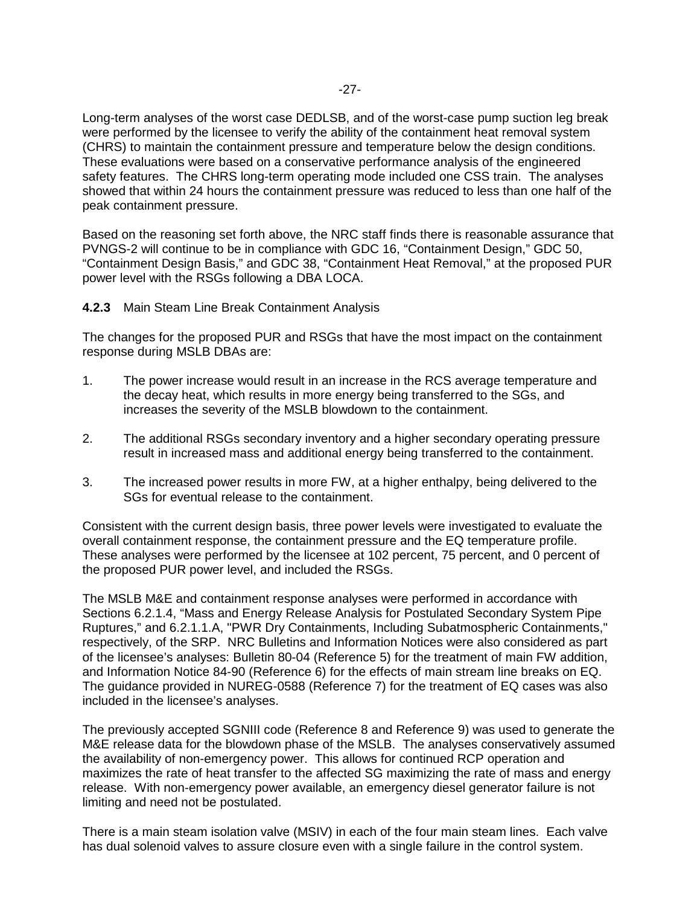Long-term analyses of the worst case DEDLSB, and of the worst-case pump suction leg break were performed by the licensee to verify the ability of the containment heat removal system (CHRS) to maintain the containment pressure and temperature below the design conditions. These evaluations were based on a conservative performance analysis of the engineered safety features. The CHRS long-term operating mode included one CSS train. The analyses showed that within 24 hours the containment pressure was reduced to less than one half of the peak containment pressure.

Based on the reasoning set forth above, the NRC staff finds there is reasonable assurance that PVNGS-2 will continue to be in compliance with GDC 16, "Containment Design," GDC 50, "Containment Design Basis," and GDC 38, "Containment Heat Removal," at the proposed PUR power level with the RSGs following a DBA LOCA.

**4.2.3** Main Steam Line Break Containment Analysis

The changes for the proposed PUR and RSGs that have the most impact on the containment response during MSLB DBAs are:

- 1. The power increase would result in an increase in the RCS average temperature and the decay heat, which results in more energy being transferred to the SGs, and increases the severity of the MSLB blowdown to the containment.
- 2. The additional RSGs secondary inventory and a higher secondary operating pressure result in increased mass and additional energy being transferred to the containment.
- 3. The increased power results in more FW, at a higher enthalpy, being delivered to the SGs for eventual release to the containment.

Consistent with the current design basis, three power levels were investigated to evaluate the overall containment response, the containment pressure and the EQ temperature profile. These analyses were performed by the licensee at 102 percent, 75 percent, and 0 percent of the proposed PUR power level, and included the RSGs.

The MSLB M&E and containment response analyses were performed in accordance with Sections 6.2.1.4, "Mass and Energy Release Analysis for Postulated Secondary System Pipe Ruptures," and 6.2.1.1.A, "PWR Dry Containments, Including Subatmospheric Containments," respectively, of the SRP. NRC Bulletins and Information Notices were also considered as part of the licensee's analyses: Bulletin 80-04 (Reference 5) for the treatment of main FW addition, and Information Notice 84-90 (Reference 6) for the effects of main stream line breaks on EQ. The guidance provided in NUREG-0588 (Reference 7) for the treatment of EQ cases was also included in the licensee's analyses.

The previously accepted SGNIII code (Reference 8 and Reference 9) was used to generate the M&E release data for the blowdown phase of the MSLB. The analyses conservatively assumed the availability of non-emergency power. This allows for continued RCP operation and maximizes the rate of heat transfer to the affected SG maximizing the rate of mass and energy release. With non-emergency power available, an emergency diesel generator failure is not limiting and need not be postulated.

There is a main steam isolation valve (MSIV) in each of the four main steam lines. Each valve has dual solenoid valves to assure closure even with a single failure in the control system.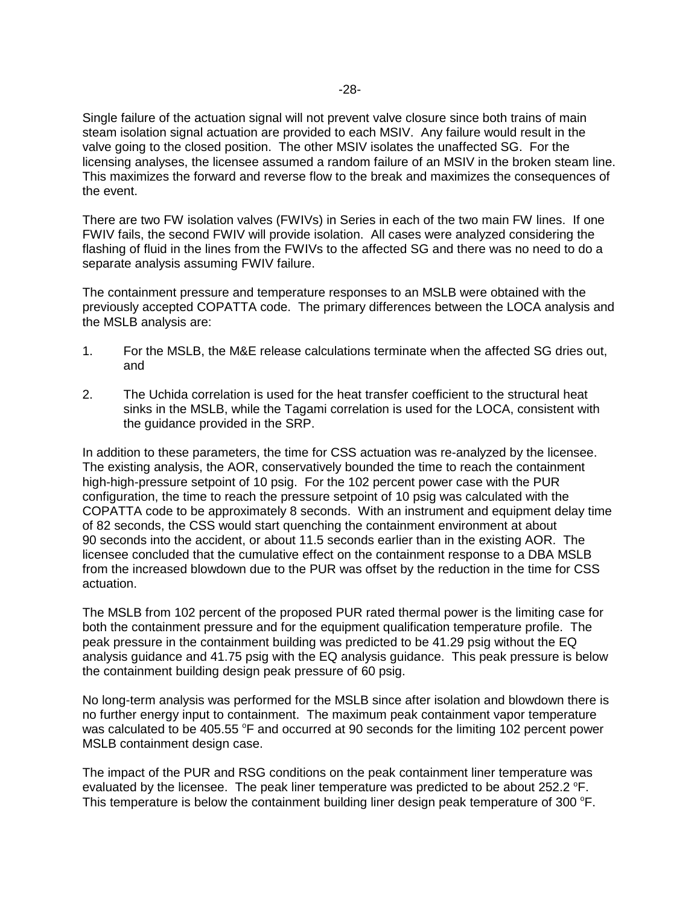Single failure of the actuation signal will not prevent valve closure since both trains of main steam isolation signal actuation are provided to each MSIV. Any failure would result in the valve going to the closed position. The other MSIV isolates the unaffected SG. For the licensing analyses, the licensee assumed a random failure of an MSIV in the broken steam line. This maximizes the forward and reverse flow to the break and maximizes the consequences of the event.

There are two FW isolation valves (FWIVs) in Series in each of the two main FW lines. If one FWIV fails, the second FWIV will provide isolation. All cases were analyzed considering the flashing of fluid in the lines from the FWIVs to the affected SG and there was no need to do a separate analysis assuming FWIV failure.

The containment pressure and temperature responses to an MSLB were obtained with the previously accepted COPATTA code. The primary differences between the LOCA analysis and the MSLB analysis are:

- 1. For the MSLB, the M&E release calculations terminate when the affected SG dries out, and
- 2. The Uchida correlation is used for the heat transfer coefficient to the structural heat sinks in the MSLB, while the Tagami correlation is used for the LOCA, consistent with the guidance provided in the SRP.

In addition to these parameters, the time for CSS actuation was re-analyzed by the licensee. The existing analysis, the AOR, conservatively bounded the time to reach the containment high-high-pressure setpoint of 10 psig. For the 102 percent power case with the PUR configuration, the time to reach the pressure setpoint of 10 psig was calculated with the COPATTA code to be approximately 8 seconds. With an instrument and equipment delay time of 82 seconds, the CSS would start quenching the containment environment at about 90 seconds into the accident, or about 11.5 seconds earlier than in the existing AOR. The licensee concluded that the cumulative effect on the containment response to a DBA MSLB from the increased blowdown due to the PUR was offset by the reduction in the time for CSS actuation.

The MSLB from 102 percent of the proposed PUR rated thermal power is the limiting case for both the containment pressure and for the equipment qualification temperature profile. The peak pressure in the containment building was predicted to be 41.29 psig without the EQ analysis guidance and 41.75 psig with the EQ analysis guidance. This peak pressure is below the containment building design peak pressure of 60 psig.

No long-term analysis was performed for the MSLB since after isolation and blowdown there is no further energy input to containment. The maximum peak containment vapor temperature was calculated to be 405.55 °F and occurred at 90 seconds for the limiting 102 percent power MSLB containment design case.

The impact of the PUR and RSG conditions on the peak containment liner temperature was evaluated by the licensee. The peak liner temperature was predicted to be about  $252.2$  °F. This temperature is below the containment building liner design peak temperature of 300  $\textdegree$ F.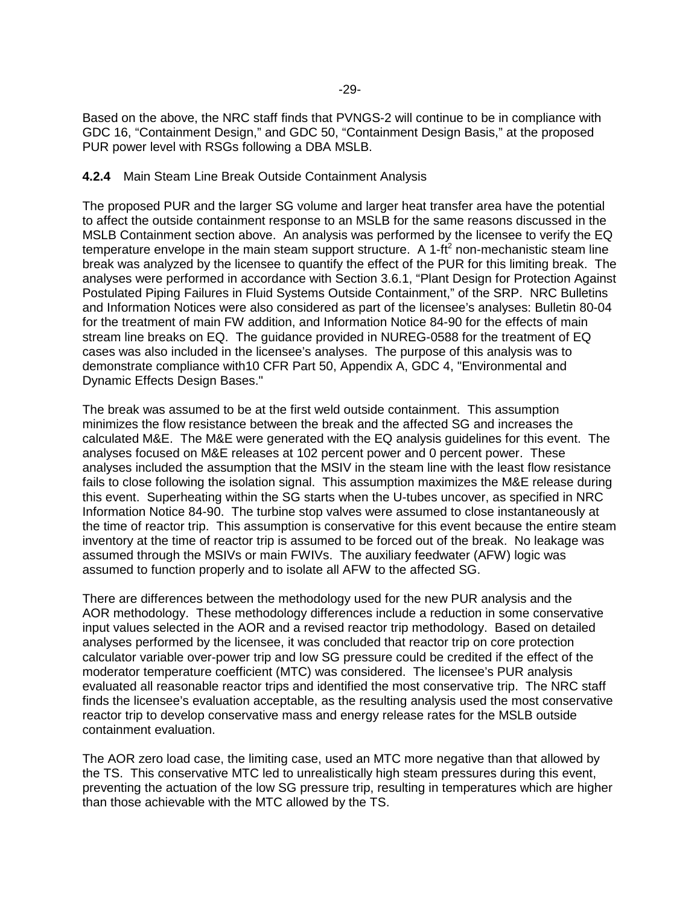Based on the above, the NRC staff finds that PVNGS-2 will continue to be in compliance with GDC 16, "Containment Design," and GDC 50, "Containment Design Basis," at the proposed PUR power level with RSGs following a DBA MSLB.

#### **4.2.4** Main Steam Line Break Outside Containment Analysis

The proposed PUR and the larger SG volume and larger heat transfer area have the potential to affect the outside containment response to an MSLB for the same reasons discussed in the MSLB Containment section above. An analysis was performed by the licensee to verify the EQ temperature envelope in the main steam support structure. A 1-ft<sup>2</sup> non-mechanistic steam line break was analyzed by the licensee to quantify the effect of the PUR for this limiting break. The analyses were performed in accordance with Section 3.6.1, "Plant Design for Protection Against Postulated Piping Failures in Fluid Systems Outside Containment," of the SRP. NRC Bulletins and Information Notices were also considered as part of the licensee's analyses: Bulletin 80-04 for the treatment of main FW addition, and Information Notice 84-90 for the effects of main stream line breaks on EQ. The guidance provided in NUREG-0588 for the treatment of EQ cases was also included in the licensee's analyses. The purpose of this analysis was to demonstrate compliance with10 CFR Part 50, Appendix A, GDC 4, "Environmental and Dynamic Effects Design Bases."

The break was assumed to be at the first weld outside containment. This assumption minimizes the flow resistance between the break and the affected SG and increases the calculated M&E. The M&E were generated with the EQ analysis guidelines for this event. The analyses focused on M&E releases at 102 percent power and 0 percent power. These analyses included the assumption that the MSIV in the steam line with the least flow resistance fails to close following the isolation signal. This assumption maximizes the M&E release during this event. Superheating within the SG starts when the U-tubes uncover, as specified in NRC Information Notice 84-90. The turbine stop valves were assumed to close instantaneously at the time of reactor trip. This assumption is conservative for this event because the entire steam inventory at the time of reactor trip is assumed to be forced out of the break. No leakage was assumed through the MSIVs or main FWIVs. The auxiliary feedwater (AFW) logic was assumed to function properly and to isolate all AFW to the affected SG.

There are differences between the methodology used for the new PUR analysis and the AOR methodology. These methodology differences include a reduction in some conservative input values selected in the AOR and a revised reactor trip methodology. Based on detailed analyses performed by the licensee, it was concluded that reactor trip on core protection calculator variable over-power trip and low SG pressure could be credited if the effect of the moderator temperature coefficient (MTC) was considered. The licensee's PUR analysis evaluated all reasonable reactor trips and identified the most conservative trip. The NRC staff finds the licensee's evaluation acceptable, as the resulting analysis used the most conservative reactor trip to develop conservative mass and energy release rates for the MSLB outside containment evaluation.

The AOR zero load case, the limiting case, used an MTC more negative than that allowed by the TS. This conservative MTC led to unrealistically high steam pressures during this event, preventing the actuation of the low SG pressure trip, resulting in temperatures which are higher than those achievable with the MTC allowed by the TS.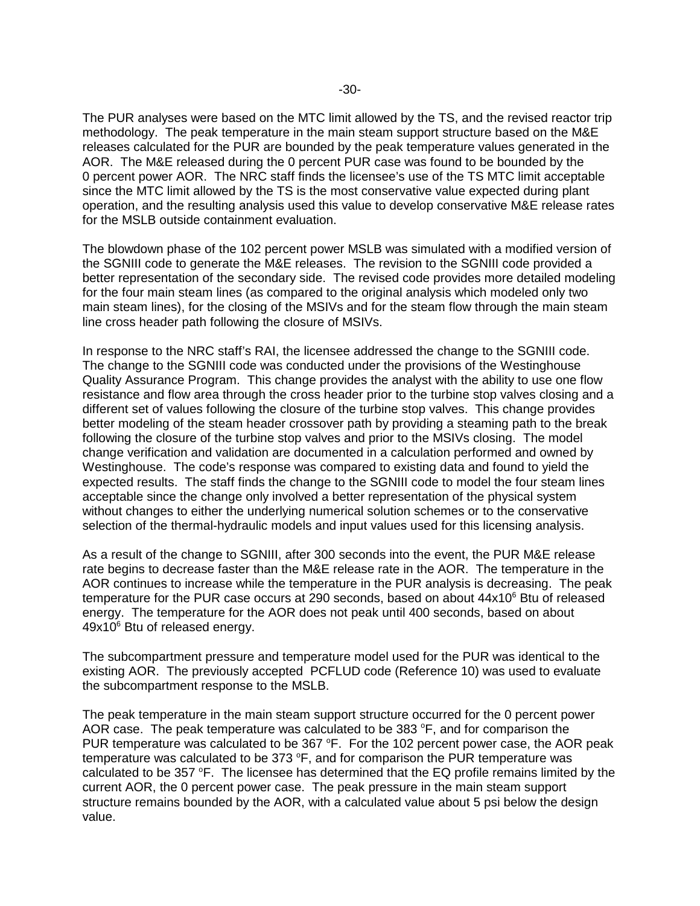The PUR analyses were based on the MTC limit allowed by the TS, and the revised reactor trip methodology. The peak temperature in the main steam support structure based on the M&E releases calculated for the PUR are bounded by the peak temperature values generated in the AOR. The M&E released during the 0 percent PUR case was found to be bounded by the 0 percent power AOR. The NRC staff finds the licensee's use of the TS MTC limit acceptable since the MTC limit allowed by the TS is the most conservative value expected during plant operation, and the resulting analysis used this value to develop conservative M&E release rates for the MSLB outside containment evaluation.

The blowdown phase of the 102 percent power MSLB was simulated with a modified version of the SGNIII code to generate the M&E releases. The revision to the SGNIII code provided a better representation of the secondary side. The revised code provides more detailed modeling for the four main steam lines (as compared to the original analysis which modeled only two main steam lines), for the closing of the MSIVs and for the steam flow through the main steam line cross header path following the closure of MSIVs.

In response to the NRC staff's RAI, the licensee addressed the change to the SGNIII code. The change to the SGNIII code was conducted under the provisions of the Westinghouse Quality Assurance Program. This change provides the analyst with the ability to use one flow resistance and flow area through the cross header prior to the turbine stop valves closing and a different set of values following the closure of the turbine stop valves. This change provides better modeling of the steam header crossover path by providing a steaming path to the break following the closure of the turbine stop valves and prior to the MSIVs closing. The model change verification and validation are documented in a calculation performed and owned by Westinghouse. The code's response was compared to existing data and found to yield the expected results. The staff finds the change to the SGNIII code to model the four steam lines acceptable since the change only involved a better representation of the physical system without changes to either the underlying numerical solution schemes or to the conservative selection of the thermal-hydraulic models and input values used for this licensing analysis.

As a result of the change to SGNIII, after 300 seconds into the event, the PUR M&E release rate begins to decrease faster than the M&E release rate in the AOR. The temperature in the AOR continues to increase while the temperature in the PUR analysis is decreasing. The peak temperature for the PUR case occurs at 290 seconds, based on about 44x10<sup>6</sup> Btu of released energy. The temperature for the AOR does not peak until 400 seconds, based on about 49x10<sup>6</sup> Btu of released energy.

The subcompartment pressure and temperature model used for the PUR was identical to the existing AOR. The previously accepted PCFLUD code (Reference 10) was used to evaluate the subcompartment response to the MSLB.

The peak temperature in the main steam support structure occurred for the 0 percent power AOR case. The peak temperature was calculated to be 383  $\degree$ F, and for comparison the PUR temperature was calculated to be 367 °F. For the 102 percent power case, the AOR peak temperature was calculated to be 373  $\textdegree$ F, and for comparison the PUR temperature was calculated to be 357  $\textdegree$ F. The licensee has determined that the EQ profile remains limited by the current AOR, the 0 percent power case. The peak pressure in the main steam support structure remains bounded by the AOR, with a calculated value about 5 psi below the design value.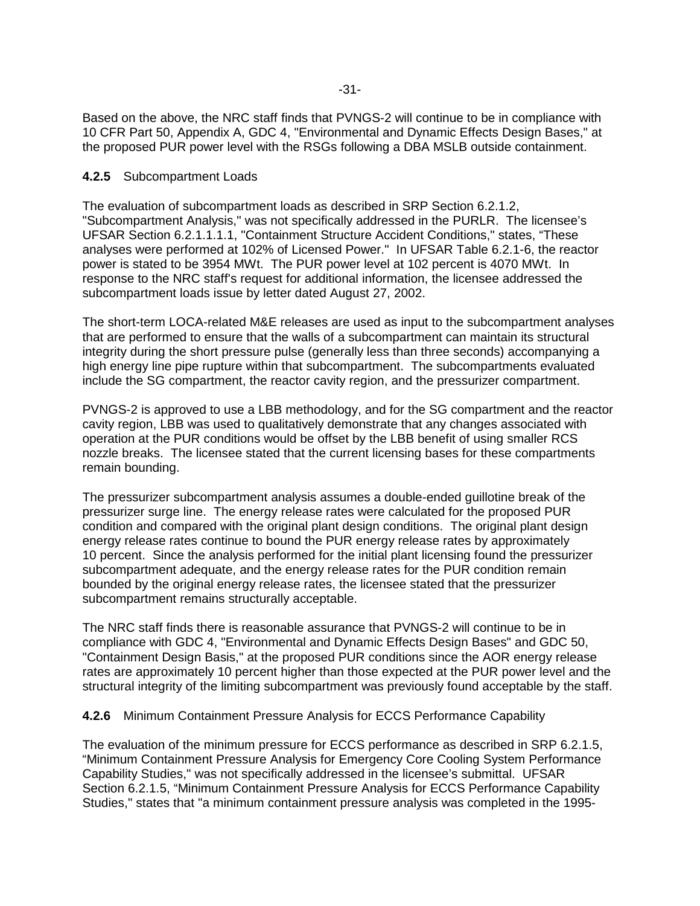Based on the above, the NRC staff finds that PVNGS-2 will continue to be in compliance with 10 CFR Part 50, Appendix A, GDC 4, "Environmental and Dynamic Effects Design Bases," at the proposed PUR power level with the RSGs following a DBA MSLB outside containment.

### **4.2.5** Subcompartment Loads

The evaluation of subcompartment loads as described in SRP Section 6.2.1.2, "Subcompartment Analysis," was not specifically addressed in the PURLR. The licensee's UFSAR Section 6.2.1.1.1.1, "Containment Structure Accident Conditions," states, "These analyses were performed at 102% of Licensed Power." In UFSAR Table 6.2.1-6, the reactor power is stated to be 3954 MWt. The PUR power level at 102 percent is 4070 MWt. In response to the NRC staff's request for additional information, the licensee addressed the subcompartment loads issue by letter dated August 27, 2002.

The short-term LOCA-related M&E releases are used as input to the subcompartment analyses that are performed to ensure that the walls of a subcompartment can maintain its structural integrity during the short pressure pulse (generally less than three seconds) accompanying a high energy line pipe rupture within that subcompartment. The subcompartments evaluated include the SG compartment, the reactor cavity region, and the pressurizer compartment.

PVNGS-2 is approved to use a LBB methodology, and for the SG compartment and the reactor cavity region, LBB was used to qualitatively demonstrate that any changes associated with operation at the PUR conditions would be offset by the LBB benefit of using smaller RCS nozzle breaks. The licensee stated that the current licensing bases for these compartments remain bounding.

The pressurizer subcompartment analysis assumes a double-ended guillotine break of the pressurizer surge line. The energy release rates were calculated for the proposed PUR condition and compared with the original plant design conditions. The original plant design energy release rates continue to bound the PUR energy release rates by approximately 10 percent. Since the analysis performed for the initial plant licensing found the pressurizer subcompartment adequate, and the energy release rates for the PUR condition remain bounded by the original energy release rates, the licensee stated that the pressurizer subcompartment remains structurally acceptable.

The NRC staff finds there is reasonable assurance that PVNGS-2 will continue to be in compliance with GDC 4, "Environmental and Dynamic Effects Design Bases" and GDC 50, "Containment Design Basis," at the proposed PUR conditions since the AOR energy release rates are approximately 10 percent higher than those expected at the PUR power level and the structural integrity of the limiting subcompartment was previously found acceptable by the staff.

# **4.2.6** Minimum Containment Pressure Analysis for ECCS Performance Capability

The evaluation of the minimum pressure for ECCS performance as described in SRP 6.2.1.5, "Minimum Containment Pressure Analysis for Emergency Core Cooling System Performance Capability Studies," was not specifically addressed in the licensee's submittal. UFSAR Section 6.2.1.5, "Minimum Containment Pressure Analysis for ECCS Performance Capability Studies," states that "a minimum containment pressure analysis was completed in the 1995-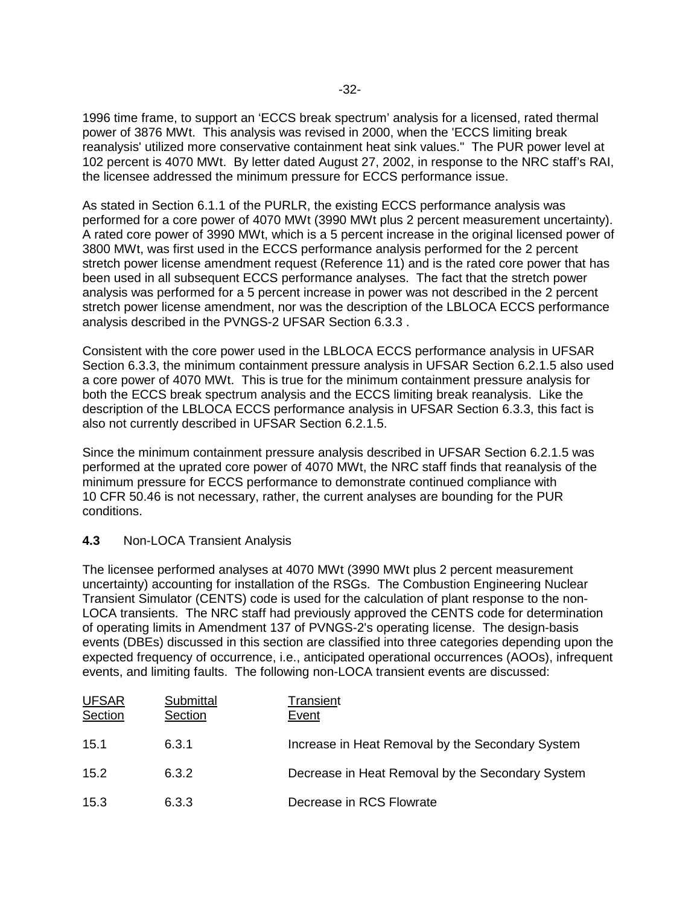1996 time frame, to support an 'ECCS break spectrum' analysis for a licensed, rated thermal power of 3876 MWt. This analysis was revised in 2000, when the 'ECCS limiting break reanalysis' utilized more conservative containment heat sink values." The PUR power level at 102 percent is 4070 MWt. By letter dated August 27, 2002, in response to the NRC staff's RAI, the licensee addressed the minimum pressure for ECCS performance issue.

As stated in Section 6.1.1 of the PURLR, the existing ECCS performance analysis was performed for a core power of 4070 MWt (3990 MWt plus 2 percent measurement uncertainty). A rated core power of 3990 MWt, which is a 5 percent increase in the original licensed power of 3800 MWt, was first used in the ECCS performance analysis performed for the 2 percent stretch power license amendment request (Reference 11) and is the rated core power that has been used in all subsequent ECCS performance analyses. The fact that the stretch power analysis was performed for a 5 percent increase in power was not described in the 2 percent stretch power license amendment, nor was the description of the LBLOCA ECCS performance analysis described in the PVNGS-2 UFSAR Section 6.3.3 .

Consistent with the core power used in the LBLOCA ECCS performance analysis in UFSAR Section 6.3.3, the minimum containment pressure analysis in UFSAR Section 6.2.1.5 also used a core power of 4070 MWt. This is true for the minimum containment pressure analysis for both the ECCS break spectrum analysis and the ECCS limiting break reanalysis. Like the description of the LBLOCA ECCS performance analysis in UFSAR Section 6.3.3, this fact is also not currently described in UFSAR Section 6.2.1.5.

Since the minimum containment pressure analysis described in UFSAR Section 6.2.1.5 was performed at the uprated core power of 4070 MWt, the NRC staff finds that reanalysis of the minimum pressure for ECCS performance to demonstrate continued compliance with 10 CFR 50.46 is not necessary, rather, the current analyses are bounding for the PUR conditions.

#### **4.3** Non-LOCA Transient Analysis

The licensee performed analyses at 4070 MWt (3990 MWt plus 2 percent measurement uncertainty) accounting for installation of the RSGs. The Combustion Engineering Nuclear Transient Simulator (CENTS) code is used for the calculation of plant response to the non-LOCA transients. The NRC staff had previously approved the CENTS code for determination of operating limits in Amendment 137 of PVNGS-2's operating license. The design-basis events (DBEs) discussed in this section are classified into three categories depending upon the expected frequency of occurrence, i.e., anticipated operational occurrences (AOOs), infrequent events, and limiting faults. The following non-LOCA transient events are discussed:

| <b>UFSAR</b><br>Section | <b>Submittal</b><br>Section | Transient<br>Event                               |
|-------------------------|-----------------------------|--------------------------------------------------|
| 15.1                    | 6.3.1                       | Increase in Heat Removal by the Secondary System |
| 15.2                    | 6.3.2                       | Decrease in Heat Removal by the Secondary System |
| 15.3                    | 6.3.3                       | Decrease in RCS Flowrate                         |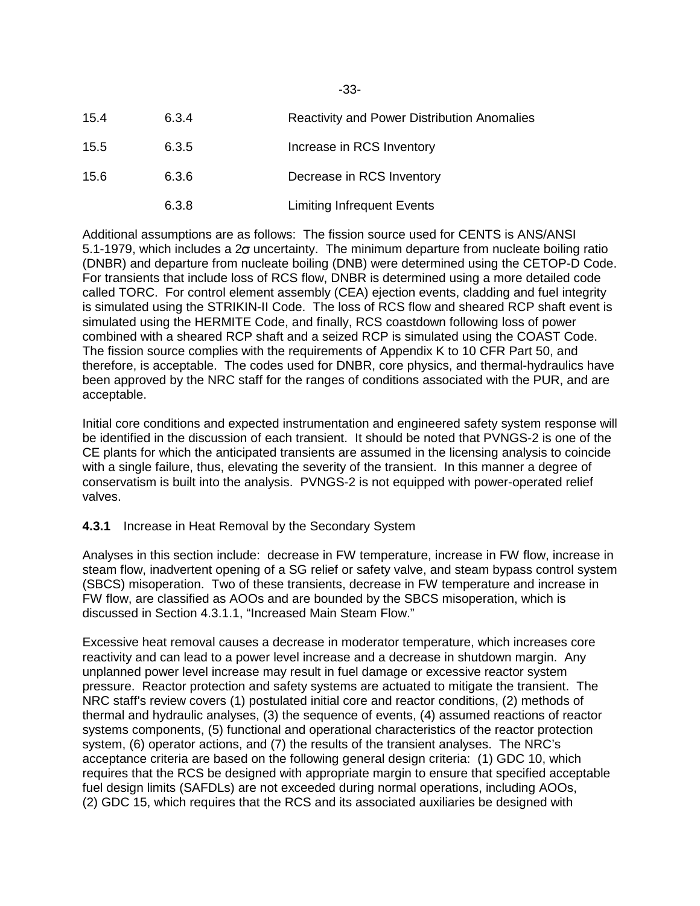| 15.4 | 6.3.4 | <b>Reactivity and Power Distribution Anomalies</b> |
|------|-------|----------------------------------------------------|
| 15.5 | 6.3.5 | Increase in RCS Inventory                          |
| 15.6 | 6.3.6 | Decrease in RCS Inventory                          |
|      | 6.3.8 | Limiting Infrequent Events                         |

Additional assumptions are as follows: The fission source used for CENTS is ANS/ANSI 5.1-1979, which includes a 2 $\sigma$  uncertainty. The minimum departure from nucleate boiling ratio (DNBR) and departure from nucleate boiling (DNB) were determined using the CETOP-D Code. For transients that include loss of RCS flow, DNBR is determined using a more detailed code called TORC. For control element assembly (CEA) ejection events, cladding and fuel integrity is simulated using the STRIKIN-II Code. The loss of RCS flow and sheared RCP shaft event is simulated using the HERMITE Code, and finally, RCS coastdown following loss of power combined with a sheared RCP shaft and a seized RCP is simulated using the COAST Code. The fission source complies with the requirements of Appendix K to 10 CFR Part 50, and therefore, is acceptable. The codes used for DNBR, core physics, and thermal-hydraulics have been approved by the NRC staff for the ranges of conditions associated with the PUR, and are acceptable.

Initial core conditions and expected instrumentation and engineered safety system response will be identified in the discussion of each transient. It should be noted that PVNGS-2 is one of the CE plants for which the anticipated transients are assumed in the licensing analysis to coincide with a single failure, thus, elevating the severity of the transient. In this manner a degree of conservatism is built into the analysis. PVNGS-2 is not equipped with power-operated relief valves.

# **4.3.1** Increase in Heat Removal by the Secondary System

Analyses in this section include: decrease in FW temperature, increase in FW flow, increase in steam flow, inadvertent opening of a SG relief or safety valve, and steam bypass control system (SBCS) misoperation. Two of these transients, decrease in FW temperature and increase in FW flow, are classified as AOOs and are bounded by the SBCS misoperation, which is discussed in Section 4.3.1.1, "Increased Main Steam Flow."

Excessive heat removal causes a decrease in moderator temperature, which increases core reactivity and can lead to a power level increase and a decrease in shutdown margin. Any unplanned power level increase may result in fuel damage or excessive reactor system pressure. Reactor protection and safety systems are actuated to mitigate the transient. The NRC staff's review covers (1) postulated initial core and reactor conditions, (2) methods of thermal and hydraulic analyses, (3) the sequence of events, (4) assumed reactions of reactor systems components, (5) functional and operational characteristics of the reactor protection system, (6) operator actions, and (7) the results of the transient analyses. The NRC's acceptance criteria are based on the following general design criteria: (1) GDC 10, which requires that the RCS be designed with appropriate margin to ensure that specified acceptable fuel design limits (SAFDLs) are not exceeded during normal operations, including AOOs, (2) GDC 15, which requires that the RCS and its associated auxiliaries be designed with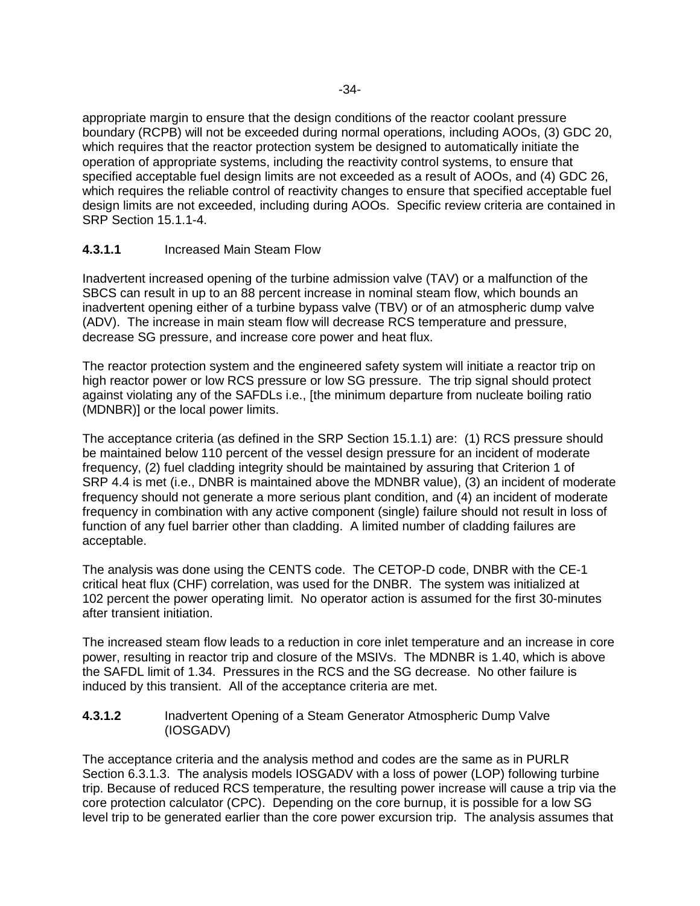appropriate margin to ensure that the design conditions of the reactor coolant pressure boundary (RCPB) will not be exceeded during normal operations, including AOOs, (3) GDC 20, which requires that the reactor protection system be designed to automatically initiate the operation of appropriate systems, including the reactivity control systems, to ensure that specified acceptable fuel design limits are not exceeded as a result of AOOs, and (4) GDC 26, which requires the reliable control of reactivity changes to ensure that specified acceptable fuel design limits are not exceeded, including during AOOs. Specific review criteria are contained in SRP Section 15.1.1-4.

# **4.3.1.1** Increased Main Steam Flow

Inadvertent increased opening of the turbine admission valve (TAV) or a malfunction of the SBCS can result in up to an 88 percent increase in nominal steam flow, which bounds an inadvertent opening either of a turbine bypass valve (TBV) or of an atmospheric dump valve (ADV). The increase in main steam flow will decrease RCS temperature and pressure, decrease SG pressure, and increase core power and heat flux.

The reactor protection system and the engineered safety system will initiate a reactor trip on high reactor power or low RCS pressure or low SG pressure. The trip signal should protect against violating any of the SAFDLs i.e., [the minimum departure from nucleate boiling ratio (MDNBR)] or the local power limits.

The acceptance criteria (as defined in the SRP Section 15.1.1) are: (1) RCS pressure should be maintained below 110 percent of the vessel design pressure for an incident of moderate frequency, (2) fuel cladding integrity should be maintained by assuring that Criterion 1 of SRP 4.4 is met (i.e., DNBR is maintained above the MDNBR value), (3) an incident of moderate frequency should not generate a more serious plant condition, and (4) an incident of moderate frequency in combination with any active component (single) failure should not result in loss of function of any fuel barrier other than cladding. A limited number of cladding failures are acceptable.

The analysis was done using the CENTS code. The CETOP-D code, DNBR with the CE-1 critical heat flux (CHF) correlation, was used for the DNBR. The system was initialized at 102 percent the power operating limit. No operator action is assumed for the first 30-minutes after transient initiation.

The increased steam flow leads to a reduction in core inlet temperature and an increase in core power, resulting in reactor trip and closure of the MSIVs. The MDNBR is 1.40, which is above the SAFDL limit of 1.34. Pressures in the RCS and the SG decrease. No other failure is induced by this transient. All of the acceptance criteria are met.

### **4.3.1.2** Inadvertent Opening of a Steam Generator Atmospheric Dump Valve (IOSGADV)

The acceptance criteria and the analysis method and codes are the same as in PURLR Section 6.3.1.3. The analysis models IOSGADV with a loss of power (LOP) following turbine trip. Because of reduced RCS temperature, the resulting power increase will cause a trip via the core protection calculator (CPC). Depending on the core burnup, it is possible for a low SG level trip to be generated earlier than the core power excursion trip. The analysis assumes that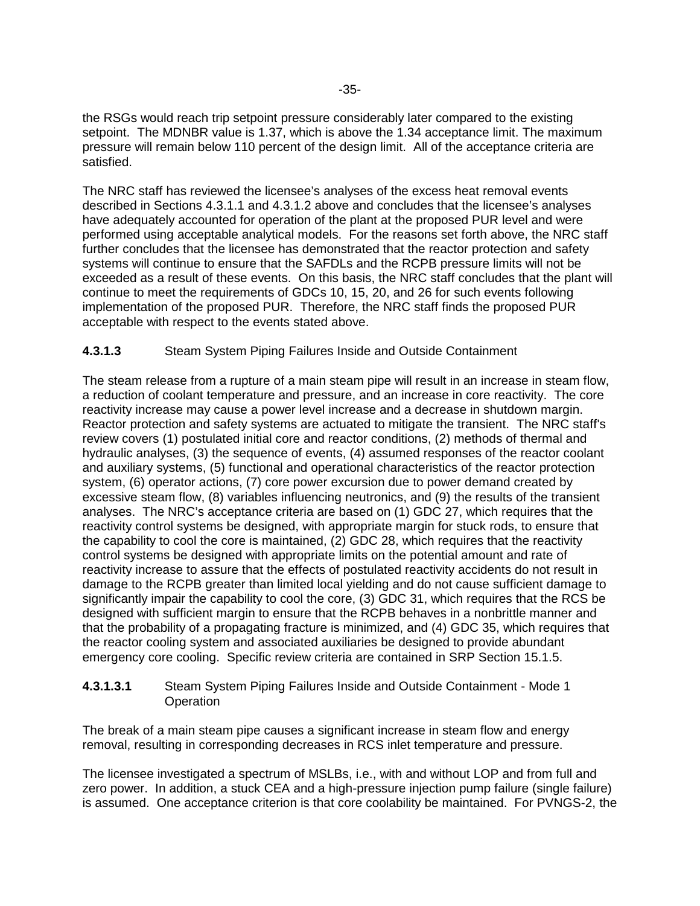the RSGs would reach trip setpoint pressure considerably later compared to the existing setpoint. The MDNBR value is 1.37, which is above the 1.34 acceptance limit. The maximum pressure will remain below 110 percent of the design limit. All of the acceptance criteria are satisfied.

The NRC staff has reviewed the licensee's analyses of the excess heat removal events described in Sections 4.3.1.1 and 4.3.1.2 above and concludes that the licensee's analyses have adequately accounted for operation of the plant at the proposed PUR level and were performed using acceptable analytical models. For the reasons set forth above, the NRC staff further concludes that the licensee has demonstrated that the reactor protection and safety systems will continue to ensure that the SAFDLs and the RCPB pressure limits will not be exceeded as a result of these events. On this basis, the NRC staff concludes that the plant will continue to meet the requirements of GDCs 10, 15, 20, and 26 for such events following implementation of the proposed PUR. Therefore, the NRC staff finds the proposed PUR acceptable with respect to the events stated above.

# **4.3.1.3** Steam System Piping Failures Inside and Outside Containment

The steam release from a rupture of a main steam pipe will result in an increase in steam flow, a reduction of coolant temperature and pressure, and an increase in core reactivity. The core reactivity increase may cause a power level increase and a decrease in shutdown margin. Reactor protection and safety systems are actuated to mitigate the transient. The NRC staff's review covers (1) postulated initial core and reactor conditions, (2) methods of thermal and hydraulic analyses, (3) the sequence of events, (4) assumed responses of the reactor coolant and auxiliary systems, (5) functional and operational characteristics of the reactor protection system, (6) operator actions, (7) core power excursion due to power demand created by excessive steam flow, (8) variables influencing neutronics, and (9) the results of the transient analyses. The NRC's acceptance criteria are based on (1) GDC 27, which requires that the reactivity control systems be designed, with appropriate margin for stuck rods, to ensure that the capability to cool the core is maintained, (2) GDC 28, which requires that the reactivity control systems be designed with appropriate limits on the potential amount and rate of reactivity increase to assure that the effects of postulated reactivity accidents do not result in damage to the RCPB greater than limited local yielding and do not cause sufficient damage to significantly impair the capability to cool the core, (3) GDC 31, which requires that the RCS be designed with sufficient margin to ensure that the RCPB behaves in a nonbrittle manner and that the probability of a propagating fracture is minimized, and (4) GDC 35, which requires that the reactor cooling system and associated auxiliaries be designed to provide abundant emergency core cooling. Specific review criteria are contained in SRP Section 15.1.5.

### **4.3.1.3.1** Steam System Piping Failures Inside and Outside Containment - Mode 1 **Operation**

The break of a main steam pipe causes a significant increase in steam flow and energy removal, resulting in corresponding decreases in RCS inlet temperature and pressure.

The licensee investigated a spectrum of MSLBs, i.e., with and without LOP and from full and zero power. In addition, a stuck CEA and a high-pressure injection pump failure (single failure) is assumed. One acceptance criterion is that core coolability be maintained. For PVNGS-2, the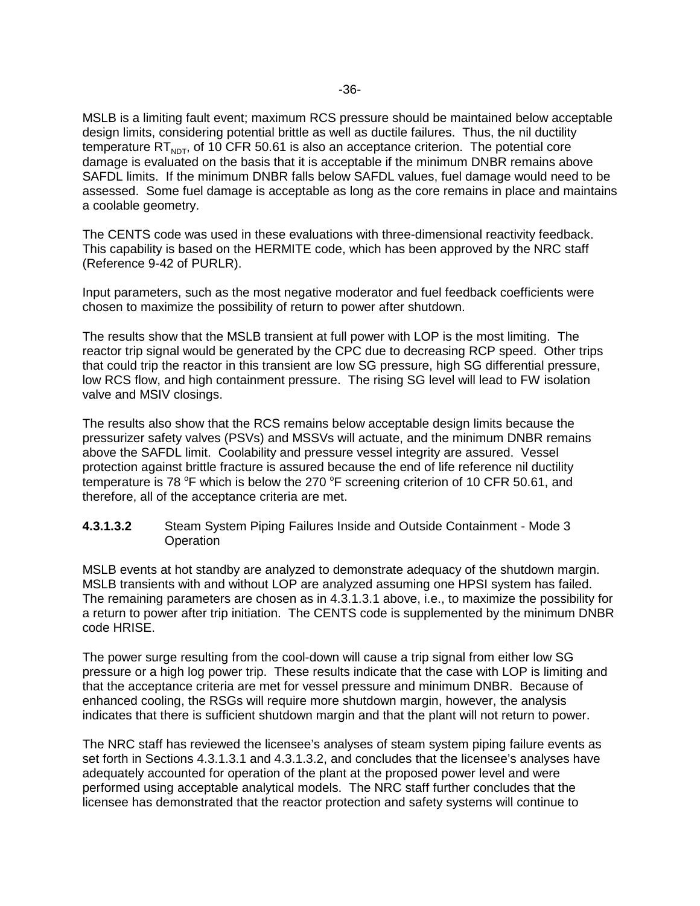MSLB is a limiting fault event; maximum RCS pressure should be maintained below acceptable design limits, considering potential brittle as well as ductile failures. Thus, the nil ductility temperature RT<sub>NDT</sub>, of 10 CFR 50.61 is also an acceptance criterion. The potential core damage is evaluated on the basis that it is acceptable if the minimum DNBR remains above SAFDL limits. If the minimum DNBR falls below SAFDL values, fuel damage would need to be assessed. Some fuel damage is acceptable as long as the core remains in place and maintains a coolable geometry.

The CENTS code was used in these evaluations with three-dimensional reactivity feedback. This capability is based on the HERMITE code, which has been approved by the NRC staff (Reference 9-42 of PURLR).

Input parameters, such as the most negative moderator and fuel feedback coefficients were chosen to maximize the possibility of return to power after shutdown.

The results show that the MSLB transient at full power with LOP is the most limiting. The reactor trip signal would be generated by the CPC due to decreasing RCP speed. Other trips that could trip the reactor in this transient are low SG pressure, high SG differential pressure, low RCS flow, and high containment pressure. The rising SG level will lead to FW isolation valve and MSIV closings.

The results also show that the RCS remains below acceptable design limits because the pressurizer safety valves (PSVs) and MSSVs will actuate, and the minimum DNBR remains above the SAFDL limit. Coolability and pressure vessel integrity are assured. Vessel protection against brittle fracture is assured because the end of life reference nil ductility temperature is 78  $\degree$ F which is below the 270  $\degree$ F screening criterion of 10 CFR 50.61, and therefore, all of the acceptance criteria are met.

**4.3.1.3.2** Steam System Piping Failures Inside and Outside Containment - Mode 3 **Operation** 

MSLB events at hot standby are analyzed to demonstrate adequacy of the shutdown margin. MSLB transients with and without LOP are analyzed assuming one HPSI system has failed. The remaining parameters are chosen as in 4.3.1.3.1 above, i.e., to maximize the possibility for a return to power after trip initiation. The CENTS code is supplemented by the minimum DNBR code HRISE.

The power surge resulting from the cool-down will cause a trip signal from either low SG pressure or a high log power trip. These results indicate that the case with LOP is limiting and that the acceptance criteria are met for vessel pressure and minimum DNBR. Because of enhanced cooling, the RSGs will require more shutdown margin, however, the analysis indicates that there is sufficient shutdown margin and that the plant will not return to power.

The NRC staff has reviewed the licensee's analyses of steam system piping failure events as set forth in Sections 4.3.1.3.1 and 4.3.1.3.2, and concludes that the licensee's analyses have adequately accounted for operation of the plant at the proposed power level and were performed using acceptable analytical models. The NRC staff further concludes that the licensee has demonstrated that the reactor protection and safety systems will continue to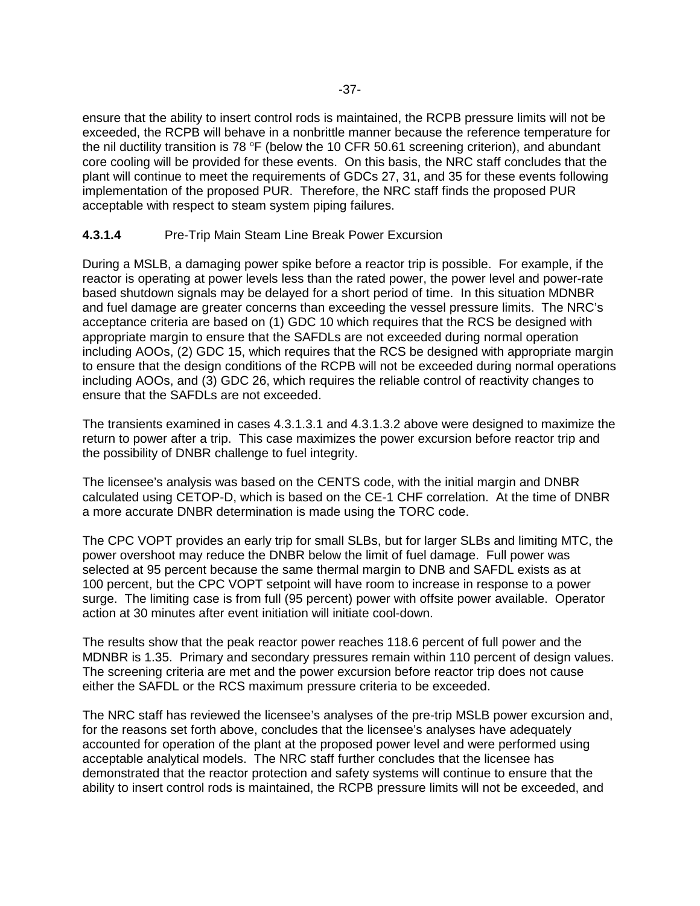ensure that the ability to insert control rods is maintained, the RCPB pressure limits will not be exceeded, the RCPB will behave in a nonbrittle manner because the reference temperature for the nil ductility transition is 78 °F (below the 10 CFR 50.61 screening criterion), and abundant core cooling will be provided for these events. On this basis, the NRC staff concludes that the plant will continue to meet the requirements of GDCs 27, 31, and 35 for these events following implementation of the proposed PUR. Therefore, the NRC staff finds the proposed PUR acceptable with respect to steam system piping failures.

# **4.3.1.4** Pre-Trip Main Steam Line Break Power Excursion

During a MSLB, a damaging power spike before a reactor trip is possible. For example, if the reactor is operating at power levels less than the rated power, the power level and power-rate based shutdown signals may be delayed for a short period of time. In this situation MDNBR and fuel damage are greater concerns than exceeding the vessel pressure limits. The NRC's acceptance criteria are based on (1) GDC 10 which requires that the RCS be designed with appropriate margin to ensure that the SAFDLs are not exceeded during normal operation including AOOs, (2) GDC 15, which requires that the RCS be designed with appropriate margin to ensure that the design conditions of the RCPB will not be exceeded during normal operations including AOOs, and (3) GDC 26, which requires the reliable control of reactivity changes to ensure that the SAFDLs are not exceeded.

The transients examined in cases 4.3.1.3.1 and 4.3.1.3.2 above were designed to maximize the return to power after a trip. This case maximizes the power excursion before reactor trip and the possibility of DNBR challenge to fuel integrity.

The licensee's analysis was based on the CENTS code, with the initial margin and DNBR calculated using CETOP-D, which is based on the CE-1 CHF correlation. At the time of DNBR a more accurate DNBR determination is made using the TORC code.

The CPC VOPT provides an early trip for small SLBs, but for larger SLBs and limiting MTC, the power overshoot may reduce the DNBR below the limit of fuel damage. Full power was selected at 95 percent because the same thermal margin to DNB and SAFDL exists as at 100 percent, but the CPC VOPT setpoint will have room to increase in response to a power surge. The limiting case is from full (95 percent) power with offsite power available. Operator action at 30 minutes after event initiation will initiate cool-down.

The results show that the peak reactor power reaches 118.6 percent of full power and the MDNBR is 1.35. Primary and secondary pressures remain within 110 percent of design values. The screening criteria are met and the power excursion before reactor trip does not cause either the SAFDL or the RCS maximum pressure criteria to be exceeded.

The NRC staff has reviewed the licensee's analyses of the pre-trip MSLB power excursion and, for the reasons set forth above, concludes that the licensee's analyses have adequately accounted for operation of the plant at the proposed power level and were performed using acceptable analytical models. The NRC staff further concludes that the licensee has demonstrated that the reactor protection and safety systems will continue to ensure that the ability to insert control rods is maintained, the RCPB pressure limits will not be exceeded, and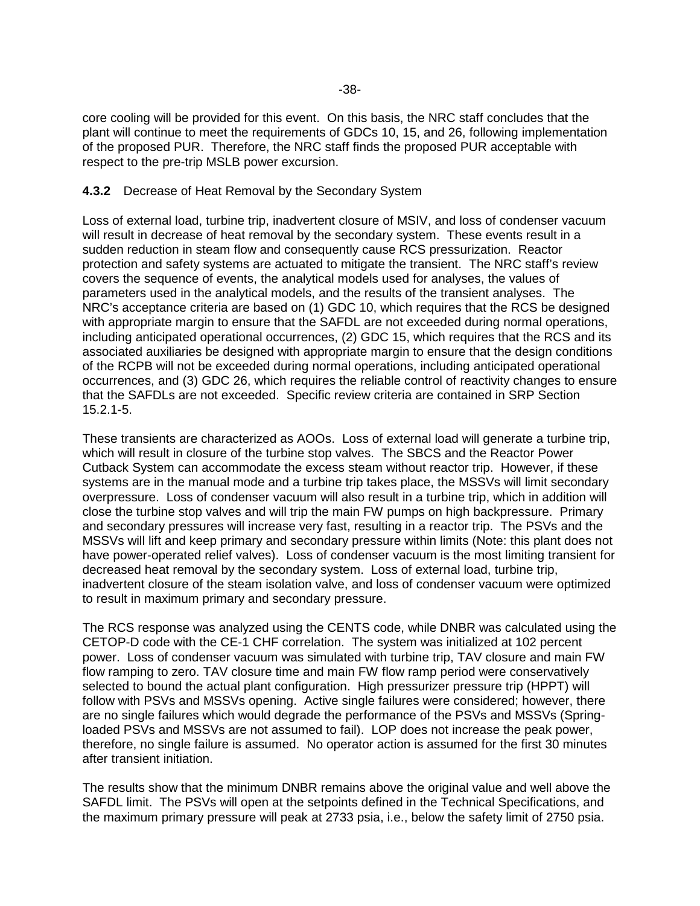core cooling will be provided for this event. On this basis, the NRC staff concludes that the plant will continue to meet the requirements of GDCs 10, 15, and 26, following implementation of the proposed PUR. Therefore, the NRC staff finds the proposed PUR acceptable with respect to the pre-trip MSLB power excursion.

#### **4.3.2** Decrease of Heat Removal by the Secondary System

Loss of external load, turbine trip, inadvertent closure of MSIV, and loss of condenser vacuum will result in decrease of heat removal by the secondary system. These events result in a sudden reduction in steam flow and consequently cause RCS pressurization. Reactor protection and safety systems are actuated to mitigate the transient. The NRC staff's review covers the sequence of events, the analytical models used for analyses, the values of parameters used in the analytical models, and the results of the transient analyses. The NRC's acceptance criteria are based on (1) GDC 10, which requires that the RCS be designed with appropriate margin to ensure that the SAFDL are not exceeded during normal operations, including anticipated operational occurrences, (2) GDC 15, which requires that the RCS and its associated auxiliaries be designed with appropriate margin to ensure that the design conditions of the RCPB will not be exceeded during normal operations, including anticipated operational occurrences, and (3) GDC 26, which requires the reliable control of reactivity changes to ensure that the SAFDLs are not exceeded. Specific review criteria are contained in SRP Section 15.2.1-5.

These transients are characterized as AOOs. Loss of external load will generate a turbine trip, which will result in closure of the turbine stop valves. The SBCS and the Reactor Power Cutback System can accommodate the excess steam without reactor trip. However, if these systems are in the manual mode and a turbine trip takes place, the MSSVs will limit secondary overpressure. Loss of condenser vacuum will also result in a turbine trip, which in addition will close the turbine stop valves and will trip the main FW pumps on high backpressure. Primary and secondary pressures will increase very fast, resulting in a reactor trip. The PSVs and the MSSVs will lift and keep primary and secondary pressure within limits (Note: this plant does not have power-operated relief valves). Loss of condenser vacuum is the most limiting transient for decreased heat removal by the secondary system. Loss of external load, turbine trip, inadvertent closure of the steam isolation valve, and loss of condenser vacuum were optimized to result in maximum primary and secondary pressure.

The RCS response was analyzed using the CENTS code, while DNBR was calculated using the CETOP-D code with the CE-1 CHF correlation. The system was initialized at 102 percent power. Loss of condenser vacuum was simulated with turbine trip, TAV closure and main FW flow ramping to zero. TAV closure time and main FW flow ramp period were conservatively selected to bound the actual plant configuration. High pressurizer pressure trip (HPPT) will follow with PSVs and MSSVs opening. Active single failures were considered; however, there are no single failures which would degrade the performance of the PSVs and MSSVs (Springloaded PSVs and MSSVs are not assumed to fail). LOP does not increase the peak power, therefore, no single failure is assumed. No operator action is assumed for the first 30 minutes after transient initiation.

The results show that the minimum DNBR remains above the original value and well above the SAFDL limit. The PSVs will open at the setpoints defined in the Technical Specifications, and the maximum primary pressure will peak at 2733 psia, i.e., below the safety limit of 2750 psia.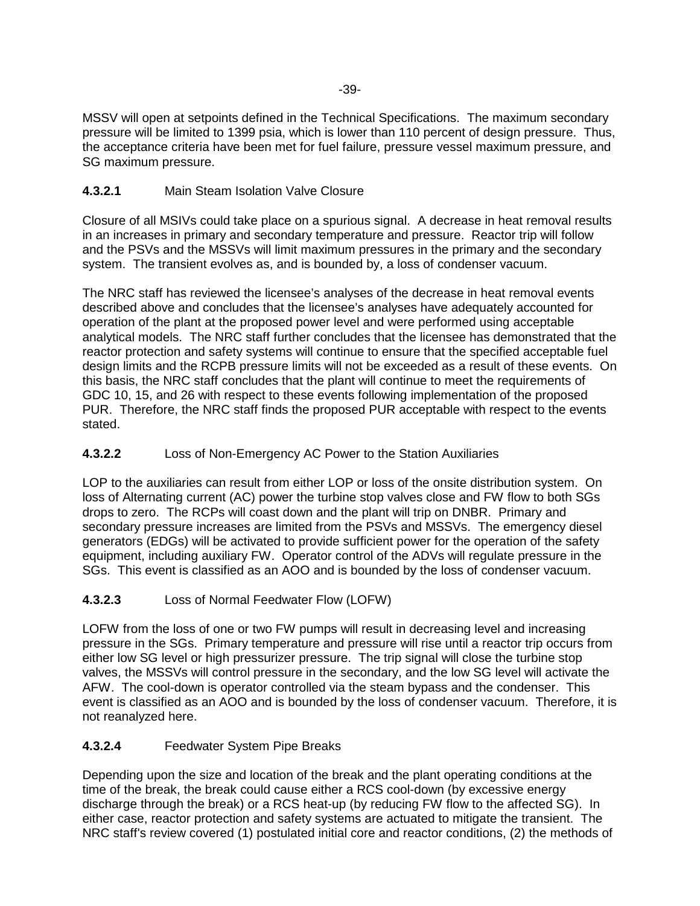MSSV will open at setpoints defined in the Technical Specifications. The maximum secondary pressure will be limited to 1399 psia, which is lower than 110 percent of design pressure. Thus, the acceptance criteria have been met for fuel failure, pressure vessel maximum pressure, and SG maximum pressure.

# **4.3.2.1** Main Steam Isolation Valve Closure

Closure of all MSIVs could take place on a spurious signal. A decrease in heat removal results in an increases in primary and secondary temperature and pressure. Reactor trip will follow and the PSVs and the MSSVs will limit maximum pressures in the primary and the secondary system. The transient evolves as, and is bounded by, a loss of condenser vacuum.

The NRC staff has reviewed the licensee's analyses of the decrease in heat removal events described above and concludes that the licensee's analyses have adequately accounted for operation of the plant at the proposed power level and were performed using acceptable analytical models. The NRC staff further concludes that the licensee has demonstrated that the reactor protection and safety systems will continue to ensure that the specified acceptable fuel design limits and the RCPB pressure limits will not be exceeded as a result of these events. On this basis, the NRC staff concludes that the plant will continue to meet the requirements of GDC 10, 15, and 26 with respect to these events following implementation of the proposed PUR. Therefore, the NRC staff finds the proposed PUR acceptable with respect to the events stated.

# **4.3.2.2** Loss of Non-Emergency AC Power to the Station Auxiliaries

LOP to the auxiliaries can result from either LOP or loss of the onsite distribution system. On loss of Alternating current (AC) power the turbine stop valves close and FW flow to both SGs drops to zero. The RCPs will coast down and the plant will trip on DNBR. Primary and secondary pressure increases are limited from the PSVs and MSSVs. The emergency diesel generators (EDGs) will be activated to provide sufficient power for the operation of the safety equipment, including auxiliary FW. Operator control of the ADVs will regulate pressure in the SGs. This event is classified as an AOO and is bounded by the loss of condenser vacuum.

# **4.3.2.3** Loss of Normal Feedwater Flow (LOFW)

LOFW from the loss of one or two FW pumps will result in decreasing level and increasing pressure in the SGs. Primary temperature and pressure will rise until a reactor trip occurs from either low SG level or high pressurizer pressure. The trip signal will close the turbine stop valves, the MSSVs will control pressure in the secondary, and the low SG level will activate the AFW. The cool-down is operator controlled via the steam bypass and the condenser. This event is classified as an AOO and is bounded by the loss of condenser vacuum. Therefore, it is not reanalyzed here.

# **4.3.2.4** Feedwater System Pipe Breaks

Depending upon the size and location of the break and the plant operating conditions at the time of the break, the break could cause either a RCS cool-down (by excessive energy discharge through the break) or a RCS heat-up (by reducing FW flow to the affected SG). In either case, reactor protection and safety systems are actuated to mitigate the transient. The NRC staff's review covered (1) postulated initial core and reactor conditions, (2) the methods of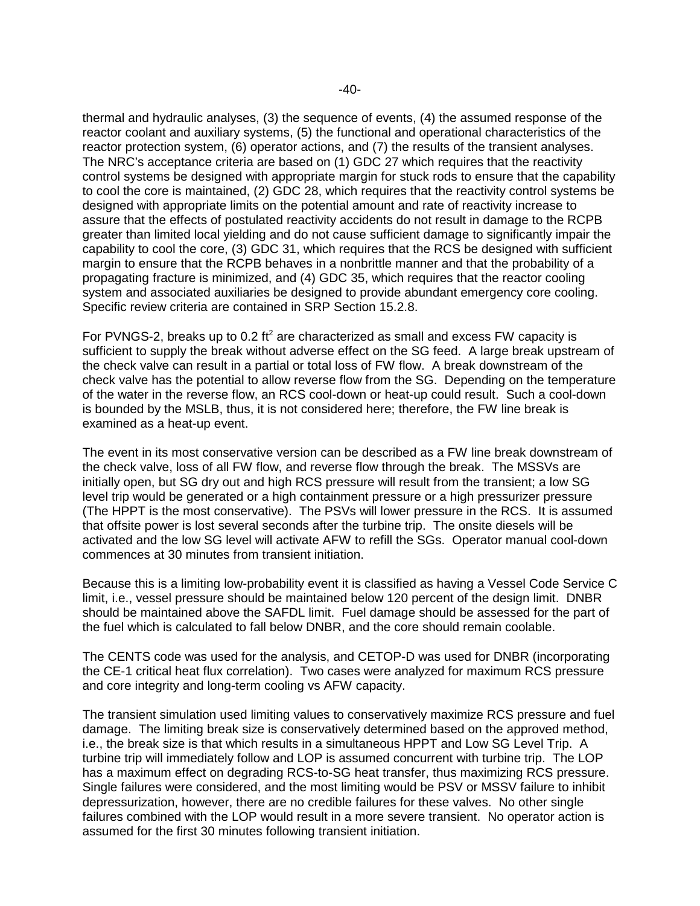thermal and hydraulic analyses, (3) the sequence of events, (4) the assumed response of the reactor coolant and auxiliary systems, (5) the functional and operational characteristics of the reactor protection system, (6) operator actions, and (7) the results of the transient analyses. The NRC's acceptance criteria are based on (1) GDC 27 which requires that the reactivity control systems be designed with appropriate margin for stuck rods to ensure that the capability to cool the core is maintained, (2) GDC 28, which requires that the reactivity control systems be designed with appropriate limits on the potential amount and rate of reactivity increase to assure that the effects of postulated reactivity accidents do not result in damage to the RCPB greater than limited local yielding and do not cause sufficient damage to significantly impair the capability to cool the core, (3) GDC 31, which requires that the RCS be designed with sufficient margin to ensure that the RCPB behaves in a nonbrittle manner and that the probability of a propagating fracture is minimized, and (4) GDC 35, which requires that the reactor cooling system and associated auxiliaries be designed to provide abundant emergency core cooling. Specific review criteria are contained in SRP Section 15.2.8.

For PVNGS-2, breaks up to 0.2 ft<sup>2</sup> are characterized as small and excess FW capacity is sufficient to supply the break without adverse effect on the SG feed. A large break upstream of the check valve can result in a partial or total loss of FW flow. A break downstream of the check valve has the potential to allow reverse flow from the SG. Depending on the temperature of the water in the reverse flow, an RCS cool-down or heat-up could result. Such a cool-down is bounded by the MSLB, thus, it is not considered here; therefore, the FW line break is examined as a heat-up event.

The event in its most conservative version can be described as a FW line break downstream of the check valve, loss of all FW flow, and reverse flow through the break. The MSSVs are initially open, but SG dry out and high RCS pressure will result from the transient; a low SG level trip would be generated or a high containment pressure or a high pressurizer pressure (The HPPT is the most conservative). The PSVs will lower pressure in the RCS. It is assumed that offsite power is lost several seconds after the turbine trip. The onsite diesels will be activated and the low SG level will activate AFW to refill the SGs. Operator manual cool-down commences at 30 minutes from transient initiation.

Because this is a limiting low-probability event it is classified as having a Vessel Code Service C limit, i.e., vessel pressure should be maintained below 120 percent of the design limit. DNBR should be maintained above the SAFDL limit. Fuel damage should be assessed for the part of the fuel which is calculated to fall below DNBR, and the core should remain coolable.

The CENTS code was used for the analysis, and CETOP-D was used for DNBR (incorporating the CE-1 critical heat flux correlation). Two cases were analyzed for maximum RCS pressure and core integrity and long-term cooling vs AFW capacity.

The transient simulation used limiting values to conservatively maximize RCS pressure and fuel damage. The limiting break size is conservatively determined based on the approved method, i.e., the break size is that which results in a simultaneous HPPT and Low SG Level Trip. A turbine trip will immediately follow and LOP is assumed concurrent with turbine trip. The LOP has a maximum effect on degrading RCS-to-SG heat transfer, thus maximizing RCS pressure. Single failures were considered, and the most limiting would be PSV or MSSV failure to inhibit depressurization, however, there are no credible failures for these valves. No other single failures combined with the LOP would result in a more severe transient. No operator action is assumed for the first 30 minutes following transient initiation.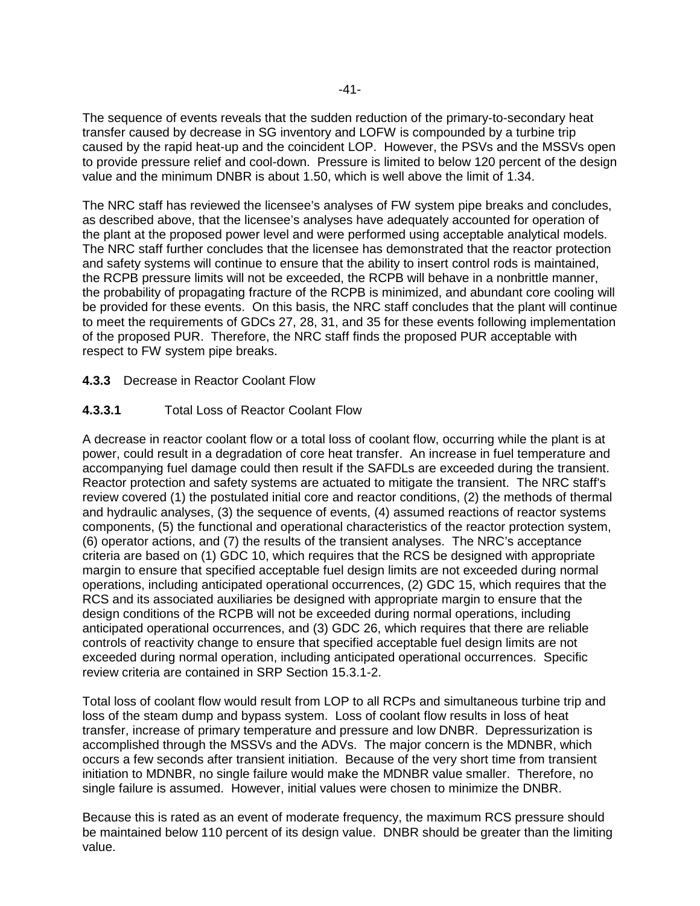The sequence of events reveals that the sudden reduction of the primary-to-secondary heat transfer caused by decrease in SG inventory and LOFW is compounded by a turbine trip caused by the rapid heat-up and the coincident LOP. However, the PSVs and the MSSVs open to provide pressure relief and cool-down. Pressure is limited to below 120 percent of the design value and the minimum DNBR is about 1.50, which is well above the limit of 1.34.

The NRC staff has reviewed the licensee's analyses of FW system pipe breaks and concludes, as described above, that the licensee's analyses have adequately accounted for operation of the plant at the proposed power level and were performed using acceptable analytical models. The NRC staff further concludes that the licensee has demonstrated that the reactor protection and safety systems will continue to ensure that the ability to insert control rods is maintained, the RCPB pressure limits will not be exceeded, the RCPB will behave in a nonbrittle manner, the probability of propagating fracture of the RCPB is minimized, and abundant core cooling will be provided for these events. On this basis, the NRC staff concludes that the plant will continue to meet the requirements of GDCs 27, 28, 31, and 35 for these events following implementation of the proposed PUR. Therefore, the NRC staff finds the proposed PUR acceptable with respect to FW system pipe breaks.

### **4.3.3** Decrease in Reactor Coolant Flow

### **4.3.3.1** Total Loss of Reactor Coolant Flow

A decrease in reactor coolant flow or a total loss of coolant flow, occurring while the plant is at power, could result in a degradation of core heat transfer. An increase in fuel temperature and accompanying fuel damage could then result if the SAFDLs are exceeded during the transient. Reactor protection and safety systems are actuated to mitigate the transient. The NRC staff's review covered (1) the postulated initial core and reactor conditions, (2) the methods of thermal and hydraulic analyses, (3) the sequence of events, (4) assumed reactions of reactor systems components, (5) the functional and operational characteristics of the reactor protection system, (6) operator actions, and (7) the results of the transient analyses. The NRC's acceptance criteria are based on (1) GDC 10, which requires that the RCS be designed with appropriate margin to ensure that specified acceptable fuel design limits are not exceeded during normal operations, including anticipated operational occurrences, (2) GDC 15, which requires that the RCS and its associated auxiliaries be designed with appropriate margin to ensure that the design conditions of the RCPB will not be exceeded during normal operations, including anticipated operational occurrences, and (3) GDC 26, which requires that there are reliable controls of reactivity change to ensure that specified acceptable fuel design limits are not exceeded during normal operation, including anticipated operational occurrences. Specific review criteria are contained in SRP Section 15.3.1-2.

Total loss of coolant flow would result from LOP to all RCPs and simultaneous turbine trip and loss of the steam dump and bypass system. Loss of coolant flow results in loss of heat transfer, increase of primary temperature and pressure and low DNBR. Depressurization is accomplished through the MSSVs and the ADVs. The major concern is the MDNBR, which occurs a few seconds after transient initiation. Because of the very short time from transient initiation to MDNBR, no single failure would make the MDNBR value smaller. Therefore, no single failure is assumed. However, initial values were chosen to minimize the DNBR.

Because this is rated as an event of moderate frequency, the maximum RCS pressure should be maintained below 110 percent of its design value. DNBR should be greater than the limiting value.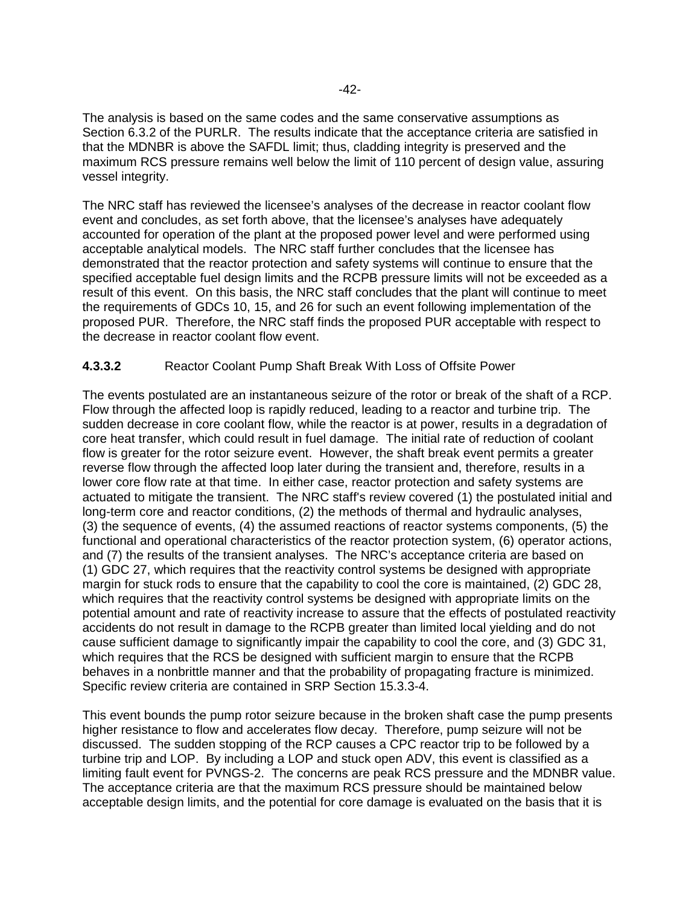The analysis is based on the same codes and the same conservative assumptions as Section 6.3.2 of the PURLR. The results indicate that the acceptance criteria are satisfied in that the MDNBR is above the SAFDL limit; thus, cladding integrity is preserved and the maximum RCS pressure remains well below the limit of 110 percent of design value, assuring vessel integrity.

The NRC staff has reviewed the licensee's analyses of the decrease in reactor coolant flow event and concludes, as set forth above, that the licensee's analyses have adequately accounted for operation of the plant at the proposed power level and were performed using acceptable analytical models. The NRC staff further concludes that the licensee has demonstrated that the reactor protection and safety systems will continue to ensure that the specified acceptable fuel design limits and the RCPB pressure limits will not be exceeded as a result of this event. On this basis, the NRC staff concludes that the plant will continue to meet the requirements of GDCs 10, 15, and 26 for such an event following implementation of the proposed PUR. Therefore, the NRC staff finds the proposed PUR acceptable with respect to the decrease in reactor coolant flow event.

# **4.3.3.2** Reactor Coolant Pump Shaft Break With Loss of Offsite Power

The events postulated are an instantaneous seizure of the rotor or break of the shaft of a RCP. Flow through the affected loop is rapidly reduced, leading to a reactor and turbine trip. The sudden decrease in core coolant flow, while the reactor is at power, results in a degradation of core heat transfer, which could result in fuel damage. The initial rate of reduction of coolant flow is greater for the rotor seizure event. However, the shaft break event permits a greater reverse flow through the affected loop later during the transient and, therefore, results in a lower core flow rate at that time. In either case, reactor protection and safety systems are actuated to mitigate the transient. The NRC staff's review covered (1) the postulated initial and long-term core and reactor conditions, (2) the methods of thermal and hydraulic analyses, (3) the sequence of events, (4) the assumed reactions of reactor systems components, (5) the functional and operational characteristics of the reactor protection system, (6) operator actions, and (7) the results of the transient analyses. The NRC's acceptance criteria are based on (1) GDC 27, which requires that the reactivity control systems be designed with appropriate margin for stuck rods to ensure that the capability to cool the core is maintained, (2) GDC 28, which requires that the reactivity control systems be designed with appropriate limits on the potential amount and rate of reactivity increase to assure that the effects of postulated reactivity accidents do not result in damage to the RCPB greater than limited local yielding and do not cause sufficient damage to significantly impair the capability to cool the core, and (3) GDC 31, which requires that the RCS be designed with sufficient margin to ensure that the RCPB behaves in a nonbrittle manner and that the probability of propagating fracture is minimized. Specific review criteria are contained in SRP Section 15.3.3-4.

This event bounds the pump rotor seizure because in the broken shaft case the pump presents higher resistance to flow and accelerates flow decay. Therefore, pump seizure will not be discussed. The sudden stopping of the RCP causes a CPC reactor trip to be followed by a turbine trip and LOP. By including a LOP and stuck open ADV, this event is classified as a limiting fault event for PVNGS-2. The concerns are peak RCS pressure and the MDNBR value. The acceptance criteria are that the maximum RCS pressure should be maintained below acceptable design limits, and the potential for core damage is evaluated on the basis that it is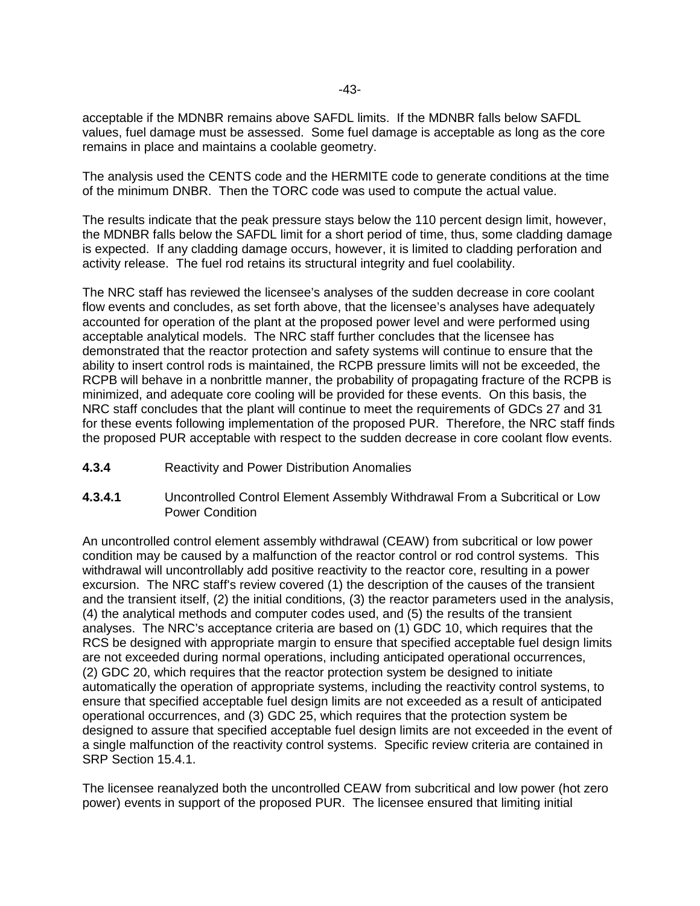acceptable if the MDNBR remains above SAFDL limits. If the MDNBR falls below SAFDL values, fuel damage must be assessed. Some fuel damage is acceptable as long as the core remains in place and maintains a coolable geometry.

The analysis used the CENTS code and the HERMITE code to generate conditions at the time of the minimum DNBR. Then the TORC code was used to compute the actual value.

The results indicate that the peak pressure stays below the 110 percent design limit, however, the MDNBR falls below the SAFDL limit for a short period of time, thus, some cladding damage is expected. If any cladding damage occurs, however, it is limited to cladding perforation and activity release. The fuel rod retains its structural integrity and fuel coolability.

The NRC staff has reviewed the licensee's analyses of the sudden decrease in core coolant flow events and concludes, as set forth above, that the licensee's analyses have adequately accounted for operation of the plant at the proposed power level and were performed using acceptable analytical models. The NRC staff further concludes that the licensee has demonstrated that the reactor protection and safety systems will continue to ensure that the ability to insert control rods is maintained, the RCPB pressure limits will not be exceeded, the RCPB will behave in a nonbrittle manner, the probability of propagating fracture of the RCPB is minimized, and adequate core cooling will be provided for these events. On this basis, the NRC staff concludes that the plant will continue to meet the requirements of GDCs 27 and 31 for these events following implementation of the proposed PUR. Therefore, the NRC staff finds the proposed PUR acceptable with respect to the sudden decrease in core coolant flow events.

- **4.3.4** Reactivity and Power Distribution Anomalies
- **4.3.4.1** Uncontrolled Control Element Assembly Withdrawal From a Subcritical or Low Power Condition

An uncontrolled control element assembly withdrawal (CEAW) from subcritical or low power condition may be caused by a malfunction of the reactor control or rod control systems. This withdrawal will uncontrollably add positive reactivity to the reactor core, resulting in a power excursion. The NRC staff's review covered (1) the description of the causes of the transient and the transient itself, (2) the initial conditions, (3) the reactor parameters used in the analysis, (4) the analytical methods and computer codes used, and (5) the results of the transient analyses. The NRC's acceptance criteria are based on (1) GDC 10, which requires that the RCS be designed with appropriate margin to ensure that specified acceptable fuel design limits are not exceeded during normal operations, including anticipated operational occurrences, (2) GDC 20, which requires that the reactor protection system be designed to initiate automatically the operation of appropriate systems, including the reactivity control systems, to ensure that specified acceptable fuel design limits are not exceeded as a result of anticipated operational occurrences, and (3) GDC 25, which requires that the protection system be designed to assure that specified acceptable fuel design limits are not exceeded in the event of a single malfunction of the reactivity control systems. Specific review criteria are contained in SRP Section 15.4.1.

The licensee reanalyzed both the uncontrolled CEAW from subcritical and low power (hot zero power) events in support of the proposed PUR. The licensee ensured that limiting initial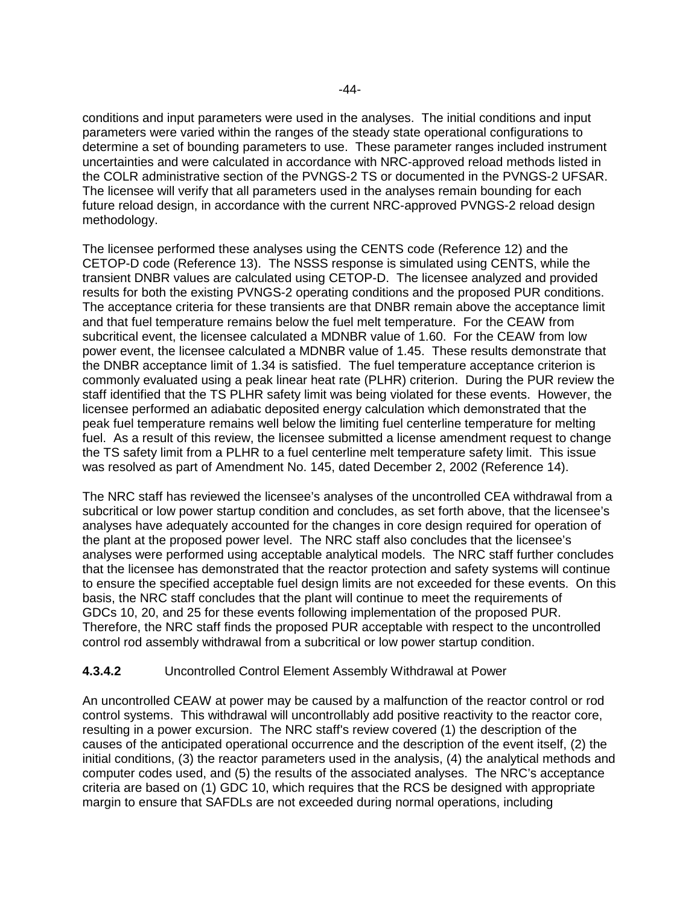conditions and input parameters were used in the analyses. The initial conditions and input parameters were varied within the ranges of the steady state operational configurations to determine a set of bounding parameters to use. These parameter ranges included instrument uncertainties and were calculated in accordance with NRC-approved reload methods listed in the COLR administrative section of the PVNGS-2 TS or documented in the PVNGS-2 UFSAR. The licensee will verify that all parameters used in the analyses remain bounding for each future reload design, in accordance with the current NRC-approved PVNGS-2 reload design methodology.

The licensee performed these analyses using the CENTS code (Reference 12) and the CETOP-D code (Reference 13). The NSSS response is simulated using CENTS, while the transient DNBR values are calculated using CETOP-D. The licensee analyzed and provided results for both the existing PVNGS-2 operating conditions and the proposed PUR conditions. The acceptance criteria for these transients are that DNBR remain above the acceptance limit and that fuel temperature remains below the fuel melt temperature. For the CEAW from subcritical event, the licensee calculated a MDNBR value of 1.60. For the CEAW from low power event, the licensee calculated a MDNBR value of 1.45. These results demonstrate that the DNBR acceptance limit of 1.34 is satisfied. The fuel temperature acceptance criterion is commonly evaluated using a peak linear heat rate (PLHR) criterion. During the PUR review the staff identified that the TS PLHR safety limit was being violated for these events. However, the licensee performed an adiabatic deposited energy calculation which demonstrated that the peak fuel temperature remains well below the limiting fuel centerline temperature for melting fuel. As a result of this review, the licensee submitted a license amendment request to change the TS safety limit from a PLHR to a fuel centerline melt temperature safety limit. This issue was resolved as part of Amendment No. 145, dated December 2, 2002 (Reference 14).

The NRC staff has reviewed the licensee's analyses of the uncontrolled CEA withdrawal from a subcritical or low power startup condition and concludes, as set forth above, that the licensee's analyses have adequately accounted for the changes in core design required for operation of the plant at the proposed power level. The NRC staff also concludes that the licensee's analyses were performed using acceptable analytical models. The NRC staff further concludes that the licensee has demonstrated that the reactor protection and safety systems will continue to ensure the specified acceptable fuel design limits are not exceeded for these events. On this basis, the NRC staff concludes that the plant will continue to meet the requirements of GDCs 10, 20, and 25 for these events following implementation of the proposed PUR. Therefore, the NRC staff finds the proposed PUR acceptable with respect to the uncontrolled control rod assembly withdrawal from a subcritical or low power startup condition.

# **4.3.4.2** Uncontrolled Control Element Assembly Withdrawal at Power

An uncontrolled CEAW at power may be caused by a malfunction of the reactor control or rod control systems. This withdrawal will uncontrollably add positive reactivity to the reactor core, resulting in a power excursion. The NRC staff's review covered (1) the description of the causes of the anticipated operational occurrence and the description of the event itself, (2) the initial conditions, (3) the reactor parameters used in the analysis, (4) the analytical methods and computer codes used, and (5) the results of the associated analyses. The NRC's acceptance criteria are based on (1) GDC 10, which requires that the RCS be designed with appropriate margin to ensure that SAFDLs are not exceeded during normal operations, including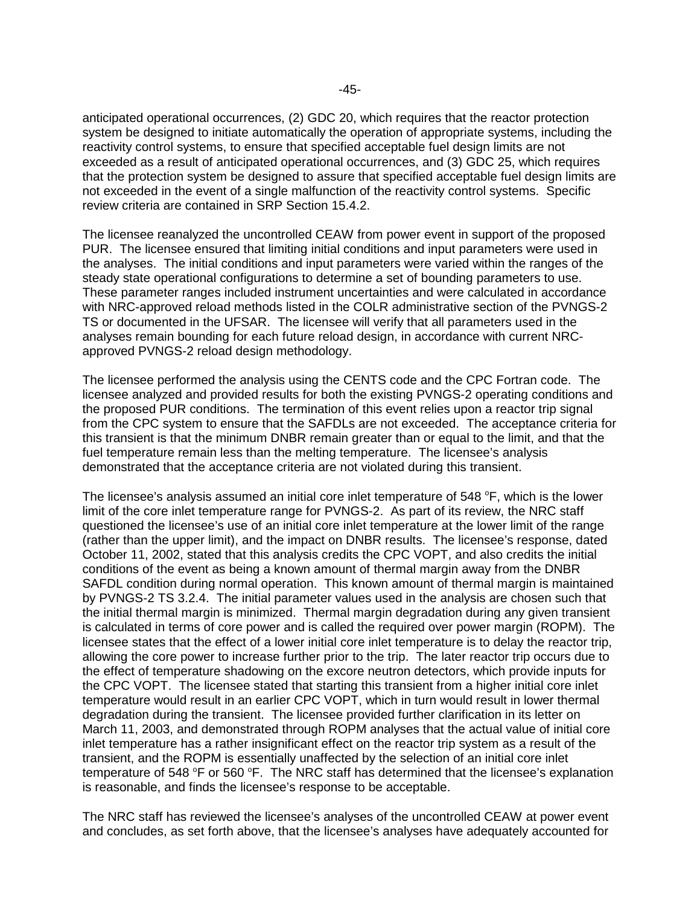anticipated operational occurrences, (2) GDC 20, which requires that the reactor protection system be designed to initiate automatically the operation of appropriate systems, including the reactivity control systems, to ensure that specified acceptable fuel design limits are not exceeded as a result of anticipated operational occurrences, and (3) GDC 25, which requires that the protection system be designed to assure that specified acceptable fuel design limits are not exceeded in the event of a single malfunction of the reactivity control systems. Specific review criteria are contained in SRP Section 15.4.2.

The licensee reanalyzed the uncontrolled CEAW from power event in support of the proposed PUR. The licensee ensured that limiting initial conditions and input parameters were used in the analyses. The initial conditions and input parameters were varied within the ranges of the steady state operational configurations to determine a set of bounding parameters to use. These parameter ranges included instrument uncertainties and were calculated in accordance with NRC-approved reload methods listed in the COLR administrative section of the PVNGS-2 TS or documented in the UFSAR. The licensee will verify that all parameters used in the analyses remain bounding for each future reload design, in accordance with current NRCapproved PVNGS-2 reload design methodology.

The licensee performed the analysis using the CENTS code and the CPC Fortran code. The licensee analyzed and provided results for both the existing PVNGS-2 operating conditions and the proposed PUR conditions. The termination of this event relies upon a reactor trip signal from the CPC system to ensure that the SAFDLs are not exceeded. The acceptance criteria for this transient is that the minimum DNBR remain greater than or equal to the limit, and that the fuel temperature remain less than the melting temperature. The licensee's analysis demonstrated that the acceptance criteria are not violated during this transient.

The licensee's analysis assumed an initial core inlet temperature of 548  $\mathrm{^{\circ}F},$  which is the lower limit of the core inlet temperature range for PVNGS-2. As part of its review, the NRC staff questioned the licensee's use of an initial core inlet temperature at the lower limit of the range (rather than the upper limit), and the impact on DNBR results. The licensee's response, dated October 11, 2002, stated that this analysis credits the CPC VOPT, and also credits the initial conditions of the event as being a known amount of thermal margin away from the DNBR SAFDL condition during normal operation. This known amount of thermal margin is maintained by PVNGS-2 TS 3.2.4. The initial parameter values used in the analysis are chosen such that the initial thermal margin is minimized. Thermal margin degradation during any given transient is calculated in terms of core power and is called the required over power margin (ROPM). The licensee states that the effect of a lower initial core inlet temperature is to delay the reactor trip, allowing the core power to increase further prior to the trip. The later reactor trip occurs due to the effect of temperature shadowing on the excore neutron detectors, which provide inputs for the CPC VOPT. The licensee stated that starting this transient from a higher initial core inlet temperature would result in an earlier CPC VOPT, which in turn would result in lower thermal degradation during the transient. The licensee provided further clarification in its letter on March 11, 2003, and demonstrated through ROPM analyses that the actual value of initial core inlet temperature has a rather insignificant effect on the reactor trip system as a result of the transient, and the ROPM is essentially unaffected by the selection of an initial core inlet temperature of 548 °F or 560 °F. The NRC staff has determined that the licensee's explanation is reasonable, and finds the licensee's response to be acceptable.

The NRC staff has reviewed the licensee's analyses of the uncontrolled CEAW at power event and concludes, as set forth above, that the licensee's analyses have adequately accounted for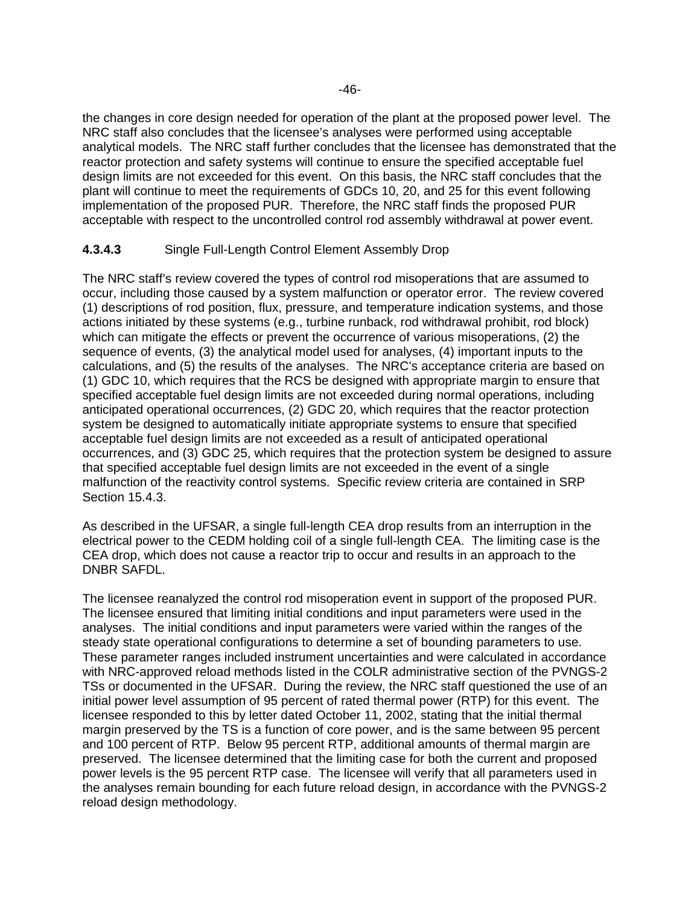the changes in core design needed for operation of the plant at the proposed power level. The NRC staff also concludes that the licensee's analyses were performed using acceptable analytical models. The NRC staff further concludes that the licensee has demonstrated that the reactor protection and safety systems will continue to ensure the specified acceptable fuel design limits are not exceeded for this event. On this basis, the NRC staff concludes that the plant will continue to meet the requirements of GDCs 10, 20, and 25 for this event following implementation of the proposed PUR. Therefore, the NRC staff finds the proposed PUR acceptable with respect to the uncontrolled control rod assembly withdrawal at power event.

# **4.3.4.3** Single Full-Length Control Element Assembly Drop

The NRC staff's review covered the types of control rod misoperations that are assumed to occur, including those caused by a system malfunction or operator error. The review covered (1) descriptions of rod position, flux, pressure, and temperature indication systems, and those actions initiated by these systems (e.g., turbine runback, rod withdrawal prohibit, rod block) which can mitigate the effects or prevent the occurrence of various misoperations, (2) the sequence of events, (3) the analytical model used for analyses, (4) important inputs to the calculations, and (5) the results of the analyses. The NRC's acceptance criteria are based on (1) GDC 10, which requires that the RCS be designed with appropriate margin to ensure that specified acceptable fuel design limits are not exceeded during normal operations, including anticipated operational occurrences, (2) GDC 20, which requires that the reactor protection system be designed to automatically initiate appropriate systems to ensure that specified acceptable fuel design limits are not exceeded as a result of anticipated operational occurrences, and (3) GDC 25, which requires that the protection system be designed to assure that specified acceptable fuel design limits are not exceeded in the event of a single malfunction of the reactivity control systems. Specific review criteria are contained in SRP Section 15.4.3.

As described in the UFSAR, a single full-length CEA drop results from an interruption in the electrical power to the CEDM holding coil of a single full-length CEA. The limiting case is the CEA drop, which does not cause a reactor trip to occur and results in an approach to the DNBR SAFDL.

The licensee reanalyzed the control rod misoperation event in support of the proposed PUR. The licensee ensured that limiting initial conditions and input parameters were used in the analyses. The initial conditions and input parameters were varied within the ranges of the steady state operational configurations to determine a set of bounding parameters to use. These parameter ranges included instrument uncertainties and were calculated in accordance with NRC-approved reload methods listed in the COLR administrative section of the PVNGS-2 TSs or documented in the UFSAR. During the review, the NRC staff questioned the use of an initial power level assumption of 95 percent of rated thermal power (RTP) for this event. The licensee responded to this by letter dated October 11, 2002, stating that the initial thermal margin preserved by the TS is a function of core power, and is the same between 95 percent and 100 percent of RTP. Below 95 percent RTP, additional amounts of thermal margin are preserved. The licensee determined that the limiting case for both the current and proposed power levels is the 95 percent RTP case. The licensee will verify that all parameters used in the analyses remain bounding for each future reload design, in accordance with the PVNGS-2 reload design methodology.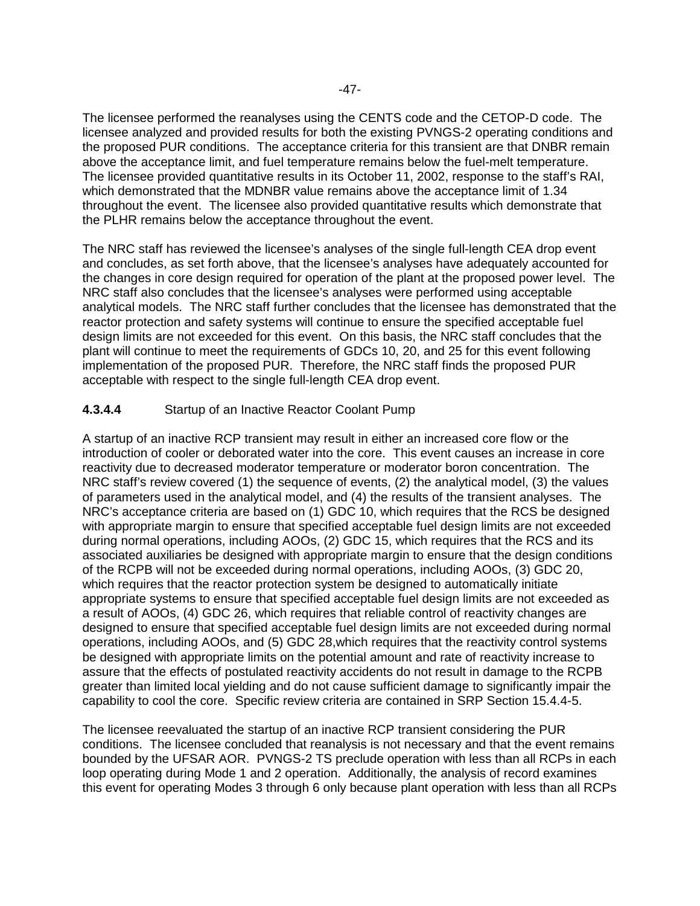The licensee performed the reanalyses using the CENTS code and the CETOP-D code. The licensee analyzed and provided results for both the existing PVNGS-2 operating conditions and the proposed PUR conditions. The acceptance criteria for this transient are that DNBR remain above the acceptance limit, and fuel temperature remains below the fuel-melt temperature. The licensee provided quantitative results in its October 11, 2002, response to the staff's RAI, which demonstrated that the MDNBR value remains above the acceptance limit of 1.34 throughout the event. The licensee also provided quantitative results which demonstrate that the PLHR remains below the acceptance throughout the event.

The NRC staff has reviewed the licensee's analyses of the single full-length CEA drop event and concludes, as set forth above, that the licensee's analyses have adequately accounted for the changes in core design required for operation of the plant at the proposed power level. The NRC staff also concludes that the licensee's analyses were performed using acceptable analytical models. The NRC staff further concludes that the licensee has demonstrated that the reactor protection and safety systems will continue to ensure the specified acceptable fuel design limits are not exceeded for this event. On this basis, the NRC staff concludes that the plant will continue to meet the requirements of GDCs 10, 20, and 25 for this event following implementation of the proposed PUR. Therefore, the NRC staff finds the proposed PUR acceptable with respect to the single full-length CEA drop event.

# **4.3.4.4** Startup of an Inactive Reactor Coolant Pump

A startup of an inactive RCP transient may result in either an increased core flow or the introduction of cooler or deborated water into the core. This event causes an increase in core reactivity due to decreased moderator temperature or moderator boron concentration. The NRC staff's review covered (1) the sequence of events, (2) the analytical model, (3) the values of parameters used in the analytical model, and (4) the results of the transient analyses. The NRC's acceptance criteria are based on (1) GDC 10, which requires that the RCS be designed with appropriate margin to ensure that specified acceptable fuel design limits are not exceeded during normal operations, including AOOs, (2) GDC 15, which requires that the RCS and its associated auxiliaries be designed with appropriate margin to ensure that the design conditions of the RCPB will not be exceeded during normal operations, including AOOs, (3) GDC 20, which requires that the reactor protection system be designed to automatically initiate appropriate systems to ensure that specified acceptable fuel design limits are not exceeded as a result of AOOs, (4) GDC 26, which requires that reliable control of reactivity changes are designed to ensure that specified acceptable fuel design limits are not exceeded during normal operations, including AOOs, and (5) GDC 28,which requires that the reactivity control systems be designed with appropriate limits on the potential amount and rate of reactivity increase to assure that the effects of postulated reactivity accidents do not result in damage to the RCPB greater than limited local yielding and do not cause sufficient damage to significantly impair the capability to cool the core. Specific review criteria are contained in SRP Section 15.4.4-5.

The licensee reevaluated the startup of an inactive RCP transient considering the PUR conditions. The licensee concluded that reanalysis is not necessary and that the event remains bounded by the UFSAR AOR. PVNGS-2 TS preclude operation with less than all RCPs in each loop operating during Mode 1 and 2 operation. Additionally, the analysis of record examines this event for operating Modes 3 through 6 only because plant operation with less than all RCPs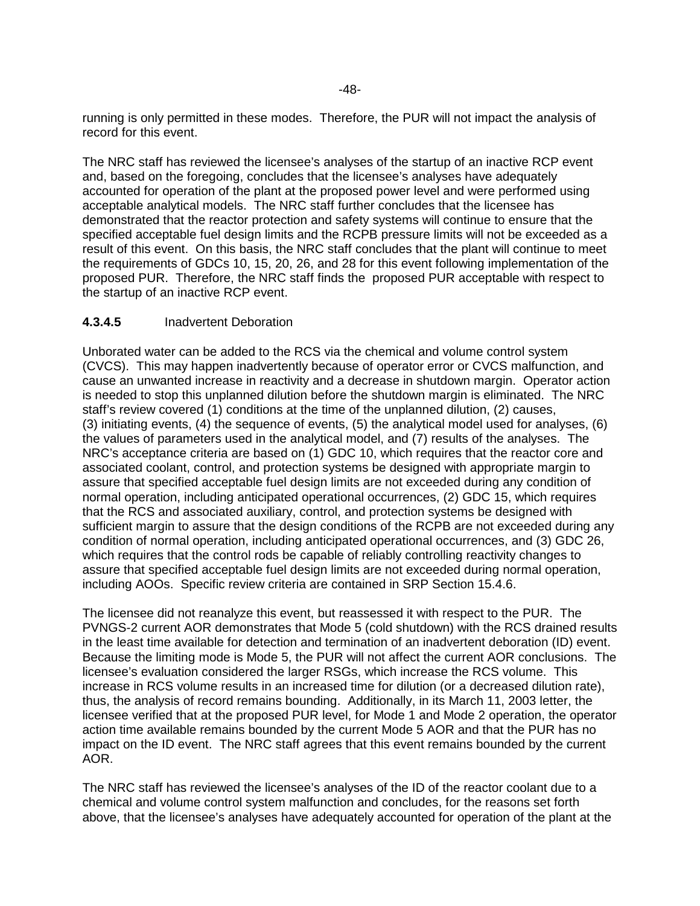running is only permitted in these modes. Therefore, the PUR will not impact the analysis of record for this event.

The NRC staff has reviewed the licensee's analyses of the startup of an inactive RCP event and, based on the foregoing, concludes that the licensee's analyses have adequately accounted for operation of the plant at the proposed power level and were performed using acceptable analytical models. The NRC staff further concludes that the licensee has demonstrated that the reactor protection and safety systems will continue to ensure that the specified acceptable fuel design limits and the RCPB pressure limits will not be exceeded as a result of this event. On this basis, the NRC staff concludes that the plant will continue to meet the requirements of GDCs 10, 15, 20, 26, and 28 for this event following implementation of the proposed PUR. Therefore, the NRC staff finds the proposed PUR acceptable with respect to the startup of an inactive RCP event.

### **4.3.4.5** Inadvertent Deboration

Unborated water can be added to the RCS via the chemical and volume control system (CVCS). This may happen inadvertently because of operator error or CVCS malfunction, and cause an unwanted increase in reactivity and a decrease in shutdown margin. Operator action is needed to stop this unplanned dilution before the shutdown margin is eliminated. The NRC staff's review covered (1) conditions at the time of the unplanned dilution, (2) causes, (3) initiating events, (4) the sequence of events, (5) the analytical model used for analyses, (6) the values of parameters used in the analytical model, and (7) results of the analyses. The NRC's acceptance criteria are based on (1) GDC 10, which requires that the reactor core and associated coolant, control, and protection systems be designed with appropriate margin to assure that specified acceptable fuel design limits are not exceeded during any condition of normal operation, including anticipated operational occurrences, (2) GDC 15, which requires that the RCS and associated auxiliary, control, and protection systems be designed with sufficient margin to assure that the design conditions of the RCPB are not exceeded during any condition of normal operation, including anticipated operational occurrences, and (3) GDC 26, which requires that the control rods be capable of reliably controlling reactivity changes to assure that specified acceptable fuel design limits are not exceeded during normal operation, including AOOs. Specific review criteria are contained in SRP Section 15.4.6.

The licensee did not reanalyze this event, but reassessed it with respect to the PUR. The PVNGS-2 current AOR demonstrates that Mode 5 (cold shutdown) with the RCS drained results in the least time available for detection and termination of an inadvertent deboration (ID) event. Because the limiting mode is Mode 5, the PUR will not affect the current AOR conclusions. The licensee's evaluation considered the larger RSGs, which increase the RCS volume. This increase in RCS volume results in an increased time for dilution (or a decreased dilution rate), thus, the analysis of record remains bounding. Additionally, in its March 11, 2003 letter, the licensee verified that at the proposed PUR level, for Mode 1 and Mode 2 operation, the operator action time available remains bounded by the current Mode 5 AOR and that the PUR has no impact on the ID event. The NRC staff agrees that this event remains bounded by the current AOR.

The NRC staff has reviewed the licensee's analyses of the ID of the reactor coolant due to a chemical and volume control system malfunction and concludes, for the reasons set forth above, that the licensee's analyses have adequately accounted for operation of the plant at the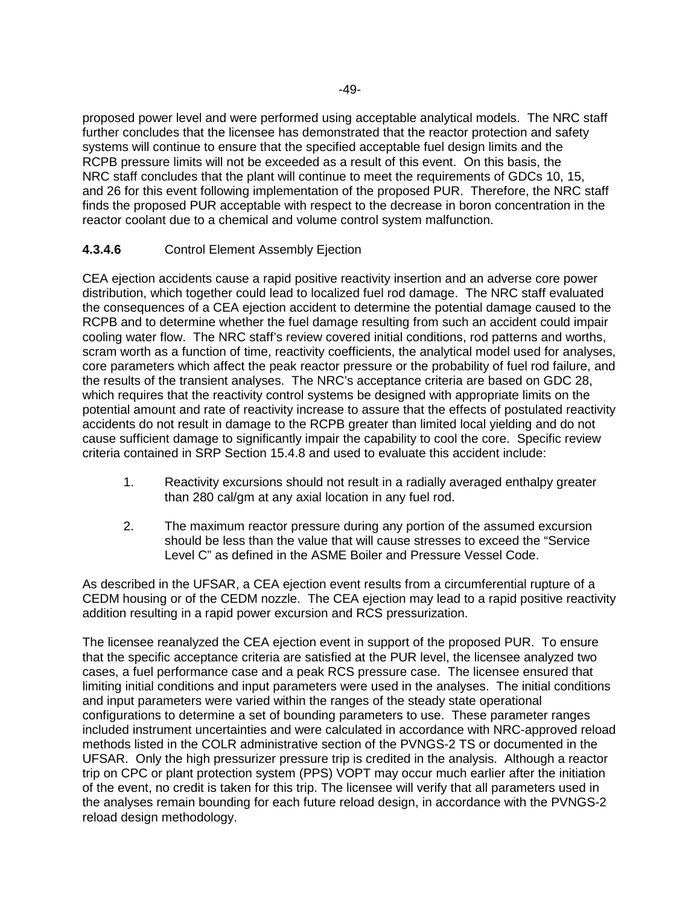proposed power level and were performed using acceptable analytical models. The NRC staff further concludes that the licensee has demonstrated that the reactor protection and safety systems will continue to ensure that the specified acceptable fuel design limits and the RCPB pressure limits will not be exceeded as a result of this event. On this basis, the NRC staff concludes that the plant will continue to meet the requirements of GDCs 10, 15, and 26 for this event following implementation of the proposed PUR. Therefore, the NRC staff finds the proposed PUR acceptable with respect to the decrease in boron concentration in the reactor coolant due to a chemical and volume control system malfunction.

# **4.3.4.6** Control Element Assembly Ejection

CEA ejection accidents cause a rapid positive reactivity insertion and an adverse core power distribution, which together could lead to localized fuel rod damage. The NRC staff evaluated the consequences of a CEA ejection accident to determine the potential damage caused to the RCPB and to determine whether the fuel damage resulting from such an accident could impair cooling water flow. The NRC staff's review covered initial conditions, rod patterns and worths, scram worth as a function of time, reactivity coefficients, the analytical model used for analyses, core parameters which affect the peak reactor pressure or the probability of fuel rod failure, and the results of the transient analyses. The NRC's acceptance criteria are based on GDC 28, which requires that the reactivity control systems be designed with appropriate limits on the potential amount and rate of reactivity increase to assure that the effects of postulated reactivity accidents do not result in damage to the RCPB greater than limited local yielding and do not cause sufficient damage to significantly impair the capability to cool the core. Specific review criteria contained in SRP Section 15.4.8 and used to evaluate this accident include:

- 1. Reactivity excursions should not result in a radially averaged enthalpy greater than 280 cal/gm at any axial location in any fuel rod.
- 2. The maximum reactor pressure during any portion of the assumed excursion should be less than the value that will cause stresses to exceed the "Service Level C" as defined in the ASME Boiler and Pressure Vessel Code.

As described in the UFSAR, a CEA ejection event results from a circumferential rupture of a CEDM housing or of the CEDM nozzle. The CEA ejection may lead to a rapid positive reactivity addition resulting in a rapid power excursion and RCS pressurization.

The licensee reanalyzed the CEA ejection event in support of the proposed PUR. To ensure that the specific acceptance criteria are satisfied at the PUR level, the licensee analyzed two cases, a fuel performance case and a peak RCS pressure case. The licensee ensured that limiting initial conditions and input parameters were used in the analyses. The initial conditions and input parameters were varied within the ranges of the steady state operational configurations to determine a set of bounding parameters to use. These parameter ranges included instrument uncertainties and were calculated in accordance with NRC-approved reload methods listed in the COLR administrative section of the PVNGS-2 TS or documented in the UFSAR. Only the high pressurizer pressure trip is credited in the analysis. Although a reactor trip on CPC or plant protection system (PPS) VOPT may occur much earlier after the initiation of the event, no credit is taken for this trip. The licensee will verify that all parameters used in the analyses remain bounding for each future reload design, in accordance with the PVNGS-2 reload design methodology.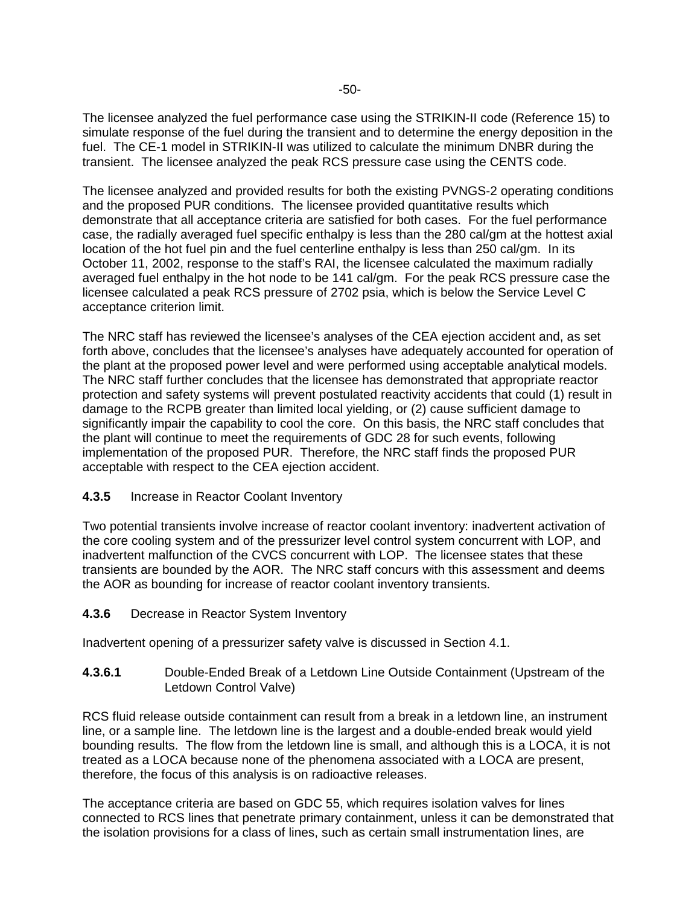The licensee analyzed the fuel performance case using the STRIKIN-II code (Reference 15) to simulate response of the fuel during the transient and to determine the energy deposition in the fuel. The CE-1 model in STRIKIN-II was utilized to calculate the minimum DNBR during the transient. The licensee analyzed the peak RCS pressure case using the CENTS code.

The licensee analyzed and provided results for both the existing PVNGS-2 operating conditions and the proposed PUR conditions. The licensee provided quantitative results which demonstrate that all acceptance criteria are satisfied for both cases. For the fuel performance case, the radially averaged fuel specific enthalpy is less than the 280 cal/gm at the hottest axial location of the hot fuel pin and the fuel centerline enthalpy is less than 250 cal/gm. In its October 11, 2002, response to the staff's RAI, the licensee calculated the maximum radially averaged fuel enthalpy in the hot node to be 141 cal/gm. For the peak RCS pressure case the licensee calculated a peak RCS pressure of 2702 psia, which is below the Service Level C acceptance criterion limit.

The NRC staff has reviewed the licensee's analyses of the CEA ejection accident and, as set forth above, concludes that the licensee's analyses have adequately accounted for operation of the plant at the proposed power level and were performed using acceptable analytical models. The NRC staff further concludes that the licensee has demonstrated that appropriate reactor protection and safety systems will prevent postulated reactivity accidents that could (1) result in damage to the RCPB greater than limited local yielding, or (2) cause sufficient damage to significantly impair the capability to cool the core. On this basis, the NRC staff concludes that the plant will continue to meet the requirements of GDC 28 for such events, following implementation of the proposed PUR. Therefore, the NRC staff finds the proposed PUR acceptable with respect to the CEA ejection accident.

#### **4.3.5** Increase in Reactor Coolant Inventory

Two potential transients involve increase of reactor coolant inventory: inadvertent activation of the core cooling system and of the pressurizer level control system concurrent with LOP, and inadvertent malfunction of the CVCS concurrent with LOP. The licensee states that these transients are bounded by the AOR. The NRC staff concurs with this assessment and deems the AOR as bounding for increase of reactor coolant inventory transients.

# **4.3.6** Decrease in Reactor System Inventory

Inadvertent opening of a pressurizer safety valve is discussed in Section 4.1.

**4.3.6.1** Double-Ended Break of a Letdown Line Outside Containment (Upstream of the Letdown Control Valve)

RCS fluid release outside containment can result from a break in a letdown line, an instrument line, or a sample line. The letdown line is the largest and a double-ended break would yield bounding results. The flow from the letdown line is small, and although this is a LOCA, it is not treated as a LOCA because none of the phenomena associated with a LOCA are present, therefore, the focus of this analysis is on radioactive releases.

The acceptance criteria are based on GDC 55, which requires isolation valves for lines connected to RCS lines that penetrate primary containment, unless it can be demonstrated that the isolation provisions for a class of lines, such as certain small instrumentation lines, are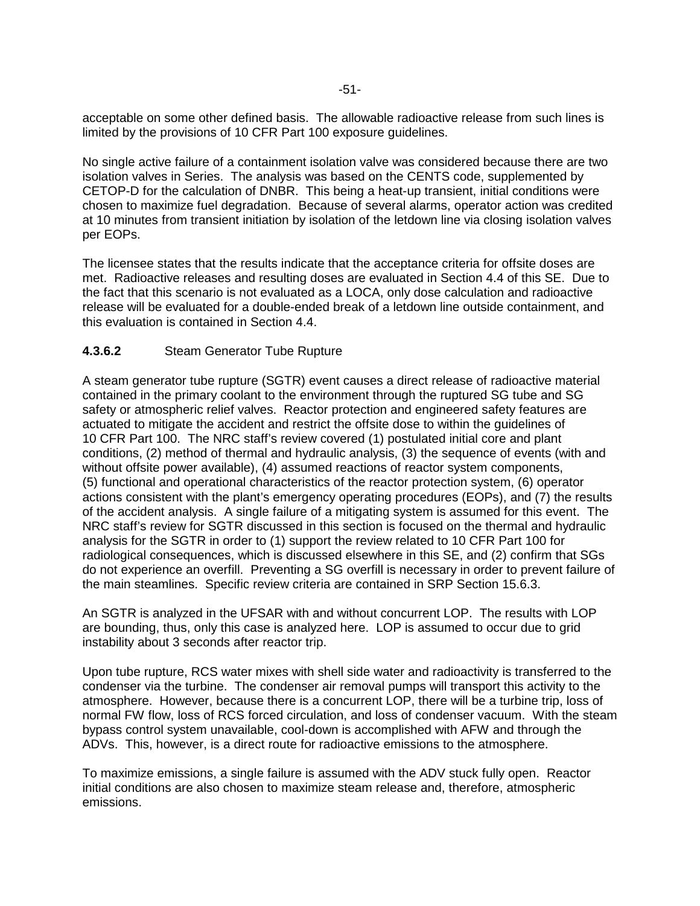acceptable on some other defined basis. The allowable radioactive release from such lines is limited by the provisions of 10 CFR Part 100 exposure guidelines.

No single active failure of a containment isolation valve was considered because there are two isolation valves in Series. The analysis was based on the CENTS code, supplemented by CETOP-D for the calculation of DNBR. This being a heat-up transient, initial conditions were chosen to maximize fuel degradation. Because of several alarms, operator action was credited at 10 minutes from transient initiation by isolation of the letdown line via closing isolation valves per EOPs.

The licensee states that the results indicate that the acceptance criteria for offsite doses are met. Radioactive releases and resulting doses are evaluated in Section 4.4 of this SE. Due to the fact that this scenario is not evaluated as a LOCA, only dose calculation and radioactive release will be evaluated for a double-ended break of a letdown line outside containment, and this evaluation is contained in Section 4.4.

# **4.3.6.2** Steam Generator Tube Rupture

A steam generator tube rupture (SGTR) event causes a direct release of radioactive material contained in the primary coolant to the environment through the ruptured SG tube and SG safety or atmospheric relief valves. Reactor protection and engineered safety features are actuated to mitigate the accident and restrict the offsite dose to within the guidelines of 10 CFR Part 100. The NRC staff's review covered (1) postulated initial core and plant conditions, (2) method of thermal and hydraulic analysis, (3) the sequence of events (with and without offsite power available), (4) assumed reactions of reactor system components, (5) functional and operational characteristics of the reactor protection system, (6) operator actions consistent with the plant's emergency operating procedures (EOPs), and (7) the results of the accident analysis. A single failure of a mitigating system is assumed for this event. The NRC staff's review for SGTR discussed in this section is focused on the thermal and hydraulic analysis for the SGTR in order to (1) support the review related to 10 CFR Part 100 for radiological consequences, which is discussed elsewhere in this SE, and (2) confirm that SGs do not experience an overfill. Preventing a SG overfill is necessary in order to prevent failure of the main steamlines. Specific review criteria are contained in SRP Section 15.6.3.

An SGTR is analyzed in the UFSAR with and without concurrent LOP. The results with LOP are bounding, thus, only this case is analyzed here. LOP is assumed to occur due to grid instability about 3 seconds after reactor trip.

Upon tube rupture, RCS water mixes with shell side water and radioactivity is transferred to the condenser via the turbine. The condenser air removal pumps will transport this activity to the atmosphere. However, because there is a concurrent LOP, there will be a turbine trip, loss of normal FW flow, loss of RCS forced circulation, and loss of condenser vacuum. With the steam bypass control system unavailable, cool-down is accomplished with AFW and through the ADVs. This, however, is a direct route for radioactive emissions to the atmosphere.

To maximize emissions, a single failure is assumed with the ADV stuck fully open. Reactor initial conditions are also chosen to maximize steam release and, therefore, atmospheric emissions.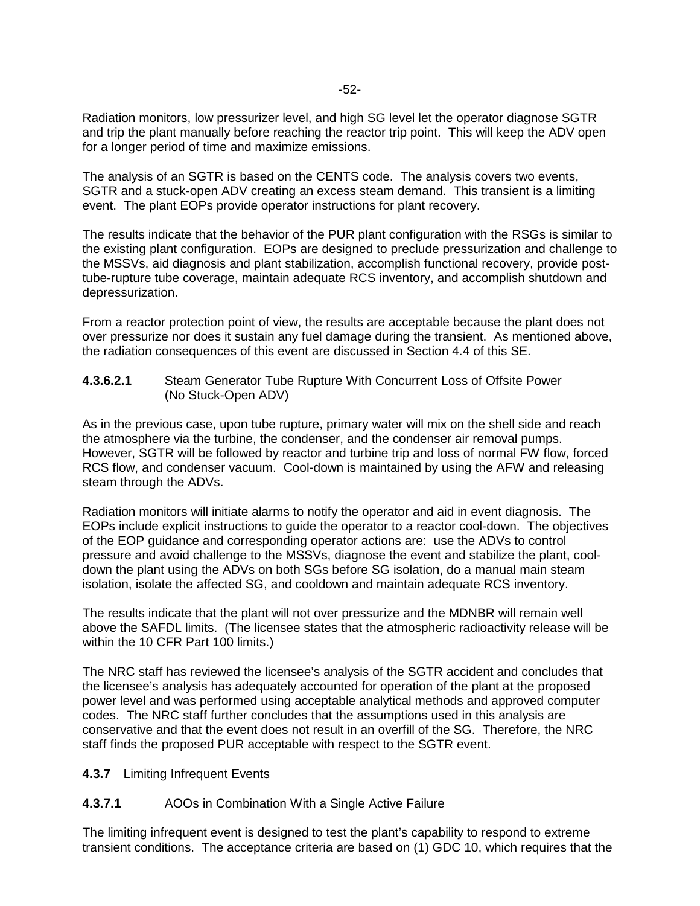Radiation monitors, low pressurizer level, and high SG level let the operator diagnose SGTR and trip the plant manually before reaching the reactor trip point. This will keep the ADV open for a longer period of time and maximize emissions.

The analysis of an SGTR is based on the CENTS code. The analysis covers two events, SGTR and a stuck-open ADV creating an excess steam demand. This transient is a limiting event. The plant EOPs provide operator instructions for plant recovery.

The results indicate that the behavior of the PUR plant configuration with the RSGs is similar to the existing plant configuration. EOPs are designed to preclude pressurization and challenge to the MSSVs, aid diagnosis and plant stabilization, accomplish functional recovery, provide posttube-rupture tube coverage, maintain adequate RCS inventory, and accomplish shutdown and depressurization.

From a reactor protection point of view, the results are acceptable because the plant does not over pressurize nor does it sustain any fuel damage during the transient. As mentioned above, the radiation consequences of this event are discussed in Section 4.4 of this SE.

**4.3.6.2.1** Steam Generator Tube Rupture With Concurrent Loss of Offsite Power (No Stuck-Open ADV)

As in the previous case, upon tube rupture, primary water will mix on the shell side and reach the atmosphere via the turbine, the condenser, and the condenser air removal pumps. However, SGTR will be followed by reactor and turbine trip and loss of normal FW flow, forced RCS flow, and condenser vacuum. Cool-down is maintained by using the AFW and releasing steam through the ADVs.

Radiation monitors will initiate alarms to notify the operator and aid in event diagnosis. The EOPs include explicit instructions to guide the operator to a reactor cool-down. The objectives of the EOP guidance and corresponding operator actions are: use the ADVs to control pressure and avoid challenge to the MSSVs, diagnose the event and stabilize the plant, cooldown the plant using the ADVs on both SGs before SG isolation, do a manual main steam isolation, isolate the affected SG, and cooldown and maintain adequate RCS inventory.

The results indicate that the plant will not over pressurize and the MDNBR will remain well above the SAFDL limits. (The licensee states that the atmospheric radioactivity release will be within the 10 CFR Part 100 limits.)

The NRC staff has reviewed the licensee's analysis of the SGTR accident and concludes that the licensee's analysis has adequately accounted for operation of the plant at the proposed power level and was performed using acceptable analytical methods and approved computer codes. The NRC staff further concludes that the assumptions used in this analysis are conservative and that the event does not result in an overfill of the SG. Therefore, the NRC staff finds the proposed PUR acceptable with respect to the SGTR event.

**4.3.7** Limiting Infrequent Events

# **4.3.7.1** AOOs in Combination With a Single Active Failure

The limiting infrequent event is designed to test the plant's capability to respond to extreme transient conditions. The acceptance criteria are based on (1) GDC 10, which requires that the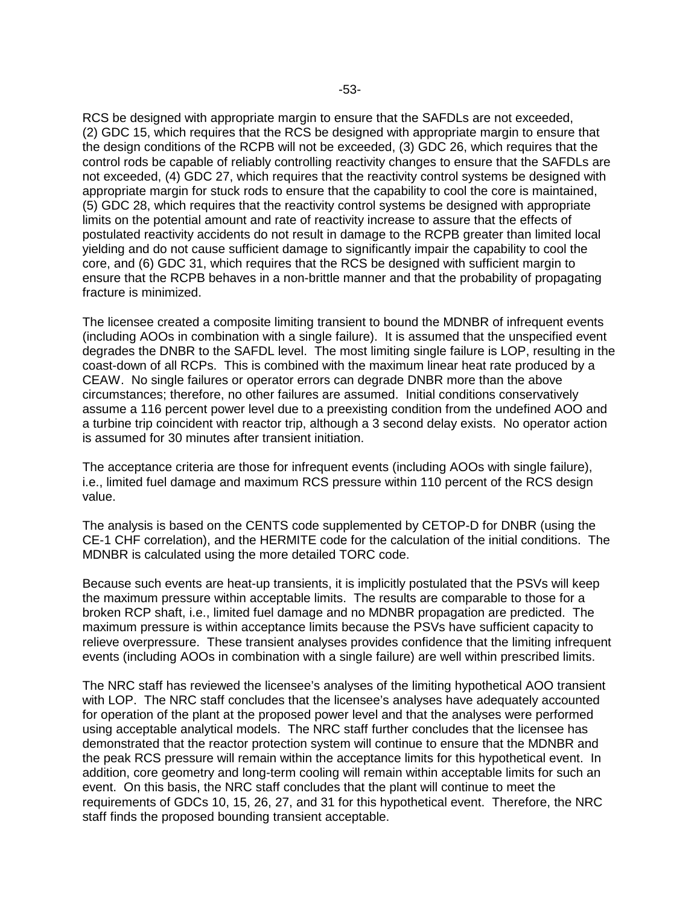RCS be designed with appropriate margin to ensure that the SAFDLs are not exceeded, (2) GDC 15, which requires that the RCS be designed with appropriate margin to ensure that the design conditions of the RCPB will not be exceeded, (3) GDC 26, which requires that the control rods be capable of reliably controlling reactivity changes to ensure that the SAFDLs are not exceeded, (4) GDC 27, which requires that the reactivity control systems be designed with appropriate margin for stuck rods to ensure that the capability to cool the core is maintained, (5) GDC 28, which requires that the reactivity control systems be designed with appropriate limits on the potential amount and rate of reactivity increase to assure that the effects of postulated reactivity accidents do not result in damage to the RCPB greater than limited local yielding and do not cause sufficient damage to significantly impair the capability to cool the core, and (6) GDC 31, which requires that the RCS be designed with sufficient margin to ensure that the RCPB behaves in a non-brittle manner and that the probability of propagating fracture is minimized.

The licensee created a composite limiting transient to bound the MDNBR of infrequent events (including AOOs in combination with a single failure). It is assumed that the unspecified event degrades the DNBR to the SAFDL level. The most limiting single failure is LOP, resulting in the coast-down of all RCPs. This is combined with the maximum linear heat rate produced by a CEAW. No single failures or operator errors can degrade DNBR more than the above circumstances; therefore, no other failures are assumed. Initial conditions conservatively assume a 116 percent power level due to a preexisting condition from the undefined AOO and a turbine trip coincident with reactor trip, although a 3 second delay exists. No operator action is assumed for 30 minutes after transient initiation.

The acceptance criteria are those for infrequent events (including AOOs with single failure), i.e., limited fuel damage and maximum RCS pressure within 110 percent of the RCS design value.

The analysis is based on the CENTS code supplemented by CETOP-D for DNBR (using the CE-1 CHF correlation), and the HERMITE code for the calculation of the initial conditions. The MDNBR is calculated using the more detailed TORC code.

Because such events are heat-up transients, it is implicitly postulated that the PSVs will keep the maximum pressure within acceptable limits. The results are comparable to those for a broken RCP shaft, i.e., limited fuel damage and no MDNBR propagation are predicted. The maximum pressure is within acceptance limits because the PSVs have sufficient capacity to relieve overpressure. These transient analyses provides confidence that the limiting infrequent events (including AOOs in combination with a single failure) are well within prescribed limits.

The NRC staff has reviewed the licensee's analyses of the limiting hypothetical AOO transient with LOP. The NRC staff concludes that the licensee's analyses have adequately accounted for operation of the plant at the proposed power level and that the analyses were performed using acceptable analytical models. The NRC staff further concludes that the licensee has demonstrated that the reactor protection system will continue to ensure that the MDNBR and the peak RCS pressure will remain within the acceptance limits for this hypothetical event. In addition, core geometry and long-term cooling will remain within acceptable limits for such an event. On this basis, the NRC staff concludes that the plant will continue to meet the requirements of GDCs 10, 15, 26, 27, and 31 for this hypothetical event. Therefore, the NRC staff finds the proposed bounding transient acceptable.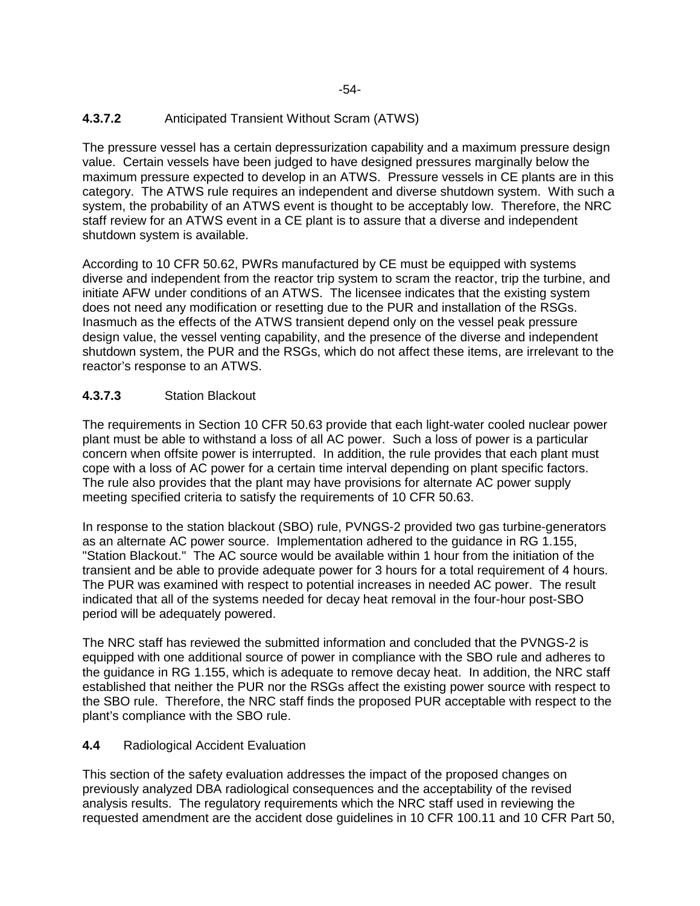# **4.3.7.2** Anticipated Transient Without Scram (ATWS)

The pressure vessel has a certain depressurization capability and a maximum pressure design value. Certain vessels have been judged to have designed pressures marginally below the maximum pressure expected to develop in an ATWS. Pressure vessels in CE plants are in this category. The ATWS rule requires an independent and diverse shutdown system. With such a system, the probability of an ATWS event is thought to be acceptably low. Therefore, the NRC staff review for an ATWS event in a CE plant is to assure that a diverse and independent shutdown system is available.

According to 10 CFR 50.62, PWRs manufactured by CE must be equipped with systems diverse and independent from the reactor trip system to scram the reactor, trip the turbine, and initiate AFW under conditions of an ATWS. The licensee indicates that the existing system does not need any modification or resetting due to the PUR and installation of the RSGs. Inasmuch as the effects of the ATWS transient depend only on the vessel peak pressure design value, the vessel venting capability, and the presence of the diverse and independent shutdown system, the PUR and the RSGs, which do not affect these items, are irrelevant to the reactor's response to an ATWS.

# **4.3.7.3** Station Blackout

The requirements in Section 10 CFR 50.63 provide that each light-water cooled nuclear power plant must be able to withstand a loss of all AC power. Such a loss of power is a particular concern when offsite power is interrupted. In addition, the rule provides that each plant must cope with a loss of AC power for a certain time interval depending on plant specific factors. The rule also provides that the plant may have provisions for alternate AC power supply meeting specified criteria to satisfy the requirements of 10 CFR 50.63.

In response to the station blackout (SBO) rule, PVNGS-2 provided two gas turbine-generators as an alternate AC power source. Implementation adhered to the guidance in RG 1.155, "Station Blackout." The AC source would be available within 1 hour from the initiation of the transient and be able to provide adequate power for 3 hours for a total requirement of 4 hours. The PUR was examined with respect to potential increases in needed AC power. The result indicated that all of the systems needed for decay heat removal in the four-hour post-SBO period will be adequately powered.

The NRC staff has reviewed the submitted information and concluded that the PVNGS-2 is equipped with one additional source of power in compliance with the SBO rule and adheres to the guidance in RG 1.155, which is adequate to remove decay heat. In addition, the NRC staff established that neither the PUR nor the RSGs affect the existing power source with respect to the SBO rule. Therefore, the NRC staff finds the proposed PUR acceptable with respect to the plant's compliance with the SBO rule.

# **4.4** Radiological Accident Evaluation

This section of the safety evaluation addresses the impact of the proposed changes on previously analyzed DBA radiological consequences and the acceptability of the revised analysis results. The regulatory requirements which the NRC staff used in reviewing the requested amendment are the accident dose guidelines in 10 CFR 100.11 and 10 CFR Part 50,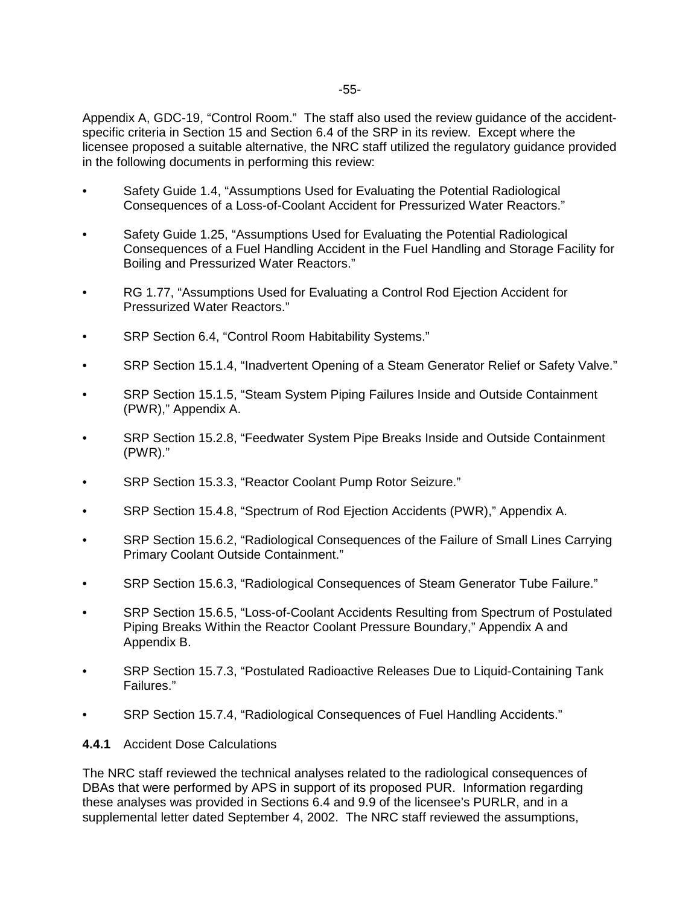Appendix A, GDC-19, "Control Room." The staff also used the review guidance of the accidentspecific criteria in Section 15 and Section 6.4 of the SRP in its review. Except where the licensee proposed a suitable alternative, the NRC staff utilized the regulatory guidance provided in the following documents in performing this review:

- Safety Guide 1.4, "Assumptions Used for Evaluating the Potential Radiological Consequences of a Loss-of-Coolant Accident for Pressurized Water Reactors."
- Safety Guide 1.25, "Assumptions Used for Evaluating the Potential Radiological Consequences of a Fuel Handling Accident in the Fuel Handling and Storage Facility for Boiling and Pressurized Water Reactors."
- RG 1.77, "Assumptions Used for Evaluating a Control Rod Ejection Accident for Pressurized Water Reactors."
- SRP Section 6.4, "Control Room Habitability Systems."
- SRP Section 15.1.4, "Inadvertent Opening of a Steam Generator Relief or Safety Valve."
- SRP Section 15.1.5, "Steam System Piping Failures Inside and Outside Containment (PWR)," Appendix A.
- SRP Section 15.2.8, "Feedwater System Pipe Breaks Inside and Outside Containment (PWR)."
- SRP Section 15.3.3, "Reactor Coolant Pump Rotor Seizure."
- SRP Section 15.4.8, "Spectrum of Rod Ejection Accidents (PWR)," Appendix A.
- SRP Section 15.6.2, "Radiological Consequences of the Failure of Small Lines Carrying Primary Coolant Outside Containment."
- SRP Section 15.6.3, "Radiological Consequences of Steam Generator Tube Failure."
- SRP Section 15.6.5, "Loss-of-Coolant Accidents Resulting from Spectrum of Postulated Piping Breaks Within the Reactor Coolant Pressure Boundary," Appendix A and Appendix B.
- SRP Section 15.7.3, "Postulated Radioactive Releases Due to Liquid-Containing Tank Failures."
- SRP Section 15.7.4, "Radiological Consequences of Fuel Handling Accidents."

#### **4.4.1** Accident Dose Calculations

The NRC staff reviewed the technical analyses related to the radiological consequences of DBAs that were performed by APS in support of its proposed PUR. Information regarding these analyses was provided in Sections 6.4 and 9.9 of the licensee's PURLR, and in a supplemental letter dated September 4, 2002. The NRC staff reviewed the assumptions,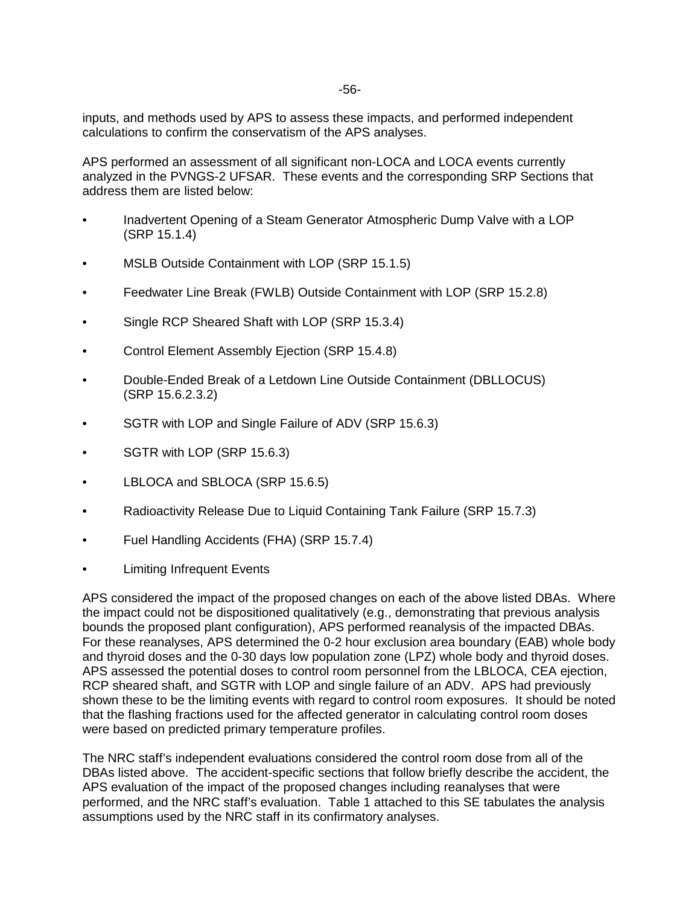inputs, and methods used by APS to assess these impacts, and performed independent calculations to confirm the conservatism of the APS analyses.

APS performed an assessment of all significant non-LOCA and LOCA events currently analyzed in the PVNGS-2 UFSAR. These events and the corresponding SRP Sections that address them are listed below:

- Inadvertent Opening of a Steam Generator Atmospheric Dump Valve with a LOP (SRP 15.1.4)
- MSLB Outside Containment with LOP (SRP 15.1.5)
- Feedwater Line Break (FWLB) Outside Containment with LOP (SRP 15.2.8)
- Single RCP Sheared Shaft with LOP (SRP 15.3.4)
- Control Element Assembly Ejection (SRP 15.4.8)
- Double-Ended Break of a Letdown Line Outside Containment (DBLLOCUS) (SRP 15.6.2.3.2)
- SGTR with LOP and Single Failure of ADV (SRP 15.6.3)
- SGTR with LOP (SRP 15.6.3)
- LBLOCA and SBLOCA (SRP 15.6.5)
- Radioactivity Release Due to Liquid Containing Tank Failure (SRP 15.7.3)
- Fuel Handling Accidents (FHA) (SRP 15.7.4)
- **Limiting Infrequent Events**

APS considered the impact of the proposed changes on each of the above listed DBAs. Where the impact could not be dispositioned qualitatively (e.g., demonstrating that previous analysis bounds the proposed plant configuration), APS performed reanalysis of the impacted DBAs. For these reanalyses, APS determined the 0-2 hour exclusion area boundary (EAB) whole body and thyroid doses and the 0-30 days low population zone (LPZ) whole body and thyroid doses. APS assessed the potential doses to control room personnel from the LBLOCA, CEA ejection, RCP sheared shaft, and SGTR with LOP and single failure of an ADV. APS had previously shown these to be the limiting events with regard to control room exposures. It should be noted that the flashing fractions used for the affected generator in calculating control room doses were based on predicted primary temperature profiles.

The NRC staff's independent evaluations considered the control room dose from all of the DBAs listed above. The accident-specific sections that follow briefly describe the accident, the APS evaluation of the impact of the proposed changes including reanalyses that were performed, and the NRC staff's evaluation. Table 1 attached to this SE tabulates the analysis assumptions used by the NRC staff in its confirmatory analyses.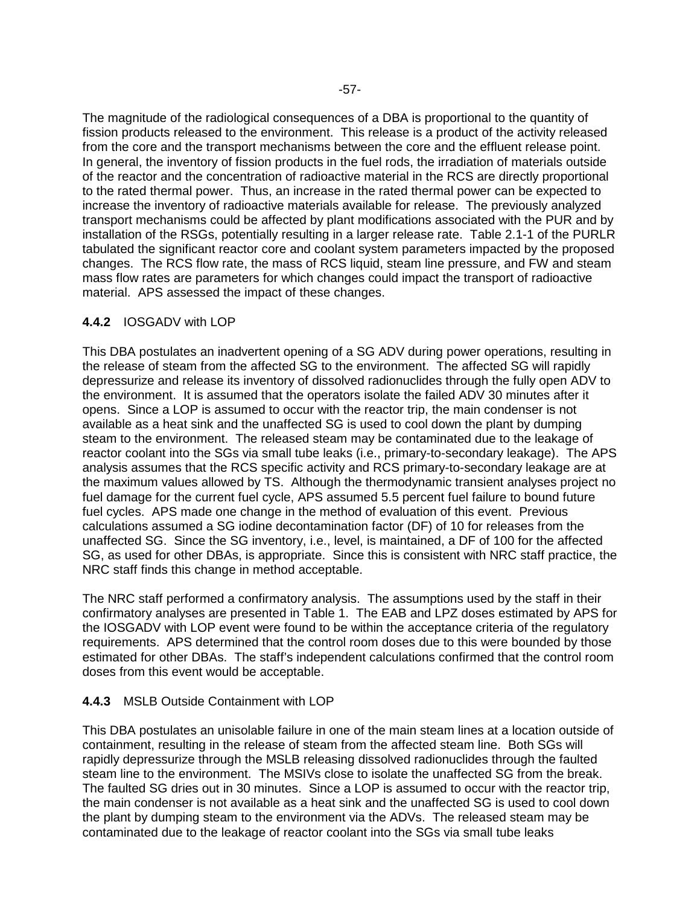The magnitude of the radiological consequences of a DBA is proportional to the quantity of fission products released to the environment. This release is a product of the activity released from the core and the transport mechanisms between the core and the effluent release point. In general, the inventory of fission products in the fuel rods, the irradiation of materials outside of the reactor and the concentration of radioactive material in the RCS are directly proportional to the rated thermal power. Thus, an increase in the rated thermal power can be expected to increase the inventory of radioactive materials available for release. The previously analyzed transport mechanisms could be affected by plant modifications associated with the PUR and by installation of the RSGs, potentially resulting in a larger release rate. Table 2.1-1 of the PURLR tabulated the significant reactor core and coolant system parameters impacted by the proposed changes. The RCS flow rate, the mass of RCS liquid, steam line pressure, and FW and steam mass flow rates are parameters for which changes could impact the transport of radioactive material. APS assessed the impact of these changes.

# **4.4.2** IOSGADV with LOP

This DBA postulates an inadvertent opening of a SG ADV during power operations, resulting in the release of steam from the affected SG to the environment. The affected SG will rapidly depressurize and release its inventory of dissolved radionuclides through the fully open ADV to the environment. It is assumed that the operators isolate the failed ADV 30 minutes after it opens. Since a LOP is assumed to occur with the reactor trip, the main condenser is not available as a heat sink and the unaffected SG is used to cool down the plant by dumping steam to the environment. The released steam may be contaminated due to the leakage of reactor coolant into the SGs via small tube leaks (i.e., primary-to-secondary leakage). The APS analysis assumes that the RCS specific activity and RCS primary-to-secondary leakage are at the maximum values allowed by TS. Although the thermodynamic transient analyses project no fuel damage for the current fuel cycle, APS assumed 5.5 percent fuel failure to bound future fuel cycles. APS made one change in the method of evaluation of this event. Previous calculations assumed a SG iodine decontamination factor (DF) of 10 for releases from the unaffected SG. Since the SG inventory, i.e., level, is maintained, a DF of 100 for the affected SG, as used for other DBAs, is appropriate. Since this is consistent with NRC staff practice, the NRC staff finds this change in method acceptable.

The NRC staff performed a confirmatory analysis. The assumptions used by the staff in their confirmatory analyses are presented in Table 1. The EAB and LPZ doses estimated by APS for the IOSGADV with LOP event were found to be within the acceptance criteria of the regulatory requirements. APS determined that the control room doses due to this were bounded by those estimated for other DBAs. The staff's independent calculations confirmed that the control room doses from this event would be acceptable.

#### **4.4.3** MSLB Outside Containment with LOP

This DBA postulates an unisolable failure in one of the main steam lines at a location outside of containment, resulting in the release of steam from the affected steam line. Both SGs will rapidly depressurize through the MSLB releasing dissolved radionuclides through the faulted steam line to the environment. The MSIVs close to isolate the unaffected SG from the break. The faulted SG dries out in 30 minutes. Since a LOP is assumed to occur with the reactor trip, the main condenser is not available as a heat sink and the unaffected SG is used to cool down the plant by dumping steam to the environment via the ADVs. The released steam may be contaminated due to the leakage of reactor coolant into the SGs via small tube leaks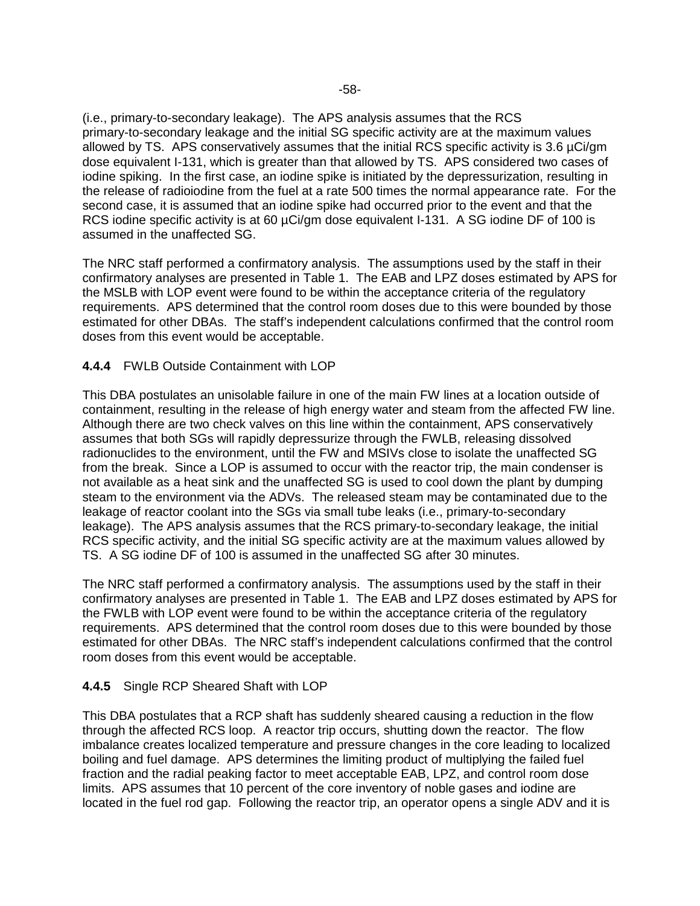(i.e., primary-to-secondary leakage). The APS analysis assumes that the RCS primary-to-secondary leakage and the initial SG specific activity are at the maximum values allowed by TS. APS conservatively assumes that the initial RCS specific activity is 3.6 µCi/gm dose equivalent I-131, which is greater than that allowed by TS. APS considered two cases of iodine spiking. In the first case, an iodine spike is initiated by the depressurization, resulting in the release of radioiodine from the fuel at a rate 500 times the normal appearance rate. For the second case, it is assumed that an iodine spike had occurred prior to the event and that the RCS iodine specific activity is at 60 µCi/gm dose equivalent I-131. A SG iodine DF of 100 is assumed in the unaffected SG.

The NRC staff performed a confirmatory analysis. The assumptions used by the staff in their confirmatory analyses are presented in Table 1. The EAB and LPZ doses estimated by APS for the MSLB with LOP event were found to be within the acceptance criteria of the regulatory requirements. APS determined that the control room doses due to this were bounded by those estimated for other DBAs. The staff's independent calculations confirmed that the control room doses from this event would be acceptable.

# **4.4.4** FWLB Outside Containment with LOP

This DBA postulates an unisolable failure in one of the main FW lines at a location outside of containment, resulting in the release of high energy water and steam from the affected FW line. Although there are two check valves on this line within the containment, APS conservatively assumes that both SGs will rapidly depressurize through the FWLB, releasing dissolved radionuclides to the environment, until the FW and MSIVs close to isolate the unaffected SG from the break. Since a LOP is assumed to occur with the reactor trip, the main condenser is not available as a heat sink and the unaffected SG is used to cool down the plant by dumping steam to the environment via the ADVs. The released steam may be contaminated due to the leakage of reactor coolant into the SGs via small tube leaks (i.e., primary-to-secondary leakage). The APS analysis assumes that the RCS primary-to-secondary leakage, the initial RCS specific activity, and the initial SG specific activity are at the maximum values allowed by TS. A SG iodine DF of 100 is assumed in the unaffected SG after 30 minutes.

The NRC staff performed a confirmatory analysis. The assumptions used by the staff in their confirmatory analyses are presented in Table 1. The EAB and LPZ doses estimated by APS for the FWLB with LOP event were found to be within the acceptance criteria of the regulatory requirements. APS determined that the control room doses due to this were bounded by those estimated for other DBAs. The NRC staff's independent calculations confirmed that the control room doses from this event would be acceptable.

# **4.4.5** Single RCP Sheared Shaft with LOP

This DBA postulates that a RCP shaft has suddenly sheared causing a reduction in the flow through the affected RCS loop. A reactor trip occurs, shutting down the reactor. The flow imbalance creates localized temperature and pressure changes in the core leading to localized boiling and fuel damage. APS determines the limiting product of multiplying the failed fuel fraction and the radial peaking factor to meet acceptable EAB, LPZ, and control room dose limits. APS assumes that 10 percent of the core inventory of noble gases and iodine are located in the fuel rod gap. Following the reactor trip, an operator opens a single ADV and it is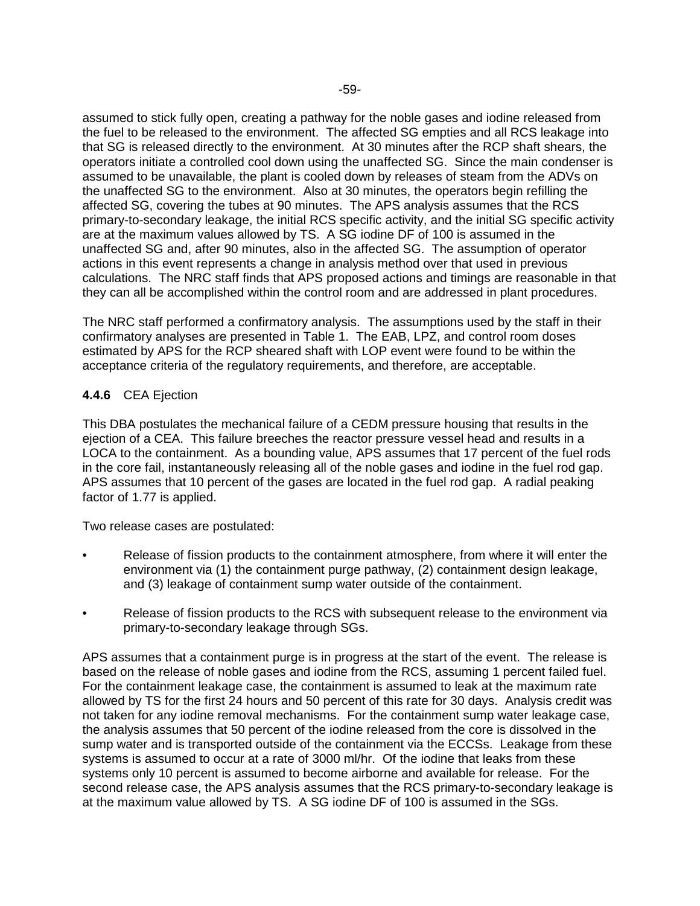assumed to stick fully open, creating a pathway for the noble gases and iodine released from the fuel to be released to the environment. The affected SG empties and all RCS leakage into that SG is released directly to the environment. At 30 minutes after the RCP shaft shears, the operators initiate a controlled cool down using the unaffected SG. Since the main condenser is assumed to be unavailable, the plant is cooled down by releases of steam from the ADVs on the unaffected SG to the environment. Also at 30 minutes, the operators begin refilling the affected SG, covering the tubes at 90 minutes. The APS analysis assumes that the RCS primary-to-secondary leakage, the initial RCS specific activity, and the initial SG specific activity are at the maximum values allowed by TS. A SG iodine DF of 100 is assumed in the unaffected SG and, after 90 minutes, also in the affected SG. The assumption of operator actions in this event represents a change in analysis method over that used in previous calculations. The NRC staff finds that APS proposed actions and timings are reasonable in that they can all be accomplished within the control room and are addressed in plant procedures.

The NRC staff performed a confirmatory analysis. The assumptions used by the staff in their confirmatory analyses are presented in Table 1. The EAB, LPZ, and control room doses estimated by APS for the RCP sheared shaft with LOP event were found to be within the acceptance criteria of the regulatory requirements, and therefore, are acceptable.

# **4.4.6** CEA Ejection

This DBA postulates the mechanical failure of a CEDM pressure housing that results in the ejection of a CEA. This failure breeches the reactor pressure vessel head and results in a LOCA to the containment. As a bounding value, APS assumes that 17 percent of the fuel rods in the core fail, instantaneously releasing all of the noble gases and iodine in the fuel rod gap. APS assumes that 10 percent of the gases are located in the fuel rod gap. A radial peaking factor of 1.77 is applied.

Two release cases are postulated:

- Release of fission products to the containment atmosphere, from where it will enter the environment via (1) the containment purge pathway, (2) containment design leakage, and (3) leakage of containment sump water outside of the containment.
- Release of fission products to the RCS with subsequent release to the environment via primary-to-secondary leakage through SGs.

APS assumes that a containment purge is in progress at the start of the event. The release is based on the release of noble gases and iodine from the RCS, assuming 1 percent failed fuel. For the containment leakage case, the containment is assumed to leak at the maximum rate allowed by TS for the first 24 hours and 50 percent of this rate for 30 days. Analysis credit was not taken for any iodine removal mechanisms. For the containment sump water leakage case, the analysis assumes that 50 percent of the iodine released from the core is dissolved in the sump water and is transported outside of the containment via the ECCSs. Leakage from these systems is assumed to occur at a rate of 3000 ml/hr. Of the iodine that leaks from these systems only 10 percent is assumed to become airborne and available for release. For the second release case, the APS analysis assumes that the RCS primary-to-secondary leakage is at the maximum value allowed by TS. A SG iodine DF of 100 is assumed in the SGs.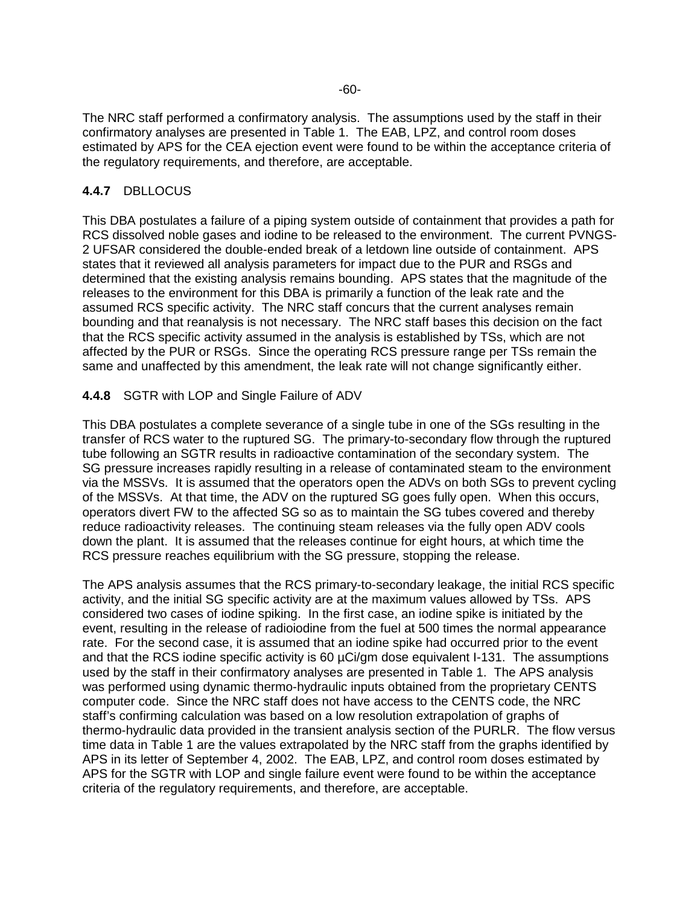The NRC staff performed a confirmatory analysis. The assumptions used by the staff in their confirmatory analyses are presented in Table 1. The EAB, LPZ, and control room doses estimated by APS for the CEA ejection event were found to be within the acceptance criteria of the regulatory requirements, and therefore, are acceptable.

# **4.4.7** DBLLOCUS

This DBA postulates a failure of a piping system outside of containment that provides a path for RCS dissolved noble gases and iodine to be released to the environment. The current PVNGS-2 UFSAR considered the double-ended break of a letdown line outside of containment. APS states that it reviewed all analysis parameters for impact due to the PUR and RSGs and determined that the existing analysis remains bounding. APS states that the magnitude of the releases to the environment for this DBA is primarily a function of the leak rate and the assumed RCS specific activity. The NRC staff concurs that the current analyses remain bounding and that reanalysis is not necessary. The NRC staff bases this decision on the fact that the RCS specific activity assumed in the analysis is established by TSs, which are not affected by the PUR or RSGs. Since the operating RCS pressure range per TSs remain the same and unaffected by this amendment, the leak rate will not change significantly either.

# **4.4.8** SGTR with LOP and Single Failure of ADV

This DBA postulates a complete severance of a single tube in one of the SGs resulting in the transfer of RCS water to the ruptured SG. The primary-to-secondary flow through the ruptured tube following an SGTR results in radioactive contamination of the secondary system. The SG pressure increases rapidly resulting in a release of contaminated steam to the environment via the MSSVs. It is assumed that the operators open the ADVs on both SGs to prevent cycling of the MSSVs. At that time, the ADV on the ruptured SG goes fully open. When this occurs, operators divert FW to the affected SG so as to maintain the SG tubes covered and thereby reduce radioactivity releases. The continuing steam releases via the fully open ADV cools down the plant. It is assumed that the releases continue for eight hours, at which time the RCS pressure reaches equilibrium with the SG pressure, stopping the release.

The APS analysis assumes that the RCS primary-to-secondary leakage, the initial RCS specific activity, and the initial SG specific activity are at the maximum values allowed by TSs. APS considered two cases of iodine spiking. In the first case, an iodine spike is initiated by the event, resulting in the release of radioiodine from the fuel at 500 times the normal appearance rate. For the second case, it is assumed that an iodine spike had occurred prior to the event and that the RCS iodine specific activity is 60 µCi/gm dose equivalent I-131. The assumptions used by the staff in their confirmatory analyses are presented in Table 1. The APS analysis was performed using dynamic thermo-hydraulic inputs obtained from the proprietary CENTS computer code. Since the NRC staff does not have access to the CENTS code, the NRC staff's confirming calculation was based on a low resolution extrapolation of graphs of thermo-hydraulic data provided in the transient analysis section of the PURLR. The flow versus time data in Table 1 are the values extrapolated by the NRC staff from the graphs identified by APS in its letter of September 4, 2002. The EAB, LPZ, and control room doses estimated by APS for the SGTR with LOP and single failure event were found to be within the acceptance criteria of the regulatory requirements, and therefore, are acceptable.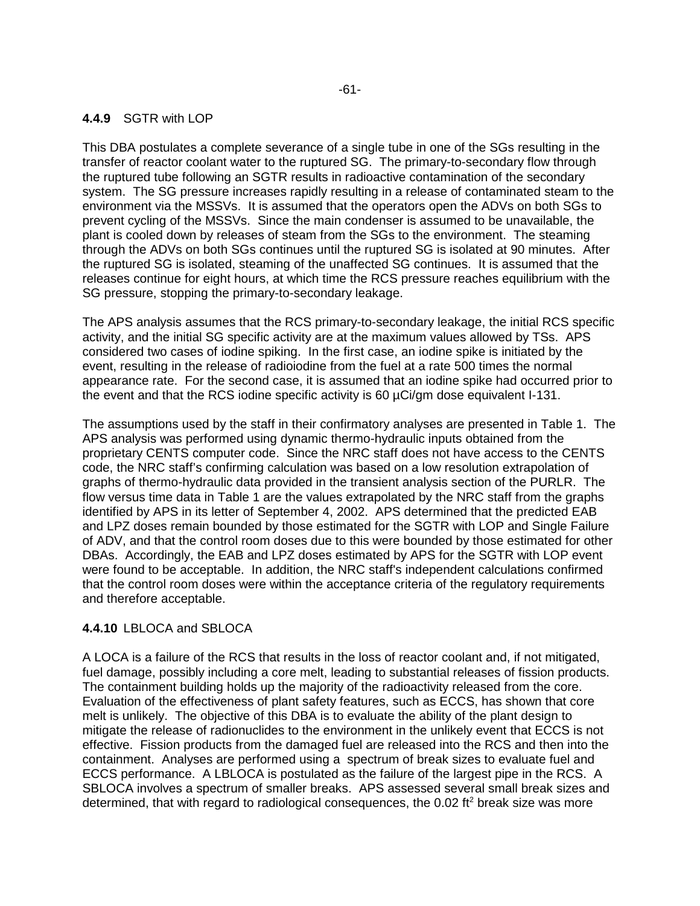### **4.4.9** SGTR with LOP

This DBA postulates a complete severance of a single tube in one of the SGs resulting in the transfer of reactor coolant water to the ruptured SG. The primary-to-secondary flow through the ruptured tube following an SGTR results in radioactive contamination of the secondary system. The SG pressure increases rapidly resulting in a release of contaminated steam to the environment via the MSSVs. It is assumed that the operators open the ADVs on both SGs to prevent cycling of the MSSVs. Since the main condenser is assumed to be unavailable, the plant is cooled down by releases of steam from the SGs to the environment. The steaming through the ADVs on both SGs continues until the ruptured SG is isolated at 90 minutes. After the ruptured SG is isolated, steaming of the unaffected SG continues. It is assumed that the releases continue for eight hours, at which time the RCS pressure reaches equilibrium with the SG pressure, stopping the primary-to-secondary leakage.

The APS analysis assumes that the RCS primary-to-secondary leakage, the initial RCS specific activity, and the initial SG specific activity are at the maximum values allowed by TSs. APS considered two cases of iodine spiking. In the first case, an iodine spike is initiated by the event, resulting in the release of radioiodine from the fuel at a rate 500 times the normal appearance rate. For the second case, it is assumed that an iodine spike had occurred prior to the event and that the RCS iodine specific activity is 60 µCi/gm dose equivalent I-131.

The assumptions used by the staff in their confirmatory analyses are presented in Table 1. The APS analysis was performed using dynamic thermo-hydraulic inputs obtained from the proprietary CENTS computer code. Since the NRC staff does not have access to the CENTS code, the NRC staff's confirming calculation was based on a low resolution extrapolation of graphs of thermo-hydraulic data provided in the transient analysis section of the PURLR. The flow versus time data in Table 1 are the values extrapolated by the NRC staff from the graphs identified by APS in its letter of September 4, 2002. APS determined that the predicted EAB and LPZ doses remain bounded by those estimated for the SGTR with LOP and Single Failure of ADV, and that the control room doses due to this were bounded by those estimated for other DBAs. Accordingly, the EAB and LPZ doses estimated by APS for the SGTR with LOP event were found to be acceptable. In addition, the NRC staff's independent calculations confirmed that the control room doses were within the acceptance criteria of the regulatory requirements and therefore acceptable.

#### **4.4.10** LBLOCA and SBLOCA

A LOCA is a failure of the RCS that results in the loss of reactor coolant and, if not mitigated, fuel damage, possibly including a core melt, leading to substantial releases of fission products. The containment building holds up the majority of the radioactivity released from the core. Evaluation of the effectiveness of plant safety features, such as ECCS, has shown that core melt is unlikely. The objective of this DBA is to evaluate the ability of the plant design to mitigate the release of radionuclides to the environment in the unlikely event that ECCS is not effective. Fission products from the damaged fuel are released into the RCS and then into the containment. Analyses are performed using a spectrum of break sizes to evaluate fuel and ECCS performance. A LBLOCA is postulated as the failure of the largest pipe in the RCS. A SBLOCA involves a spectrum of smaller breaks. APS assessed several small break sizes and determined, that with regard to radiological consequences, the 0.02 ft<sup>2</sup> break size was more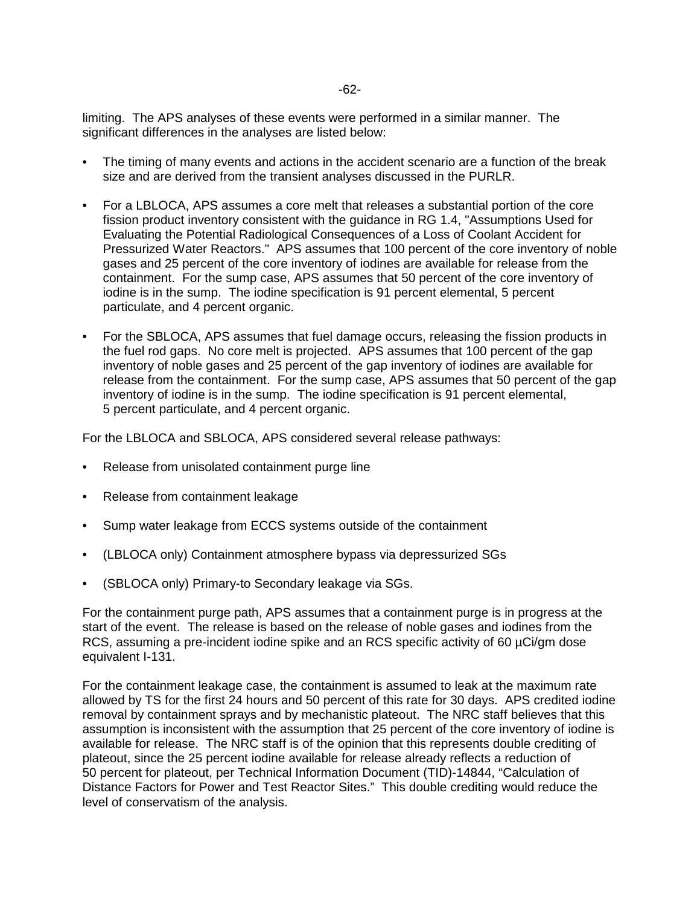-62-

limiting. The APS analyses of these events were performed in a similar manner. The significant differences in the analyses are listed below:

- The timing of many events and actions in the accident scenario are a function of the break size and are derived from the transient analyses discussed in the PURLR.
- For a LBLOCA, APS assumes a core melt that releases a substantial portion of the core fission product inventory consistent with the guidance in RG 1.4, "Assumptions Used for Evaluating the Potential Radiological Consequences of a Loss of Coolant Accident for Pressurized Water Reactors." APS assumes that 100 percent of the core inventory of noble gases and 25 percent of the core inventory of iodines are available for release from the containment. For the sump case, APS assumes that 50 percent of the core inventory of iodine is in the sump. The iodine specification is 91 percent elemental, 5 percent particulate, and 4 percent organic.
- For the SBLOCA, APS assumes that fuel damage occurs, releasing the fission products in the fuel rod gaps. No core melt is projected. APS assumes that 100 percent of the gap inventory of noble gases and 25 percent of the gap inventory of iodines are available for release from the containment. For the sump case, APS assumes that 50 percent of the gap inventory of iodine is in the sump. The iodine specification is 91 percent elemental, 5 percent particulate, and 4 percent organic.

For the LBLOCA and SBLOCA, APS considered several release pathways:

- Release from unisolated containment purge line
- Release from containment leakage
- Sump water leakage from ECCS systems outside of the containment
- (LBLOCA only) Containment atmosphere bypass via depressurized SGs
- (SBLOCA only) Primary-to Secondary leakage via SGs.

For the containment purge path, APS assumes that a containment purge is in progress at the start of the event. The release is based on the release of noble gases and iodines from the RCS, assuming a pre-incident iodine spike and an RCS specific activity of 60 µCi/gm dose equivalent I-131.

For the containment leakage case, the containment is assumed to leak at the maximum rate allowed by TS for the first 24 hours and 50 percent of this rate for 30 days. APS credited iodine removal by containment sprays and by mechanistic plateout. The NRC staff believes that this assumption is inconsistent with the assumption that 25 percent of the core inventory of iodine is available for release. The NRC staff is of the opinion that this represents double crediting of plateout, since the 25 percent iodine available for release already reflects a reduction of 50 percent for plateout, per Technical Information Document (TID)-14844, "Calculation of Distance Factors for Power and Test Reactor Sites." This double crediting would reduce the level of conservatism of the analysis.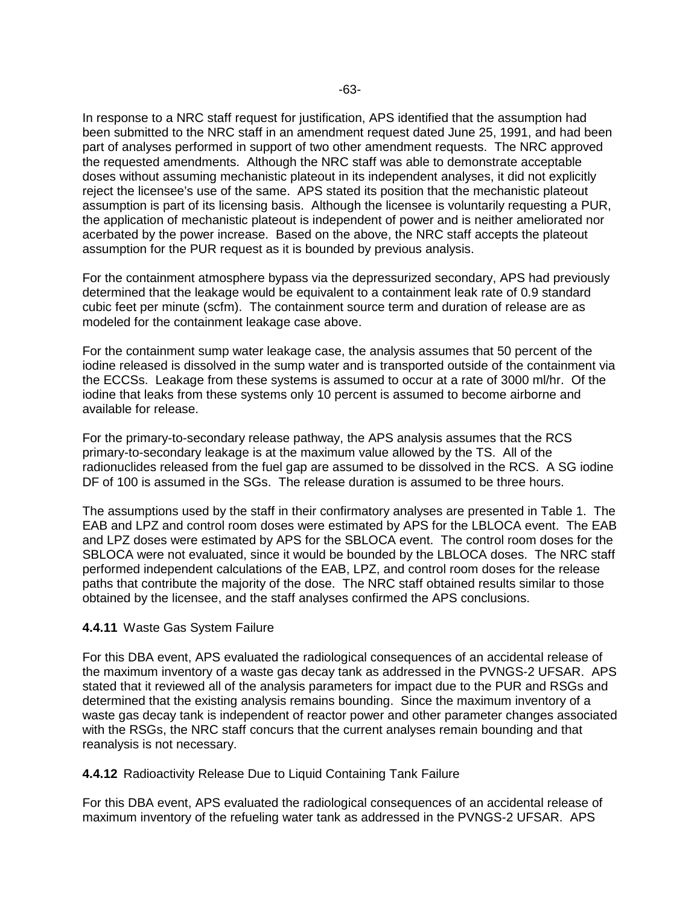In response to a NRC staff request for justification, APS identified that the assumption had been submitted to the NRC staff in an amendment request dated June 25, 1991, and had been part of analyses performed in support of two other amendment requests. The NRC approved the requested amendments. Although the NRC staff was able to demonstrate acceptable doses without assuming mechanistic plateout in its independent analyses, it did not explicitly reject the licensee's use of the same. APS stated its position that the mechanistic plateout assumption is part of its licensing basis. Although the licensee is voluntarily requesting a PUR, the application of mechanistic plateout is independent of power and is neither ameliorated nor acerbated by the power increase. Based on the above, the NRC staff accepts the plateout assumption for the PUR request as it is bounded by previous analysis.

For the containment atmosphere bypass via the depressurized secondary, APS had previously determined that the leakage would be equivalent to a containment leak rate of 0.9 standard cubic feet per minute (scfm). The containment source term and duration of release are as modeled for the containment leakage case above.

For the containment sump water leakage case, the analysis assumes that 50 percent of the iodine released is dissolved in the sump water and is transported outside of the containment via the ECCSs. Leakage from these systems is assumed to occur at a rate of 3000 ml/hr. Of the iodine that leaks from these systems only 10 percent is assumed to become airborne and available for release.

For the primary-to-secondary release pathway, the APS analysis assumes that the RCS primary-to-secondary leakage is at the maximum value allowed by the TS. All of the radionuclides released from the fuel gap are assumed to be dissolved in the RCS. A SG iodine DF of 100 is assumed in the SGs. The release duration is assumed to be three hours.

The assumptions used by the staff in their confirmatory analyses are presented in Table 1. The EAB and LPZ and control room doses were estimated by APS for the LBLOCA event. The EAB and LPZ doses were estimated by APS for the SBLOCA event. The control room doses for the SBLOCA were not evaluated, since it would be bounded by the LBLOCA doses. The NRC staff performed independent calculations of the EAB, LPZ, and control room doses for the release paths that contribute the majority of the dose. The NRC staff obtained results similar to those obtained by the licensee, and the staff analyses confirmed the APS conclusions.

#### **4.4.11** Waste Gas System Failure

For this DBA event, APS evaluated the radiological consequences of an accidental release of the maximum inventory of a waste gas decay tank as addressed in the PVNGS-2 UFSAR. APS stated that it reviewed all of the analysis parameters for impact due to the PUR and RSGs and determined that the existing analysis remains bounding. Since the maximum inventory of a waste gas decay tank is independent of reactor power and other parameter changes associated with the RSGs, the NRC staff concurs that the current analyses remain bounding and that reanalysis is not necessary.

#### **4.4.12** Radioactivity Release Due to Liquid Containing Tank Failure

For this DBA event, APS evaluated the radiological consequences of an accidental release of maximum inventory of the refueling water tank as addressed in the PVNGS-2 UFSAR. APS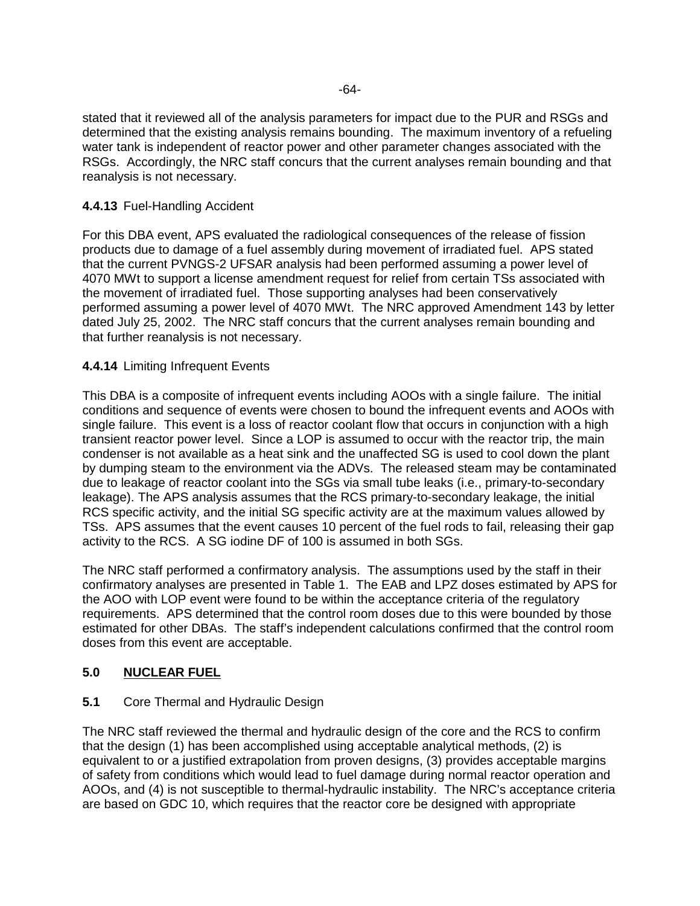stated that it reviewed all of the analysis parameters for impact due to the PUR and RSGs and determined that the existing analysis remains bounding. The maximum inventory of a refueling water tank is independent of reactor power and other parameter changes associated with the RSGs. Accordingly, the NRC staff concurs that the current analyses remain bounding and that reanalysis is not necessary.

### **4.4.13** Fuel-Handling Accident

For this DBA event, APS evaluated the radiological consequences of the release of fission products due to damage of a fuel assembly during movement of irradiated fuel. APS stated that the current PVNGS-2 UFSAR analysis had been performed assuming a power level of 4070 MWt to support a license amendment request for relief from certain TSs associated with the movement of irradiated fuel. Those supporting analyses had been conservatively performed assuming a power level of 4070 MWt. The NRC approved Amendment 143 by letter dated July 25, 2002. The NRC staff concurs that the current analyses remain bounding and that further reanalysis is not necessary.

### **4.4.14** Limiting Infrequent Events

This DBA is a composite of infrequent events including AOOs with a single failure. The initial conditions and sequence of events were chosen to bound the infrequent events and AOOs with single failure. This event is a loss of reactor coolant flow that occurs in conjunction with a high transient reactor power level. Since a LOP is assumed to occur with the reactor trip, the main condenser is not available as a heat sink and the unaffected SG is used to cool down the plant by dumping steam to the environment via the ADVs. The released steam may be contaminated due to leakage of reactor coolant into the SGs via small tube leaks (i.e., primary-to-secondary leakage). The APS analysis assumes that the RCS primary-to-secondary leakage, the initial RCS specific activity, and the initial SG specific activity are at the maximum values allowed by TSs. APS assumes that the event causes 10 percent of the fuel rods to fail, releasing their gap activity to the RCS. A SG iodine DF of 100 is assumed in both SGs.

The NRC staff performed a confirmatory analysis. The assumptions used by the staff in their confirmatory analyses are presented in Table 1. The EAB and LPZ doses estimated by APS for the AOO with LOP event were found to be within the acceptance criteria of the regulatory requirements. APS determined that the control room doses due to this were bounded by those estimated for other DBAs. The staff's independent calculations confirmed that the control room doses from this event are acceptable.

## **5.0 NUCLEAR FUEL**

## **5.1** Core Thermal and Hydraulic Design

The NRC staff reviewed the thermal and hydraulic design of the core and the RCS to confirm that the design (1) has been accomplished using acceptable analytical methods, (2) is equivalent to or a justified extrapolation from proven designs, (3) provides acceptable margins of safety from conditions which would lead to fuel damage during normal reactor operation and AOOs, and (4) is not susceptible to thermal-hydraulic instability. The NRC's acceptance criteria are based on GDC 10, which requires that the reactor core be designed with appropriate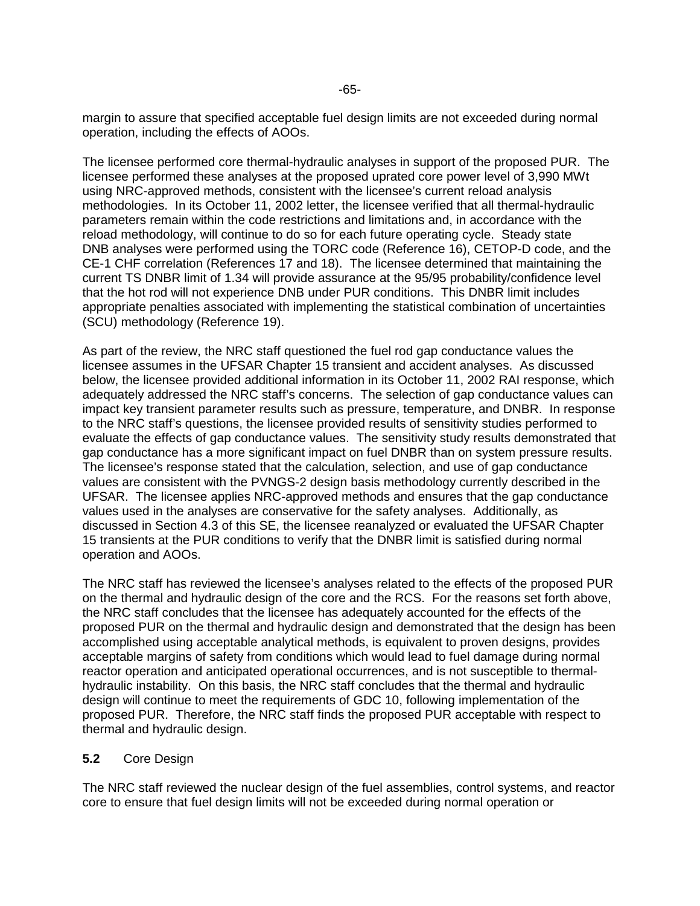margin to assure that specified acceptable fuel design limits are not exceeded during normal operation, including the effects of AOOs.

The licensee performed core thermal-hydraulic analyses in support of the proposed PUR. The licensee performed these analyses at the proposed uprated core power level of 3,990 MWt using NRC-approved methods, consistent with the licensee's current reload analysis methodologies. In its October 11, 2002 letter, the licensee verified that all thermal-hydraulic parameters remain within the code restrictions and limitations and, in accordance with the reload methodology, will continue to do so for each future operating cycle. Steady state DNB analyses were performed using the TORC code (Reference 16), CETOP-D code, and the CE-1 CHF correlation (References 17 and 18). The licensee determined that maintaining the current TS DNBR limit of 1.34 will provide assurance at the 95/95 probability/confidence level that the hot rod will not experience DNB under PUR conditions. This DNBR limit includes appropriate penalties associated with implementing the statistical combination of uncertainties (SCU) methodology (Reference 19).

As part of the review, the NRC staff questioned the fuel rod gap conductance values the licensee assumes in the UFSAR Chapter 15 transient and accident analyses. As discussed below, the licensee provided additional information in its October 11, 2002 RAI response, which adequately addressed the NRC staff's concerns. The selection of gap conductance values can impact key transient parameter results such as pressure, temperature, and DNBR. In response to the NRC staff's questions, the licensee provided results of sensitivity studies performed to evaluate the effects of gap conductance values. The sensitivity study results demonstrated that gap conductance has a more significant impact on fuel DNBR than on system pressure results. The licensee's response stated that the calculation, selection, and use of gap conductance values are consistent with the PVNGS-2 design basis methodology currently described in the UFSAR. The licensee applies NRC-approved methods and ensures that the gap conductance values used in the analyses are conservative for the safety analyses. Additionally, as discussed in Section 4.3 of this SE, the licensee reanalyzed or evaluated the UFSAR Chapter 15 transients at the PUR conditions to verify that the DNBR limit is satisfied during normal operation and AOOs.

The NRC staff has reviewed the licensee's analyses related to the effects of the proposed PUR on the thermal and hydraulic design of the core and the RCS. For the reasons set forth above, the NRC staff concludes that the licensee has adequately accounted for the effects of the proposed PUR on the thermal and hydraulic design and demonstrated that the design has been accomplished using acceptable analytical methods, is equivalent to proven designs, provides acceptable margins of safety from conditions which would lead to fuel damage during normal reactor operation and anticipated operational occurrences, and is not susceptible to thermalhydraulic instability. On this basis, the NRC staff concludes that the thermal and hydraulic design will continue to meet the requirements of GDC 10, following implementation of the proposed PUR. Therefore, the NRC staff finds the proposed PUR acceptable with respect to thermal and hydraulic design.

#### **5.2** Core Design

The NRC staff reviewed the nuclear design of the fuel assemblies, control systems, and reactor core to ensure that fuel design limits will not be exceeded during normal operation or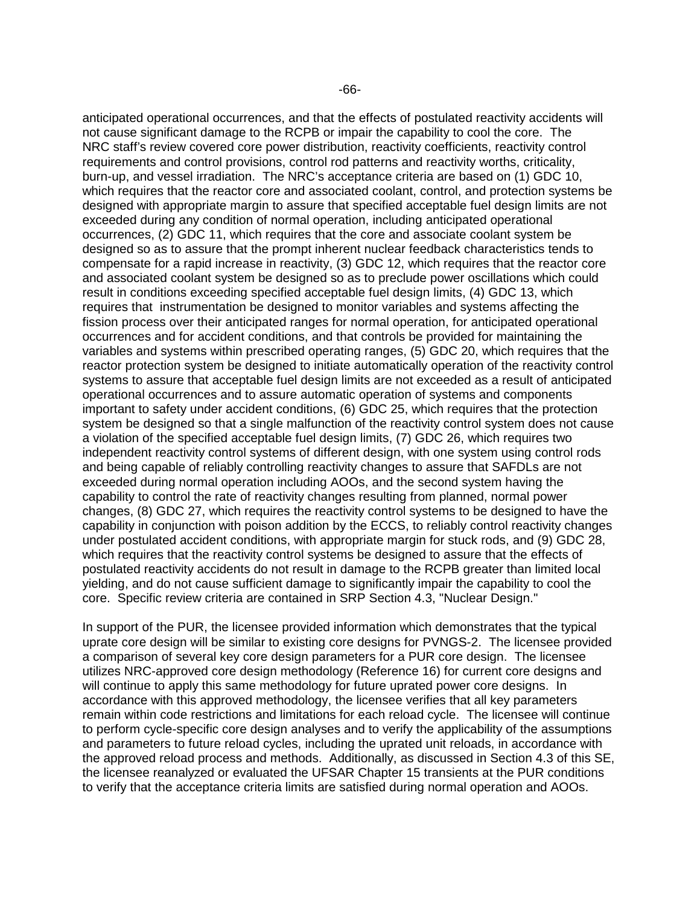anticipated operational occurrences, and that the effects of postulated reactivity accidents will not cause significant damage to the RCPB or impair the capability to cool the core. The NRC staff's review covered core power distribution, reactivity coefficients, reactivity control requirements and control provisions, control rod patterns and reactivity worths, criticality, burn-up, and vessel irradiation. The NRC's acceptance criteria are based on (1) GDC 10, which requires that the reactor core and associated coolant, control, and protection systems be designed with appropriate margin to assure that specified acceptable fuel design limits are not exceeded during any condition of normal operation, including anticipated operational occurrences, (2) GDC 11, which requires that the core and associate coolant system be designed so as to assure that the prompt inherent nuclear feedback characteristics tends to compensate for a rapid increase in reactivity, (3) GDC 12, which requires that the reactor core and associated coolant system be designed so as to preclude power oscillations which could result in conditions exceeding specified acceptable fuel design limits, (4) GDC 13, which requires that instrumentation be designed to monitor variables and systems affecting the fission process over their anticipated ranges for normal operation, for anticipated operational occurrences and for accident conditions, and that controls be provided for maintaining the variables and systems within prescribed operating ranges, (5) GDC 20, which requires that the reactor protection system be designed to initiate automatically operation of the reactivity control systems to assure that acceptable fuel design limits are not exceeded as a result of anticipated operational occurrences and to assure automatic operation of systems and components important to safety under accident conditions, (6) GDC 25, which requires that the protection system be designed so that a single malfunction of the reactivity control system does not cause a violation of the specified acceptable fuel design limits, (7) GDC 26, which requires two independent reactivity control systems of different design, with one system using control rods and being capable of reliably controlling reactivity changes to assure that SAFDLs are not exceeded during normal operation including AOOs, and the second system having the capability to control the rate of reactivity changes resulting from planned, normal power changes, (8) GDC 27, which requires the reactivity control systems to be designed to have the capability in conjunction with poison addition by the ECCS, to reliably control reactivity changes under postulated accident conditions, with appropriate margin for stuck rods, and (9) GDC 28, which requires that the reactivity control systems be designed to assure that the effects of postulated reactivity accidents do not result in damage to the RCPB greater than limited local yielding, and do not cause sufficient damage to significantly impair the capability to cool the core. Specific review criteria are contained in SRP Section 4.3, "Nuclear Design."

In support of the PUR, the licensee provided information which demonstrates that the typical uprate core design will be similar to existing core designs for PVNGS-2. The licensee provided a comparison of several key core design parameters for a PUR core design. The licensee utilizes NRC-approved core design methodology (Reference 16) for current core designs and will continue to apply this same methodology for future uprated power core designs. In accordance with this approved methodology, the licensee verifies that all key parameters remain within code restrictions and limitations for each reload cycle. The licensee will continue to perform cycle-specific core design analyses and to verify the applicability of the assumptions and parameters to future reload cycles, including the uprated unit reloads, in accordance with the approved reload process and methods. Additionally, as discussed in Section 4.3 of this SE, the licensee reanalyzed or evaluated the UFSAR Chapter 15 transients at the PUR conditions to verify that the acceptance criteria limits are satisfied during normal operation and AOOs.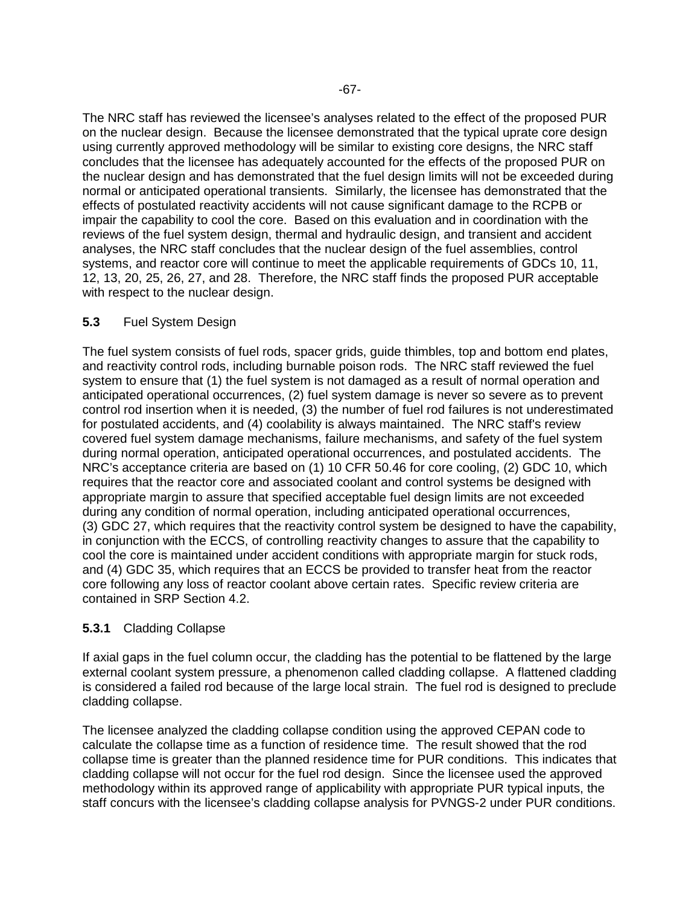The NRC staff has reviewed the licensee's analyses related to the effect of the proposed PUR on the nuclear design. Because the licensee demonstrated that the typical uprate core design using currently approved methodology will be similar to existing core designs, the NRC staff concludes that the licensee has adequately accounted for the effects of the proposed PUR on the nuclear design and has demonstrated that the fuel design limits will not be exceeded during normal or anticipated operational transients. Similarly, the licensee has demonstrated that the effects of postulated reactivity accidents will not cause significant damage to the RCPB or impair the capability to cool the core. Based on this evaluation and in coordination with the reviews of the fuel system design, thermal and hydraulic design, and transient and accident analyses, the NRC staff concludes that the nuclear design of the fuel assemblies, control systems, and reactor core will continue to meet the applicable requirements of GDCs 10, 11, 12, 13, 20, 25, 26, 27, and 28. Therefore, the NRC staff finds the proposed PUR acceptable with respect to the nuclear design.

### **5.3** Fuel System Design

The fuel system consists of fuel rods, spacer grids, guide thimbles, top and bottom end plates, and reactivity control rods, including burnable poison rods. The NRC staff reviewed the fuel system to ensure that (1) the fuel system is not damaged as a result of normal operation and anticipated operational occurrences, (2) fuel system damage is never so severe as to prevent control rod insertion when it is needed, (3) the number of fuel rod failures is not underestimated for postulated accidents, and (4) coolability is always maintained. The NRC staff's review covered fuel system damage mechanisms, failure mechanisms, and safety of the fuel system during normal operation, anticipated operational occurrences, and postulated accidents. The NRC's acceptance criteria are based on (1) 10 CFR 50.46 for core cooling, (2) GDC 10, which requires that the reactor core and associated coolant and control systems be designed with appropriate margin to assure that specified acceptable fuel design limits are not exceeded during any condition of normal operation, including anticipated operational occurrences, (3) GDC 27, which requires that the reactivity control system be designed to have the capability, in conjunction with the ECCS, of controlling reactivity changes to assure that the capability to cool the core is maintained under accident conditions with appropriate margin for stuck rods, and (4) GDC 35, which requires that an ECCS be provided to transfer heat from the reactor core following any loss of reactor coolant above certain rates. Specific review criteria are contained in SRP Section 4.2.

## **5.3.1** Cladding Collapse

If axial gaps in the fuel column occur, the cladding has the potential to be flattened by the large external coolant system pressure, a phenomenon called cladding collapse. A flattened cladding is considered a failed rod because of the large local strain. The fuel rod is designed to preclude cladding collapse.

The licensee analyzed the cladding collapse condition using the approved CEPAN code to calculate the collapse time as a function of residence time. The result showed that the rod collapse time is greater than the planned residence time for PUR conditions. This indicates that cladding collapse will not occur for the fuel rod design. Since the licensee used the approved methodology within its approved range of applicability with appropriate PUR typical inputs, the staff concurs with the licensee's cladding collapse analysis for PVNGS-2 under PUR conditions.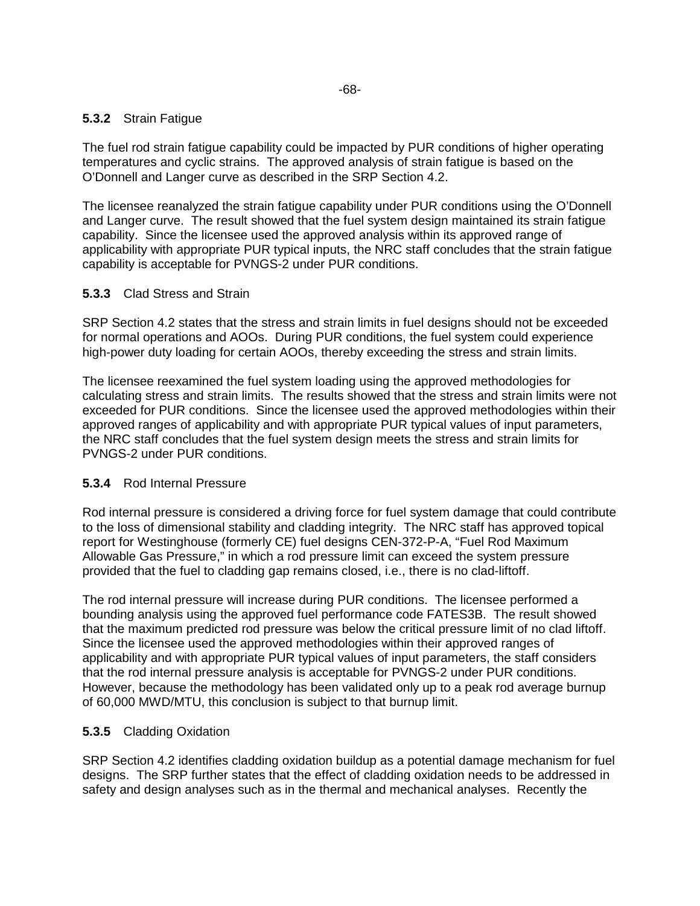### **5.3.2** Strain Fatigue

The fuel rod strain fatigue capability could be impacted by PUR conditions of higher operating temperatures and cyclic strains. The approved analysis of strain fatigue is based on the O'Donnell and Langer curve as described in the SRP Section 4.2.

The licensee reanalyzed the strain fatigue capability under PUR conditions using the O'Donnell and Langer curve. The result showed that the fuel system design maintained its strain fatigue capability. Since the licensee used the approved analysis within its approved range of applicability with appropriate PUR typical inputs, the NRC staff concludes that the strain fatigue capability is acceptable for PVNGS-2 under PUR conditions.

### **5.3.3** Clad Stress and Strain

SRP Section 4.2 states that the stress and strain limits in fuel designs should not be exceeded for normal operations and AOOs. During PUR conditions, the fuel system could experience high-power duty loading for certain AOOs, thereby exceeding the stress and strain limits.

The licensee reexamined the fuel system loading using the approved methodologies for calculating stress and strain limits. The results showed that the stress and strain limits were not exceeded for PUR conditions. Since the licensee used the approved methodologies within their approved ranges of applicability and with appropriate PUR typical values of input parameters, the NRC staff concludes that the fuel system design meets the stress and strain limits for PVNGS-2 under PUR conditions.

#### **5.3.4** Rod Internal Pressure

Rod internal pressure is considered a driving force for fuel system damage that could contribute to the loss of dimensional stability and cladding integrity. The NRC staff has approved topical report for Westinghouse (formerly CE) fuel designs CEN-372-P-A, "Fuel Rod Maximum Allowable Gas Pressure," in which a rod pressure limit can exceed the system pressure provided that the fuel to cladding gap remains closed, i.e., there is no clad-liftoff.

The rod internal pressure will increase during PUR conditions. The licensee performed a bounding analysis using the approved fuel performance code FATES3B. The result showed that the maximum predicted rod pressure was below the critical pressure limit of no clad liftoff. Since the licensee used the approved methodologies within their approved ranges of applicability and with appropriate PUR typical values of input parameters, the staff considers that the rod internal pressure analysis is acceptable for PVNGS-2 under PUR conditions. However, because the methodology has been validated only up to a peak rod average burnup of 60,000 MWD/MTU, this conclusion is subject to that burnup limit.

#### **5.3.5** Cladding Oxidation

SRP Section 4.2 identifies cladding oxidation buildup as a potential damage mechanism for fuel designs. The SRP further states that the effect of cladding oxidation needs to be addressed in safety and design analyses such as in the thermal and mechanical analyses. Recently the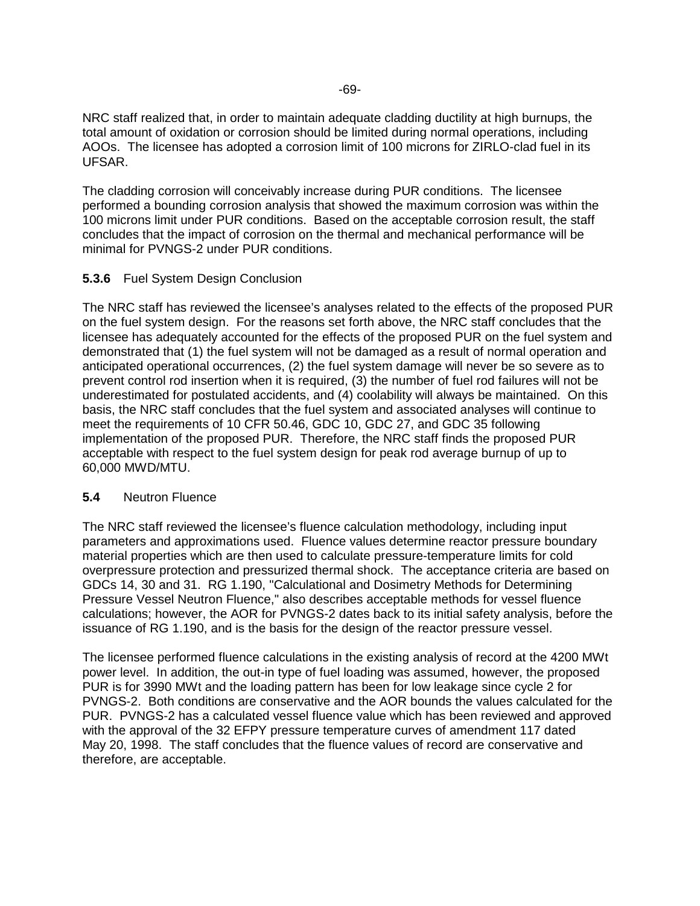NRC staff realized that, in order to maintain adequate cladding ductility at high burnups, the total amount of oxidation or corrosion should be limited during normal operations, including AOOs. The licensee has adopted a corrosion limit of 100 microns for ZIRLO-clad fuel in its UFSAR.

The cladding corrosion will conceivably increase during PUR conditions. The licensee performed a bounding corrosion analysis that showed the maximum corrosion was within the 100 microns limit under PUR conditions. Based on the acceptable corrosion result, the staff concludes that the impact of corrosion on the thermal and mechanical performance will be minimal for PVNGS-2 under PUR conditions.

## **5.3.6** Fuel System Design Conclusion

The NRC staff has reviewed the licensee's analyses related to the effects of the proposed PUR on the fuel system design. For the reasons set forth above, the NRC staff concludes that the licensee has adequately accounted for the effects of the proposed PUR on the fuel system and demonstrated that (1) the fuel system will not be damaged as a result of normal operation and anticipated operational occurrences, (2) the fuel system damage will never be so severe as to prevent control rod insertion when it is required, (3) the number of fuel rod failures will not be underestimated for postulated accidents, and (4) coolability will always be maintained. On this basis, the NRC staff concludes that the fuel system and associated analyses will continue to meet the requirements of 10 CFR 50.46, GDC 10, GDC 27, and GDC 35 following implementation of the proposed PUR. Therefore, the NRC staff finds the proposed PUR acceptable with respect to the fuel system design for peak rod average burnup of up to 60,000 MWD/MTU.

## **5.4** Neutron Fluence

The NRC staff reviewed the licensee's fluence calculation methodology, including input parameters and approximations used. Fluence values determine reactor pressure boundary material properties which are then used to calculate pressure-temperature limits for cold overpressure protection and pressurized thermal shock. The acceptance criteria are based on GDCs 14, 30 and 31. RG 1.190, "Calculational and Dosimetry Methods for Determining Pressure Vessel Neutron Fluence," also describes acceptable methods for vessel fluence calculations; however, the AOR for PVNGS-2 dates back to its initial safety analysis, before the issuance of RG 1.190, and is the basis for the design of the reactor pressure vessel.

The licensee performed fluence calculations in the existing analysis of record at the 4200 MWt power level. In addition, the out-in type of fuel loading was assumed, however, the proposed PUR is for 3990 MWt and the loading pattern has been for low leakage since cycle 2 for PVNGS-2. Both conditions are conservative and the AOR bounds the values calculated for the PUR. PVNGS-2 has a calculated vessel fluence value which has been reviewed and approved with the approval of the 32 EFPY pressure temperature curves of amendment 117 dated May 20, 1998. The staff concludes that the fluence values of record are conservative and therefore, are acceptable.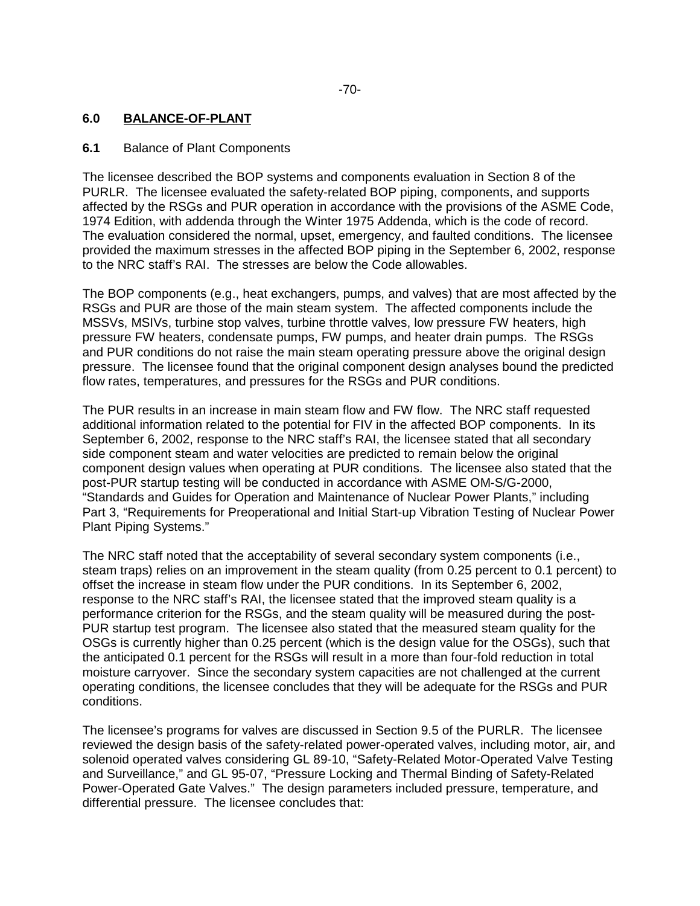## **6.0 BALANCE-OF-PLANT**

### **6.1** Balance of Plant Components

The licensee described the BOP systems and components evaluation in Section 8 of the PURLR. The licensee evaluated the safety-related BOP piping, components, and supports affected by the RSGs and PUR operation in accordance with the provisions of the ASME Code, 1974 Edition, with addenda through the Winter 1975 Addenda, which is the code of record. The evaluation considered the normal, upset, emergency, and faulted conditions. The licensee provided the maximum stresses in the affected BOP piping in the September 6, 2002, response to the NRC staff's RAI. The stresses are below the Code allowables.

The BOP components (e.g., heat exchangers, pumps, and valves) that are most affected by the RSGs and PUR are those of the main steam system. The affected components include the MSSVs, MSIVs, turbine stop valves, turbine throttle valves, low pressure FW heaters, high pressure FW heaters, condensate pumps, FW pumps, and heater drain pumps. The RSGs and PUR conditions do not raise the main steam operating pressure above the original design pressure. The licensee found that the original component design analyses bound the predicted flow rates, temperatures, and pressures for the RSGs and PUR conditions.

The PUR results in an increase in main steam flow and FW flow. The NRC staff requested additional information related to the potential for FIV in the affected BOP components. In its September 6, 2002, response to the NRC staff's RAI, the licensee stated that all secondary side component steam and water velocities are predicted to remain below the original component design values when operating at PUR conditions. The licensee also stated that the post-PUR startup testing will be conducted in accordance with ASME OM-S/G-2000, "Standards and Guides for Operation and Maintenance of Nuclear Power Plants," including Part 3, "Requirements for Preoperational and Initial Start-up Vibration Testing of Nuclear Power Plant Piping Systems."

The NRC staff noted that the acceptability of several secondary system components (i.e., steam traps) relies on an improvement in the steam quality (from 0.25 percent to 0.1 percent) to offset the increase in steam flow under the PUR conditions. In its September 6, 2002, response to the NRC staff's RAI, the licensee stated that the improved steam quality is a performance criterion for the RSGs, and the steam quality will be measured during the post-PUR startup test program. The licensee also stated that the measured steam quality for the OSGs is currently higher than 0.25 percent (which is the design value for the OSGs), such that the anticipated 0.1 percent for the RSGs will result in a more than four-fold reduction in total moisture carryover. Since the secondary system capacities are not challenged at the current operating conditions, the licensee concludes that they will be adequate for the RSGs and PUR conditions.

The licensee's programs for valves are discussed in Section 9.5 of the PURLR. The licensee reviewed the design basis of the safety-related power-operated valves, including motor, air, and solenoid operated valves considering GL 89-10, "Safety-Related Motor-Operated Valve Testing and Surveillance," and GL 95-07, "Pressure Locking and Thermal Binding of Safety-Related Power-Operated Gate Valves." The design parameters included pressure, temperature, and differential pressure. The licensee concludes that: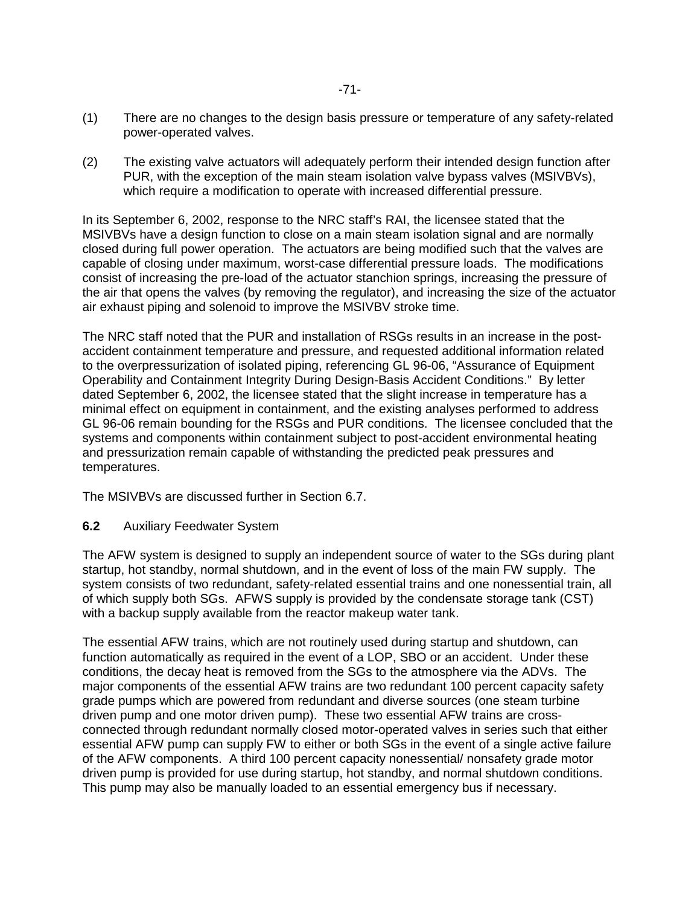- (1) There are no changes to the design basis pressure or temperature of any safety-related power-operated valves.
- (2) The existing valve actuators will adequately perform their intended design function after PUR, with the exception of the main steam isolation valve bypass valves (MSIVBVs), which require a modification to operate with increased differential pressure.

In its September 6, 2002, response to the NRC staff's RAI, the licensee stated that the MSIVBVs have a design function to close on a main steam isolation signal and are normally closed during full power operation. The actuators are being modified such that the valves are capable of closing under maximum, worst-case differential pressure loads. The modifications consist of increasing the pre-load of the actuator stanchion springs, increasing the pressure of the air that opens the valves (by removing the regulator), and increasing the size of the actuator air exhaust piping and solenoid to improve the MSIVBV stroke time.

The NRC staff noted that the PUR and installation of RSGs results in an increase in the postaccident containment temperature and pressure, and requested additional information related to the overpressurization of isolated piping, referencing GL 96-06, "Assurance of Equipment Operability and Containment Integrity During Design-Basis Accident Conditions." By letter dated September 6, 2002, the licensee stated that the slight increase in temperature has a minimal effect on equipment in containment, and the existing analyses performed to address GL 96-06 remain bounding for the RSGs and PUR conditions. The licensee concluded that the systems and components within containment subject to post-accident environmental heating and pressurization remain capable of withstanding the predicted peak pressures and temperatures.

The MSIVBVs are discussed further in Section 6.7.

## **6.2** Auxiliary Feedwater System

The AFW system is designed to supply an independent source of water to the SGs during plant startup, hot standby, normal shutdown, and in the event of loss of the main FW supply. The system consists of two redundant, safety-related essential trains and one nonessential train, all of which supply both SGs. AFWS supply is provided by the condensate storage tank (CST) with a backup supply available from the reactor makeup water tank.

The essential AFW trains, which are not routinely used during startup and shutdown, can function automatically as required in the event of a LOP, SBO or an accident. Under these conditions, the decay heat is removed from the SGs to the atmosphere via the ADVs. The major components of the essential AFW trains are two redundant 100 percent capacity safety grade pumps which are powered from redundant and diverse sources (one steam turbine driven pump and one motor driven pump). These two essential AFW trains are crossconnected through redundant normally closed motor-operated valves in series such that either essential AFW pump can supply FW to either or both SGs in the event of a single active failure of the AFW components. A third 100 percent capacity nonessential/ nonsafety grade motor driven pump is provided for use during startup, hot standby, and normal shutdown conditions. This pump may also be manually loaded to an essential emergency bus if necessary.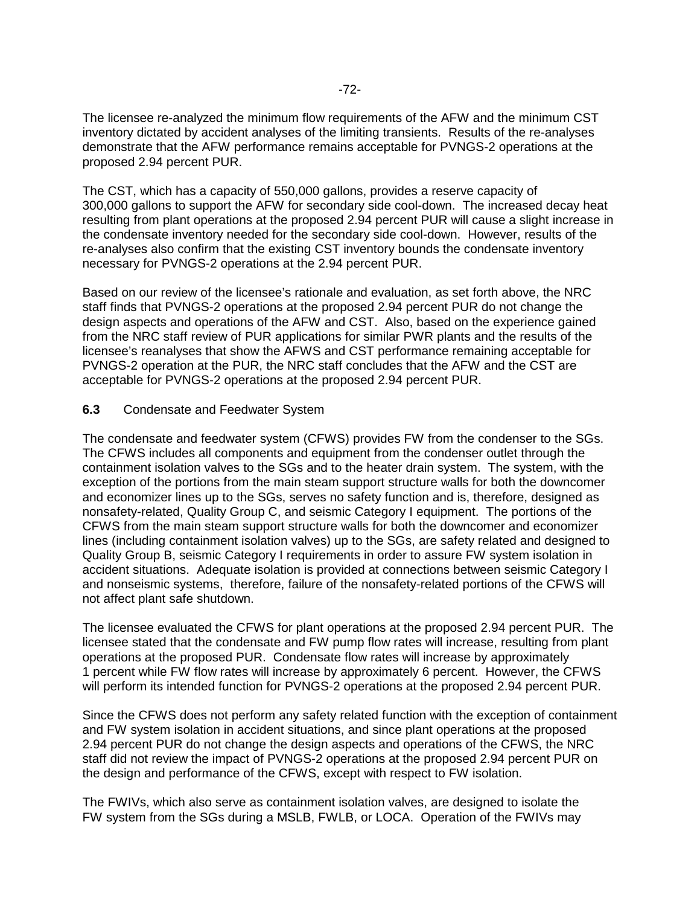The licensee re-analyzed the minimum flow requirements of the AFW and the minimum CST inventory dictated by accident analyses of the limiting transients. Results of the re-analyses demonstrate that the AFW performance remains acceptable for PVNGS-2 operations at the proposed 2.94 percent PUR.

The CST, which has a capacity of 550,000 gallons, provides a reserve capacity of 300,000 gallons to support the AFW for secondary side cool-down. The increased decay heat resulting from plant operations at the proposed 2.94 percent PUR will cause a slight increase in the condensate inventory needed for the secondary side cool-down. However, results of the re-analyses also confirm that the existing CST inventory bounds the condensate inventory necessary for PVNGS-2 operations at the 2.94 percent PUR.

Based on our review of the licensee's rationale and evaluation, as set forth above, the NRC staff finds that PVNGS-2 operations at the proposed 2.94 percent PUR do not change the design aspects and operations of the AFW and CST. Also, based on the experience gained from the NRC staff review of PUR applications for similar PWR plants and the results of the licensee's reanalyses that show the AFWS and CST performance remaining acceptable for PVNGS-2 operation at the PUR, the NRC staff concludes that the AFW and the CST are acceptable for PVNGS-2 operations at the proposed 2.94 percent PUR.

### **6.3** Condensate and Feedwater System

The condensate and feedwater system (CFWS) provides FW from the condenser to the SGs. The CFWS includes all components and equipment from the condenser outlet through the containment isolation valves to the SGs and to the heater drain system. The system, with the exception of the portions from the main steam support structure walls for both the downcomer and economizer lines up to the SGs, serves no safety function and is, therefore, designed as nonsafety-related, Quality Group C, and seismic Category I equipment. The portions of the CFWS from the main steam support structure walls for both the downcomer and economizer lines (including containment isolation valves) up to the SGs, are safety related and designed to Quality Group B, seismic Category I requirements in order to assure FW system isolation in accident situations. Adequate isolation is provided at connections between seismic Category I and nonseismic systems, therefore, failure of the nonsafety-related portions of the CFWS will not affect plant safe shutdown.

The licensee evaluated the CFWS for plant operations at the proposed 2.94 percent PUR. The licensee stated that the condensate and FW pump flow rates will increase, resulting from plant operations at the proposed PUR. Condensate flow rates will increase by approximately 1 percent while FW flow rates will increase by approximately 6 percent. However, the CFWS will perform its intended function for PVNGS-2 operations at the proposed 2.94 percent PUR.

Since the CFWS does not perform any safety related function with the exception of containment and FW system isolation in accident situations, and since plant operations at the proposed 2.94 percent PUR do not change the design aspects and operations of the CFWS, the NRC staff did not review the impact of PVNGS-2 operations at the proposed 2.94 percent PUR on the design and performance of the CFWS, except with respect to FW isolation.

The FWIVs, which also serve as containment isolation valves, are designed to isolate the FW system from the SGs during a MSLB, FWLB, or LOCA. Operation of the FWIVs may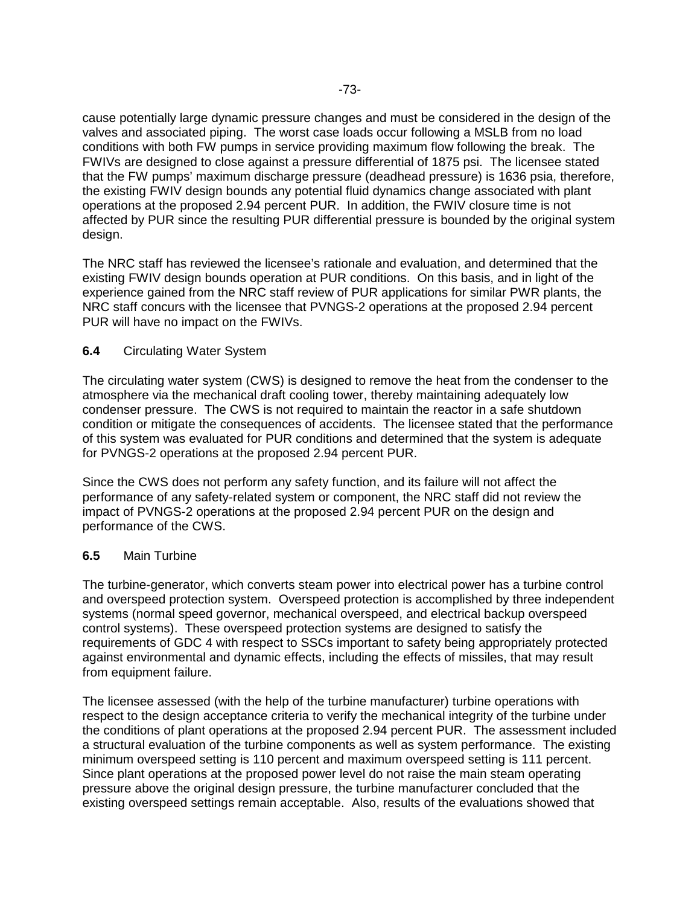cause potentially large dynamic pressure changes and must be considered in the design of the valves and associated piping. The worst case loads occur following a MSLB from no load conditions with both FW pumps in service providing maximum flow following the break. The FWIVs are designed to close against a pressure differential of 1875 psi. The licensee stated that the FW pumps' maximum discharge pressure (deadhead pressure) is 1636 psia, therefore, the existing FWIV design bounds any potential fluid dynamics change associated with plant operations at the proposed 2.94 percent PUR. In addition, the FWIV closure time is not affected by PUR since the resulting PUR differential pressure is bounded by the original system design.

The NRC staff has reviewed the licensee's rationale and evaluation, and determined that the existing FWIV design bounds operation at PUR conditions. On this basis, and in light of the experience gained from the NRC staff review of PUR applications for similar PWR plants, the NRC staff concurs with the licensee that PVNGS-2 operations at the proposed 2.94 percent PUR will have no impact on the FWIVs.

### **6.4** Circulating Water System

The circulating water system (CWS) is designed to remove the heat from the condenser to the atmosphere via the mechanical draft cooling tower, thereby maintaining adequately low condenser pressure. The CWS is not required to maintain the reactor in a safe shutdown condition or mitigate the consequences of accidents. The licensee stated that the performance of this system was evaluated for PUR conditions and determined that the system is adequate for PVNGS-2 operations at the proposed 2.94 percent PUR.

Since the CWS does not perform any safety function, and its failure will not affect the performance of any safety-related system or component, the NRC staff did not review the impact of PVNGS-2 operations at the proposed 2.94 percent PUR on the design and performance of the CWS.

## **6.5** Main Turbine

The turbine-generator, which converts steam power into electrical power has a turbine control and overspeed protection system. Overspeed protection is accomplished by three independent systems (normal speed governor, mechanical overspeed, and electrical backup overspeed control systems). These overspeed protection systems are designed to satisfy the requirements of GDC 4 with respect to SSCs important to safety being appropriately protected against environmental and dynamic effects, including the effects of missiles, that may result from equipment failure.

The licensee assessed (with the help of the turbine manufacturer) turbine operations with respect to the design acceptance criteria to verify the mechanical integrity of the turbine under the conditions of plant operations at the proposed 2.94 percent PUR. The assessment included a structural evaluation of the turbine components as well as system performance. The existing minimum overspeed setting is 110 percent and maximum overspeed setting is 111 percent. Since plant operations at the proposed power level do not raise the main steam operating pressure above the original design pressure, the turbine manufacturer concluded that the existing overspeed settings remain acceptable. Also, results of the evaluations showed that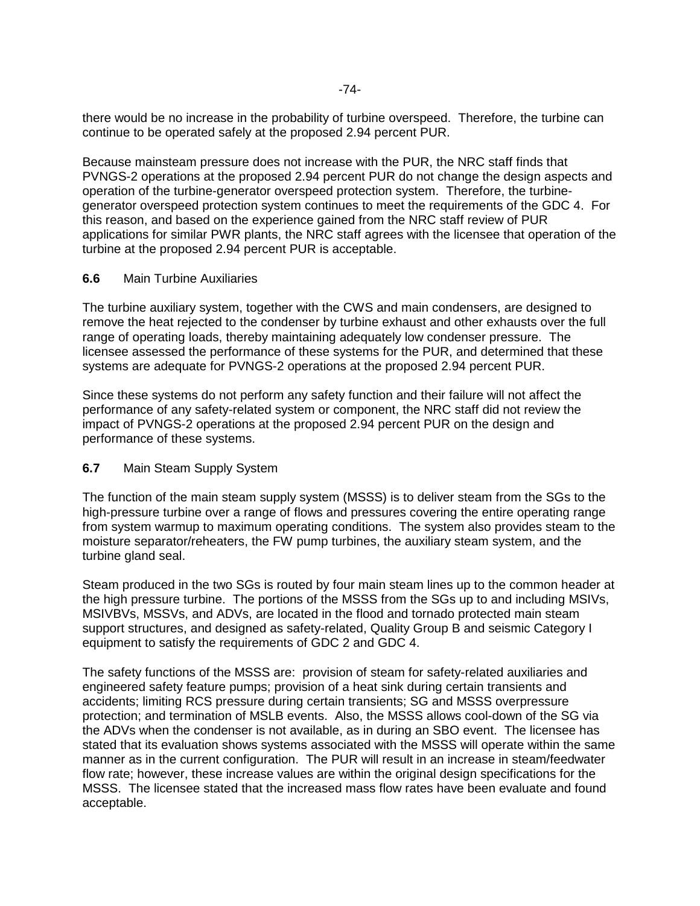there would be no increase in the probability of turbine overspeed. Therefore, the turbine can continue to be operated safely at the proposed 2.94 percent PUR.

Because mainsteam pressure does not increase with the PUR, the NRC staff finds that PVNGS-2 operations at the proposed 2.94 percent PUR do not change the design aspects and operation of the turbine-generator overspeed protection system. Therefore, the turbinegenerator overspeed protection system continues to meet the requirements of the GDC 4. For this reason, and based on the experience gained from the NRC staff review of PUR applications for similar PWR plants, the NRC staff agrees with the licensee that operation of the turbine at the proposed 2.94 percent PUR is acceptable.

#### **6.6** Main Turbine Auxiliaries

The turbine auxiliary system, together with the CWS and main condensers, are designed to remove the heat rejected to the condenser by turbine exhaust and other exhausts over the full range of operating loads, thereby maintaining adequately low condenser pressure. The licensee assessed the performance of these systems for the PUR, and determined that these systems are adequate for PVNGS-2 operations at the proposed 2.94 percent PUR.

Since these systems do not perform any safety function and their failure will not affect the performance of any safety-related system or component, the NRC staff did not review the impact of PVNGS-2 operations at the proposed 2.94 percent PUR on the design and performance of these systems.

## **6.7** Main Steam Supply System

The function of the main steam supply system (MSSS) is to deliver steam from the SGs to the high-pressure turbine over a range of flows and pressures covering the entire operating range from system warmup to maximum operating conditions. The system also provides steam to the moisture separator/reheaters, the FW pump turbines, the auxiliary steam system, and the turbine gland seal.

Steam produced in the two SGs is routed by four main steam lines up to the common header at the high pressure turbine. The portions of the MSSS from the SGs up to and including MSIVs, MSIVBVs, MSSVs, and ADVs, are located in the flood and tornado protected main steam support structures, and designed as safety-related, Quality Group B and seismic Category I equipment to satisfy the requirements of GDC 2 and GDC 4.

The safety functions of the MSSS are: provision of steam for safety-related auxiliaries and engineered safety feature pumps; provision of a heat sink during certain transients and accidents; limiting RCS pressure during certain transients; SG and MSSS overpressure protection; and termination of MSLB events. Also, the MSSS allows cool-down of the SG via the ADVs when the condenser is not available, as in during an SBO event. The licensee has stated that its evaluation shows systems associated with the MSSS will operate within the same manner as in the current configuration. The PUR will result in an increase in steam/feedwater flow rate; however, these increase values are within the original design specifications for the MSSS. The licensee stated that the increased mass flow rates have been evaluate and found acceptable.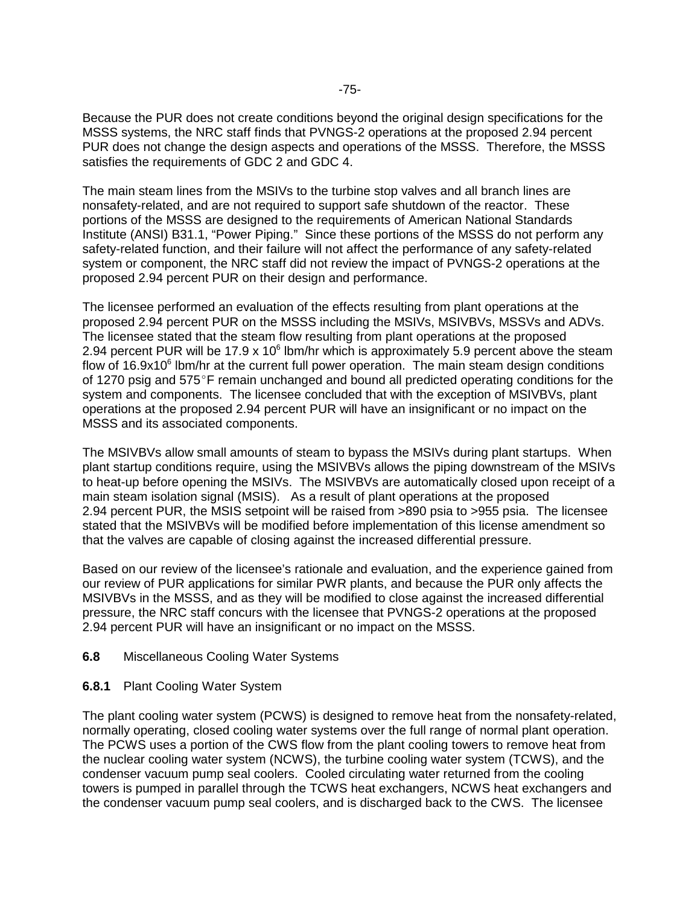Because the PUR does not create conditions beyond the original design specifications for the MSSS systems, the NRC staff finds that PVNGS-2 operations at the proposed 2.94 percent PUR does not change the design aspects and operations of the MSSS. Therefore, the MSSS satisfies the requirements of GDC 2 and GDC 4.

The main steam lines from the MSIVs to the turbine stop valves and all branch lines are nonsafety-related, and are not required to support safe shutdown of the reactor. These portions of the MSSS are designed to the requirements of American National Standards Institute (ANSI) B31.1, "Power Piping." Since these portions of the MSSS do not perform any safety-related function, and their failure will not affect the performance of any safety-related system or component, the NRC staff did not review the impact of PVNGS-2 operations at the proposed 2.94 percent PUR on their design and performance.

The licensee performed an evaluation of the effects resulting from plant operations at the proposed 2.94 percent PUR on the MSSS including the MSIVs, MSIVBVs, MSSVs and ADVs. The licensee stated that the steam flow resulting from plant operations at the proposed 2.94 percent PUR will be 17.9 x 10 $^6$  lbm/hr which is approximately 5.9 percent above the steam flow of 16.9x10<sup>6</sup> lbm/hr at the current full power operation. The main steam design conditions of 1270 psig and 575 $\degree$ F remain unchanged and bound all predicted operating conditions for the system and components. The licensee concluded that with the exception of MSIVBVs, plant operations at the proposed 2.94 percent PUR will have an insignificant or no impact on the MSSS and its associated components.

The MSIVBVs allow small amounts of steam to bypass the MSIVs during plant startups. When plant startup conditions require, using the MSIVBVs allows the piping downstream of the MSIVs to heat-up before opening the MSIVs. The MSIVBVs are automatically closed upon receipt of a main steam isolation signal (MSIS). As a result of plant operations at the proposed 2.94 percent PUR, the MSIS setpoint will be raised from >890 psia to >955 psia. The licensee stated that the MSIVBVs will be modified before implementation of this license amendment so that the valves are capable of closing against the increased differential pressure.

Based on our review of the licensee's rationale and evaluation, and the experience gained from our review of PUR applications for similar PWR plants, and because the PUR only affects the MSIVBVs in the MSSS, and as they will be modified to close against the increased differential pressure, the NRC staff concurs with the licensee that PVNGS-2 operations at the proposed 2.94 percent PUR will have an insignificant or no impact on the MSSS.

#### **6.8** Miscellaneous Cooling Water Systems

#### **6.8.1** Plant Cooling Water System

The plant cooling water system (PCWS) is designed to remove heat from the nonsafety-related, normally operating, closed cooling water systems over the full range of normal plant operation. The PCWS uses a portion of the CWS flow from the plant cooling towers to remove heat from the nuclear cooling water system (NCWS), the turbine cooling water system (TCWS), and the condenser vacuum pump seal coolers. Cooled circulating water returned from the cooling towers is pumped in parallel through the TCWS heat exchangers, NCWS heat exchangers and the condenser vacuum pump seal coolers, and is discharged back to the CWS. The licensee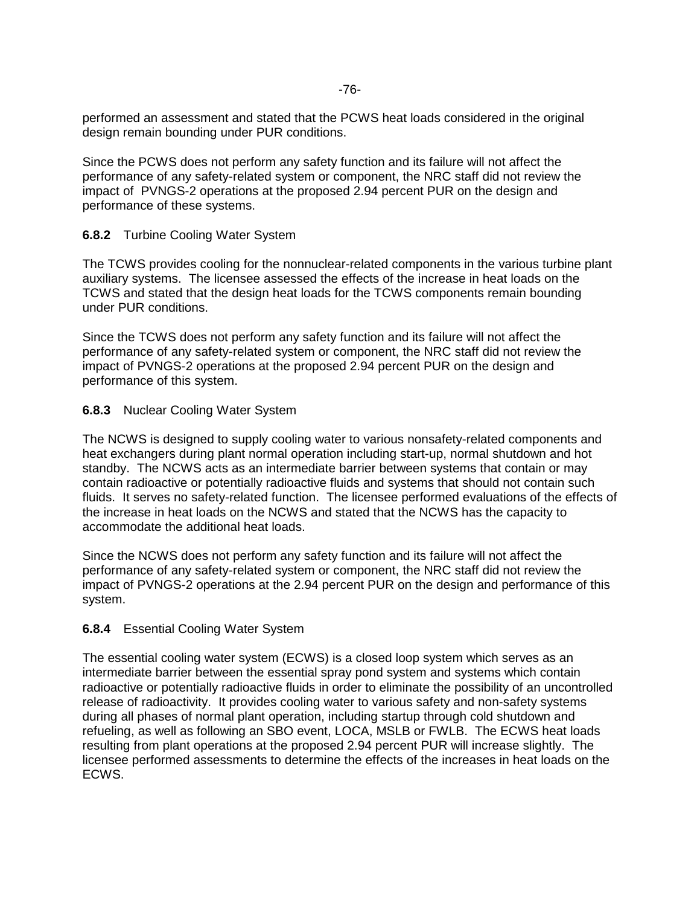performed an assessment and stated that the PCWS heat loads considered in the original design remain bounding under PUR conditions.

Since the PCWS does not perform any safety function and its failure will not affect the performance of any safety-related system or component, the NRC staff did not review the impact of PVNGS-2 operations at the proposed 2.94 percent PUR on the design and performance of these systems.

## **6.8.2** Turbine Cooling Water System

The TCWS provides cooling for the nonnuclear-related components in the various turbine plant auxiliary systems. The licensee assessed the effects of the increase in heat loads on the TCWS and stated that the design heat loads for the TCWS components remain bounding under PUR conditions.

Since the TCWS does not perform any safety function and its failure will not affect the performance of any safety-related system or component, the NRC staff did not review the impact of PVNGS-2 operations at the proposed 2.94 percent PUR on the design and performance of this system.

### **6.8.3** Nuclear Cooling Water System

The NCWS is designed to supply cooling water to various nonsafety-related components and heat exchangers during plant normal operation including start-up, normal shutdown and hot standby. The NCWS acts as an intermediate barrier between systems that contain or may contain radioactive or potentially radioactive fluids and systems that should not contain such fluids. It serves no safety-related function. The licensee performed evaluations of the effects of the increase in heat loads on the NCWS and stated that the NCWS has the capacity to accommodate the additional heat loads.

Since the NCWS does not perform any safety function and its failure will not affect the performance of any safety-related system or component, the NRC staff did not review the impact of PVNGS-2 operations at the 2.94 percent PUR on the design and performance of this system.

#### **6.8.4** Essential Cooling Water System

The essential cooling water system (ECWS) is a closed loop system which serves as an intermediate barrier between the essential spray pond system and systems which contain radioactive or potentially radioactive fluids in order to eliminate the possibility of an uncontrolled release of radioactivity. It provides cooling water to various safety and non-safety systems during all phases of normal plant operation, including startup through cold shutdown and refueling, as well as following an SBO event, LOCA, MSLB or FWLB. The ECWS heat loads resulting from plant operations at the proposed 2.94 percent PUR will increase slightly. The licensee performed assessments to determine the effects of the increases in heat loads on the ECWS.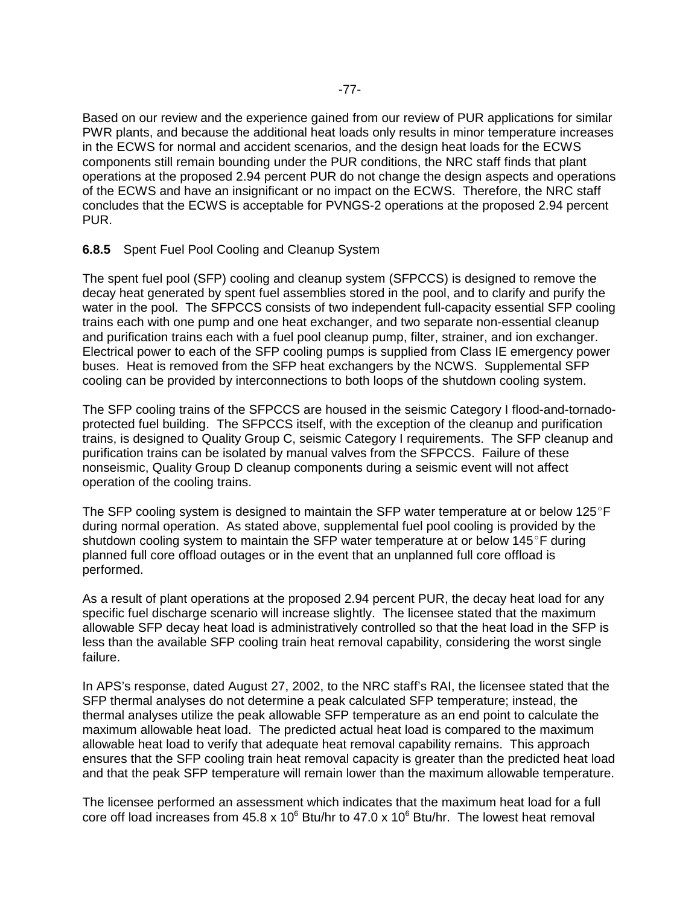Based on our review and the experience gained from our review of PUR applications for similar PWR plants, and because the additional heat loads only results in minor temperature increases in the ECWS for normal and accident scenarios, and the design heat loads for the ECWS components still remain bounding under the PUR conditions, the NRC staff finds that plant operations at the proposed 2.94 percent PUR do not change the design aspects and operations of the ECWS and have an insignificant or no impact on the ECWS. Therefore, the NRC staff concludes that the ECWS is acceptable for PVNGS-2 operations at the proposed 2.94 percent PUR.

### **6.8.5** Spent Fuel Pool Cooling and Cleanup System

The spent fuel pool (SFP) cooling and cleanup system (SFPCCS) is designed to remove the decay heat generated by spent fuel assemblies stored in the pool, and to clarify and purify the water in the pool. The SFPCCS consists of two independent full-capacity essential SFP cooling trains each with one pump and one heat exchanger, and two separate non-essential cleanup and purification trains each with a fuel pool cleanup pump, filter, strainer, and ion exchanger. Electrical power to each of the SFP cooling pumps is supplied from Class IE emergency power buses. Heat is removed from the SFP heat exchangers by the NCWS. Supplemental SFP cooling can be provided by interconnections to both loops of the shutdown cooling system.

The SFP cooling trains of the SFPCCS are housed in the seismic Category I flood-and-tornadoprotected fuel building. The SFPCCS itself, with the exception of the cleanup and purification trains, is designed to Quality Group C, seismic Category I requirements. The SFP cleanup and purification trains can be isolated by manual valves from the SFPCCS. Failure of these nonseismic, Quality Group D cleanup components during a seismic event will not affect operation of the cooling trains.

The SFP cooling system is designed to maintain the SFP water temperature at or below  $125^{\circ}$ F during normal operation. As stated above, supplemental fuel pool cooling is provided by the shutdown cooling system to maintain the SFP water temperature at or below  $145^{\circ}$ F during planned full core offload outages or in the event that an unplanned full core offload is performed.

As a result of plant operations at the proposed 2.94 percent PUR, the decay heat load for any specific fuel discharge scenario will increase slightly. The licensee stated that the maximum allowable SFP decay heat load is administratively controlled so that the heat load in the SFP is less than the available SFP cooling train heat removal capability, considering the worst single failure.

In APS's response, dated August 27, 2002, to the NRC staff's RAI, the licensee stated that the SFP thermal analyses do not determine a peak calculated SFP temperature; instead, the thermal analyses utilize the peak allowable SFP temperature as an end point to calculate the maximum allowable heat load. The predicted actual heat load is compared to the maximum allowable heat load to verify that adequate heat removal capability remains. This approach ensures that the SFP cooling train heat removal capacity is greater than the predicted heat load and that the peak SFP temperature will remain lower than the maximum allowable temperature.

The licensee performed an assessment which indicates that the maximum heat load for a full core off load increases from 45.8 x 10 $^6$  Btu/hr to 47.0 x 10 $^6$  Btu/hr. The lowest heat removal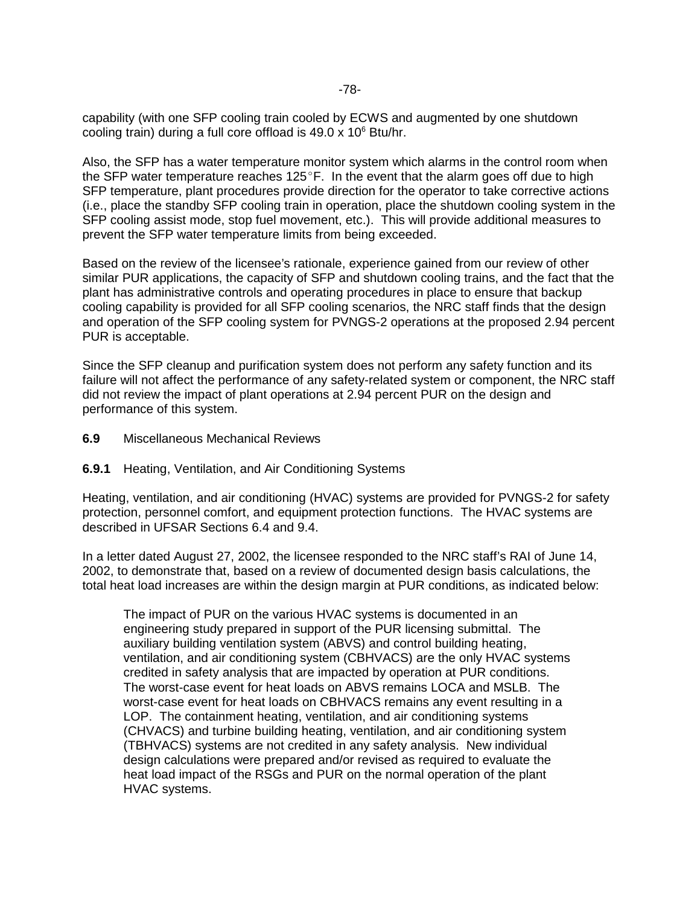capability (with one SFP cooling train cooled by ECWS and augmented by one shutdown cooling train) during a full core offload is 49.0 x 10<sup>6</sup> Btu/hr.

Also, the SFP has a water temperature monitor system which alarms in the control room when the SFP water temperature reaches  $125^{\circ}$ F. In the event that the alarm goes off due to high SFP temperature, plant procedures provide direction for the operator to take corrective actions (i.e., place the standby SFP cooling train in operation, place the shutdown cooling system in the SFP cooling assist mode, stop fuel movement, etc.). This will provide additional measures to prevent the SFP water temperature limits from being exceeded.

Based on the review of the licensee's rationale, experience gained from our review of other similar PUR applications, the capacity of SFP and shutdown cooling trains, and the fact that the plant has administrative controls and operating procedures in place to ensure that backup cooling capability is provided for all SFP cooling scenarios, the NRC staff finds that the design and operation of the SFP cooling system for PVNGS-2 operations at the proposed 2.94 percent PUR is acceptable.

Since the SFP cleanup and purification system does not perform any safety function and its failure will not affect the performance of any safety-related system or component, the NRC staff did not review the impact of plant operations at 2.94 percent PUR on the design and performance of this system.

**6.9** Miscellaneous Mechanical Reviews

#### **6.9.1** Heating, Ventilation, and Air Conditioning Systems

Heating, ventilation, and air conditioning (HVAC) systems are provided for PVNGS-2 for safety protection, personnel comfort, and equipment protection functions. The HVAC systems are described in UFSAR Sections 6.4 and 9.4.

In a letter dated August 27, 2002, the licensee responded to the NRC staff's RAI of June 14, 2002, to demonstrate that, based on a review of documented design basis calculations, the total heat load increases are within the design margin at PUR conditions, as indicated below:

The impact of PUR on the various HVAC systems is documented in an engineering study prepared in support of the PUR licensing submittal. The auxiliary building ventilation system (ABVS) and control building heating, ventilation, and air conditioning system (CBHVACS) are the only HVAC systems credited in safety analysis that are impacted by operation at PUR conditions. The worst-case event for heat loads on ABVS remains LOCA and MSLB. The worst-case event for heat loads on CBHVACS remains any event resulting in a LOP. The containment heating, ventilation, and air conditioning systems (CHVACS) and turbine building heating, ventilation, and air conditioning system (TBHVACS) systems are not credited in any safety analysis. New individual design calculations were prepared and/or revised as required to evaluate the heat load impact of the RSGs and PUR on the normal operation of the plant HVAC systems.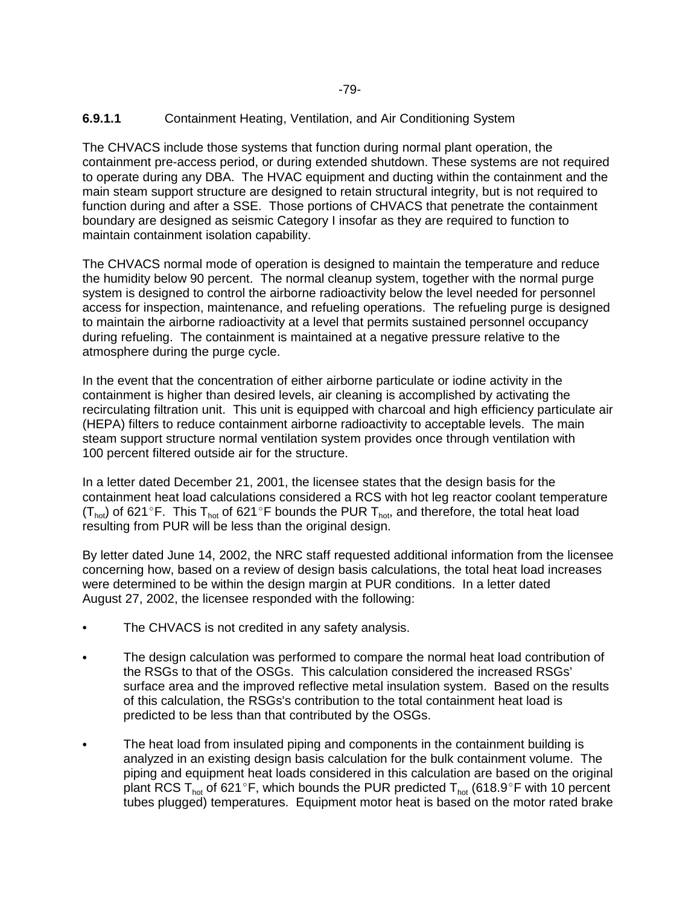## **6.9.1.1** Containment Heating, Ventilation, and Air Conditioning System

The CHVACS include those systems that function during normal plant operation, the containment pre-access period, or during extended shutdown. These systems are not required to operate during any DBA. The HVAC equipment and ducting within the containment and the main steam support structure are designed to retain structural integrity, but is not required to function during and after a SSE. Those portions of CHVACS that penetrate the containment boundary are designed as seismic Category I insofar as they are required to function to maintain containment isolation capability.

The CHVACS normal mode of operation is designed to maintain the temperature and reduce the humidity below 90 percent. The normal cleanup system, together with the normal purge system is designed to control the airborne radioactivity below the level needed for personnel access for inspection, maintenance, and refueling operations. The refueling purge is designed to maintain the airborne radioactivity at a level that permits sustained personnel occupancy during refueling. The containment is maintained at a negative pressure relative to the atmosphere during the purge cycle.

In the event that the concentration of either airborne particulate or iodine activity in the containment is higher than desired levels, air cleaning is accomplished by activating the recirculating filtration unit. This unit is equipped with charcoal and high efficiency particulate air (HEPA) filters to reduce containment airborne radioactivity to acceptable levels. The main steam support structure normal ventilation system provides once through ventilation with 100 percent filtered outside air for the structure.

In a letter dated December 21, 2001, the licensee states that the design basis for the containment heat load calculations considered a RCS with hot leg reactor coolant temperature  $(T_{hot})$  of 621°F. This  $T_{hot}$  of 621°F bounds the PUR  $T_{hot}$ , and therefore, the total heat load resulting from PUR will be less than the original design.

By letter dated June 14, 2002, the NRC staff requested additional information from the licensee concerning how, based on a review of design basis calculations, the total heat load increases were determined to be within the design margin at PUR conditions. In a letter dated August 27, 2002, the licensee responded with the following:

- The CHVACS is not credited in any safety analysis.
- - The design calculation was performed to compare the normal heat load contribution of the RSGs to that of the OSGs. This calculation considered the increased RSGs' surface area and the improved reflective metal insulation system. Based on the results of this calculation, the RSGs's contribution to the total containment heat load is predicted to be less than that contributed by the OSGs.
- $\bullet$  The heat load from insulated piping and components in the containment building is analyzed in an existing design basis calculation for the bulk containment volume. The piping and equipment heat loads considered in this calculation are based on the original plant RCS T<sub>hot</sub> of 621°F, which bounds the PUR predicted T<sub>hot</sub> (618.9°F with 10 percent tubes plugged) temperatures. Equipment motor heat is based on the motor rated brake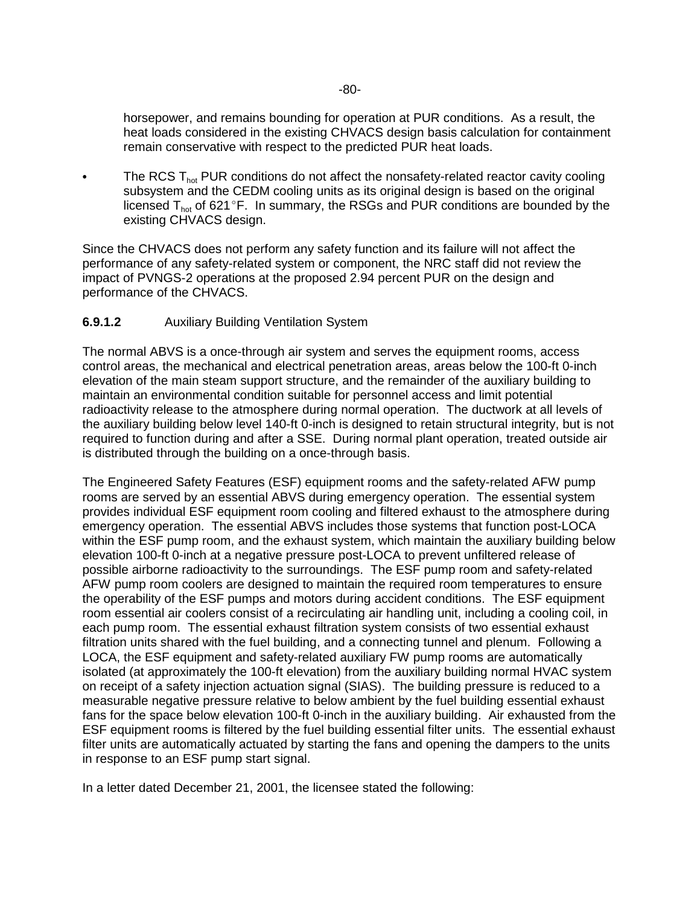horsepower, and remains bounding for operation at PUR conditions. As a result, the heat loads considered in the existing CHVACS design basis calculation for containment remain conservative with respect to the predicted PUR heat loads.

-The RCS  $T_{hot}$  PUR conditions do not affect the nonsafety-related reactor cavity cooling subsystem and the CEDM cooling units as its original design is based on the original licensed  $T<sub>hot</sub>$  of 621°F. In summary, the RSGs and PUR conditions are bounded by the existing CHVACS design.

Since the CHVACS does not perform any safety function and its failure will not affect the performance of any safety-related system or component, the NRC staff did not review the impact of PVNGS-2 operations at the proposed 2.94 percent PUR on the design and performance of the CHVACS.

## **6.9.1.2** Auxiliary Building Ventilation System

The normal ABVS is a once-through air system and serves the equipment rooms, access control areas, the mechanical and electrical penetration areas, areas below the 100-ft 0-inch elevation of the main steam support structure, and the remainder of the auxiliary building to maintain an environmental condition suitable for personnel access and limit potential radioactivity release to the atmosphere during normal operation. The ductwork at all levels of the auxiliary building below level 140-ft 0-inch is designed to retain structural integrity, but is not required to function during and after a SSE. During normal plant operation, treated outside air is distributed through the building on a once-through basis.

The Engineered Safety Features (ESF) equipment rooms and the safety-related AFW pump rooms are served by an essential ABVS during emergency operation. The essential system provides individual ESF equipment room cooling and filtered exhaust to the atmosphere during emergency operation. The essential ABVS includes those systems that function post-LOCA within the ESF pump room, and the exhaust system, which maintain the auxiliary building below elevation 100-ft 0-inch at a negative pressure post-LOCA to prevent unfiltered release of possible airborne radioactivity to the surroundings. The ESF pump room and safety-related AFW pump room coolers are designed to maintain the required room temperatures to ensure the operability of the ESF pumps and motors during accident conditions. The ESF equipment room essential air coolers consist of a recirculating air handling unit, including a cooling coil, in each pump room. The essential exhaust filtration system consists of two essential exhaust filtration units shared with the fuel building, and a connecting tunnel and plenum. Following a LOCA, the ESF equipment and safety-related auxiliary FW pump rooms are automatically isolated (at approximately the 100-ft elevation) from the auxiliary building normal HVAC system on receipt of a safety injection actuation signal (SIAS). The building pressure is reduced to a measurable negative pressure relative to below ambient by the fuel building essential exhaust fans for the space below elevation 100-ft 0-inch in the auxiliary building. Air exhausted from the ESF equipment rooms is filtered by the fuel building essential filter units. The essential exhaust filter units are automatically actuated by starting the fans and opening the dampers to the units in response to an ESF pump start signal.

In a letter dated December 21, 2001, the licensee stated the following: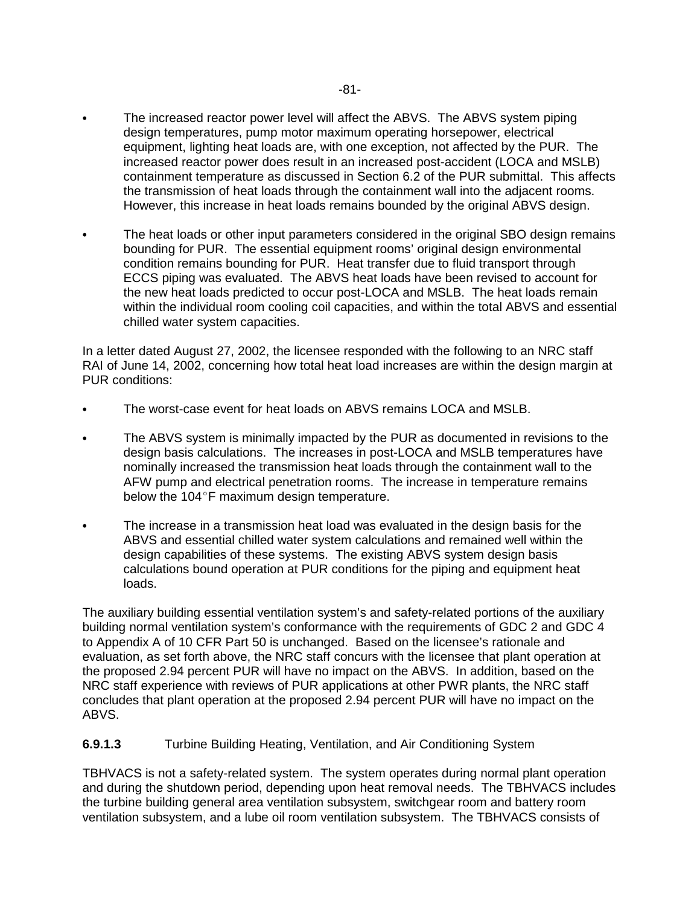- $\bullet$  The increased reactor power level will affect the ABVS. The ABVS system piping design temperatures, pump motor maximum operating horsepower, electrical equipment, lighting heat loads are, with one exception, not affected by the PUR. The increased reactor power does result in an increased post-accident (LOCA and MSLB) containment temperature as discussed in Section 6.2 of the PUR submittal. This affects the transmission of heat loads through the containment wall into the adjacent rooms. However, this increase in heat loads remains bounded by the original ABVS design.
- $\bullet$  The heat loads or other input parameters considered in the original SBO design remains bounding for PUR. The essential equipment rooms' original design environmental condition remains bounding for PUR. Heat transfer due to fluid transport through ECCS piping was evaluated. The ABVS heat loads have been revised to account for the new heat loads predicted to occur post-LOCA and MSLB. The heat loads remain within the individual room cooling coil capacities, and within the total ABVS and essential chilled water system capacities.

In a letter dated August 27, 2002, the licensee responded with the following to an NRC staff RAI of June 14, 2002, concerning how total heat load increases are within the design margin at PUR conditions:

- -The worst-case event for heat loads on ABVS remains LOCA and MSLB.
- - The ABVS system is minimally impacted by the PUR as documented in revisions to the design basis calculations. The increases in post-LOCA and MSLB temperatures have nominally increased the transmission heat loads through the containment wall to the AFW pump and electrical penetration rooms. The increase in temperature remains below the 104 $\degree$ F maximum design temperature.
- $\bullet$  The increase in a transmission heat load was evaluated in the design basis for the ABVS and essential chilled water system calculations and remained well within the design capabilities of these systems. The existing ABVS system design basis calculations bound operation at PUR conditions for the piping and equipment heat loads.

The auxiliary building essential ventilation system's and safety-related portions of the auxiliary building normal ventilation system's conformance with the requirements of GDC 2 and GDC 4 to Appendix A of 10 CFR Part 50 is unchanged. Based on the licensee's rationale and evaluation, as set forth above, the NRC staff concurs with the licensee that plant operation at the proposed 2.94 percent PUR will have no impact on the ABVS. In addition, based on the NRC staff experience with reviews of PUR applications at other PWR plants, the NRC staff concludes that plant operation at the proposed 2.94 percent PUR will have no impact on the ABVS.

#### **6.9.1.3** Turbine Building Heating, Ventilation, and Air Conditioning System

TBHVACS is not a safety-related system. The system operates during normal plant operation and during the shutdown period, depending upon heat removal needs. The TBHVACS includes the turbine building general area ventilation subsystem, switchgear room and battery room ventilation subsystem, and a lube oil room ventilation subsystem. The TBHVACS consists of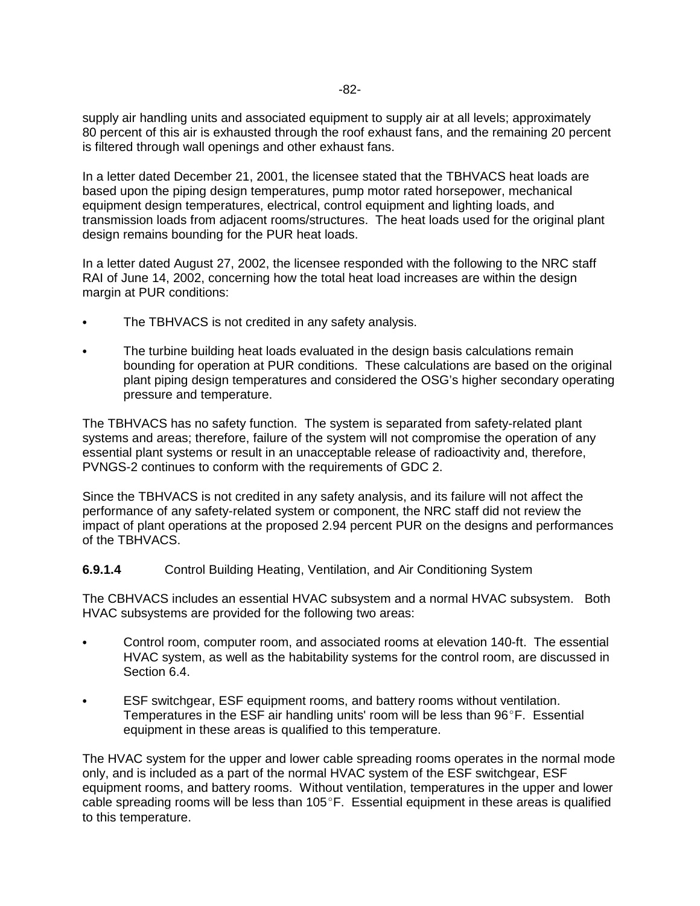supply air handling units and associated equipment to supply air at all levels; approximately 80 percent of this air is exhausted through the roof exhaust fans, and the remaining 20 percent is filtered through wall openings and other exhaust fans.

In a letter dated December 21, 2001, the licensee stated that the TBHVACS heat loads are based upon the piping design temperatures, pump motor rated horsepower, mechanical equipment design temperatures, electrical, control equipment and lighting loads, and transmission loads from adjacent rooms/structures. The heat loads used for the original plant design remains bounding for the PUR heat loads.

In a letter dated August 27, 2002, the licensee responded with the following to the NRC staff RAI of June 14, 2002, concerning how the total heat load increases are within the design margin at PUR conditions:

- $\bullet$ The TBHVACS is not credited in any safety analysis.
- - The turbine building heat loads evaluated in the design basis calculations remain bounding for operation at PUR conditions. These calculations are based on the original plant piping design temperatures and considered the OSG's higher secondary operating pressure and temperature.

The TBHVACS has no safety function. The system is separated from safety-related plant systems and areas; therefore, failure of the system will not compromise the operation of any essential plant systems or result in an unacceptable release of radioactivity and, therefore, PVNGS-2 continues to conform with the requirements of GDC 2.

Since the TBHVACS is not credited in any safety analysis, and its failure will not affect the performance of any safety-related system or component, the NRC staff did not review the impact of plant operations at the proposed 2.94 percent PUR on the designs and performances of the TBHVACS.

#### **6.9.1.4** Control Building Heating, Ventilation, and Air Conditioning System

The CBHVACS includes an essential HVAC subsystem and a normal HVAC subsystem. Both HVAC subsystems are provided for the following two areas:

- - Control room, computer room, and associated rooms at elevation 140-ft. The essential HVAC system, as well as the habitability systems for the control room, are discussed in Section 6.4.
- - ESF switchgear, ESF equipment rooms, and battery rooms without ventilation. Temperatures in the ESF air handling units' room will be less than  $96^\circ F$ . Essential equipment in these areas is qualified to this temperature.

The HVAC system for the upper and lower cable spreading rooms operates in the normal mode only, and is included as a part of the normal HVAC system of the ESF switchgear, ESF equipment rooms, and battery rooms. Without ventilation, temperatures in the upper and lower cable spreading rooms will be less than  $105^{\circ}$ F. Essential equipment in these areas is qualified to this temperature.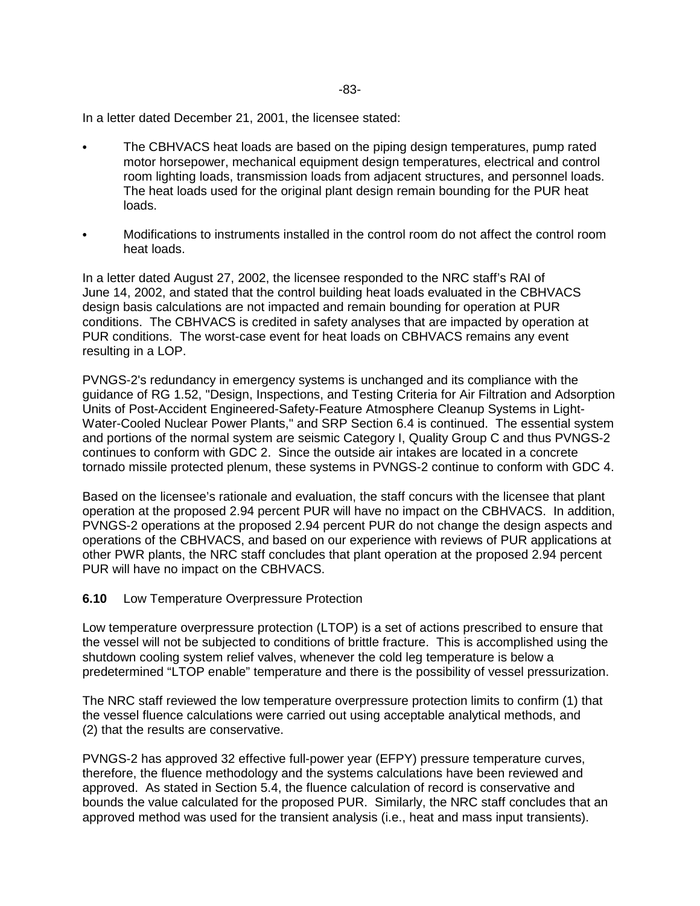In a letter dated December 21, 2001, the licensee stated:

- - The CBHVACS heat loads are based on the piping design temperatures, pump rated motor horsepower, mechanical equipment design temperatures, electrical and control room lighting loads, transmission loads from adjacent structures, and personnel loads. The heat loads used for the original plant design remain bounding for the PUR heat loads.
- - Modifications to instruments installed in the control room do not affect the control room heat loads.

In a letter dated August 27, 2002, the licensee responded to the NRC staff's RAI of June 14, 2002, and stated that the control building heat loads evaluated in the CBHVACS design basis calculations are not impacted and remain bounding for operation at PUR conditions. The CBHVACS is credited in safety analyses that are impacted by operation at PUR conditions. The worst-case event for heat loads on CBHVACS remains any event resulting in a LOP.

PVNGS-2's redundancy in emergency systems is unchanged and its compliance with the guidance of RG 1.52, "Design, Inspections, and Testing Criteria for Air Filtration and Adsorption Units of Post-Accident Engineered-Safety-Feature Atmosphere Cleanup Systems in Light-Water-Cooled Nuclear Power Plants," and SRP Section 6.4 is continued. The essential system and portions of the normal system are seismic Category I, Quality Group C and thus PVNGS-2 continues to conform with GDC 2. Since the outside air intakes are located in a concrete tornado missile protected plenum, these systems in PVNGS-2 continue to conform with GDC 4.

Based on the licensee's rationale and evaluation, the staff concurs with the licensee that plant operation at the proposed 2.94 percent PUR will have no impact on the CBHVACS. In addition, PVNGS-2 operations at the proposed 2.94 percent PUR do not change the design aspects and operations of the CBHVACS, and based on our experience with reviews of PUR applications at other PWR plants, the NRC staff concludes that plant operation at the proposed 2.94 percent PUR will have no impact on the CBHVACS.

#### **6.10** Low Temperature Overpressure Protection

Low temperature overpressure protection (LTOP) is a set of actions prescribed to ensure that the vessel will not be subjected to conditions of brittle fracture. This is accomplished using the shutdown cooling system relief valves, whenever the cold leg temperature is below a predetermined "LTOP enable" temperature and there is the possibility of vessel pressurization.

The NRC staff reviewed the low temperature overpressure protection limits to confirm (1) that the vessel fluence calculations were carried out using acceptable analytical methods, and (2) that the results are conservative.

PVNGS-2 has approved 32 effective full-power year (EFPY) pressure temperature curves, therefore, the fluence methodology and the systems calculations have been reviewed and approved. As stated in Section 5.4, the fluence calculation of record is conservative and bounds the value calculated for the proposed PUR. Similarly, the NRC staff concludes that an approved method was used for the transient analysis (i.e., heat and mass input transients).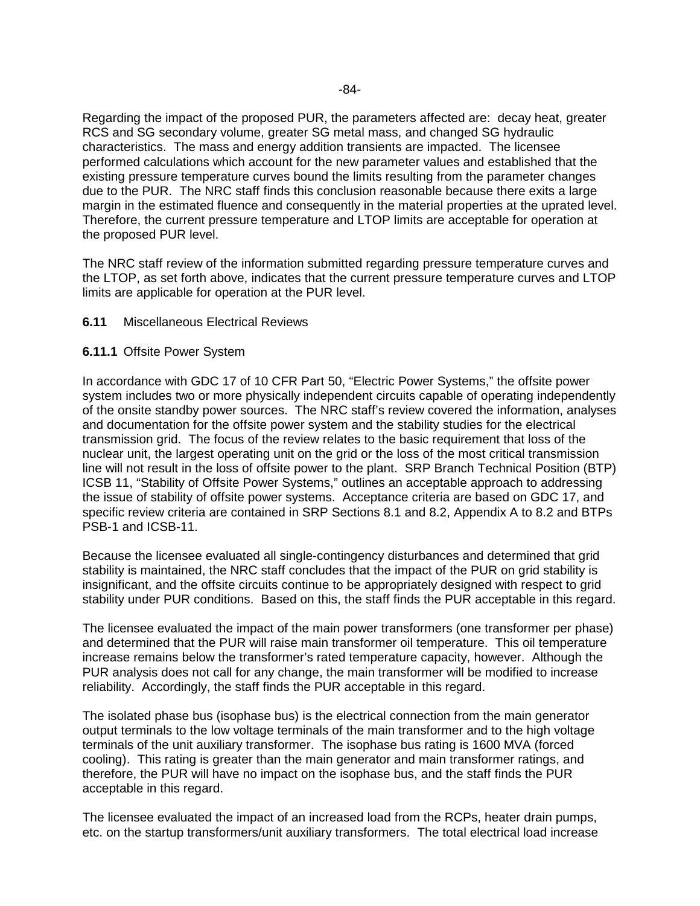Regarding the impact of the proposed PUR, the parameters affected are: decay heat, greater RCS and SG secondary volume, greater SG metal mass, and changed SG hydraulic characteristics. The mass and energy addition transients are impacted. The licensee performed calculations which account for the new parameter values and established that the existing pressure temperature curves bound the limits resulting from the parameter changes due to the PUR. The NRC staff finds this conclusion reasonable because there exits a large margin in the estimated fluence and consequently in the material properties at the uprated level. Therefore, the current pressure temperature and LTOP limits are acceptable for operation at the proposed PUR level.

The NRC staff review of the information submitted regarding pressure temperature curves and the LTOP, as set forth above, indicates that the current pressure temperature curves and LTOP limits are applicable for operation at the PUR level.

#### **6.11** Miscellaneous Electrical Reviews

#### **6.11.1** Offsite Power System

In accordance with GDC 17 of 10 CFR Part 50, "Electric Power Systems," the offsite power system includes two or more physically independent circuits capable of operating independently of the onsite standby power sources. The NRC staff's review covered the information, analyses and documentation for the offsite power system and the stability studies for the electrical transmission grid. The focus of the review relates to the basic requirement that loss of the nuclear unit, the largest operating unit on the grid or the loss of the most critical transmission line will not result in the loss of offsite power to the plant. SRP Branch Technical Position (BTP) ICSB 11, "Stability of Offsite Power Systems," outlines an acceptable approach to addressing the issue of stability of offsite power systems. Acceptance criteria are based on GDC 17, and specific review criteria are contained in SRP Sections 8.1 and 8.2, Appendix A to 8.2 and BTPs PSB-1 and ICSB-11.

Because the licensee evaluated all single-contingency disturbances and determined that grid stability is maintained, the NRC staff concludes that the impact of the PUR on grid stability is insignificant, and the offsite circuits continue to be appropriately designed with respect to grid stability under PUR conditions. Based on this, the staff finds the PUR acceptable in this regard.

The licensee evaluated the impact of the main power transformers (one transformer per phase) and determined that the PUR will raise main transformer oil temperature. This oil temperature increase remains below the transformer's rated temperature capacity, however. Although the PUR analysis does not call for any change, the main transformer will be modified to increase reliability. Accordingly, the staff finds the PUR acceptable in this regard.

The isolated phase bus (isophase bus) is the electrical connection from the main generator output terminals to the low voltage terminals of the main transformer and to the high voltage terminals of the unit auxiliary transformer. The isophase bus rating is 1600 MVA (forced cooling). This rating is greater than the main generator and main transformer ratings, and therefore, the PUR will have no impact on the isophase bus, and the staff finds the PUR acceptable in this regard.

The licensee evaluated the impact of an increased load from the RCPs, heater drain pumps, etc. on the startup transformers/unit auxiliary transformers. The total electrical load increase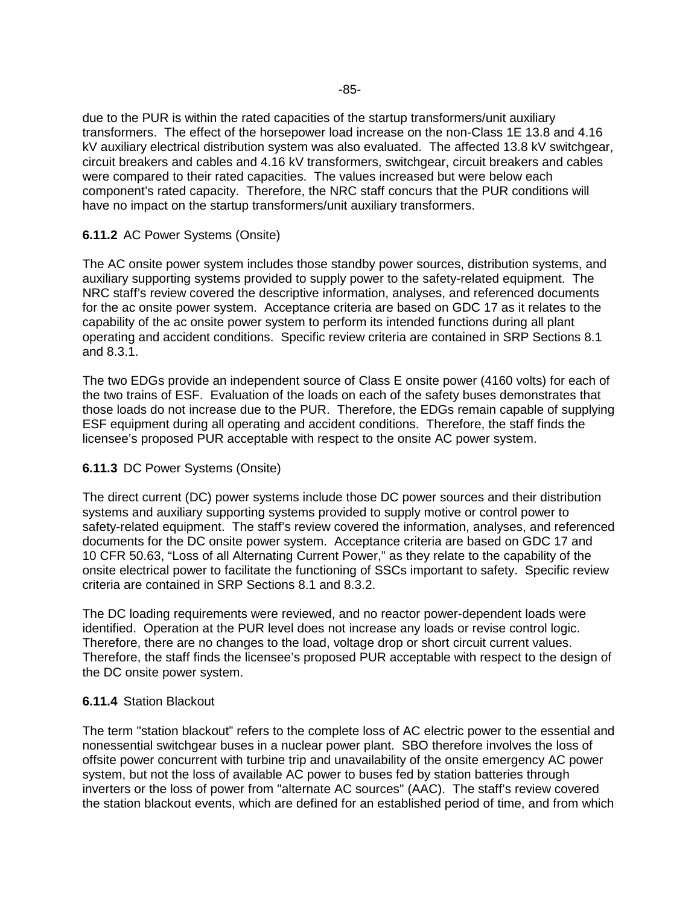due to the PUR is within the rated capacities of the startup transformers/unit auxiliary transformers. The effect of the horsepower load increase on the non-Class 1E 13.8 and 4.16 kV auxiliary electrical distribution system was also evaluated. The affected 13.8 kV switchgear, circuit breakers and cables and 4.16 kV transformers, switchgear, circuit breakers and cables were compared to their rated capacities. The values increased but were below each component's rated capacity. Therefore, the NRC staff concurs that the PUR conditions will have no impact on the startup transformers/unit auxiliary transformers.

### **6.11.2** AC Power Systems (Onsite)

The AC onsite power system includes those standby power sources, distribution systems, and auxiliary supporting systems provided to supply power to the safety-related equipment. The NRC staff's review covered the descriptive information, analyses, and referenced documents for the ac onsite power system. Acceptance criteria are based on GDC 17 as it relates to the capability of the ac onsite power system to perform its intended functions during all plant operating and accident conditions. Specific review criteria are contained in SRP Sections 8.1 and 8.3.1.

The two EDGs provide an independent source of Class E onsite power (4160 volts) for each of the two trains of ESF. Evaluation of the loads on each of the safety buses demonstrates that those loads do not increase due to the PUR. Therefore, the EDGs remain capable of supplying ESF equipment during all operating and accident conditions. Therefore, the staff finds the licensee's proposed PUR acceptable with respect to the onsite AC power system.

#### **6.11.3** DC Power Systems (Onsite)

The direct current (DC) power systems include those DC power sources and their distribution systems and auxiliary supporting systems provided to supply motive or control power to safety-related equipment. The staff's review covered the information, analyses, and referenced documents for the DC onsite power system. Acceptance criteria are based on GDC 17 and 10 CFR 50.63, "Loss of all Alternating Current Power," as they relate to the capability of the onsite electrical power to facilitate the functioning of SSCs important to safety. Specific review criteria are contained in SRP Sections 8.1 and 8.3.2.

The DC loading requirements were reviewed, and no reactor power-dependent loads were identified. Operation at the PUR level does not increase any loads or revise control logic. Therefore, there are no changes to the load, voltage drop or short circuit current values. Therefore, the staff finds the licensee's proposed PUR acceptable with respect to the design of the DC onsite power system.

#### **6.11.4** Station Blackout

The term "station blackout" refers to the complete loss of AC electric power to the essential and nonessential switchgear buses in a nuclear power plant. SBO therefore involves the loss of offsite power concurrent with turbine trip and unavailability of the onsite emergency AC power system, but not the loss of available AC power to buses fed by station batteries through inverters or the loss of power from "alternate AC sources" (AAC). The staff's review covered the station blackout events, which are defined for an established period of time, and from which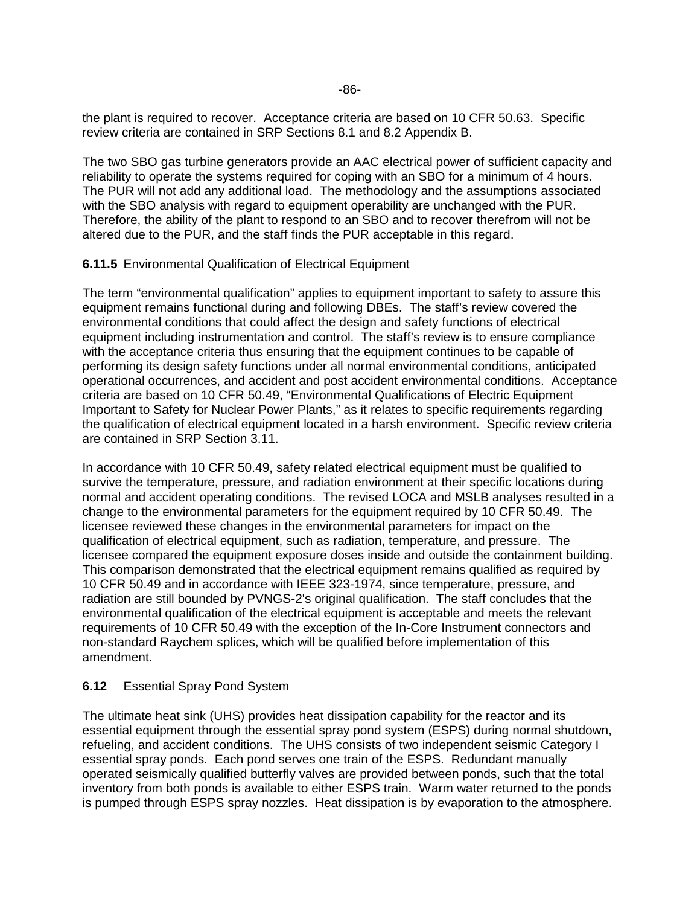the plant is required to recover. Acceptance criteria are based on 10 CFR 50.63. Specific review criteria are contained in SRP Sections 8.1 and 8.2 Appendix B.

The two SBO gas turbine generators provide an AAC electrical power of sufficient capacity and reliability to operate the systems required for coping with an SBO for a minimum of 4 hours. The PUR will not add any additional load. The methodology and the assumptions associated with the SBO analysis with regard to equipment operability are unchanged with the PUR. Therefore, the ability of the plant to respond to an SBO and to recover therefrom will not be altered due to the PUR, and the staff finds the PUR acceptable in this regard.

### **6.11.5** Environmental Qualification of Electrical Equipment

The term "environmental qualification" applies to equipment important to safety to assure this equipment remains functional during and following DBEs. The staff's review covered the environmental conditions that could affect the design and safety functions of electrical equipment including instrumentation and control. The staff's review is to ensure compliance with the acceptance criteria thus ensuring that the equipment continues to be capable of performing its design safety functions under all normal environmental conditions, anticipated operational occurrences, and accident and post accident environmental conditions. Acceptance criteria are based on 10 CFR 50.49, "Environmental Qualifications of Electric Equipment Important to Safety for Nuclear Power Plants," as it relates to specific requirements regarding the qualification of electrical equipment located in a harsh environment. Specific review criteria are contained in SRP Section 3.11.

In accordance with 10 CFR 50.49, safety related electrical equipment must be qualified to survive the temperature, pressure, and radiation environment at their specific locations during normal and accident operating conditions. The revised LOCA and MSLB analyses resulted in a change to the environmental parameters for the equipment required by 10 CFR 50.49. The licensee reviewed these changes in the environmental parameters for impact on the qualification of electrical equipment, such as radiation, temperature, and pressure. The licensee compared the equipment exposure doses inside and outside the containment building. This comparison demonstrated that the electrical equipment remains qualified as required by 10 CFR 50.49 and in accordance with IEEE 323-1974, since temperature, pressure, and radiation are still bounded by PVNGS-2's original qualification. The staff concludes that the environmental qualification of the electrical equipment is acceptable and meets the relevant requirements of 10 CFR 50.49 with the exception of the In-Core Instrument connectors and non-standard Raychem splices, which will be qualified before implementation of this amendment.

## **6.12** Essential Spray Pond System

The ultimate heat sink (UHS) provides heat dissipation capability for the reactor and its essential equipment through the essential spray pond system (ESPS) during normal shutdown, refueling, and accident conditions. The UHS consists of two independent seismic Category I essential spray ponds. Each pond serves one train of the ESPS. Redundant manually operated seismically qualified butterfly valves are provided between ponds, such that the total inventory from both ponds is available to either ESPS train. Warm water returned to the ponds is pumped through ESPS spray nozzles. Heat dissipation is by evaporation to the atmosphere.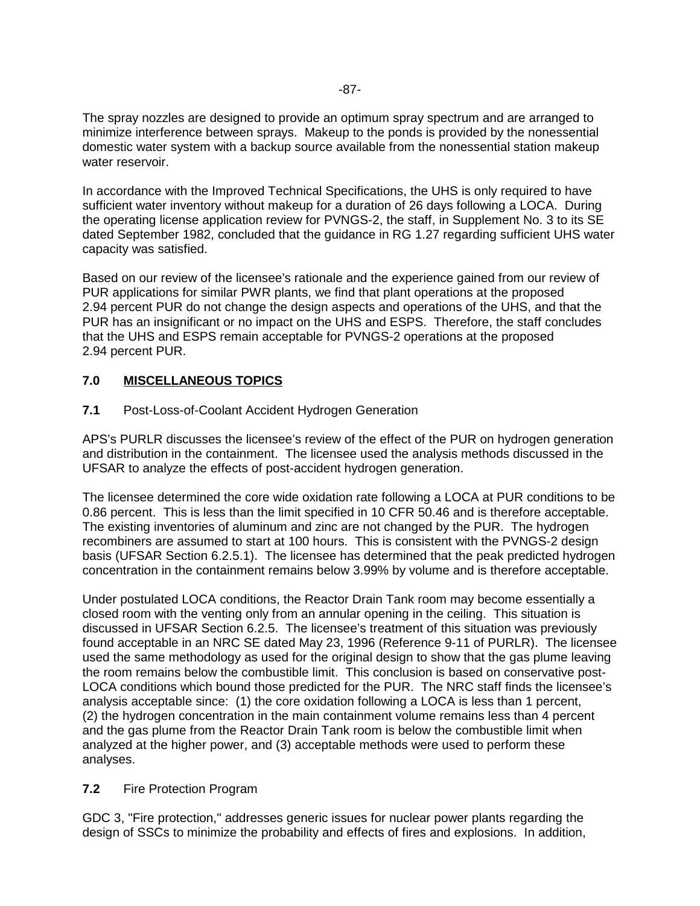The spray nozzles are designed to provide an optimum spray spectrum and are arranged to minimize interference between sprays. Makeup to the ponds is provided by the nonessential domestic water system with a backup source available from the nonessential station makeup water reservoir.

In accordance with the Improved Technical Specifications, the UHS is only required to have sufficient water inventory without makeup for a duration of 26 days following a LOCA. During the operating license application review for PVNGS-2, the staff, in Supplement No. 3 to its SE dated September 1982, concluded that the guidance in RG 1.27 regarding sufficient UHS water capacity was satisfied.

Based on our review of the licensee's rationale and the experience gained from our review of PUR applications for similar PWR plants, we find that plant operations at the proposed 2.94 percent PUR do not change the design aspects and operations of the UHS, and that the PUR has an insignificant or no impact on the UHS and ESPS. Therefore, the staff concludes that the UHS and ESPS remain acceptable for PVNGS-2 operations at the proposed 2.94 percent PUR.

## **7.0 MISCELLANEOUS TOPICS**

**7.1** Post-Loss-of-Coolant Accident Hydrogen Generation

APS's PURLR discusses the licensee's review of the effect of the PUR on hydrogen generation and distribution in the containment. The licensee used the analysis methods discussed in the UFSAR to analyze the effects of post-accident hydrogen generation.

The licensee determined the core wide oxidation rate following a LOCA at PUR conditions to be 0.86 percent. This is less than the limit specified in 10 CFR 50.46 and is therefore acceptable. The existing inventories of aluminum and zinc are not changed by the PUR. The hydrogen recombiners are assumed to start at 100 hours. This is consistent with the PVNGS-2 design basis (UFSAR Section 6.2.5.1). The licensee has determined that the peak predicted hydrogen concentration in the containment remains below 3.99% by volume and is therefore acceptable.

Under postulated LOCA conditions, the Reactor Drain Tank room may become essentially a closed room with the venting only from an annular opening in the ceiling. This situation is discussed in UFSAR Section 6.2.5. The licensee's treatment of this situation was previously found acceptable in an NRC SE dated May 23, 1996 (Reference 9-11 of PURLR). The licensee used the same methodology as used for the original design to show that the gas plume leaving the room remains below the combustible limit. This conclusion is based on conservative post-LOCA conditions which bound those predicted for the PUR. The NRC staff finds the licensee's analysis acceptable since: (1) the core oxidation following a LOCA is less than 1 percent, (2) the hydrogen concentration in the main containment volume remains less than 4 percent and the gas plume from the Reactor Drain Tank room is below the combustible limit when analyzed at the higher power, and (3) acceptable methods were used to perform these analyses.

## **7.2** Fire Protection Program

GDC 3, "Fire protection," addresses generic issues for nuclear power plants regarding the design of SSCs to minimize the probability and effects of fires and explosions. In addition,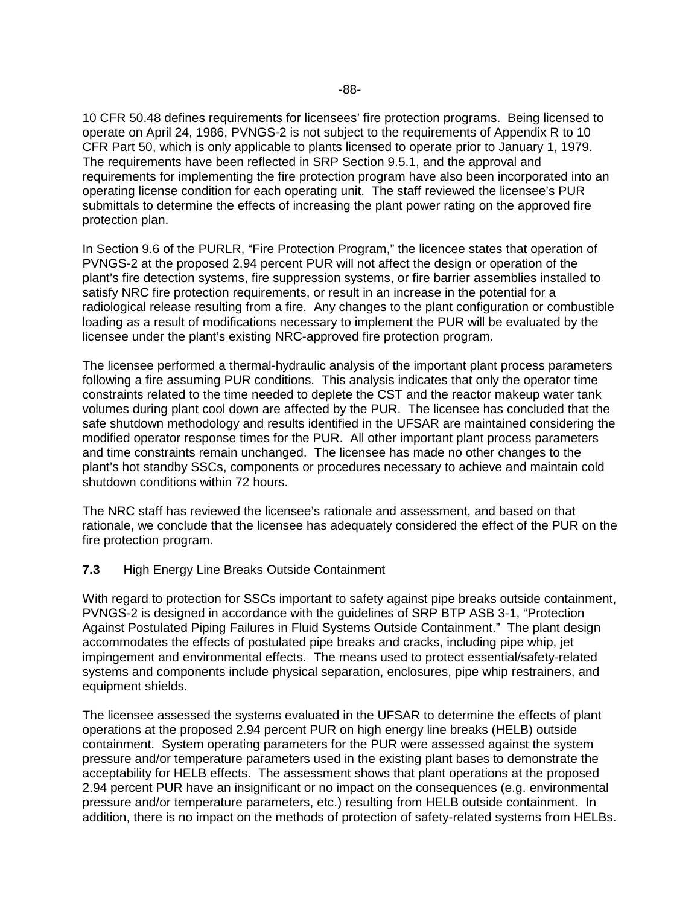10 CFR 50.48 defines requirements for licensees' fire protection programs. Being licensed to operate on April 24, 1986, PVNGS-2 is not subject to the requirements of Appendix R to 10 CFR Part 50, which is only applicable to plants licensed to operate prior to January 1, 1979. The requirements have been reflected in SRP Section 9.5.1, and the approval and requirements for implementing the fire protection program have also been incorporated into an operating license condition for each operating unit. The staff reviewed the licensee's PUR submittals to determine the effects of increasing the plant power rating on the approved fire protection plan.

In Section 9.6 of the PURLR, "Fire Protection Program," the licencee states that operation of PVNGS-2 at the proposed 2.94 percent PUR will not affect the design or operation of the plant's fire detection systems, fire suppression systems, or fire barrier assemblies installed to satisfy NRC fire protection requirements, or result in an increase in the potential for a radiological release resulting from a fire. Any changes to the plant configuration or combustible loading as a result of modifications necessary to implement the PUR will be evaluated by the licensee under the plant's existing NRC-approved fire protection program.

The licensee performed a thermal-hydraulic analysis of the important plant process parameters following a fire assuming PUR conditions. This analysis indicates that only the operator time constraints related to the time needed to deplete the CST and the reactor makeup water tank volumes during plant cool down are affected by the PUR. The licensee has concluded that the safe shutdown methodology and results identified in the UFSAR are maintained considering the modified operator response times for the PUR. All other important plant process parameters and time constraints remain unchanged. The licensee has made no other changes to the plant's hot standby SSCs, components or procedures necessary to achieve and maintain cold shutdown conditions within 72 hours.

The NRC staff has reviewed the licensee's rationale and assessment, and based on that rationale, we conclude that the licensee has adequately considered the effect of the PUR on the fire protection program.

#### **7.3** High Energy Line Breaks Outside Containment

With regard to protection for SSCs important to safety against pipe breaks outside containment, PVNGS-2 is designed in accordance with the guidelines of SRP BTP ASB 3-1, "Protection Against Postulated Piping Failures in Fluid Systems Outside Containment." The plant design accommodates the effects of postulated pipe breaks and cracks, including pipe whip, jet impingement and environmental effects. The means used to protect essential/safety-related systems and components include physical separation, enclosures, pipe whip restrainers, and equipment shields.

The licensee assessed the systems evaluated in the UFSAR to determine the effects of plant operations at the proposed 2.94 percent PUR on high energy line breaks (HELB) outside containment. System operating parameters for the PUR were assessed against the system pressure and/or temperature parameters used in the existing plant bases to demonstrate the acceptability for HELB effects. The assessment shows that plant operations at the proposed 2.94 percent PUR have an insignificant or no impact on the consequences (e.g. environmental pressure and/or temperature parameters, etc.) resulting from HELB outside containment. In addition, there is no impact on the methods of protection of safety-related systems from HELBs.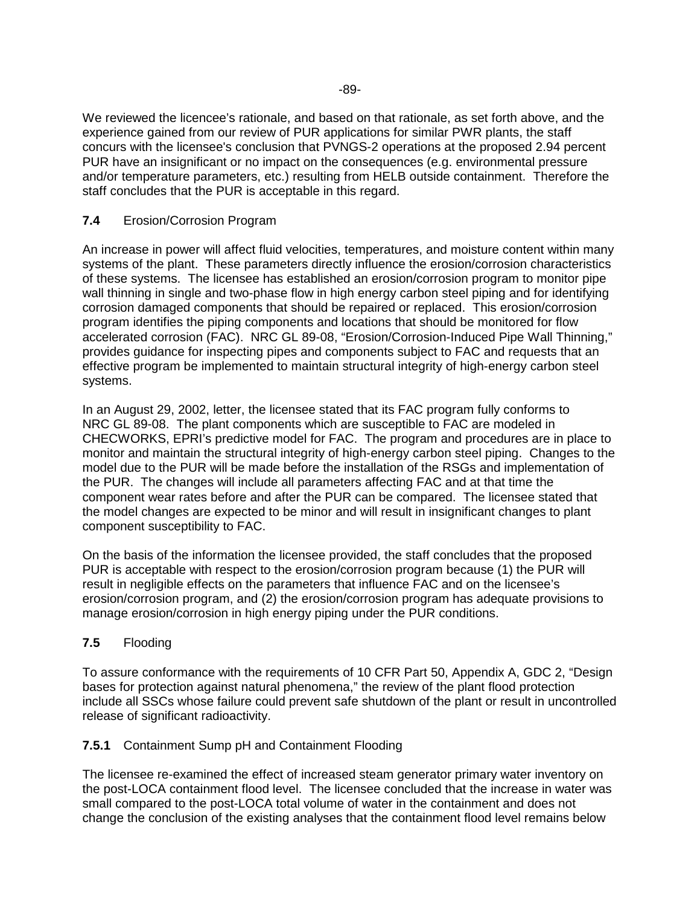We reviewed the licencee's rationale, and based on that rationale, as set forth above, and the experience gained from our review of PUR applications for similar PWR plants, the staff concurs with the licensee's conclusion that PVNGS-2 operations at the proposed 2.94 percent PUR have an insignificant or no impact on the consequences (e.g. environmental pressure and/or temperature parameters, etc.) resulting from HELB outside containment. Therefore the staff concludes that the PUR is acceptable in this regard.

## **7.4** Erosion/Corrosion Program

An increase in power will affect fluid velocities, temperatures, and moisture content within many systems of the plant. These parameters directly influence the erosion/corrosion characteristics of these systems. The licensee has established an erosion/corrosion program to monitor pipe wall thinning in single and two-phase flow in high energy carbon steel piping and for identifying corrosion damaged components that should be repaired or replaced. This erosion/corrosion program identifies the piping components and locations that should be monitored for flow accelerated corrosion (FAC). NRC GL 89-08, "Erosion/Corrosion-Induced Pipe Wall Thinning," provides guidance for inspecting pipes and components subject to FAC and requests that an effective program be implemented to maintain structural integrity of high-energy carbon steel systems.

In an August 29, 2002, letter, the licensee stated that its FAC program fully conforms to NRC GL 89-08. The plant components which are susceptible to FAC are modeled in CHECWORKS, EPRI's predictive model for FAC. The program and procedures are in place to monitor and maintain the structural integrity of high-energy carbon steel piping. Changes to the model due to the PUR will be made before the installation of the RSGs and implementation of the PUR. The changes will include all parameters affecting FAC and at that time the component wear rates before and after the PUR can be compared. The licensee stated that the model changes are expected to be minor and will result in insignificant changes to plant component susceptibility to FAC.

On the basis of the information the licensee provided, the staff concludes that the proposed PUR is acceptable with respect to the erosion/corrosion program because (1) the PUR will result in negligible effects on the parameters that influence FAC and on the licensee's erosion/corrosion program, and (2) the erosion/corrosion program has adequate provisions to manage erosion/corrosion in high energy piping under the PUR conditions.

## **7.5** Flooding

To assure conformance with the requirements of 10 CFR Part 50, Appendix A, GDC 2, "Design bases for protection against natural phenomena," the review of the plant flood protection include all SSCs whose failure could prevent safe shutdown of the plant or result in uncontrolled release of significant radioactivity.

## **7.5.1** Containment Sump pH and Containment Flooding

The licensee re-examined the effect of increased steam generator primary water inventory on the post-LOCA containment flood level. The licensee concluded that the increase in water was small compared to the post-LOCA total volume of water in the containment and does not change the conclusion of the existing analyses that the containment flood level remains below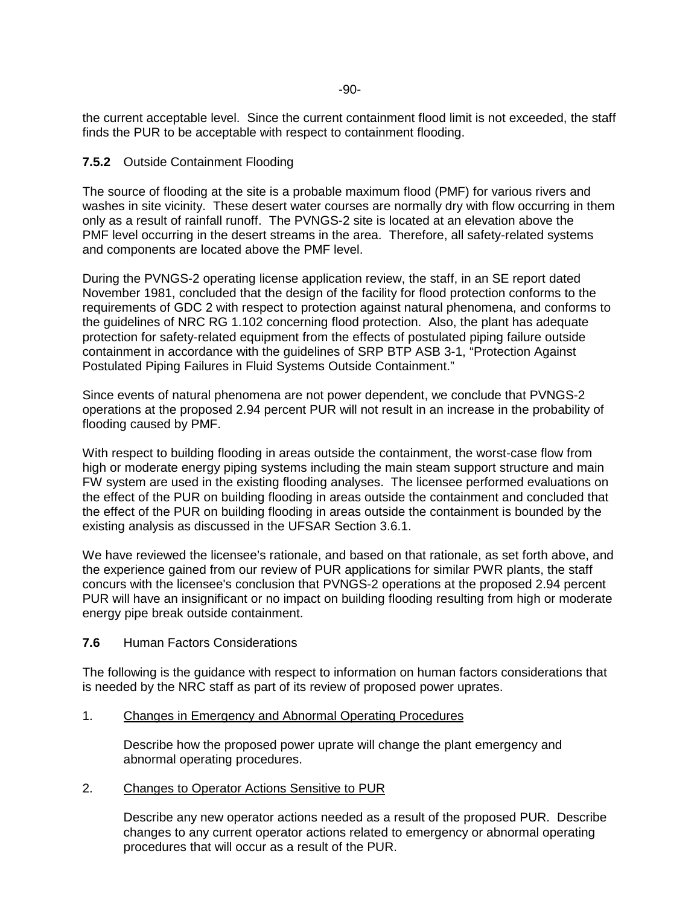the current acceptable level. Since the current containment flood limit is not exceeded, the staff finds the PUR to be acceptable with respect to containment flooding.

#### **7.5.2** Outside Containment Flooding

The source of flooding at the site is a probable maximum flood (PMF) for various rivers and washes in site vicinity. These desert water courses are normally dry with flow occurring in them only as a result of rainfall runoff. The PVNGS-2 site is located at an elevation above the PMF level occurring in the desert streams in the area. Therefore, all safety-related systems and components are located above the PMF level.

During the PVNGS-2 operating license application review, the staff, in an SE report dated November 1981, concluded that the design of the facility for flood protection conforms to the requirements of GDC 2 with respect to protection against natural phenomena, and conforms to the guidelines of NRC RG 1.102 concerning flood protection. Also, the plant has adequate protection for safety-related equipment from the effects of postulated piping failure outside containment in accordance with the guidelines of SRP BTP ASB 3-1, "Protection Against Postulated Piping Failures in Fluid Systems Outside Containment."

Since events of natural phenomena are not power dependent, we conclude that PVNGS-2 operations at the proposed 2.94 percent PUR will not result in an increase in the probability of flooding caused by PMF.

With respect to building flooding in areas outside the containment, the worst-case flow from high or moderate energy piping systems including the main steam support structure and main FW system are used in the existing flooding analyses. The licensee performed evaluations on the effect of the PUR on building flooding in areas outside the containment and concluded that the effect of the PUR on building flooding in areas outside the containment is bounded by the existing analysis as discussed in the UFSAR Section 3.6.1.

We have reviewed the licensee's rationale, and based on that rationale, as set forth above, and the experience gained from our review of PUR applications for similar PWR plants, the staff concurs with the licensee's conclusion that PVNGS-2 operations at the proposed 2.94 percent PUR will have an insignificant or no impact on building flooding resulting from high or moderate energy pipe break outside containment.

### **7.6** Human Factors Considerations

The following is the guidance with respect to information on human factors considerations that is needed by the NRC staff as part of its review of proposed power uprates.

#### 1. Changes in Emergency and Abnormal Operating Procedures

Describe how the proposed power uprate will change the plant emergency and abnormal operating procedures.

#### 2. Changes to Operator Actions Sensitive to PUR

Describe any new operator actions needed as a result of the proposed PUR. Describe changes to any current operator actions related to emergency or abnormal operating procedures that will occur as a result of the PUR.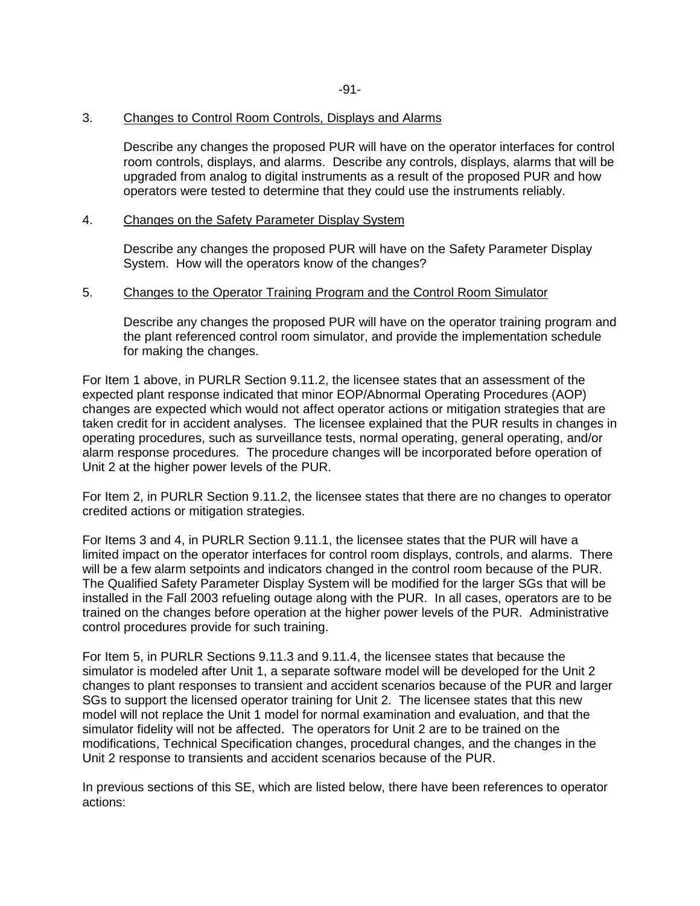#### 3. Changes to Control Room Controls, Displays and Alarms

Describe any changes the proposed PUR will have on the operator interfaces for control room controls, displays, and alarms. Describe any controls, displays, alarms that will be upgraded from analog to digital instruments as a result of the proposed PUR and how operators were tested to determine that they could use the instruments reliably.

#### 4. Changes on the Safety Parameter Display System

Describe any changes the proposed PUR will have on the Safety Parameter Display System. How will the operators know of the changes?

#### 5. Changes to the Operator Training Program and the Control Room Simulator

Describe any changes the proposed PUR will have on the operator training program and the plant referenced control room simulator, and provide the implementation schedule for making the changes.

For Item 1 above, in PURLR Section 9.11.2, the licensee states that an assessment of the expected plant response indicated that minor EOP/Abnormal Operating Procedures (AOP) changes are expected which would not affect operator actions or mitigation strategies that are taken credit for in accident analyses. The licensee explained that the PUR results in changes in operating procedures, such as surveillance tests, normal operating, general operating, and/or alarm response procedures. The procedure changes will be incorporated before operation of Unit 2 at the higher power levels of the PUR.

For Item 2, in PURLR Section 9.11.2, the licensee states that there are no changes to operator credited actions or mitigation strategies.

For Items 3 and 4, in PURLR Section 9.11.1, the licensee states that the PUR will have a limited impact on the operator interfaces for control room displays, controls, and alarms. There will be a few alarm setpoints and indicators changed in the control room because of the PUR. The Qualified Safety Parameter Display System will be modified for the larger SGs that will be installed in the Fall 2003 refueling outage along with the PUR. In all cases, operators are to be trained on the changes before operation at the higher power levels of the PUR. Administrative control procedures provide for such training.

For Item 5, in PURLR Sections 9.11.3 and 9.11.4, the licensee states that because the simulator is modeled after Unit 1, a separate software model will be developed for the Unit 2 changes to plant responses to transient and accident scenarios because of the PUR and larger SGs to support the licensed operator training for Unit 2. The licensee states that this new model will not replace the Unit 1 model for normal examination and evaluation, and that the simulator fidelity will not be affected. The operators for Unit 2 are to be trained on the modifications, Technical Specification changes, procedural changes, and the changes in the Unit 2 response to transients and accident scenarios because of the PUR.

In previous sections of this SE, which are listed below, there have been references to operator actions: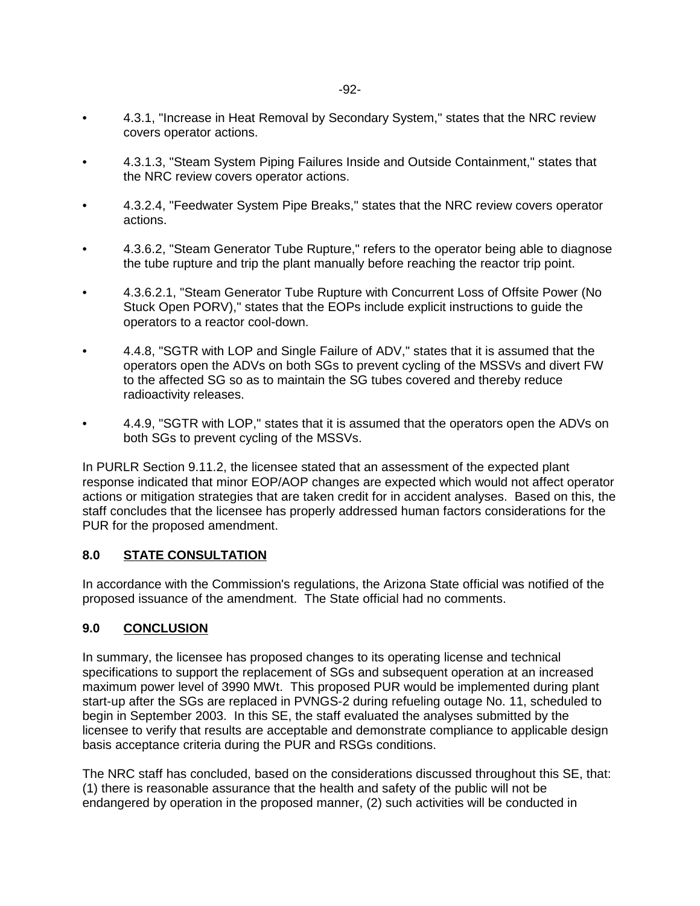- 4.3.1, "Increase in Heat Removal by Secondary System," states that the NRC review covers operator actions.
- 4.3.1.3, "Steam System Piping Failures Inside and Outside Containment," states that the NRC review covers operator actions.
- 4.3.2.4, "Feedwater System Pipe Breaks," states that the NRC review covers operator actions.
- 4.3.6.2, "Steam Generator Tube Rupture," refers to the operator being able to diagnose the tube rupture and trip the plant manually before reaching the reactor trip point.
- 4.3.6.2.1, "Steam Generator Tube Rupture with Concurrent Loss of Offsite Power (No Stuck Open PORV)," states that the EOPs include explicit instructions to guide the operators to a reactor cool-down.
- 4.4.8, "SGTR with LOP and Single Failure of ADV," states that it is assumed that the operators open the ADVs on both SGs to prevent cycling of the MSSVs and divert FW to the affected SG so as to maintain the SG tubes covered and thereby reduce radioactivity releases.
- 4.4.9, "SGTR with LOP," states that it is assumed that the operators open the ADVs on both SGs to prevent cycling of the MSSVs.

In PURLR Section 9.11.2, the licensee stated that an assessment of the expected plant response indicated that minor EOP/AOP changes are expected which would not affect operator actions or mitigation strategies that are taken credit for in accident analyses. Based on this, the staff concludes that the licensee has properly addressed human factors considerations for the PUR for the proposed amendment.

## **8.0 STATE CONSULTATION**

In accordance with the Commission's regulations, the Arizona State official was notified of the proposed issuance of the amendment. The State official had no comments.

## **9.0 CONCLUSION**

In summary, the licensee has proposed changes to its operating license and technical specifications to support the replacement of SGs and subsequent operation at an increased maximum power level of 3990 MWt. This proposed PUR would be implemented during plant start-up after the SGs are replaced in PVNGS-2 during refueling outage No. 11, scheduled to begin in September 2003. In this SE, the staff evaluated the analyses submitted by the licensee to verify that results are acceptable and demonstrate compliance to applicable design basis acceptance criteria during the PUR and RSGs conditions.

The NRC staff has concluded, based on the considerations discussed throughout this SE, that: (1) there is reasonable assurance that the health and safety of the public will not be endangered by operation in the proposed manner, (2) such activities will be conducted in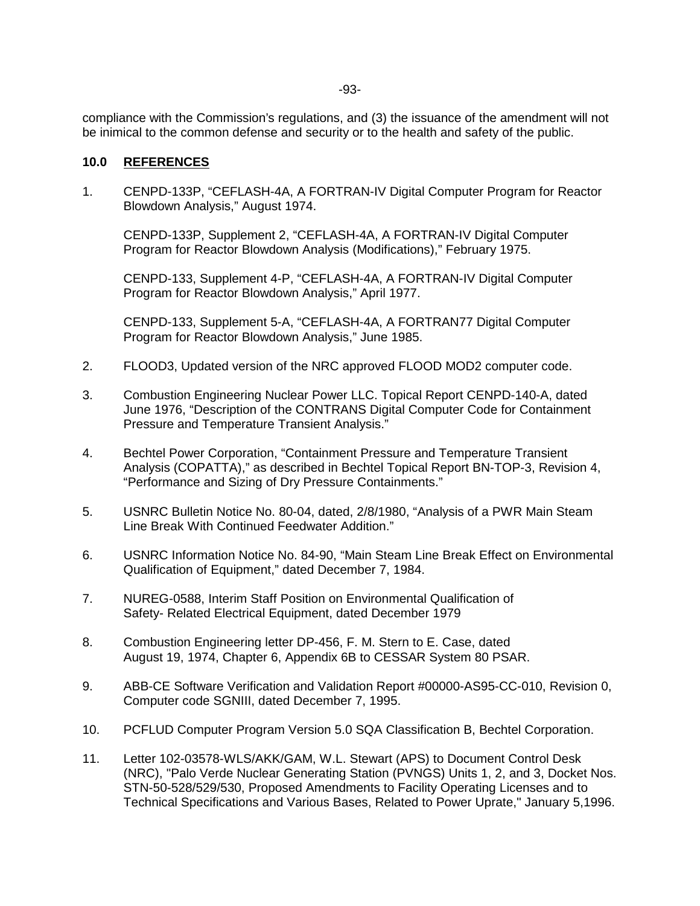compliance with the Commission's regulations, and (3) the issuance of the amendment will not be inimical to the common defense and security or to the health and safety of the public.

#### **10.0 REFERENCES**

1. CENPD-133P, "CEFLASH-4A, A FORTRAN-IV Digital Computer Program for Reactor Blowdown Analysis," August 1974.

CENPD-133P, Supplement 2, "CEFLASH-4A, A FORTRAN-IV Digital Computer Program for Reactor Blowdown Analysis (Modifications)," February 1975.

CENPD-133, Supplement 4-P, "CEFLASH-4A, A FORTRAN-IV Digital Computer Program for Reactor Blowdown Analysis," April 1977.

CENPD-133, Supplement 5-A, "CEFLASH-4A, A FORTRAN77 Digital Computer Program for Reactor Blowdown Analysis," June 1985.

- 2. FLOOD3, Updated version of the NRC approved FLOOD MOD2 computer code.
- 3. Combustion Engineering Nuclear Power LLC. Topical Report CENPD-140-A, dated June 1976, "Description of the CONTRANS Digital Computer Code for Containment Pressure and Temperature Transient Analysis."
- 4. Bechtel Power Corporation, "Containment Pressure and Temperature Transient Analysis (COPATTA)," as described in Bechtel Topical Report BN-TOP-3, Revision 4, "Performance and Sizing of Dry Pressure Containments."
- 5. USNRC Bulletin Notice No. 80-04, dated, 2/8/1980, "Analysis of a PWR Main Steam Line Break With Continued Feedwater Addition."
- 6. USNRC Information Notice No. 84-90, "Main Steam Line Break Effect on Environmental Qualification of Equipment," dated December 7, 1984.
- 7. NUREG-0588, Interim Staff Position on Environmental Qualification of Safety- Related Electrical Equipment, dated December 1979
- 8. Combustion Engineering letter DP-456, F. M. Stern to E. Case, dated August 19, 1974, Chapter 6, Appendix 6B to CESSAR System 80 PSAR.
- 9. ABB-CE Software Verification and Validation Report #00000-AS95-CC-010, Revision 0, Computer code SGNIII, dated December 7, 1995.
- 10. PCFLUD Computer Program Version 5.0 SQA Classification B, Bechtel Corporation.
- 11. Letter 102-03578-WLS/AKK/GAM, W.L. Stewart (APS) to Document Control Desk (NRC), "Palo Verde Nuclear Generating Station (PVNGS) Units 1, 2, and 3, Docket Nos. STN-50-528/529/530, Proposed Amendments to Facility Operating Licenses and to Technical Specifications and Various Bases, Related to Power Uprate," January 5,1996.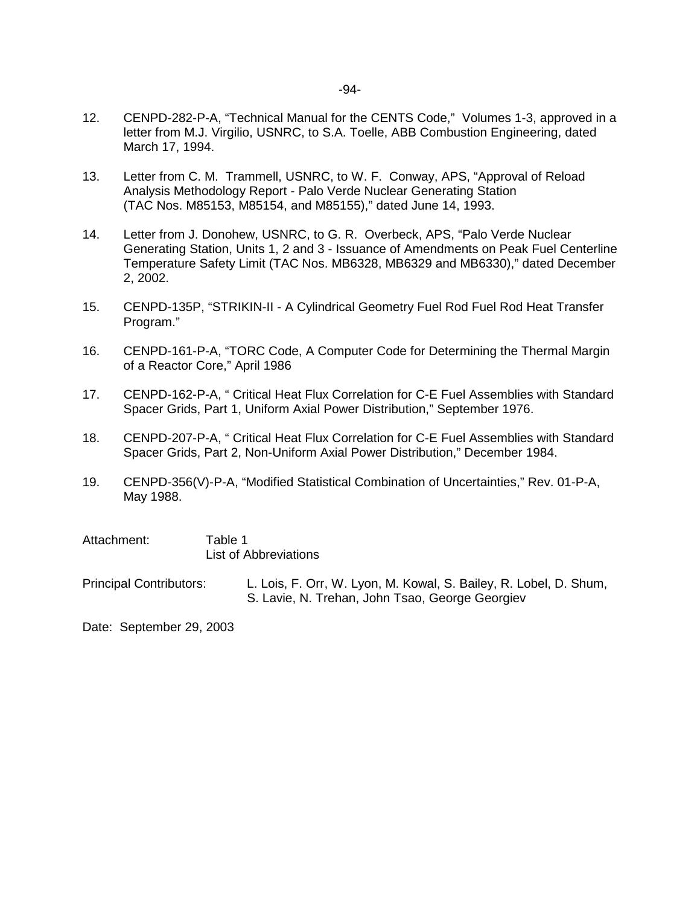- 12. CENPD-282-P-A, "Technical Manual for the CENTS Code," Volumes 1-3, approved in a letter from M.J. Virgilio, USNRC, to S.A. Toelle, ABB Combustion Engineering, dated March 17, 1994.
- 13. Letter from C. M. Trammell, USNRC, to W. F. Conway, APS, "Approval of Reload Analysis Methodology Report - Palo Verde Nuclear Generating Station (TAC Nos. M85153, M85154, and M85155)," dated June 14, 1993.
- 14. Letter from J. Donohew, USNRC, to G. R. Overbeck, APS, "Palo Verde Nuclear Generating Station, Units 1, 2 and 3 - Issuance of Amendments on Peak Fuel Centerline Temperature Safety Limit (TAC Nos. MB6328, MB6329 and MB6330)," dated December 2, 2002.
- 15. CENPD-135P, "STRIKIN-II A Cylindrical Geometry Fuel Rod Fuel Rod Heat Transfer Program."
- 16. CENPD-161-P-A, "TORC Code, A Computer Code for Determining the Thermal Margin of a Reactor Core," April 1986
- 17. CENPD-162-P-A, " Critical Heat Flux Correlation for C-E Fuel Assemblies with Standard Spacer Grids, Part 1, Uniform Axial Power Distribution," September 1976.
- 18. CENPD-207-P-A, " Critical Heat Flux Correlation for C-E Fuel Assemblies with Standard Spacer Grids, Part 2, Non-Uniform Axial Power Distribution," December 1984.
- 19. CENPD-356(V)-P-A, "Modified Statistical Combination of Uncertainties," Rev. 01-P-A, May 1988.

| Attachment: | Table 1                      |
|-------------|------------------------------|
|             | <b>List of Abbreviations</b> |

Principal Contributors: L. Lois, F. Orr, W. Lyon, M. Kowal, S. Bailey, R. Lobel, D. Shum, S. Lavie, N. Trehan, John Tsao, George Georgiev

Date: September 29, 2003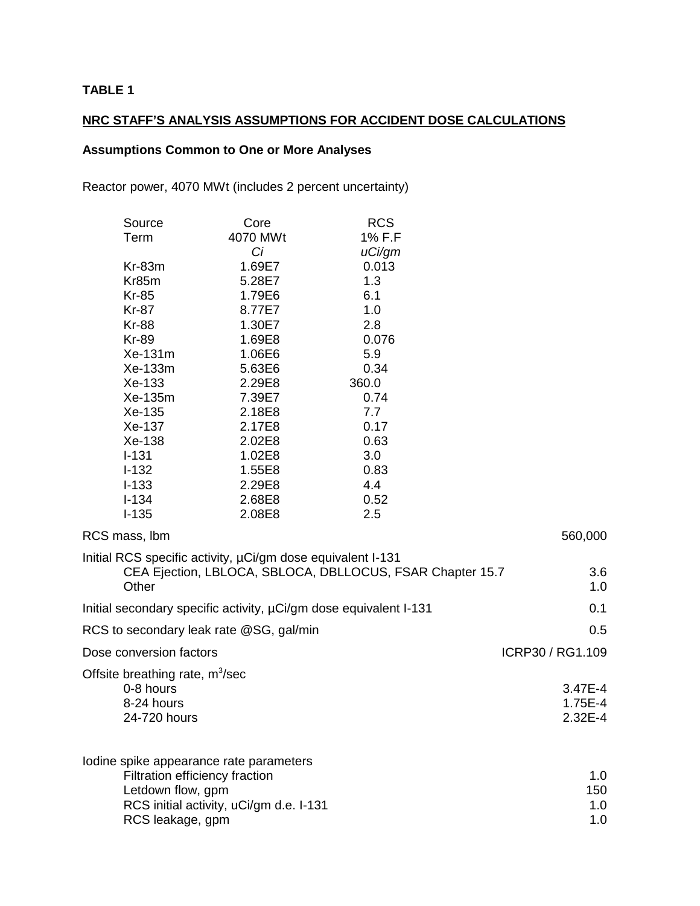## **TABLE 1**

## **NRC STAFF'S ANALYSIS ASSUMPTIONS FOR ACCIDENT DOSE CALCULATIONS**

## **Assumptions Common to One or More Analyses**

Reactor power, 4070 MWt (includes 2 percent uncertainty)

| Source    | Core     | <b>RCS</b> |
|-----------|----------|------------|
| Term      | 4070 MWt | 1% F.F     |
|           | Сi       | uCi/gm     |
| $Kr-83m$  | 1.69E7   | 0.013      |
| Kr85m     | 5.28E7   | 1.3        |
| Kr-85     | 1.79E6   | 6.1        |
| Kr-87     | 8.77E7   | 1.0        |
| Kr-88     | 1.30E7   | 2.8        |
| Kr-89     | 1.69E8   | 0.076      |
| $Xe-131m$ | 1.06E6   | 5.9        |
| Xe-133m   | 5.63E6   | 0.34       |
| Xe-133    | 2.29E8   | 360.0      |
| Xe-135m   | 7.39E7   | 0.74       |
| Xe-135    | 2.18E8   | 7.7        |
| Xe-137    | 2.17E8   | 0.17       |
| Xe-138    | 2.02E8   | 0.63       |
| $I - 131$ | 1.02E8   | 3.0        |
| I-132     | 1.55E8   | 0.83       |
| $I - 133$ | 2.29E8   | 4.4        |
| l-134     | 2.68E8   | 0.52       |
| $I-135$   | 2.08E8   | 2.5        |

| RCS mass, lbm                                                                                                                                                 | 560,000                           |
|---------------------------------------------------------------------------------------------------------------------------------------------------------------|-----------------------------------|
| Initial RCS specific activity, $\mu$ Ci/gm dose equivalent I-131<br>CEA Ejection, LBLOCA, SBLOCA, DBLLOCUS, FSAR Chapter 15.7<br>Other                        | 3.6<br>1.0                        |
| Initial secondary specific activity, $\mu$ Ci/gm dose equivalent I-131                                                                                        | 0.1                               |
| RCS to secondary leak rate @SG, gal/min                                                                                                                       | 0.5                               |
| Dose conversion factors                                                                                                                                       | ICRP30 / RG1.109                  |
| Offsite breathing rate, $m^3$ /sec<br>0-8 hours<br>8-24 hours<br>24-720 hours                                                                                 | 3.47E-4<br>1.75E-4<br>$2.32E - 4$ |
| lodine spike appearance rate parameters<br>Filtration efficiency fraction<br>Letdown flow, gpm<br>RCS initial activity, uCi/gm d.e. I-131<br>RCS leakage, gpm | 1.0<br>150<br>1.0<br>1.0          |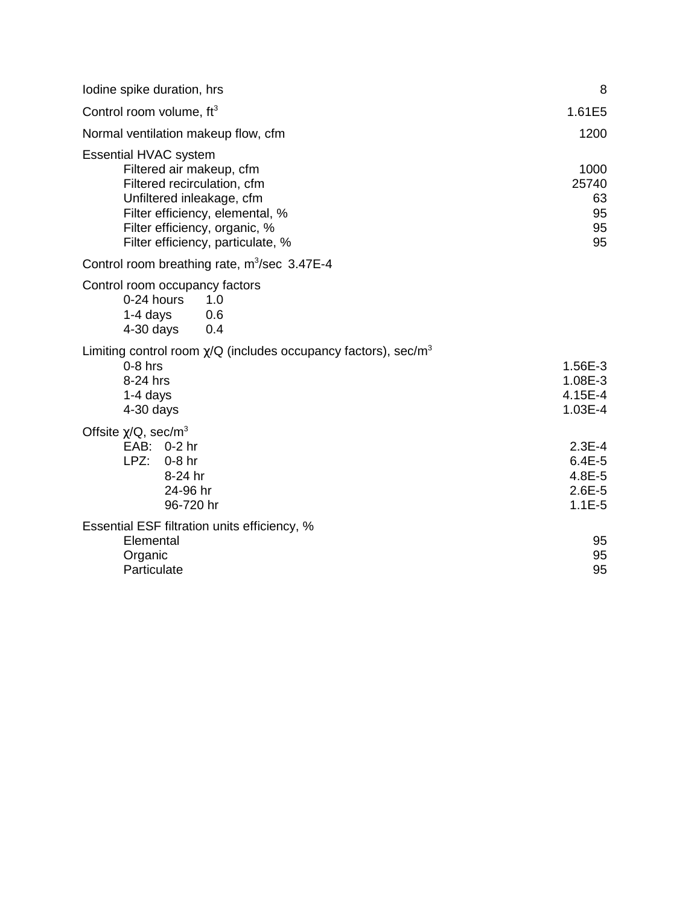| Iodine spike duration, hrs                                                                                                                                                                                                    | 8                                                          |
|-------------------------------------------------------------------------------------------------------------------------------------------------------------------------------------------------------------------------------|------------------------------------------------------------|
| Control room volume, ft <sup>3</sup>                                                                                                                                                                                          | 1.61E5                                                     |
| Normal ventilation makeup flow, cfm                                                                                                                                                                                           | 1200                                                       |
| <b>Essential HVAC system</b><br>Filtered air makeup, cfm<br>Filtered recirculation, cfm<br>Unfiltered inleakage, cfm<br>Filter efficiency, elemental, %<br>Filter efficiency, organic, %<br>Filter efficiency, particulate, % | 1000<br>25740<br>63<br>95<br>95<br>95                      |
| Control room breathing rate, $m^3$ /sec 3.47E-4                                                                                                                                                                               |                                                            |
| Control room occupancy factors<br>0-24 hours<br>1.0<br>1-4 days<br>0.6<br>4-30 days<br>0.4                                                                                                                                    |                                                            |
| Limiting control room $\chi$ /Q (includes occupancy factors), sec/m <sup>3</sup><br>$0-8$ hrs<br>8-24 hrs<br>$1-4$ days<br>$4-30$ days                                                                                        | 1.56E-3<br>1.08E-3<br>4.15E-4<br>$1.03E-4$                 |
| Offsite $\chi$ /Q, sec/m <sup>3</sup><br>EAB: 0-2 hr<br>LPZ:<br>$0-8$ hr<br>8-24 hr<br>24-96 hr<br>96-720 hr                                                                                                                  | $2.3E-4$<br>$6.4E - 5$<br>4.8E-5<br>$2.6E - 5$<br>$1.1E-5$ |
| Essential ESF filtration units efficiency, %<br>Elemental<br>Organic<br>Particulate                                                                                                                                           | 95<br>95<br>95                                             |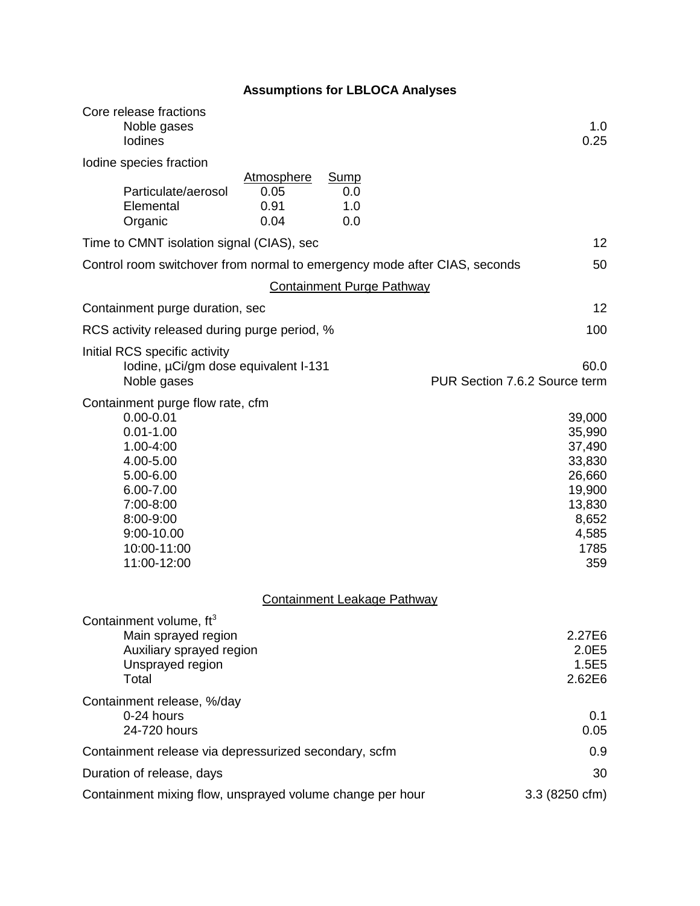# **Assumptions for LBLOCA Analyses**

| Core release fractions<br>Noble gases<br><b>lodines</b>                                                                                                                                      | 1.0<br>0.25                                                                                         |
|----------------------------------------------------------------------------------------------------------------------------------------------------------------------------------------------|-----------------------------------------------------------------------------------------------------|
| Iodine species fraction                                                                                                                                                                      |                                                                                                     |
| <b>Atmosphere</b><br>Sump<br>0.05<br>Particulate/aerosol<br>0.0<br>Elemental<br>0.91<br>1.0<br>0.04<br>Organic<br>0.0                                                                        |                                                                                                     |
| Time to CMNT isolation signal (CIAS), sec                                                                                                                                                    | 12                                                                                                  |
| Control room switchover from normal to emergency mode after CIAS, seconds                                                                                                                    | 50                                                                                                  |
| <b>Containment Purge Pathway</b>                                                                                                                                                             |                                                                                                     |
| Containment purge duration, sec                                                                                                                                                              | 12                                                                                                  |
| RCS activity released during purge period, %                                                                                                                                                 | 100                                                                                                 |
| Initial RCS specific activity<br>Iodine, µCi/gm dose equivalent I-131<br>Noble gases                                                                                                         | 60.0<br>PUR Section 7.6.2 Source term                                                               |
| Containment purge flow rate, cfm<br>$0.00 - 0.01$<br>$0.01 - 1.00$<br>1.00-4:00<br>4.00-5.00<br>5.00-6.00<br>6.00-7.00<br>7:00-8:00<br>8:00-9:00<br>9:00-10.00<br>10:00-11:00<br>11:00-12:00 | 39,000<br>35,990<br>37,490<br>33,830<br>26,660<br>19,900<br>13,830<br>8,652<br>4,585<br>1785<br>359 |
| Containment Leakage Pathway                                                                                                                                                                  |                                                                                                     |
| Containment volume, ft <sup>3</sup><br>Main sprayed region<br>Auxiliary sprayed region<br>Unsprayed region<br>Total                                                                          | 2.27E6<br>2.0E5<br>1.5E5<br>2.62E6                                                                  |
| Containment release, %/day<br>0-24 hours<br>24-720 hours                                                                                                                                     | 0.1<br>0.05                                                                                         |
| Containment release via depressurized secondary, scfm                                                                                                                                        | 0.9                                                                                                 |
| Duration of release, days                                                                                                                                                                    | 30                                                                                                  |
| Containment mixing flow, unsprayed volume change per hour                                                                                                                                    | 3.3 (8250 cfm)                                                                                      |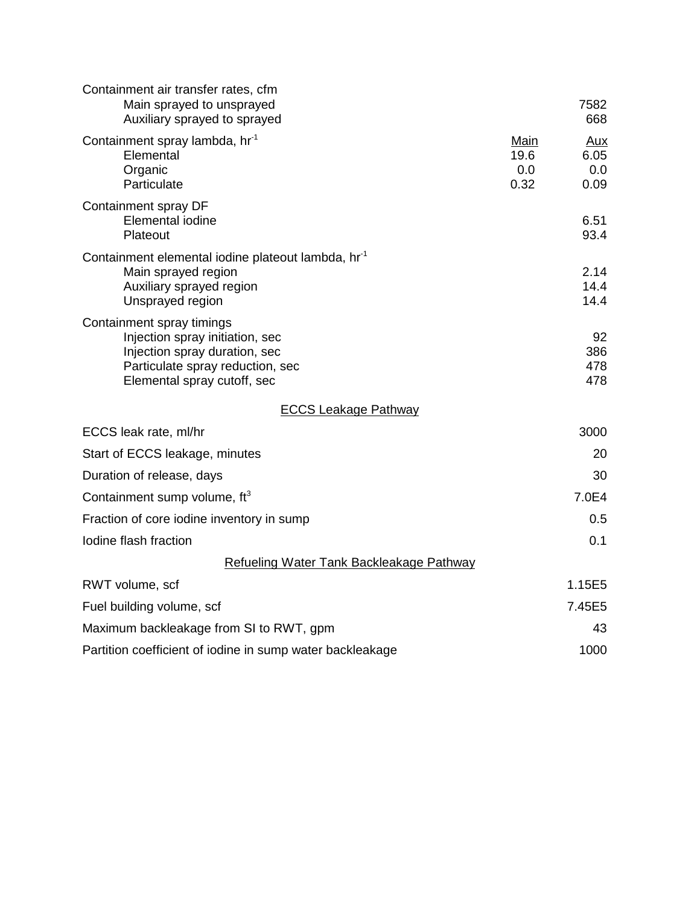| Containment air transfer rates, cfm<br>Main sprayed to unsprayed<br>Auxiliary sprayed to sprayed                                                                 |                             | 7582<br>668                |
|------------------------------------------------------------------------------------------------------------------------------------------------------------------|-----------------------------|----------------------------|
| Containment spray lambda, hr <sup>-1</sup><br>Elemental<br>Organic<br>Particulate                                                                                | Main<br>19.6<br>0.0<br>0.32 | Aux<br>6.05<br>0.0<br>0.09 |
| Containment spray DF<br>Elemental iodine<br>Plateout                                                                                                             |                             | 6.51<br>93.4               |
| Containment elemental iodine plateout lambda, hr <sup>-1</sup><br>Main sprayed region<br>Auxiliary sprayed region<br>Unsprayed region                            |                             | 2.14<br>14.4<br>14.4       |
| Containment spray timings<br>Injection spray initiation, sec<br>Injection spray duration, sec<br>Particulate spray reduction, sec<br>Elemental spray cutoff, sec |                             | 92<br>386<br>478<br>478    |
| <b>ECCS Leakage Pathway</b>                                                                                                                                      |                             |                            |
| ECCS leak rate, ml/hr                                                                                                                                            |                             | 3000                       |
| Start of ECCS leakage, minutes                                                                                                                                   |                             | 20                         |
| Duration of release, days                                                                                                                                        |                             | 30                         |
| Containment sump volume, ft <sup>3</sup>                                                                                                                         |                             | 7.0E4                      |
| Fraction of core iodine inventory in sump                                                                                                                        |                             | 0.5                        |
| Iodine flash fraction                                                                                                                                            |                             | 0.1                        |
| Refueling Water Tank Backleakage Pathway                                                                                                                         |                             |                            |
| RWT volume, scf                                                                                                                                                  |                             | 1.15E5                     |
| Fuel building volume, scf                                                                                                                                        |                             | 7.45E5                     |
| Maximum backleakage from SI to RWT, gpm                                                                                                                          |                             | 43                         |
| Partition coefficient of iodine in sump water backleakage                                                                                                        |                             | 1000                       |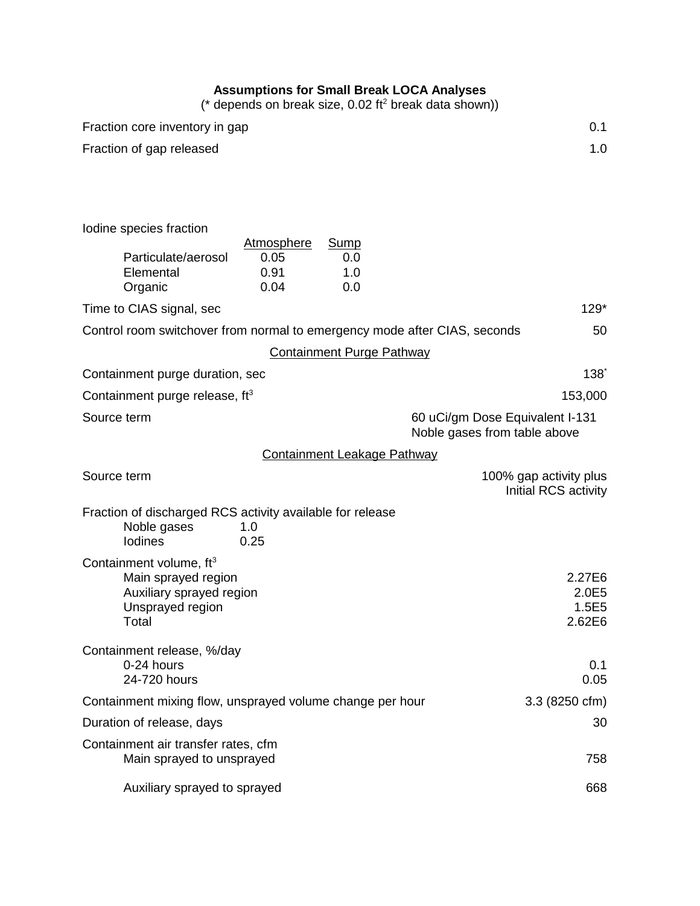#### **Assumptions for Small Break LOCA Analyses**

(\* depends on break size, 0.02 ft<sup>2</sup> break data shown))

| Fraction core inventory in gap                                                      |                                           |                                    |                                                                 | 0.1                                            |
|-------------------------------------------------------------------------------------|-------------------------------------------|------------------------------------|-----------------------------------------------------------------|------------------------------------------------|
| Fraction of gap released                                                            |                                           |                                    |                                                                 | 1.0                                            |
|                                                                                     |                                           |                                    |                                                                 |                                                |
|                                                                                     |                                           |                                    |                                                                 |                                                |
| Iodine species fraction                                                             |                                           |                                    |                                                                 |                                                |
| Particulate/aerosol<br>Elemental<br>Organic                                         | <b>Atmosphere</b><br>0.05<br>0.91<br>0.04 | <b>Sump</b><br>0.0<br>1.0<br>0.0   |                                                                 |                                                |
| Time to CIAS signal, sec                                                            |                                           |                                    |                                                                 | $129*$                                         |
| Control room switchover from normal to emergency mode after CIAS, seconds           |                                           |                                    |                                                                 | 50                                             |
|                                                                                     |                                           | <b>Containment Purge Pathway</b>   |                                                                 |                                                |
| Containment purge duration, sec                                                     |                                           |                                    |                                                                 | $138^\degree$                                  |
| Containment purge release, $ft^3$                                                   |                                           |                                    |                                                                 | 153,000                                        |
| Source term                                                                         |                                           |                                    | 60 uCi/gm Dose Equivalent I-131<br>Noble gases from table above |                                                |
|                                                                                     |                                           | <b>Containment Leakage Pathway</b> |                                                                 |                                                |
| Source term                                                                         |                                           |                                    |                                                                 | 100% gap activity plus<br>Initial RCS activity |
| Fraction of discharged RCS activity available for release<br>Noble gases<br>Iodines | 1.0<br>0.25                               |                                    |                                                                 |                                                |
| Containment volume, ft <sup>3</sup>                                                 |                                           |                                    |                                                                 |                                                |
| Main sprayed region<br>Auxiliary sprayed region<br>Unsprayed region<br>Total        |                                           |                                    |                                                                 | 2.27E6<br>2.0E5<br>1.5E5<br>2.62E6             |
| Containment release, %/day<br>0-24 hours<br>24-720 hours                            |                                           |                                    |                                                                 | 0.1<br>0.05                                    |
| Containment mixing flow, unsprayed volume change per hour                           |                                           |                                    |                                                                 | $3.3(8250 \text{ cfm})$                        |
| Duration of release, days                                                           |                                           |                                    |                                                                 | 30                                             |
| Containment air transfer rates, cfm                                                 |                                           |                                    |                                                                 |                                                |
| Main sprayed to unsprayed                                                           |                                           |                                    |                                                                 | 758                                            |
| Auxiliary sprayed to sprayed                                                        |                                           |                                    |                                                                 | 668                                            |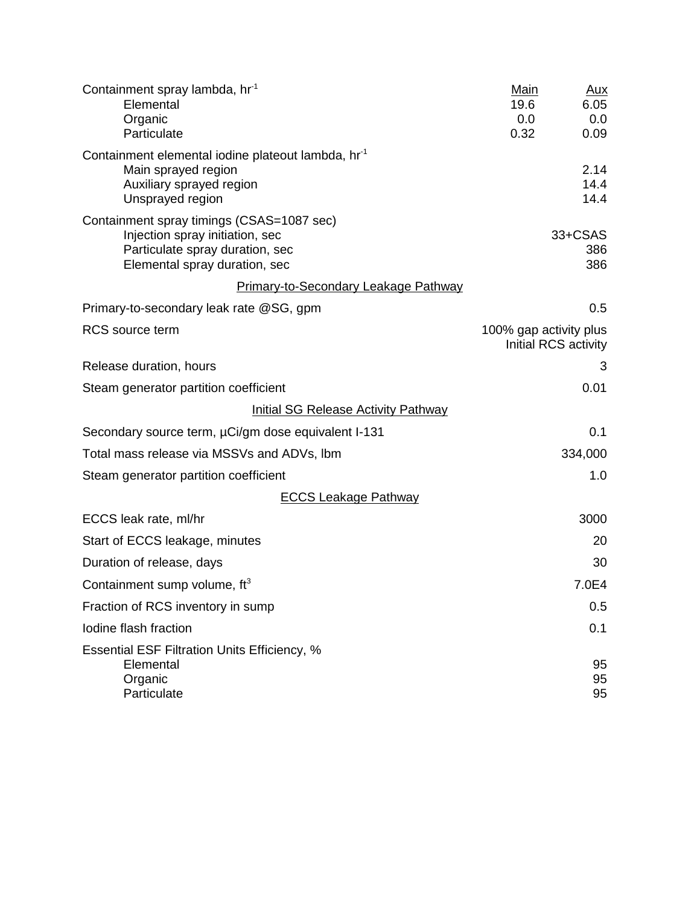| Containment spray lambda, hr <sup>-1</sup><br>Elemental<br>Organic                                                                               | <b>Main</b><br>19.6<br>0.0 | Aux<br>6.05<br>0.0    |
|--------------------------------------------------------------------------------------------------------------------------------------------------|----------------------------|-----------------------|
| Particulate                                                                                                                                      | 0.32                       | 0.09                  |
| Containment elemental iodine plateout lambda, hr <sup>-1</sup><br>Main sprayed region<br>Auxiliary sprayed region<br>Unsprayed region            |                            | 2.14<br>14.4<br>14.4  |
| Containment spray timings (CSAS=1087 sec)<br>Injection spray initiation, sec<br>Particulate spray duration, sec<br>Elemental spray duration, sec |                            | 33+CSAS<br>386<br>386 |
| Primary-to-Secondary Leakage Pathway                                                                                                             |                            |                       |
| Primary-to-secondary leak rate @SG, gpm                                                                                                          |                            | 0.5                   |
| <b>RCS</b> source term                                                                                                                           | 100% gap activity plus     | Initial RCS activity  |
| Release duration, hours                                                                                                                          |                            | 3                     |
| Steam generator partition coefficient                                                                                                            |                            | 0.01                  |
| <b>Initial SG Release Activity Pathway</b>                                                                                                       |                            |                       |
| Secondary source term, µCi/gm dose equivalent I-131                                                                                              |                            | 0.1                   |
| Total mass release via MSSVs and ADVs, Ibm                                                                                                       |                            | 334,000               |
| Steam generator partition coefficient                                                                                                            |                            | 1.0                   |
| <b>ECCS Leakage Pathway</b>                                                                                                                      |                            |                       |
| ECCS leak rate, ml/hr                                                                                                                            |                            | 3000                  |
| Start of ECCS leakage, minutes                                                                                                                   |                            | 20                    |
| Duration of release, days                                                                                                                        |                            | 30                    |
| Containment sump volume, $ft^3$                                                                                                                  |                            | 7.0E4                 |
| Fraction of RCS inventory in sump                                                                                                                |                            | 0.5                   |
| Iodine flash fraction                                                                                                                            |                            | 0.1                   |
| <b>Essential ESF Filtration Units Efficiency, %</b><br>Elemental<br>Organic<br>Particulate                                                       |                            | 95<br>95<br>95        |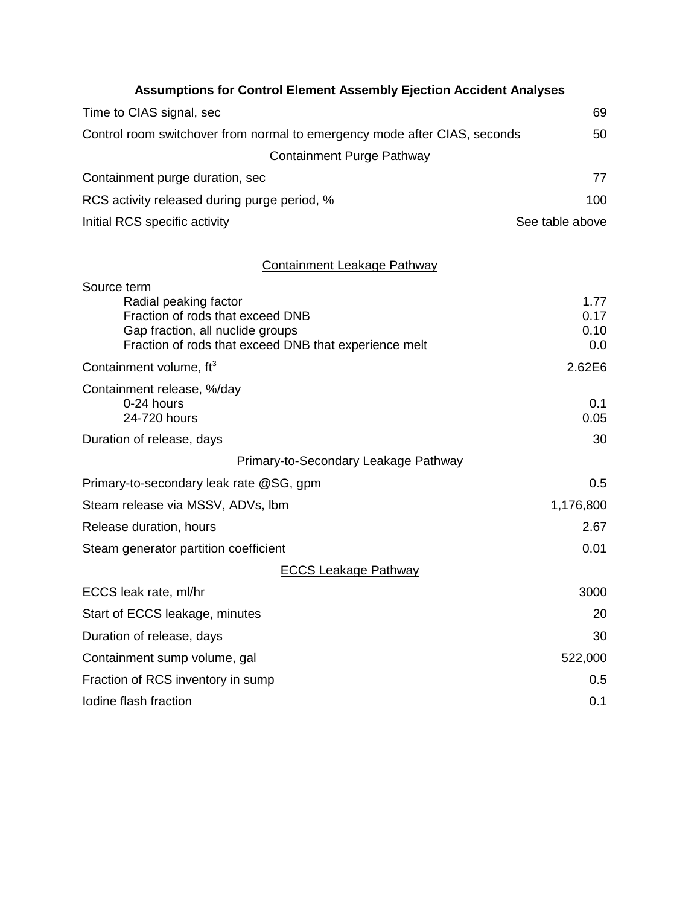| <b>Assumptions for Control Element Assembly Ejection Accident Analyses</b>                                                                             |                             |
|--------------------------------------------------------------------------------------------------------------------------------------------------------|-----------------------------|
| Time to CIAS signal, sec                                                                                                                               | 69                          |
| Control room switchover from normal to emergency mode after CIAS, seconds                                                                              | 50                          |
| <b>Containment Purge Pathway</b>                                                                                                                       |                             |
| Containment purge duration, sec                                                                                                                        | 77                          |
| RCS activity released during purge period, %                                                                                                           | 100                         |
| Initial RCS specific activity                                                                                                                          | See table above             |
| <b>Containment Leakage Pathway</b>                                                                                                                     |                             |
| Source term                                                                                                                                            |                             |
| Radial peaking factor<br>Fraction of rods that exceed DNB<br>Gap fraction, all nuclide groups<br>Fraction of rods that exceed DNB that experience melt | 1.77<br>0.17<br>0.10<br>0.0 |
| Containment volume, ft <sup>3</sup>                                                                                                                    | 2.62E6                      |
| Containment release, %/day<br>0-24 hours<br>24-720 hours                                                                                               | 0.1<br>0.05                 |
| Duration of release, days                                                                                                                              | 30                          |
| <b>Primary-to-Secondary Leakage Pathway</b>                                                                                                            |                             |
| Primary-to-secondary leak rate @SG, gpm                                                                                                                | 0.5                         |
| Steam release via MSSV, ADVs, Ibm                                                                                                                      | 1,176,800                   |
| Release duration, hours                                                                                                                                | 2.67                        |
| Steam generator partition coefficient                                                                                                                  | 0.01                        |
| <b>ECCS Leakage Pathway</b>                                                                                                                            |                             |
| ECCS leak rate, ml/hr                                                                                                                                  | 3000                        |
| Start of ECCS leakage, minutes                                                                                                                         | 20                          |
| Duration of release, days                                                                                                                              | 30                          |
| Containment sump volume, gal                                                                                                                           | 522,000                     |
| Fraction of RCS inventory in sump                                                                                                                      | 0.5                         |
| Iodine flash fraction                                                                                                                                  | 0.1                         |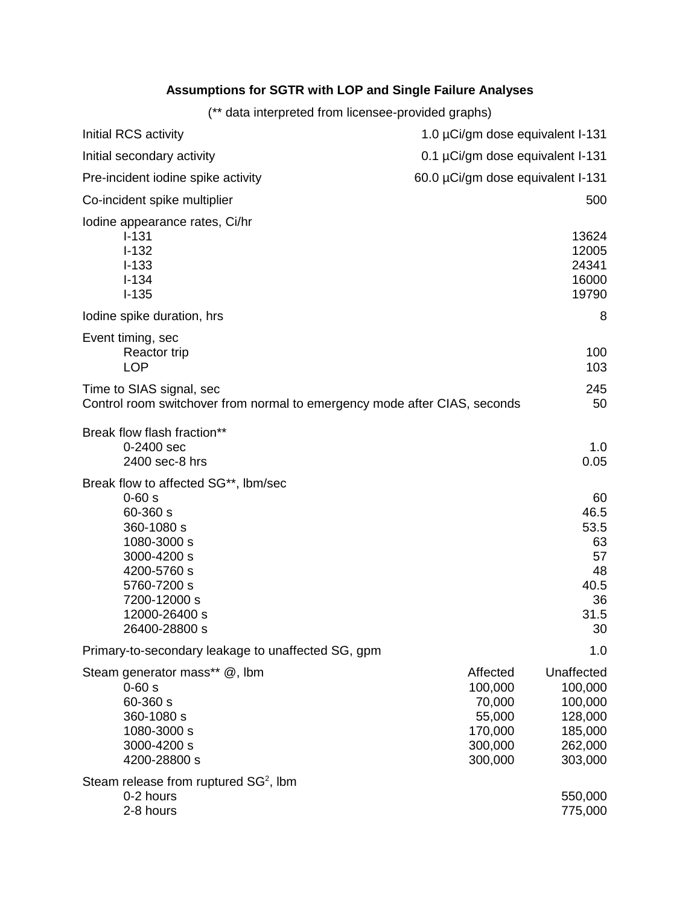#### **Assumptions for SGTR with LOP and Single Failure Analyses**

(\*\* data interpreted from licensee-provided graphs)

| Initial RCS activity                                                                                                                                                                      | 1.0 µCi/gm dose equivalent I-131                                         |                                                                              |
|-------------------------------------------------------------------------------------------------------------------------------------------------------------------------------------------|--------------------------------------------------------------------------|------------------------------------------------------------------------------|
| Initial secondary activity                                                                                                                                                                | 0.1 µCi/gm dose equivalent I-131                                         |                                                                              |
| Pre-incident iodine spike activity                                                                                                                                                        | 60.0 µCi/gm dose equivalent I-131                                        |                                                                              |
| Co-incident spike multiplier                                                                                                                                                              |                                                                          | 500                                                                          |
| Iodine appearance rates, Ci/hr<br>$I - 131$<br>$I - 132$<br>$I-133$<br>$I - 134$<br>$I-135$                                                                                               |                                                                          | 13624<br>12005<br>24341<br>16000<br>19790                                    |
| lodine spike duration, hrs                                                                                                                                                                |                                                                          | 8                                                                            |
| Event timing, sec<br>Reactor trip<br><b>LOP</b>                                                                                                                                           |                                                                          | 100<br>103                                                                   |
| Time to SIAS signal, sec<br>Control room switchover from normal to emergency mode after CIAS, seconds                                                                                     |                                                                          | 245<br>50                                                                    |
| Break flow flash fraction**<br>0-2400 sec<br>2400 sec-8 hrs                                                                                                                               |                                                                          | 1.0<br>0.05                                                                  |
| Break flow to affected SG**, Ibm/sec<br>$0 - 60s$<br>60-360 s<br>360-1080 s<br>1080-3000 s<br>3000-4200 s<br>4200-5760 s<br>5760-7200 s<br>7200-12000 s<br>12000-26400 s<br>26400-28800 s |                                                                          | 60<br>46.5<br>53.5<br>63<br>57<br>48<br>40.5<br>36<br>31.5<br>30             |
| Primary-to-secondary leakage to unaffected SG, gpm                                                                                                                                        |                                                                          | 1.0                                                                          |
| Steam generator mass** @, lbm<br>$0 - 60 s$<br>60-360 s<br>360-1080 s<br>1080-3000 s<br>3000-4200 s<br>4200-28800 s                                                                       | Affected<br>100,000<br>70,000<br>55,000<br>170,000<br>300,000<br>300,000 | Unaffected<br>100,000<br>100,000<br>128,000<br>185,000<br>262,000<br>303,000 |
| Steam release from ruptured $SG2$ , Ibm<br>0-2 hours<br>2-8 hours                                                                                                                         |                                                                          | 550,000<br>775,000                                                           |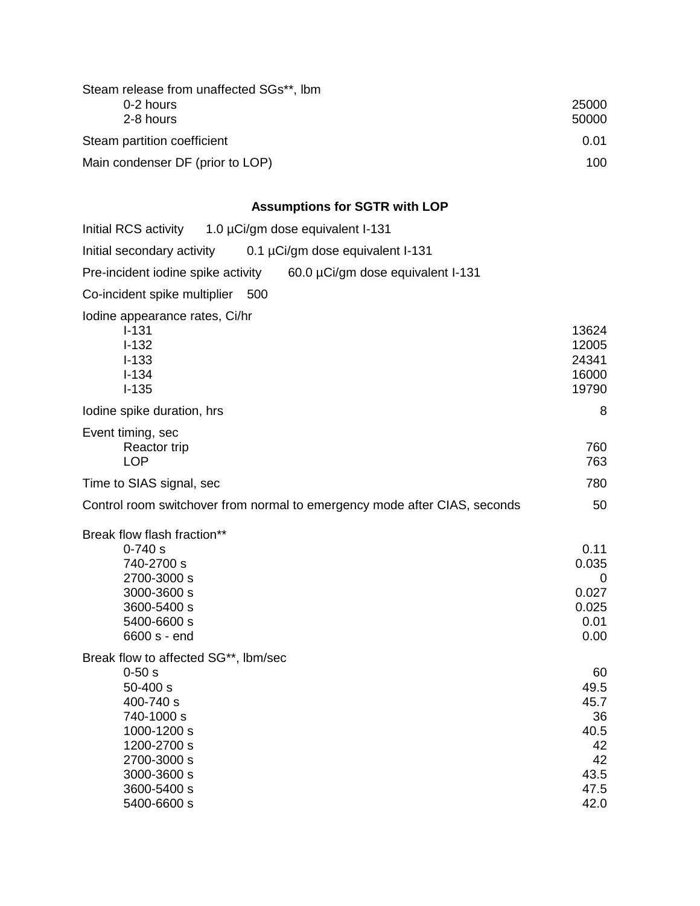| Steam release from unaffected SGs**, Ibm |       |
|------------------------------------------|-------|
| 0-2 hours                                | 25000 |
| 2-8 hours                                | 50000 |
| Steam partition coefficient              | 0.01  |
| Main condenser DF (prior to LOP)         | 100   |
|                                          |       |

# **Assumptions for SGTR with LOP**

| Initial RCS activity 1.0 µCi/gm dose equivalent I-131                                                                                           |                                                                      |
|-------------------------------------------------------------------------------------------------------------------------------------------------|----------------------------------------------------------------------|
| Initial secondary activity<br>0.1 µCi/gm dose equivalent I-131                                                                                  |                                                                      |
| Pre-incident iodine spike activity<br>60.0 µCi/gm dose equivalent I-131                                                                         |                                                                      |
| Co-incident spike multiplier 500                                                                                                                |                                                                      |
| Iodine appearance rates, Ci/hr<br>$I - 131$<br>$I - 132$<br>$I-133$<br>$I - 134$<br>$I - 135$                                                   | 13624<br>12005<br>24341<br>16000<br>19790                            |
| lodine spike duration, hrs                                                                                                                      | 8                                                                    |
| Event timing, sec<br>Reactor trip<br><b>LOP</b>                                                                                                 | 760<br>763                                                           |
| Time to SIAS signal, sec                                                                                                                        | 780                                                                  |
| Control room switchover from normal to emergency mode after CIAS, seconds                                                                       | 50                                                                   |
| Break flow flash fraction**                                                                                                                     |                                                                      |
| $0 - 740s$<br>740-2700 s<br>2700-3000 s<br>3000-3600 s<br>3600-5400 s<br>5400-6600 s<br>6600 s - end                                            | 0.11<br>0.035<br>0<br>0.027<br>0.025<br>0.01<br>0.00                 |
| Break flow to affected SG**, Ibm/sec                                                                                                            |                                                                      |
| $0 - 50 s$<br>$50 - 400 s$<br>400-740 s<br>740-1000 s<br>1000-1200 s<br>1200-2700 s<br>2700-3000 s<br>3000-3600 s<br>3600-5400 s<br>5400-6600 s | 60<br>49.5<br>45.7<br>36<br>40.5<br>42<br>42<br>43.5<br>47.5<br>42.0 |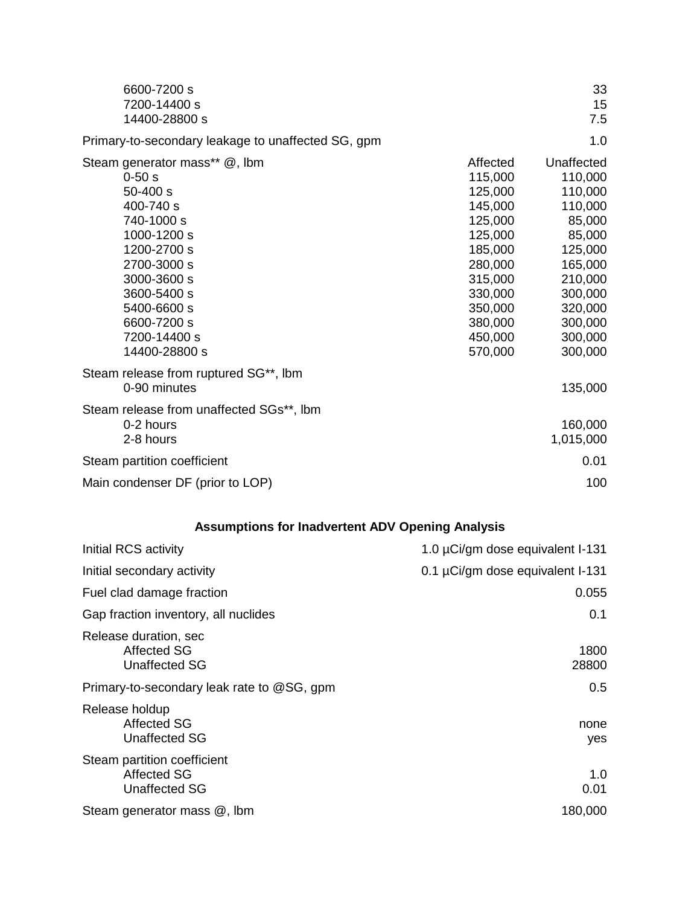| 6600-7200 s<br>7200-14400 s<br>14400-28800 s                                                                                                                                                                                    |                                                                                                                                                         | 33<br>15<br>7.5                                                                                                                                         |
|---------------------------------------------------------------------------------------------------------------------------------------------------------------------------------------------------------------------------------|---------------------------------------------------------------------------------------------------------------------------------------------------------|---------------------------------------------------------------------------------------------------------------------------------------------------------|
| Primary-to-secondary leakage to unaffected SG, gpm                                                                                                                                                                              |                                                                                                                                                         | 1.0                                                                                                                                                     |
| Steam generator mass** @, lbm<br>$0 - 50s$<br>$50 - 400 s$<br>400-740 s<br>740-1000 s<br>1000-1200 s<br>1200-2700 s<br>2700-3000 s<br>3000-3600 s<br>3600-5400 s<br>5400-6600 s<br>6600-7200 s<br>7200-14400 s<br>14400-28800 s | Affected<br>115,000<br>125,000<br>145,000<br>125,000<br>125,000<br>185,000<br>280,000<br>315,000<br>330,000<br>350,000<br>380,000<br>450,000<br>570,000 | Unaffected<br>110,000<br>110,000<br>110,000<br>85,000<br>85,000<br>125,000<br>165,000<br>210,000<br>300,000<br>320,000<br>300,000<br>300,000<br>300,000 |
| Steam release from ruptured SG**, Ibm<br>0-90 minutes                                                                                                                                                                           |                                                                                                                                                         | 135,000                                                                                                                                                 |
| Steam release from unaffected SGs**, Ibm<br>0-2 hours<br>2-8 hours                                                                                                                                                              |                                                                                                                                                         | 160,000<br>1,015,000                                                                                                                                    |
| Steam partition coefficient                                                                                                                                                                                                     |                                                                                                                                                         | 0.01                                                                                                                                                    |
| Main condenser DF (prior to LOP)                                                                                                                                                                                                |                                                                                                                                                         | 100                                                                                                                                                     |

## **Assumptions for Inadvertent ADV Opening Analysis**

| Initial RCS activity                                                      | 1.0 µCi/gm dose equivalent I-131 |
|---------------------------------------------------------------------------|----------------------------------|
| Initial secondary activity                                                | 0.1 µCi/gm dose equivalent I-131 |
| Fuel clad damage fraction                                                 | 0.055                            |
| Gap fraction inventory, all nuclides                                      | 0.1                              |
| Release duration, sec<br>Affected SG<br><b>Unaffected SG</b>              | 1800<br>28800                    |
| Primary-to-secondary leak rate to @SG, gpm                                | 0.5                              |
| Release holdup<br><b>Affected SG</b><br><b>Unaffected SG</b>              | none<br>yes                      |
| Steam partition coefficient<br><b>Affected SG</b><br><b>Unaffected SG</b> | 1.0<br>0.01                      |
| Steam generator mass @, lbm                                               | 180,000                          |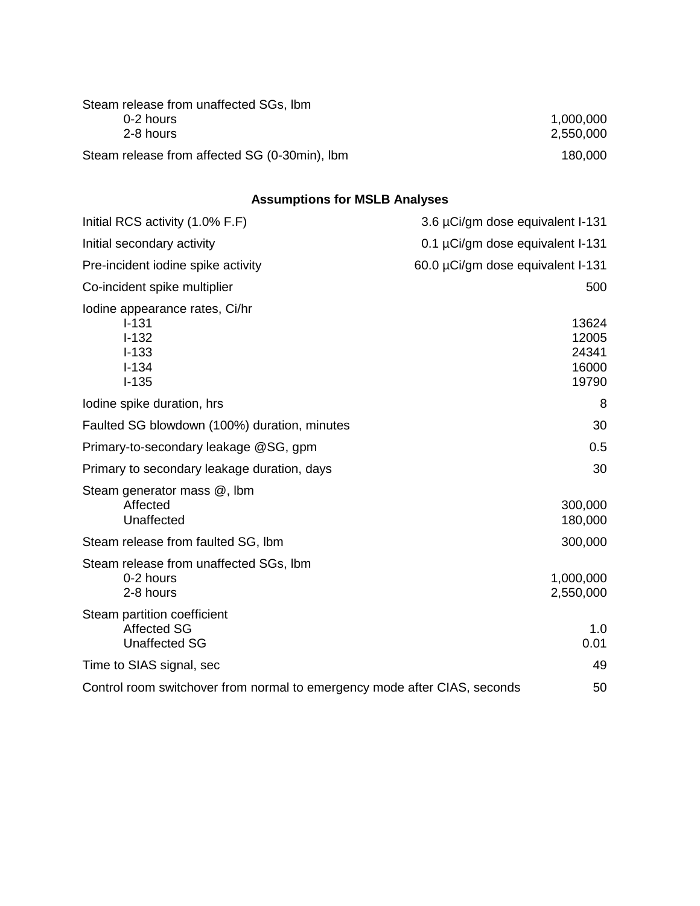| Steam release from unaffected SGs, Ibm        |           |
|-----------------------------------------------|-----------|
| 0-2 hours                                     | 1,000,000 |
| 2-8 hours                                     | 2,550,000 |
| Steam release from affected SG (0-30min), Ibm | 180,000   |

## **Assumptions for MSLB Analyses**

| Initial RCS activity (1.0% F.F)                                                               | 3.6 µCi/gm dose equivalent I-131          |
|-----------------------------------------------------------------------------------------------|-------------------------------------------|
| Initial secondary activity                                                                    | 0.1 µCi/gm dose equivalent I-131          |
| Pre-incident iodine spike activity                                                            | 60.0 µCi/gm dose equivalent I-131         |
| Co-incident spike multiplier                                                                  | 500                                       |
| Iodine appearance rates, Ci/hr<br>$I - 131$<br>$I-132$<br>$I - 133$<br>$I - 134$<br>$I - 135$ | 13624<br>12005<br>24341<br>16000<br>19790 |
| lodine spike duration, hrs                                                                    | 8                                         |
| Faulted SG blowdown (100%) duration, minutes                                                  | 30                                        |
| Primary-to-secondary leakage @SG, gpm                                                         | 0.5                                       |
| Primary to secondary leakage duration, days                                                   | 30                                        |
| Steam generator mass @, lbm<br>Affected<br>Unaffected                                         | 300,000<br>180,000                        |
| Steam release from faulted SG, Ibm                                                            | 300,000                                   |
| Steam release from unaffected SGs, Ibm<br>0-2 hours<br>2-8 hours                              | 1,000,000<br>2,550,000                    |
| Steam partition coefficient<br><b>Affected SG</b><br><b>Unaffected SG</b>                     | 1.0<br>0.01                               |
| Time to SIAS signal, sec                                                                      | 49                                        |
| Control room switchover from normal to emergency mode after CIAS, seconds                     | 50                                        |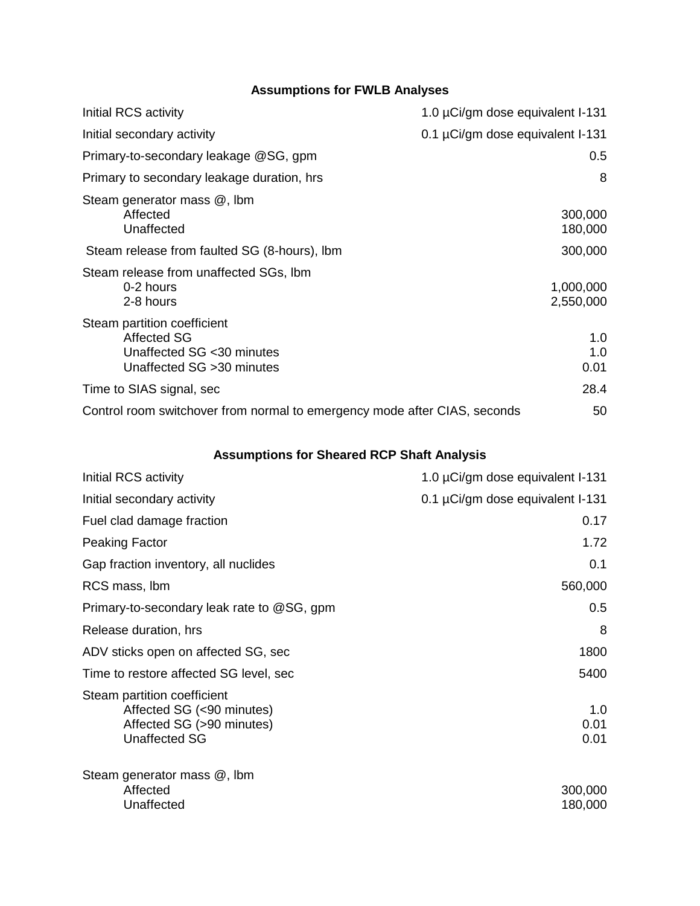#### **Assumptions for FWLB Analyses**

| Initial RCS activity                                                                                          | 1.0 µCi/gm dose equivalent I-131 |
|---------------------------------------------------------------------------------------------------------------|----------------------------------|
| Initial secondary activity                                                                                    | 0.1 µCi/gm dose equivalent I-131 |
| Primary-to-secondary leakage @SG, gpm                                                                         | 0.5                              |
| Primary to secondary leakage duration, hrs                                                                    | 8                                |
| Steam generator mass @, lbm<br>Affected<br>Unaffected                                                         | 300,000<br>180,000               |
| Steam release from faulted SG (8-hours), Ibm                                                                  | 300,000                          |
| Steam release from unaffected SGs, Ibm<br>0-2 hours<br>2-8 hours                                              | 1,000,000<br>2,550,000           |
| Steam partition coefficient<br><b>Affected SG</b><br>Unaffected SG < 30 minutes<br>Unaffected SG > 30 minutes | 1.0<br>1.0<br>0.01               |
| Time to SIAS signal, sec                                                                                      | 28.4                             |
| Control room switchover from normal to emergency mode after CIAS, seconds                                     | 50                               |

## **Assumptions for Sheared RCP Shaft Analysis**

| Initial RCS activity                                                                                          | 1.0 µCi/gm dose equivalent I-131 |
|---------------------------------------------------------------------------------------------------------------|----------------------------------|
| Initial secondary activity                                                                                    | 0.1 µCi/gm dose equivalent I-131 |
| Fuel clad damage fraction                                                                                     | 0.17                             |
| <b>Peaking Factor</b>                                                                                         | 1.72                             |
| Gap fraction inventory, all nuclides                                                                          | 0.1                              |
| RCS mass, Ibm                                                                                                 | 560,000                          |
| Primary-to-secondary leak rate to @SG, gpm                                                                    | 0.5                              |
| Release duration, hrs                                                                                         | 8                                |
| ADV sticks open on affected SG, sec                                                                           | 1800                             |
| Time to restore affected SG level, sec                                                                        | 5400                             |
| Steam partition coefficient<br>Affected SG (<90 minutes)<br>Affected SG (>90 minutes)<br><b>Unaffected SG</b> | 1.0<br>0.01<br>0.01              |
| Steam generator mass @, lbm<br>Affected<br>Unaffected                                                         | 300,000<br>180,000               |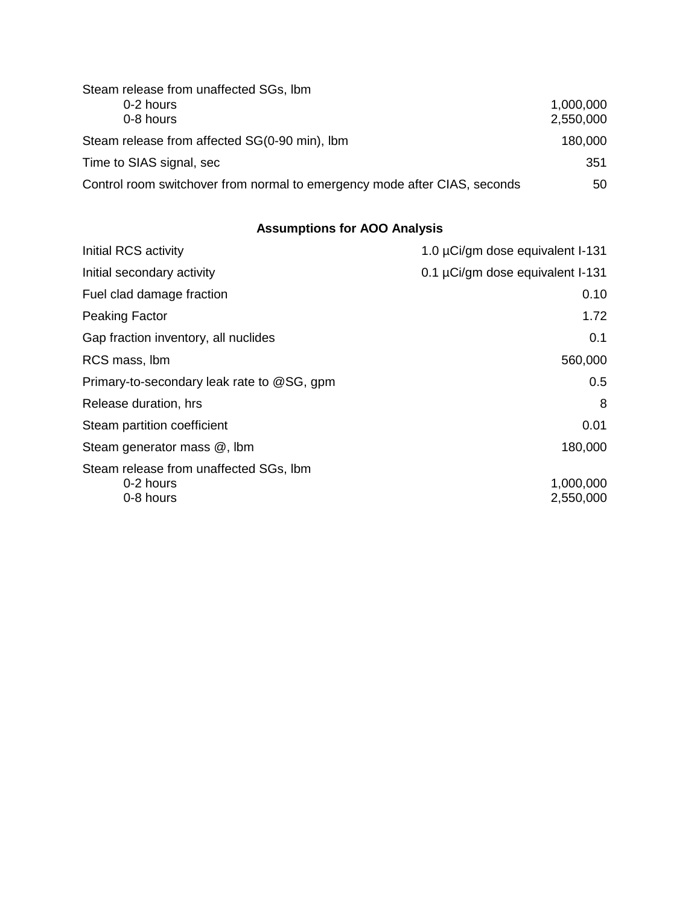| Steam release from unaffected SGs, Ibm                                    |           |
|---------------------------------------------------------------------------|-----------|
| 0-2 hours                                                                 | 1,000,000 |
| 0-8 hours                                                                 | 2,550,000 |
| Steam release from affected SG(0-90 min), Ibm                             | 180,000   |
| Time to SIAS signal, sec                                                  | 351       |
| Control room switchover from normal to emergency mode after CIAS, seconds | 50        |

## **Assumptions for AOO Analysis**

| Initial RCS activity                                             | 1.0 µCi/gm dose equivalent I-131 |
|------------------------------------------------------------------|----------------------------------|
| Initial secondary activity                                       | 0.1 µCi/gm dose equivalent I-131 |
| Fuel clad damage fraction                                        | 0.10                             |
| <b>Peaking Factor</b>                                            | 1.72                             |
| Gap fraction inventory, all nuclides                             | 0.1                              |
| RCS mass, Ibm                                                    | 560,000                          |
| Primary-to-secondary leak rate to @SG, gpm                       | 0.5                              |
| Release duration, hrs                                            | 8                                |
| Steam partition coefficient                                      | 0.01                             |
| Steam generator mass @, lbm                                      | 180,000                          |
| Steam release from unaffected SGs, Ibm<br>0-2 hours<br>0-8 hours | 1,000,000<br>2,550,000           |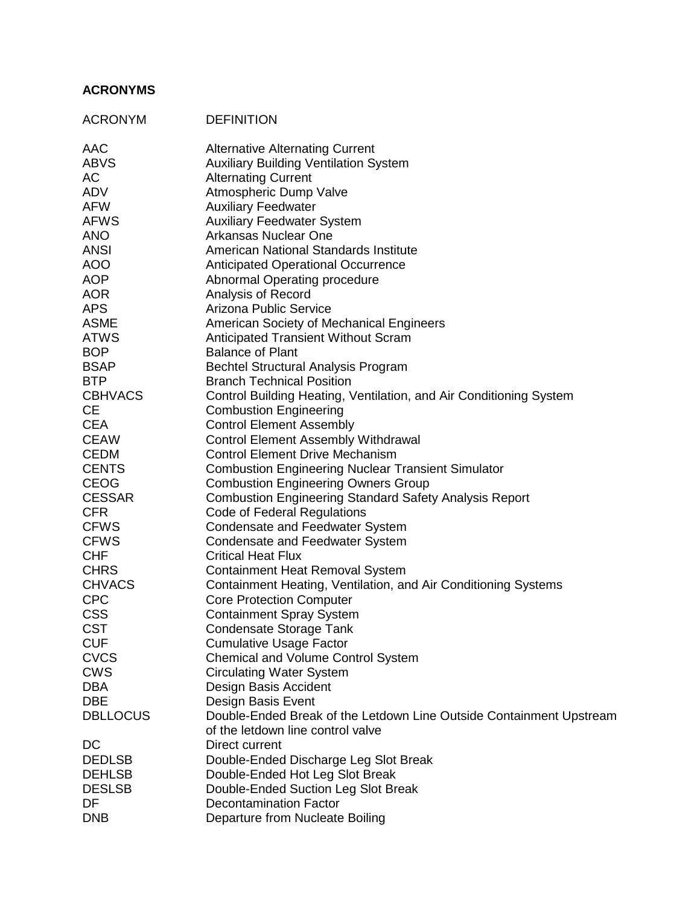#### **ACRONYMS**

| <b>ACRONYM</b>            | <b>DEFINITION</b>                                                   |
|---------------------------|---------------------------------------------------------------------|
| <b>AAC</b>                | <b>Alternative Alternating Current</b>                              |
| <b>ABVS</b>               | <b>Auxiliary Building Ventilation System</b>                        |
| AC                        | <b>Alternating Current</b>                                          |
| ADV                       | Atmospheric Dump Valve                                              |
| <b>AFW</b>                | <b>Auxiliary Feedwater</b>                                          |
| <b>AFWS</b>               | <b>Auxiliary Feedwater System</b>                                   |
| <b>ANO</b>                | Arkansas Nuclear One                                                |
| <b>ANSI</b>               | American National Standards Institute                               |
| <b>AOO</b>                | <b>Anticipated Operational Occurrence</b>                           |
| <b>AOP</b>                | Abnormal Operating procedure                                        |
| <b>AOR</b>                | Analysis of Record                                                  |
| <b>APS</b>                | Arizona Public Service                                              |
| <b>ASME</b>               | American Society of Mechanical Engineers                            |
| <b>ATWS</b>               | Anticipated Transient Without Scram<br><b>Balance of Plant</b>      |
| <b>BOP</b><br><b>BSAP</b> | <b>Bechtel Structural Analysis Program</b>                          |
| <b>BTP</b>                | <b>Branch Technical Position</b>                                    |
| <b>CBHVACS</b>            | Control Building Heating, Ventilation, and Air Conditioning System  |
| <b>CE</b>                 | <b>Combustion Engineering</b>                                       |
| <b>CEA</b>                | <b>Control Element Assembly</b>                                     |
| <b>CEAW</b>               | <b>Control Element Assembly Withdrawal</b>                          |
| <b>CEDM</b>               | <b>Control Element Drive Mechanism</b>                              |
| <b>CENTS</b>              | <b>Combustion Engineering Nuclear Transient Simulator</b>           |
| <b>CEOG</b>               | <b>Combustion Engineering Owners Group</b>                          |
| <b>CESSAR</b>             | <b>Combustion Engineering Standard Safety Analysis Report</b>       |
| <b>CFR</b>                | Code of Federal Regulations                                         |
| <b>CFWS</b>               | <b>Condensate and Feedwater System</b>                              |
| <b>CFWS</b>               | <b>Condensate and Feedwater System</b>                              |
| <b>CHF</b>                | <b>Critical Heat Flux</b>                                           |
| <b>CHRS</b>               | <b>Containment Heat Removal System</b>                              |
| <b>CHVACS</b>             | Containment Heating, Ventilation, and Air Conditioning Systems      |
| <b>CPC</b>                | <b>Core Protection Computer</b>                                     |
| <b>CSS</b>                | <b>Containment Spray System</b>                                     |
| <b>CST</b>                | <b>Condensate Storage Tank</b>                                      |
| <b>CUF</b>                | <b>Cumulative Usage Factor</b>                                      |
| <b>CVCS</b>               | <b>Chemical and Volume Control System</b>                           |
| <b>CWS</b><br><b>DBA</b>  | <b>Circulating Water System</b>                                     |
| <b>DBE</b>                | Design Basis Accident<br>Design Basis Event                         |
| <b>DBLLOCUS</b>           | Double-Ended Break of the Letdown Line Outside Containment Upstream |
|                           | of the letdown line control valve                                   |
| DC                        | Direct current                                                      |
| <b>DEDLSB</b>             | Double-Ended Discharge Leg Slot Break                               |
| <b>DEHLSB</b>             | Double-Ended Hot Leg Slot Break                                     |
| <b>DESLSB</b>             | Double-Ended Suction Leg Slot Break                                 |
| DF                        | <b>Decontamination Factor</b>                                       |
| <b>DNB</b>                | Departure from Nucleate Boiling                                     |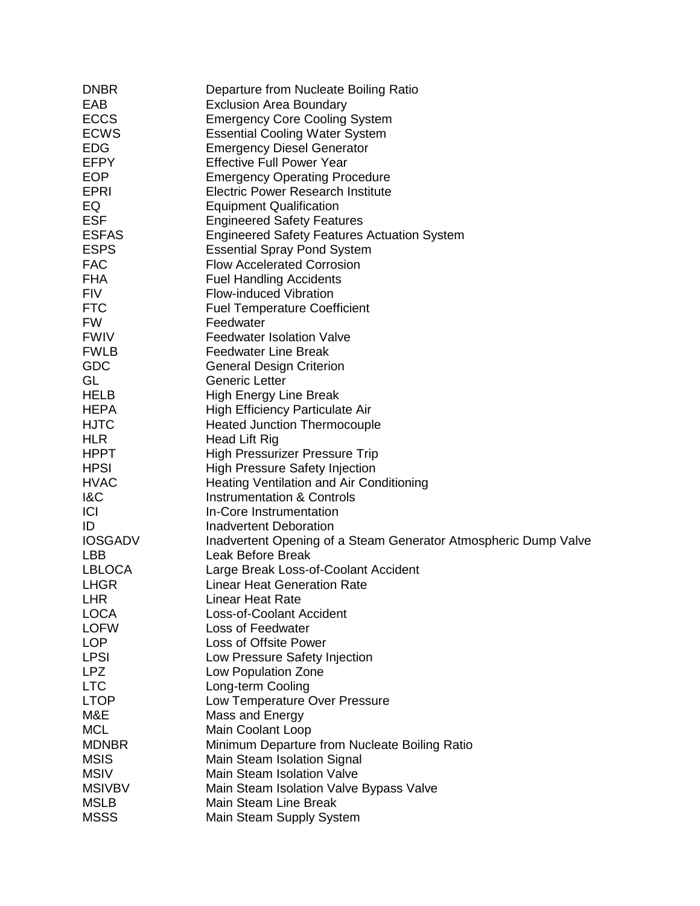| <b>DNBR</b>    | Departure from Nucleate Boiling Ratio                            |
|----------------|------------------------------------------------------------------|
| EAB            | <b>Exclusion Area Boundary</b>                                   |
| <b>ECCS</b>    | <b>Emergency Core Cooling System</b>                             |
| <b>ECWS</b>    | <b>Essential Cooling Water System</b>                            |
| <b>EDG</b>     | <b>Emergency Diesel Generator</b>                                |
| <b>EFPY</b>    | <b>Effective Full Power Year</b>                                 |
| <b>EOP</b>     | <b>Emergency Operating Procedure</b>                             |
| <b>EPRI</b>    | <b>Electric Power Research Institute</b>                         |
| EQ             | <b>Equipment Qualification</b>                                   |
| <b>ESF</b>     | <b>Engineered Safety Features</b>                                |
| <b>ESFAS</b>   | <b>Engineered Safety Features Actuation System</b>               |
| <b>ESPS</b>    | <b>Essential Spray Pond System</b>                               |
| <b>FAC</b>     | <b>Flow Accelerated Corrosion</b>                                |
| <b>FHA</b>     | <b>Fuel Handling Accidents</b>                                   |
| <b>FIV</b>     | <b>Flow-induced Vibration</b>                                    |
| <b>FTC</b>     | <b>Fuel Temperature Coefficient</b>                              |
| <b>FW</b>      | Feedwater                                                        |
| <b>FWIV</b>    | <b>Feedwater Isolation Valve</b>                                 |
| <b>FWLB</b>    | <b>Feedwater Line Break</b>                                      |
| GDC            | <b>General Design Criterion</b>                                  |
| GL             | <b>Generic Letter</b>                                            |
| <b>HELB</b>    | <b>High Energy Line Break</b>                                    |
| <b>HEPA</b>    | High Efficiency Particulate Air                                  |
| <b>HJTC</b>    | <b>Heated Junction Thermocouple</b>                              |
| <b>HLR</b>     | Head Lift Rig                                                    |
| <b>HPPT</b>    | <b>High Pressurizer Pressure Trip</b>                            |
| <b>HPSI</b>    | <b>High Pressure Safety Injection</b>                            |
| <b>HVAC</b>    | Heating Ventilation and Air Conditioning                         |
| <b>1&amp;C</b> | <b>Instrumentation &amp; Controls</b>                            |
| <b>ICI</b>     | In-Core Instrumentation                                          |
| ID             | <b>Inadvertent Deboration</b>                                    |
| <b>IOSGADV</b> | Inadvertent Opening of a Steam Generator Atmospheric Dump Valve  |
| <b>LBB</b>     | Leak Before Break                                                |
| <b>LBLOCA</b>  | Large Break Loss-of-Coolant Accident                             |
| <b>LHGR</b>    | <b>Linear Heat Generation Rate</b>                               |
| <b>LHR</b>     | <b>Linear Heat Rate</b>                                          |
| <b>LOCA</b>    | <b>Loss-of-Coolant Accident</b>                                  |
| <b>LOFW</b>    | Loss of Feedwater                                                |
| <b>LOP</b>     | Loss of Offsite Power                                            |
| <b>LPSI</b>    | Low Pressure Safety Injection                                    |
| <b>LPZ</b>     | Low Population Zone                                              |
| <b>LTC</b>     | Long-term Cooling                                                |
| <b>LTOP</b>    | Low Temperature Over Pressure                                    |
| M&E            | Mass and Energy                                                  |
| <b>MCL</b>     | Main Coolant Loop                                                |
| <b>MDNBR</b>   | Minimum Departure from Nucleate Boiling Ratio                    |
| <b>MSIS</b>    |                                                                  |
| <b>MSIV</b>    | Main Steam Isolation Signal<br><b>Main Steam Isolation Valve</b> |
|                |                                                                  |
| <b>MSIVBV</b>  | Main Steam Isolation Valve Bypass Valve                          |
| <b>MSLB</b>    | Main Steam Line Break                                            |
| <b>MSSS</b>    | Main Steam Supply System                                         |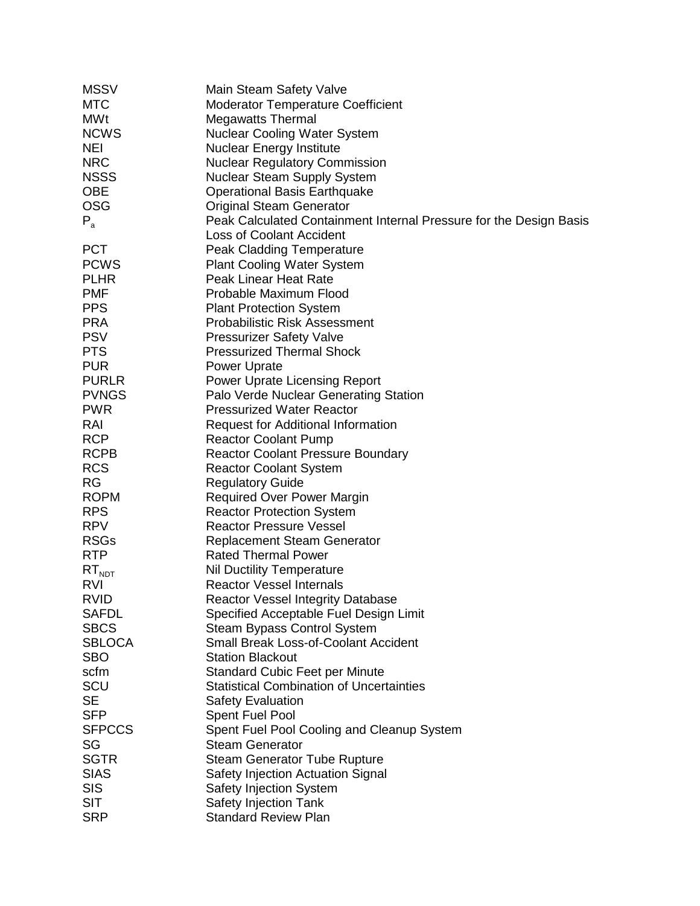| <b>MSSV</b>   | Main Steam Safety Valve                                            |
|---------------|--------------------------------------------------------------------|
| <b>MTC</b>    | <b>Moderator Temperature Coefficient</b>                           |
| <b>MWt</b>    | <b>Megawatts Thermal</b>                                           |
| <b>NCWS</b>   | <b>Nuclear Cooling Water System</b>                                |
| <b>NEI</b>    | <b>Nuclear Energy Institute</b>                                    |
| <b>NRC</b>    | <b>Nuclear Regulatory Commission</b>                               |
| <b>NSSS</b>   | Nuclear Steam Supply System                                        |
| <b>OBE</b>    | <b>Operational Basis Earthquake</b>                                |
| <b>OSG</b>    | <b>Original Steam Generator</b>                                    |
|               |                                                                    |
| $P_{a}$       | Peak Calculated Containment Internal Pressure for the Design Basis |
|               | <b>Loss of Coolant Accident</b>                                    |
| <b>PCT</b>    | <b>Peak Cladding Temperature</b>                                   |
| <b>PCWS</b>   | <b>Plant Cooling Water System</b>                                  |
| <b>PLHR</b>   | Peak Linear Heat Rate                                              |
| <b>PMF</b>    | Probable Maximum Flood                                             |
| <b>PPS</b>    | <b>Plant Protection System</b>                                     |
| <b>PRA</b>    | <b>Probabilistic Risk Assessment</b>                               |
| <b>PSV</b>    | <b>Pressurizer Safety Valve</b>                                    |
| <b>PTS</b>    | <b>Pressurized Thermal Shock</b>                                   |
| <b>PUR</b>    | Power Uprate                                                       |
| <b>PURLR</b>  | <b>Power Uprate Licensing Report</b>                               |
| <b>PVNGS</b>  | Palo Verde Nuclear Generating Station                              |
| <b>PWR</b>    | <b>Pressurized Water Reactor</b>                                   |
| RAI           | <b>Request for Additional Information</b>                          |
| <b>RCP</b>    | <b>Reactor Coolant Pump</b>                                        |
| <b>RCPB</b>   | <b>Reactor Coolant Pressure Boundary</b>                           |
| <b>RCS</b>    | <b>Reactor Coolant System</b>                                      |
| <b>RG</b>     | <b>Regulatory Guide</b>                                            |
| <b>ROPM</b>   | <b>Required Over Power Margin</b>                                  |
| <b>RPS</b>    | <b>Reactor Protection System</b>                                   |
| <b>RPV</b>    | <b>Reactor Pressure Vessel</b>                                     |
| <b>RSGs</b>   | <b>Replacement Steam Generator</b>                                 |
| <b>RTP</b>    | <b>Rated Thermal Power</b>                                         |
| $RT_{NDT}$    | <b>Nil Ductility Temperature</b>                                   |
| RVI           | <b>Reactor Vessel Internals</b>                                    |
| <b>RVID</b>   | Reactor Vessel Integrity Database                                  |
| <b>SAFDL</b>  | Specified Acceptable Fuel Design Limit                             |
| <b>SBCS</b>   | Steam Bypass Control System                                        |
| <b>SBLOCA</b> | <b>Small Break Loss-of-Coolant Accident</b>                        |
|               |                                                                    |
| <b>SBO</b>    | <b>Station Blackout</b>                                            |
| scfm          | <b>Standard Cubic Feet per Minute</b>                              |
| SCU           | <b>Statistical Combination of Uncertainties</b>                    |
| <b>SE</b>     | <b>Safety Evaluation</b>                                           |
| <b>SFP</b>    | Spent Fuel Pool                                                    |
| <b>SFPCCS</b> | Spent Fuel Pool Cooling and Cleanup System                         |
| SG            | <b>Steam Generator</b>                                             |
| <b>SGTR</b>   | <b>Steam Generator Tube Rupture</b>                                |
| <b>SIAS</b>   | Safety Injection Actuation Signal                                  |
| <b>SIS</b>    | Safety Injection System                                            |
| <b>SIT</b>    | Safety Injection Tank                                              |
| <b>SRP</b>    | <b>Standard Review Plan</b>                                        |